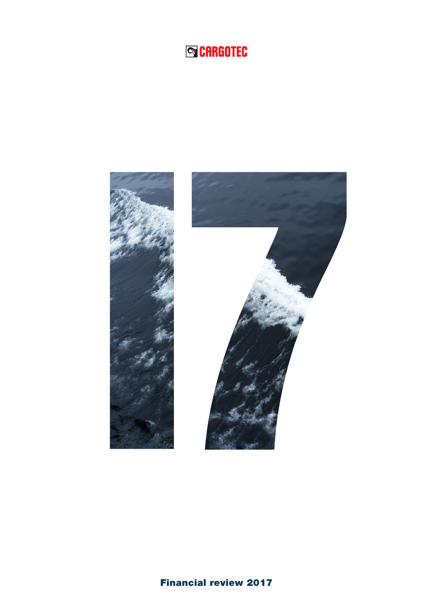



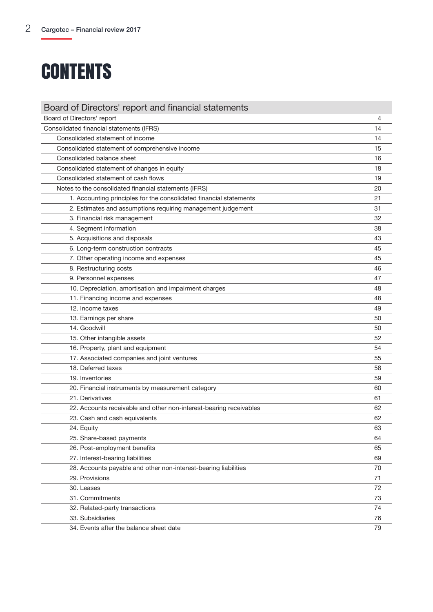# **CONTENTS**

| Board of Directors' report and financial statements                |    |
|--------------------------------------------------------------------|----|
| Board of Directors' report                                         | 4  |
| Consolidated financial statements (IFRS)                           | 14 |
| Consolidated statement of income                                   | 14 |
| Consolidated statement of comprehensive income                     | 15 |
| Consolidated balance sheet                                         | 16 |
| Consolidated statement of changes in equity                        | 18 |
| Consolidated statement of cash flows                               | 19 |
| Notes to the consolidated financial statements (IFRS)              | 20 |
| 1. Accounting principles for the consolidated financial statements | 21 |
| 2. Estimates and assumptions requiring management judgement        | 31 |
| 3. Financial risk management                                       | 32 |
| 4. Segment information                                             | 38 |
| 5. Acquisitions and disposals                                      | 43 |
| 6. Long-term construction contracts                                | 45 |
| 7. Other operating income and expenses                             | 45 |
| 8. Restructuring costs                                             | 46 |
| 9. Personnel expenses                                              | 47 |
| 10. Depreciation, amortisation and impairment charges              | 48 |
| 11. Financing income and expenses                                  | 48 |
| 12. Income taxes                                                   | 49 |
| 13. Earnings per share                                             | 50 |
| 14. Goodwill                                                       | 50 |
| 15. Other intangible assets                                        | 52 |
| 16. Property, plant and equipment                                  | 54 |
| 17. Associated companies and joint ventures                        | 55 |
| 18. Deferred taxes                                                 | 58 |
| 19. Inventories                                                    | 59 |
| 20. Financial instruments by measurement category                  | 60 |
| 21. Derivatives                                                    | 61 |
| 22. Accounts receivable and other non-interest-bearing receivables | 62 |
| 23. Cash and cash equivalents                                      | 62 |
| 24. Equity                                                         | 63 |
| 25. Share-based payments                                           | 64 |
| 26. Post-employment benefits                                       | 65 |
| 27. Interest-bearing liabilities                                   | 69 |
| 28. Accounts payable and other non-interest-bearing liabilities    | 70 |
| 29. Provisions                                                     | 71 |
| 30. Leases                                                         | 72 |
| 31. Commitments                                                    | 73 |
| 32. Related-party transactions                                     | 74 |
| 33. Subsidiaries                                                   | 76 |
| 34. Events after the balance sheet date                            | 79 |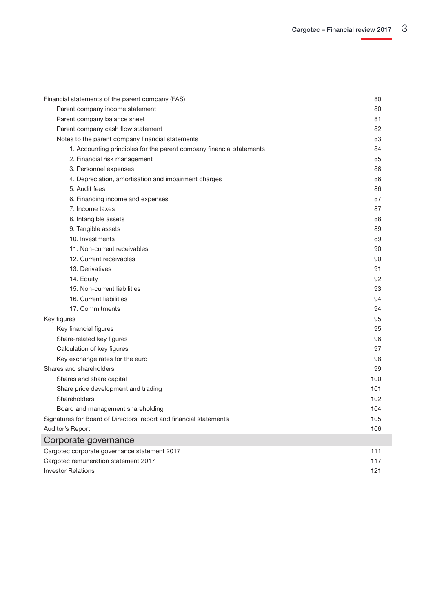| Financial statements of the parent company (FAS)                     | 80  |
|----------------------------------------------------------------------|-----|
| Parent company income statement                                      | 80  |
| Parent company balance sheet                                         | 81  |
| Parent company cash flow statement                                   | 82  |
| Notes to the parent company financial statements                     | 83  |
| 1. Accounting principles for the parent company financial statements | 84  |
| 2. Financial risk management                                         | 85  |
| 3. Personnel expenses                                                | 86  |
| 4. Depreciation, amortisation and impairment charges                 | 86  |
| 5. Audit fees                                                        | 86  |
| 6. Financing income and expenses                                     | 87  |
| 7. Income taxes                                                      | 87  |
| 8. Intangible assets                                                 | 88  |
| 9. Tangible assets                                                   | 89  |
| 10. Investments                                                      | 89  |
| 11. Non-current receivables                                          | 90  |
| 12. Current receivables                                              | 90  |
| 13. Derivatives                                                      | 91  |
| 14. Equity                                                           | 92  |
| 15. Non-current liabilities                                          | 93  |
| 16. Current liabilities                                              | 94  |
| 17. Commitments                                                      | 94  |
| Key figures                                                          | 95  |
| Key financial figures                                                | 95  |
| Share-related key figures                                            | 96  |
| Calculation of key figures                                           | 97  |
| Key exchange rates for the euro                                      | 98  |
| Shares and shareholders                                              | 99  |
| Shares and share capital                                             | 100 |
| Share price development and trading                                  | 101 |
| Shareholders                                                         | 102 |
| Board and management shareholding                                    | 104 |
| Signatures for Board of Directors' report and financial statements   | 105 |
| Auditor's Report                                                     | 106 |
| Corporate governance                                                 |     |
| Cargotec corporate governance statement 2017                         | 111 |
| Cargotec remuneration statement 2017                                 | 117 |
| <b>Investor Relations</b>                                            | 121 |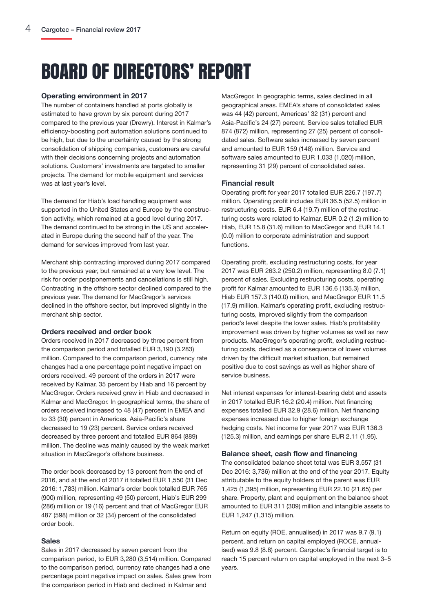# <span id="page-3-0"></span>BOARD OF DIRECTORS' REPORT

# Operating environment in 2017

The number of containers handled at ports globally is estimated to have grown by six percent during 2017 compared to the previous year (Drewry). Interest in Kalmar's efficiency-boosting port automation solutions continued to be high, but due to the uncertainty caused by the strong consolidation of shipping companies, customers are careful with their decisions concerning projects and automation solutions. Customers' investments are targeted to smaller projects. The demand for mobile equipment and services was at last year's level.

The demand for Hiab's load handling equipment was supported in the United States and Europe by the construction activity, which remained at a good level during 2017. The demand continued to be strong in the US and accelerated in Europe during the second half of the year. The demand for services improved from last year.

Merchant ship contracting improved during 2017 compared to the previous year, but remained at a very low level. The risk for order postponements and cancellations is still high. Contracting in the offshore sector declined compared to the previous year. The demand for MacGregor's services declined in the offshore sector, but improved slightly in the merchant ship sector.

# Orders received and order book

Orders received in 2017 decreased by three percent from the comparison period and totalled EUR 3,190 (3,283) million. Compared to the comparison period, currency rate changes had a one percentage point negative impact on orders received. 49 percent of the orders in 2017 were received by Kalmar, 35 percent by Hiab and 16 percent by MacGregor. Orders received grew in Hiab and decreased in Kalmar and MacGregor. In geographical terms, the share of orders received increased to 48 (47) percent in EMEA and to 33 (30) percent in Americas. Asia-Pacific's share decreased to 19 (23) percent. Service orders received decreased by three percent and totalled EUR 864 (889) million. The decline was mainly caused by the weak market situation in MacGregor's offshore business.

The order book decreased by 13 percent from the end of 2016, and at the end of 2017 it totalled EUR 1,550 (31 Dec 2016: 1,783) million. Kalmar's order book totalled EUR 765 (900) million, representing 49 (50) percent, Hiab's EUR 299 (286) million or 19 (16) percent and that of MacGregor EUR 487 (598) million or 32 (34) percent of the consolidated order book.

# Sales

Sales in 2017 decreased by seven percent from the comparison period, to EUR 3,280 (3,514) million. Compared to the comparison period, currency rate changes had a one percentage point negative impact on sales. Sales grew from the comparison period in Hiab and declined in Kalmar and

MacGregor. In geographic terms, sales declined in all geographical areas. EMEA's share of consolidated sales was 44 (42) percent, Americas' 32 (31) percent and Asia-Pacific's 24 (27) percent. Service sales totalled EUR 874 (872) million, representing 27 (25) percent of consolidated sales. Software sales increased by seven percent and amounted to EUR 159 (148) million. Service and software sales amounted to EUR 1,033 (1,020) million, representing 31 (29) percent of consolidated sales.

# Financial result

Operating profit for year 2017 totalled EUR 226.7 (197.7) million. Operating profit includes EUR 36.5 (52.5) million in restructuring costs. EUR 6.4 (19.7) million of the restructuring costs were related to Kalmar, EUR 0.2 (1.2) million to Hiab, EUR 15.8 (31.6) million to MacGregor and EUR 14.1 (0.0) million to corporate administration and support functions.

Operating profit, excluding restructuring costs, for year 2017 was EUR 263.2 (250.2) million, representing 8.0 (7.1) percent of sales. Excluding restructuring costs, operating profit for Kalmar amounted to EUR 136.6 (135.3) million, Hiab EUR 157.3 (140.0) million, and MacGregor EUR 11.5 (17.9) million. Kalmar's operating profit, excluding restructuring costs, improved slightly from the comparison period's level despite the lower sales. Hiab's profitability improvement was driven by higher volumes as well as new products. MacGregor's operating profit, excluding restructuring costs, declined as a consequence of lower volumes driven by the difficult market situation, but remained positive due to cost savings as well as higher share of service business.

Net interest expenses for interest-bearing debt and assets in 2017 totalled EUR 16.2 (20.4) million. Net financing expenses totalled EUR 32.9 (28.6) million. Net financing expenses increased due to higher foreign exchange hedging costs. Net income for year 2017 was EUR 136.3 (125.3) million, and earnings per share EUR 2.11 (1.95).

#### Balance sheet, cash flow and financing

The consolidated balance sheet total was EUR 3,557 (31 Dec 2016: 3.736) million at the end of the year 2017. Equity attributable to the equity holders of the parent was EUR 1,425 (1,395) million, representing EUR 22.10 (21.65) per share. Property, plant and equipment on the balance sheet amounted to EUR 311 (309) million and intangible assets to EUR 1,247 (1,315) million.

Return on equity (ROE, annualised) in 2017 was 9.7 (9.1) percent, and return on capital employed (ROCE, annualised) was 9.8 (8.8) percent. Cargotec's financial target is to reach 15 percent return on capital employed in the next 3–5 years.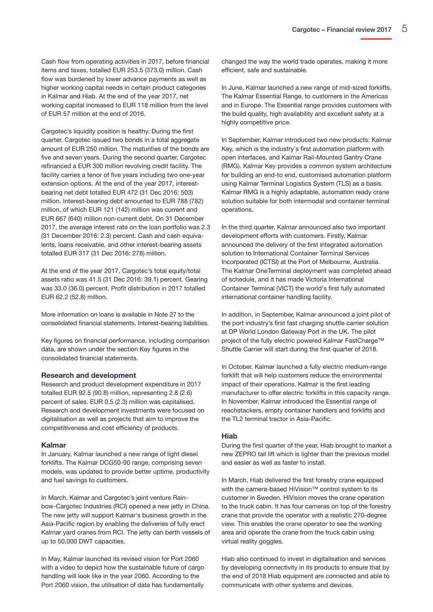Cash flow from operating activities in 2017, before financial items and taxes, totalled EUR 253.5 (373.0) million. Cash flow was burdened by lower advance payments as well as higher working capital needs in certain product categories in Kalmar and Hiab. At the end of the year 2017, net working capital increased to EUR 118 million from the level of EUR 57 million at the end of 2016.

Cargotec's liquidity position is healthy. During the first quarter, Cargotec issued two bonds in a total aggregate amount of EUR 250 million. The maturities of the bonds are five and seven years. During the second quarter, Cargotec refinanced a EUR 300 million revolving credit facility. The facility carries a tenor of five years including two one-year extension options. At the end of the year 2017, interestbearing net debt totalled EUR 472 (31 Dec 2016: 503) million. Interest-bearing debt amounted to EUR 788 (782) million, of which EUR 121 (142) million was current and EUR 667 (640) million non-current debt. On 31 December 2017, the average interest rate on the loan portfolio was 2.3 (31 December 2016: 2.3) percent. Cash and cash equivalents, loans receivable, and other interest-bearing assets totalled EUR 317 (31 Dec 2016: 278) million.

At the end of the year 2017, Cargotec's total equity/total assets ratio was 41.5 (31 Dec 2016: 39.1) percent. Gearing was 33.0 (36.0) percent. Profit distribution in 2017 totalled EUR 62.2 (52.8) million.

More information on loans is available in Note 27 to the consolidated financial statements, Interest-bearing liabilities.

Key figures on financial performance, including comparison data, are shown under the section Key figures in the consolidated financial statements.

#### Research and development

Research and product development expenditure in 2017 totalled EUR 92.5 (90.8) million, representing 2.8 (2.6) percent of sales. EUR 0.5 (2.3) million was capitalised. Research and development investments were focused on digitalisation as well as projects that aim to improve the competitiveness and cost efficiency of products.

#### Kalmar

In January, Kalmar launched a new range of light diesel forklifts. The Kalmar DCG50-90 range, comprising seven models, was updated to provide better uptime, productivity and fuel savings to customers.

In March, Kalmar and Cargotec's joint venture Rainbow-Cargotec Industries (RCI) opened a new jetty in China. The new jetty will support Kalmar's business growth in the Asia-Pacific region by enabling the deliveries of fully erect Kalmar yard cranes from RCI. The jetty can berth vessels of up to 50,000 DWT capacities.

In May, Kalmar launched its revised vision for Port 2060 with a video to depict how the sustainable future of cargo handling will look like in the year 2060. According to the Port 2060 vision, the utilisation of data has fundamentally

changed the way the world trade operates, making it more efficient, safe and sustainable.

In June, Kalmar launched a new range of mid-sized forklifts, The Kalmar Essential Range, to customers in the Americas and in Europe. The Essential range provides customers with the build quality, high availability and excellent safety at a highly competitive price.

In September, Kalmar introduced two new products: Kalmar Key, which is the industry's first automation platform with open interfaces, and Kalmar Rail-Mounted Gantry Crane (RMG). Kalmar Key provides a common system architecture for building an end-to end, customised automation platform using Kalmar Terminal Logistics System (TLS) as a basis. Kalmar RMG is a highly adaptable, automation ready crane solution suitable for both intermodal and container terminal operations.

In the third quarter, Kalmar announced also two important development efforts with customers. Firstly, Kalmar announced the delivery of the first integrated automation solution to International Container Terminal Services Incorporated (ICTSI) at the Port of Melbourne, Australia. The Kalmar OneTerminal deployment was completed ahead of schedule, and it has made Victoria International Container Terminal (VICT) the world's first fully automated international container handling facility.

In addition, in September, Kalmar announced a joint pilot of the port industry's first fast charging shuttle carrier solution at DP World London Gateway Port in the UK. The pilot project of the fully electric powered Kalmar FastCharge™ Shuttle Carrier will start during the first quarter of 2018.

In October, Kalmar launched a fully electric medium-range forklift that will help customers reduce the environmental impact of their operations. Kalmar is the first leading manufacturer to offer electric forklifts in this capacity range. In November, Kalmar introduced the Essential range of reachstackers, empty container handlers and forklifts and the TL2 terminal tractor in Asia-Pacific.

#### **Hiah**

During the first quarter of the year, Hiab brought to market a new ZEPRO tail lift which is lighter than the previous model and easier as well as faster to install.

In March, Hiab delivered the first forestry crane equipped with the camera-based HiVision<sup>™</sup> control system to its customer in Sweden. HiVision moves the crane operation to the truck cabin. It has four cameras on top of the forestry crane that provide the operator with a realistic 270-degree view. This enables the crane operator to see the working area and operate the crane from the truck cabin using virtual reality goggles.

Hiab also continued to invest in digitalisation and services by developing connectivity in its products to ensure that by the end of 2018 Hiab equipment are connected and able to communicate with other systems and devices.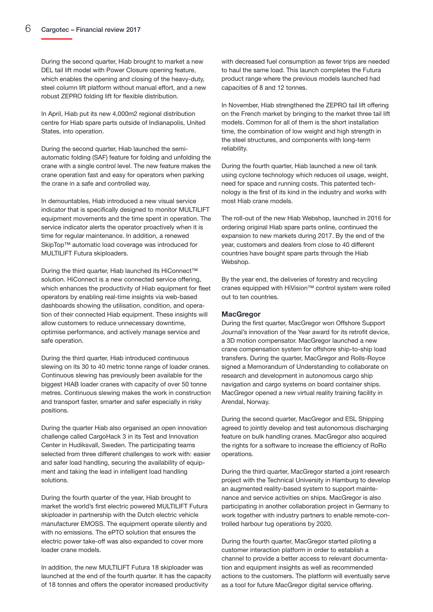During the second quarter, Hiab brought to market a new DEL tail lift model with Power Closure opening feature, which enables the opening and closing of the heavy-duty, steel column lift platform without manual effort, and a new robust ZEPRO folding lift for flexible distribution.

In April, Hiab put its new 4,000m2 regional distribution centre for Hiab spare parts outside of Indianapolis, United States, into operation.

During the second quarter, Hiab launched the semiautomatic folding (SAF) feature for folding and unfolding the crane with a single control level. The new feature makes the crane operation fast and easy for operators when parking the crane in a safe and controlled way.

In demountables, Hiab introduced a new visual service indicator that is specifically designed to monitor MULTILIFT equipment movements and the time spent in operation. The service indicator alerts the operator proactively when it is time for regular maintenance. In addition, a renewed SkipTop™ automatic load coverage was introduced for MULTILIFT Futura skiploaders.

During the third quarter, Hiab launched its HiConnect<sup>™</sup> solution. HiConnect is a new connected service offering, which enhances the productivity of Hiab equipment for fleet operators by enabling real-time insights via web-based dashboards showing the utilisation, condition, and operation of their connected Hiab equipment. These insights will allow customers to reduce unnecessary downtime, optimise performance, and actively manage service and safe operation.

During the third quarter, Hiab introduced continuous slewing on its 30 to 40 metric tonne range of loader cranes. Continuous slewing has previously been available for the biggest HIAB loader cranes with capacity of over 50 tonne metres. Continuous slewing makes the work in construction and transport faster, smarter and safer especially in risky positions.

During the quarter Hiab also organised an open innovation challenge called CargoHack 3 in its Test and Innovation Center in Hudiksvall, Sweden. The participating teams selected from three different challenges to work with: easier and safer load handling, securing the availability of equipment and taking the lead in intelligent load handling solutions.

During the fourth quarter of the year, Hiab brought to market the world's first electric powered MULTILIFT Futura skiploader in partnership with the Dutch electric vehicle manufacturer EMOSS. The equipment operate silently and with no emissions. The ePTO solution that ensures the electric power take-off was also expanded to cover more loader crane models.

In addition, the new MULTILIFT Futura 18 skiploader was launched at the end of the fourth quarter. It has the capacity of 18 tonnes and offers the operator increased productivity

with decreased fuel consumption as fewer trips are needed to haul the same load. This launch completes the Futura product range where the previous models launched had capacities of 8 and 12 tonnes.

In November, Hiab strengthened the ZEPRO tail lift offering on the French market by bringing to the market three tail lift models. Common for all of them is the short installation time, the combination of low weight and high strength in the steel structures, and components with long-term reliability.

During the fourth quarter, Hiab launched a new oil tank using cyclone technology which reduces oil usage, weight, need for space and running costs. This patented technology is the first of its kind in the industry and works with most Hiab crane models.

The roll-out of the new Hiab Webshop, launched in 2016 for ordering original Hiab spare parts online, continued the expansion to new markets during 2017. By the end of the year, customers and dealers from close to 40 different countries have bought spare parts through the Hiab Webshop.

By the year end, the deliveries of forestry and recycling cranes equipped with HiVision™ control system were rolled out to ten countries.

# **MacGregor**

During the first quarter, MacGregor won Offshore Support Journal's innovation of the Year award for its retrofit device, a 3D motion compensator. MacGregor launched a new crane compensation system for offshore ship-to-ship load transfers. During the quarter, MacGregor and Rolls-Royce signed a Memorandum of Understanding to collaborate on research and development in autonomous cargo ship navigation and cargo systems on board container ships. MacGregor opened a new virtual reality training facility in Arendal, Norway.

During the second quarter, MacGregor and ESL Shipping agreed to jointly develop and test autonomous discharging feature on bulk handling cranes. MacGregor also acquired the rights for a software to increase the efficiency of RoRo operations.

During the third quarter, MacGregor started a joint research project with the Technical University in Hamburg to develop an augmented reality-based system to support maintenance and service activities on ships. MacGregor is also participating in another collaboration project in Germany to work together with industry partners to enable remote-controlled harbour tug operations by 2020.

During the fourth quarter, MacGregor started piloting a customer interaction platform in order to establish a channel to provide a better access to relevant documentation and equipment insights as well as recommended actions to the customers. The platform will eventually serve as a tool for future MacGregor digital service offering.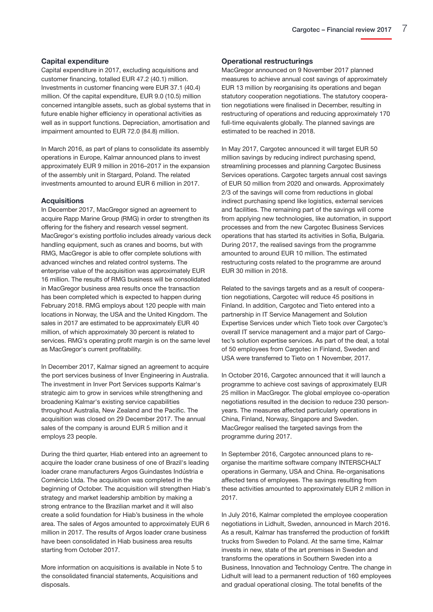## Capital expenditure

Capital expenditure in 2017, excluding acquisitions and customer financing, totalled EUR 47.2 (40.1) million. Investments in customer financing were EUR 37.1 (40.4) million. Of the capital expenditure, EUR 9.0 (10.5) million concerned intangible assets, such as global systems that in future enable higher efficiency in operational activities as well as in support functions. Depreciation, amortisation and impairment amounted to EUR 72.0 (84.8) million.

In March 2016, as part of plans to consolidate its assembly operations in Europe, Kalmar announced plans to invest approximately EUR 9 million in 2016–2017 in the expansion of the assembly unit in Stargard, Poland. The related investments amounted to around EUR 6 million in 2017.

### **Acquisitions**

In December 2017, MacGregor signed an agreement to acquire Rapp Marine Group (RMG) in order to strengthen its offering for the fishery and research vessel segment. MacGregor's existing portfolio includes already various deck handling equipment, such as cranes and booms, but with RMG, MacGregor is able to offer complete solutions with advanced winches and related control systems. The enterprise value of the acquisition was approximately EUR 16 million. The results of RMG business will be consolidated in MacGregor business area results once the transaction has been completed which is expected to happen during February 2018. RMG employs about 120 people with main locations in Norway, the USA and the United Kingdom. The sales in 2017 are estimated to be approximately EUR 40 million, of which approximately 30 percent is related to services. RMG's operating profit margin is on the same level as MacGregor's current profitability.

In December 2017, Kalmar signed an agreement to acquire the port services business of Inver Engineering in Australia. The investment in Inver Port Services supports Kalmar's strategic aim to grow in services while strengthening and broadening Kalmar's existing service capabilities throughout Australia, New Zealand and the Pacific. The acquisition was closed on 29 December 2017. The annual sales of the company is around EUR 5 million and it employs 23 people.

During the third quarter, Hiab entered into an agreement to acquire the loader crane business of one of Brazil's leading loader crane manufacturers Argos Guindastes Indústria e Comércio Ltda. The acquisition was completed in the beginning of October. The acquisition will strengthen Hiab's strategy and market leadership ambition by making a strong entrance to the Brazilian market and it will also create a solid foundation for Hiab's business in the whole area. The sales of Argos amounted to approximately EUR 6 million in 2017. The results of Argos loader crane business have been consolidated in Hiab business area results starting from October 2017.

More information on acquisitions is available in Note 5 to the consolidated financial statements, Acquisitions and disposals.

#### Operational restructurings

MacGregor announced on 9 November 2017 planned measures to achieve annual cost savings of approximately EUR 13 million by reorganising its operations and began statutory cooperation negotiations. The statutory cooperation negotiations were finalised in December, resulting in restructuring of operations and reducing approximately 170 full-time equivalents globally. The planned savings are estimated to be reached in 2018.

In May 2017, Cargotec announced it will target EUR 50 million savings by reducing indirect purchasing spend, streamlining processes and planning Cargotec Business Services operations. Cargotec targets annual cost savings of EUR 50 million from 2020 and onwards. Approximately 2/3 of the savings will come from reductions in global indirect purchasing spend like logistics, external services and facilities. The remaining part of the savings will come from applying new technologies, like automation, in support processes and from the new Cargotec Business Services operations that has started its activities in Sofia, Bulgaria. During 2017, the realised savings from the programme amounted to around EUR 10 million. The estimated restructuring costs related to the programme are around EUR 30 million in 2018.

Related to the savings targets and as a result of cooperation negotiations, Cargotec will reduce 45 positions in Finland. In addition, Cargotec and Tieto entered into a partnership in IT Service Management and Solution Expertise Services under which Tieto took over Cargotec's overall IT service management and a major part of Cargotec's solution expertise services. As part of the deal, a total of 50 employees from Cargotec in Finland, Sweden and USA were transferred to Tieto on 1 November, 2017.

In October 2016, Cargotec announced that it will launch a programme to achieve cost savings of approximately EUR 25 million in MacGregor. The global employee co-operation negotiations resulted in the decision to reduce 230 personyears. The measures affected particularly operations in China, Finland, Norway, Singapore and Sweden. MacGregor realised the targeted savings from the programme during 2017.

In September 2016, Cargotec announced plans to reorganise the maritime software company INTERSCHALT operations in Germany, USA and China. Re-organisations affected tens of employees. The savings resulting from these activities amounted to approximately EUR 2 million in 2017.

In July 2016, Kalmar completed the employee cooperation negotiations in Lidhult, Sweden, announced in March 2016. As a result, Kalmar has transferred the production of forklift trucks from Sweden to Poland. At the same time, Kalmar invests in new, state of the art premises in Sweden and transforms the operations in Southern Sweden into a Business, Innovation and Technology Centre. The change in Lidhult will lead to a permanent reduction of 160 employees and gradual operational closing. The total benefits of the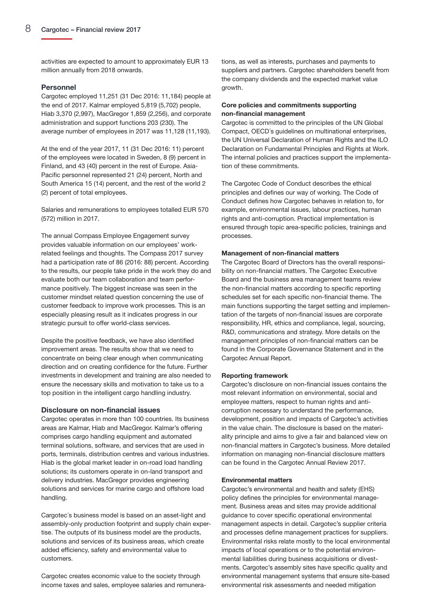activities are expected to amount to approximately EUR 13 million annually from 2018 onwards.

### Personnel

Cargotec employed 11,251 (31 Dec 2016: 11,184) people at the end of 2017. Kalmar employed 5,819 (5,702) people, Hiab 3,370 (2,997), MacGregor 1,859 (2,256), and corporate administration and support functions 203 (230). The average number of employees in 2017 was 11,128 (11,193).

At the end of the year 2017, 11 (31 Dec 2016: 11) percent of the employees were located in Sweden, 8 (9) percent in Finland, and 43 (40) percent in the rest of Europe. Asia-Pacific personnel represented 21 (24) percent, North and South America 15 (14) percent, and the rest of the world 2 (2) percent of total employees.

Salaries and remunerations to employees totalled EUR 570 (572) million in 2017.

The annual Compass Employee Engagement survey provides valuable information on our employees' workrelated feelings and thoughts. The Compass 2017 survey had a participation rate of 86 (2016: 88) percent. According to the results, our people take pride in the work they do and evaluate both our team collaboration and team performance positively. The biggest increase was seen in the customer mindset related question concerning the use of customer feedback to improve work processes. This is an especially pleasing result as it indicates progress in our strategic pursuit to offer world-class services.

Despite the positive feedback, we have also identified improvement areas. The results show that we need to concentrate on being clear enough when communicating direction and on creating confidence for the future. Further investments in development and training are also needed to ensure the necessary skills and motivation to take us to a top position in the intelligent cargo handling industry.

#### Disclosure on non-financial issues

Cargotec operates in more than 100 countries. Its business areas are Kalmar, Hiab and MacGregor. Kalmar's offering comprises cargo handling equipment and automated terminal solutions, software, and services that are used in ports, terminals, distribution centres and various industries. Hiab is the global market leader in on-road load handling solutions; its customers operate in on-land transport and delivery industries. MacGregor provides engineering solutions and services for marine cargo and offshore load handling.

Cargotec´s business model is based on an asset-light and assembly-only production footprint and supply chain expertise. The outputs of its business model are the products, solutions and services of its business areas, which create added efficiency, safety and environmental value to customers.

Cargotec creates economic value to the society through income taxes and sales, employee salaries and remunerations, as well as interests, purchases and payments to suppliers and partners. Cargotec shareholders benefit from the company dividends and the expected market value growth.

#### Core policies and commitments supporting non-financial management

Cargotec is committed to the principles of the UN Global Compact, OECD´s guidelines on multinational enterprises, the UN Universal Declaration of Human Rights and the ILO Declaration on Fundamental Principles and Rights at Work. The internal policies and practices support the implementation of these commitments.

The Cargotec Code of Conduct describes the ethical principles and defines our way of working. The Code of Conduct defines how Cargotec behaves in relation to, for example, environmental issues, labour practices, human rights and anti-corruption. Practical implementation is ensured through topic area-specific policies, trainings and processes.

#### Management of non-financial matters

The Cargotec Board of Directors has the overall responsibility on non-financial matters. The Cargotec Executive Board and the business area management teams review the non-financial matters according to specific reporting schedules set for each specific non-financial theme. The main functions supporting the target setting and implementation of the targets of non-financial issues are corporate responsibility, HR, ethics and compliance, legal, sourcing, R&D, communications and strategy. More details on the management principles of non-financial matters can be found in the Corporate Governance Statement and in the Cargotec Annual Report.

#### Reporting framework

Cargotec's disclosure on non-financial issues contains the most relevant information on environmental, social and employee matters, respect to human rights and anticorruption necessary to understand the performance, development, position and impacts of Cargotec's activities in the value chain. The disclosure is based on the materiality principle and aims to give a fair and balanced view on non-financial matters in Cargotec's business. More detailed information on managing non-financial disclosure matters can be found in the Cargotec Annual Review 2017.

#### Environmental matters

Cargotec's environmental and health and safety (EHS) policy defines the principles for environmental management. Business areas and sites may provide additional guidance to cover specific operational environmental management aspects in detail. Cargotec's supplier criteria and processes define management practices for suppliers. Environmental risks relate mostly to the local environmental impacts of local operations or to the potential environmental liabilities during business acquisitions or divestments. Cargotec's assembly sites have specific quality and environmental management systems that ensure site-based environmental risk assessments and needed mitigation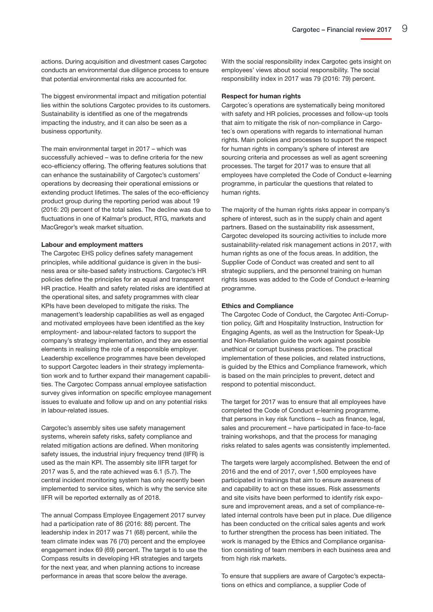actions. During acquisition and divestment cases Cargotec conducts an environmental due diligence process to ensure that potential environmental risks are accounted for.

The biggest environmental impact and mitigation potential lies within the solutions Cargotec provides to its customers. Sustainability is identified as one of the megatrends impacting the industry, and it can also be seen as a business opportunity.

The main environmental target in 2017 – which was successfully achieved – was to define criteria for the new eco-efficiency offering. The offering features solutions that can enhance the sustainability of Cargotec's customers' operations by decreasing their operational emissions or extending product lifetimes. The sales of the eco-efficiency product group during the reporting period was about 19 (2016: 20) percent of the total sales. The decline was due to fluctuations in one of Kalmar's product, RTG, markets and MacGregor's weak market situation.

#### Labour and employment matters

The Cargotec EHS policy defines safety management principles, while additional guidance is given in the business area or site-based safety instructions. Cargotec's HR policies define the principles for an equal and transparent HR practice. Health and safety related risks are identified at the operational sites, and safety programmes with clear KPIs have been developed to mitigate the risks. The management's leadership capabilities as well as engaged and motivated employees have been identified as the key employment- and labour-related factors to support the company's strategy implementation, and they are essential elements in realising the role of a responsible employer. Leadership excellence programmes have been developed to support Cargotec leaders in their strategy implementation work and to further expand their management capabilities. The Cargotec Compass annual employee satisfaction survey gives information on specific employee management issues to evaluate and follow up and on any potential risks in labour-related issues.

Cargotec's assembly sites use safety management systems, wherein safety risks, safety compliance and related mitigation actions are defined. When monitoring safety issues, the industrial injury frequency trend (IIFR) is used as the main KPI. The assembly site IIFR target for 2017 was 5, and the rate achieved was 6.1 (5.7). The central incident monitoring system has only recently been implemented to service sites, which is why the service site IIFR will be reported externally as of 2018.

The annual Compass Employee Engagement 2017 survey had a participation rate of 86 (2016: 88) percent. The leadership index in 2017 was 71 (68) percent, while the team climate index was 76 (70) percent and the employee engagement index 69 (69) percent. The target is to use the Compass results in developing HR strategies and targets for the next year, and when planning actions to increase performance in areas that score below the average.

With the social responsibility index Cargotec gets insight on employees' views about social responsibility. The social responsibility index in 2017 was 79 (2016: 79) percent.

#### Respect for human rights

Cargotec´s operations are systematically being monitored with safety and HR policies, processes and follow-up tools that aim to mitigate the risk of non-compliance in Cargotec´s own operations with regards to international human rights. Main policies and processes to support the respect for human rights in company's sphere of interest are sourcing criteria and processes as well as agent screening processes. The target for 2017 was to ensure that all employees have completed the Code of Conduct e-learning programme, in particular the questions that related to human rights.

The majority of the human rights risks appear in company's sphere of interest, such as in the supply chain and agent partners. Based on the sustainability risk assessment, Cargotec developed its sourcing activities to include more sustainability-related risk management actions in 2017, with human rights as one of the focus areas. In addition, the Supplier Code of Conduct was created and sent to all strategic suppliers, and the personnel training on human rights issues was added to the Code of Conduct e-learning programme.

#### Ethics and Compliance

The Cargotec Code of Conduct, the Cargotec Anti-Corruption policy, Gift and Hospitality Instruction, Instruction for Engaging Agents, as well as the Instruction for Speak-Up and Non-Retaliation guide the work against possible unethical or corrupt business practices. The practical implementation of these policies, and related instructions, is guided by the Ethics and Compliance framework, which is based on the main principles to prevent, detect and respond to potential misconduct.

The target for 2017 was to ensure that all employees have completed the Code of Conduct e-learning programme, that persons in key risk functions – such as finance, legal, sales and procurement – have participated in face-to-face training workshops, and that the process for managing risks related to sales agents was consistently implemented.

The targets were largely accomplished. Between the end of 2016 and the end of 2017, over 1,500 employees have participated in trainings that aim to ensure awareness of and capability to act on these issues. Risk assessments and site visits have been performed to identify risk exposure and improvement areas, and a set of compliance-related internal controls have been put in place. Due diligence has been conducted on the critical sales agents and work to further strengthen the process has been initiated. The work is managed by the Ethics and Compliance organisation consisting of team members in each business area and from high risk markets.

To ensure that suppliers are aware of Cargotec's expectations on ethics and compliance, a supplier Code of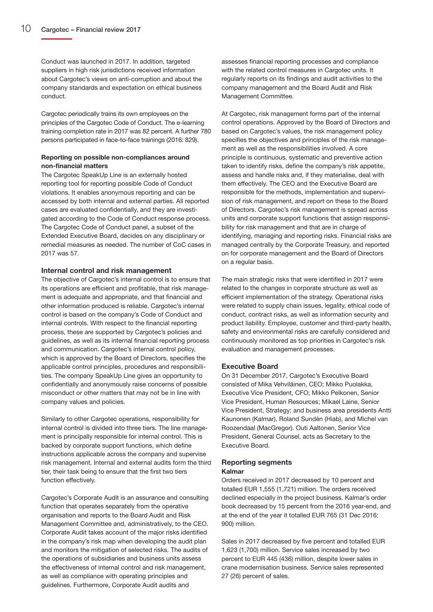Conduct was launched in 2017. In addition, targeted suppliers in high risk jurisdictions received information about Cargotec's views on anti-corruption and about the company standards and expectation on ethical business conduct.

Cargotec periodically trains its own employees on the principles of the Cargotec Code of Conduct. The e-learning training completion rate in 2017 was 82 percent. A further 780 persons participated in face-to-face trainings (2016: 829).

# Reporting on possible non-compliances around non-financial matters

The Cargotec SpeakUp Line is an externally hosted reporting tool for reporting possible Code of Conduct violations. It enables anonymous reporting and can be accessed by both internal and external parties. All reported cases are evaluated confidentially, and they are investigated according to the Code of Conduct response process. The Cargotec Code of Conduct panel, a subset of the Extended Executive Board, decides on any disciplinary or remedial measures as needed. The number of CoC cases in 2017 was 57.

# Internal control and risk management

The objective of Cargotec's internal control is to ensure that its operations are efficient and profitable, that risk management is adequate and appropriate, and that financial and other information produced is reliable. Cargotec's internal control is based on the company's Code of Conduct and internal controls. With respect to the financial reporting process, these are supported by Cargotec's policies and guidelines, as well as its internal financial reporting process and communication. Cargotec's internal control policy, which is approved by the Board of Directors, specifies the applicable control principles, procedures and responsibilities. The company SpeakUp Line gives an opportunity to confidentially and anonymously raise concerns of possible misconduct or other matters that may not be in line with company values and policies.

Similarly to other Cargotec operations, responsibility for internal control is divided into three tiers. The line management is principally responsible for internal control. This is backed by corporate support functions, which define instructions applicable across the company and supervise risk management. Internal and external audits form the third tier, their task being to ensure that the first two tiers function effectively.

Cargotec's Corporate Audit is an assurance and consulting function that operates separately from the operative organisation and reports to the Board Audit and Risk Management Committee and, administratively, to the CEO. Corporate Audit takes account of the major risks identified in the company's risk map when developing the audit plan and monitors the mitigation of selected risks. The audits of the operations of subsidiaries and business units assess the effectiveness of internal control and risk management, as well as compliance with operating principles and guidelines. Furthermore, Corporate Audit audits and

assesses financial reporting processes and compliance with the related control measures in Cargotec units. It regularly reports on its findings and audit activities to the company management and the Board Audit and Risk Management Committee.

At Cargotec, risk management forms part of the internal control operations. Approved by the Board of Directors and based on Cargotec's values, the risk management policy specifies the objectives and principles of the risk management as well as the responsibilities involved. A core principle is continuous, systematic and preventive action taken to identify risks, define the company's risk appetite, assess and handle risks and, if they materialise, deal with them effectively. The CEO and the Executive Board are responsible for the methods, implementation and supervision of risk management, and report on these to the Board of Directors. Cargotec's risk management is spread across units and corporate support functions that assign responsibility for risk management and that are in charge of identifying, managing and reporting risks. Financial risks are managed centrally by the Corporate Treasury, and reported on for corporate management and the Board of Directors on a regular basis.

The main strategic risks that were identified in 2017 were related to the changes in corporate structure as well as efficient implementation of the strategy. Operational risks were related to supply chain issues, legality, ethical code of conduct, contract risks, as well as information security and product liability. Employee, customer and third-party health, safety and environmental risks are carefully considered and continuously monitored as top priorities in Cargotec's risk evaluation and management processes.

# Executive Board

On 31 December 2017, Cargotec's Executive Board consisted of Mika Vehviläinen, CEO; Mikko Puolakka, Executive Vice President, CFO; Mikko Pelkonen, Senior Vice President, Human Resources; Mikael Laine, Senior Vice President, Strategy; and business area presidents Antti Kaunonen (Kalmar), Roland Sundén (Hiab), and Michel van Roozendaal (MacGregor). Outi Aaltonen, Senior Vice President, General Counsel, acts as Secretary to the Executive Board.

#### Reporting segments Kalmar

Orders received in 2017 decreased by 10 percent and totalled EUR 1,555 (1,721) million. The orders received declined especially in the project business. Kalmar's order book decreased by 15 percent from the 2016 year-end, and at the end of the year it totalled EUR 765 (31 Dec 2016: 900) million.

Sales in 2017 decreased by five percent and totalled EUR 1,623 (1,700) million. Service sales increased by two percent to EUR 445 (436) million, despite lower sales in crane modernisation business. Service sales represented 27 (26) percent of sales.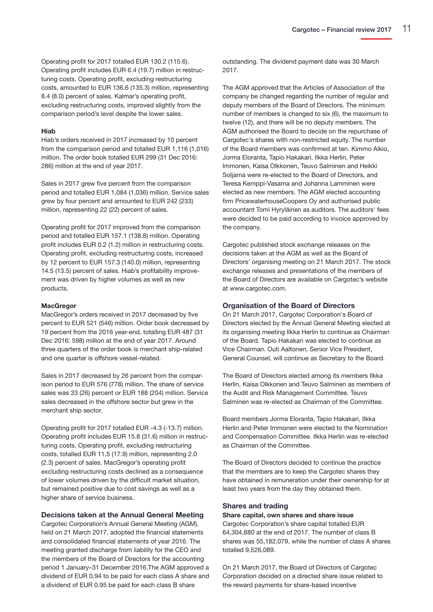Operating profit for 2017 totalled EUR 130.2 (115.6). Operating profit includes EUR 6.4 (19.7) million in restructuring costs. Operating profit, excluding restructuring costs, amounted to EUR 136.6 (135.3) million, representing 8.4 (8.0) percent of sales. Kalmar's operating profit, excluding restructuring costs, improved slightly from the comparison period's level despite the lower sales.

### Hiab

Hiab's orders received in 2017 increased by 10 percent from the comparison period and totalled EUR 1,116 (1,016) million. The order book totalled EUR 299 (31 Dec 2016: 286) million at the end of year 2017.

Sales in 2017 grew five percent from the comparison period and totalled EUR 1,084 (1,036) million. Service sales grew by four percent and amounted to EUR 242 (233) million, representing 22 (22) percent of sales.

Operating profit for 2017 improved from the comparison period and totalled EUR 157.1 (138.8) million. Operating profit includes EUR 0.2 (1.2) million in restructuring costs. Operating profit, excluding restructuring costs, increased by 12 percent to EUR 157.3 (140.0) million, representing 14.5 (13.5) percent of sales. Hiab's profitability improvement was driven by higher volumes as well as new products.

# **MacGregor**

MacGregor's orders received in 2017 decreased by five percent to EUR 521 (546) million. Order book decreased by 19 percent from the 2016 year-end, totalling EUR 487 (31 Dec 2016: 598) million at the end of year 2017. Around three quarters of the order book is merchant ship-related and one quarter is offshore vessel-related.

Sales in 2017 decreased by 26 percent from the comparison period to EUR 576 (778) million. The share of service sales was 33 (26) percent or EUR 188 (204) million. Service sales decreased in the offshore sector but grew in the merchant ship sector.

Operating profit for 2017 totalled EUR -4.3 (-13.7) million. Operating profit includes EUR 15.8 (31.6) million in restructuring costs. Operating profit, excluding restructuring costs, totalled EUR 11.5 (17.9) million, representing 2.0 (2.3) percent of sales. MacGregor's operating profit excluding restructuring costs declined as a consequence of lower volumes driven by the difficult market situation, but remained positive due to cost savings as well as a higher share of service business.

### Decisions taken at the Annual General Meeting

Cargotec Corporation's Annual General Meeting (AGM), held on 21 March 2017, adopted the financial statements and consolidated financial statements of year 2016. The meeting granted discharge from liability for the CEO and the members of the Board of Directors for the accounting period 1 January–31 December 2016.The AGM approved a dividend of EUR 0.94 to be paid for each class A share and a dividend of EUR 0.95 be paid for each class B share

outstanding. The dividend payment date was 30 March 2017.

The AGM approved that the Articles of Association of the company be changed regarding the number of regular and deputy members of the Board of Directors. The minimum number of members is changed to six (6), the maximum to twelve (12), and there will be no deputy members. The AGM authorised the Board to decide on the repurchase of Cargotec's shares with non-restricted equity. The number of the Board members was confirmed at ten. Kimmo Alkio, Jorma Eloranta, Tapio Hakakari, Ilkka Herlin, Peter Immonen, Kaisa Olkkonen, Teuvo Salminen and Heikki Soljama were re-elected to the Board of Directors, and Teresa Kemppi-Vasama and Johanna Lamminen were elected as new members. The AGM elected accounting firm PricewaterhouseCoopers Oy and authorised public accountant Tomi Hyryläinen as auditors. The auditors' fees were decided to be paid according to invoice approved by the company.

Cargotec published stock exchange releases on the decisions taken at the AGM as well as the Board of Directors' organising meeting on 21 March 2017. The stock exchange releases and presentations of the members of the Board of Directors are available on Cargotec's website at www.cargotec.com.

### Organisation of the Board of Directors

On 21 March 2017, Cargotec Corporation's Board of Directors elected by the Annual General Meeting elected at its organising meeting Ilkka Herlin to continue as Chairman of the Board. Tapio Hakakari was elected to continue as Vice Chairman. Outi Aaltonen, Senior Vice President, General Counsel, will continue as Secretary to the Board.

The Board of Directors elected among its members Ilkka Herlin, Kaisa Olkkonen and Teuvo Salminen as members of the Audit and Risk Management Committee. Teuvo Salminen was re-elected as Chairman of the Committee.

Board members Jorma Eloranta, Tapio Hakakari, Ilkka Herlin and Peter Immonen were elected to the Nomination and Compensation Committee. Ilkka Herlin was re-elected as Chairman of the Committee.

The Board of Directors decided to continue the practice that the members are to keep the Cargotec shares they have obtained in remuneration under their ownership for at least two years from the day they obtained them.

#### Shares and trading

#### Share capital, own shares and share issue

Cargotec Corporation's share capital totalled EUR 64,304,880 at the end of 2017. The number of class B shares was 55,182,079, while the number of class A shares totalled 9,526,089.

On 21 March 2017, the Board of Directors of Cargotec Corporation decided on a directed share issue related to the reward payments for share-based incentive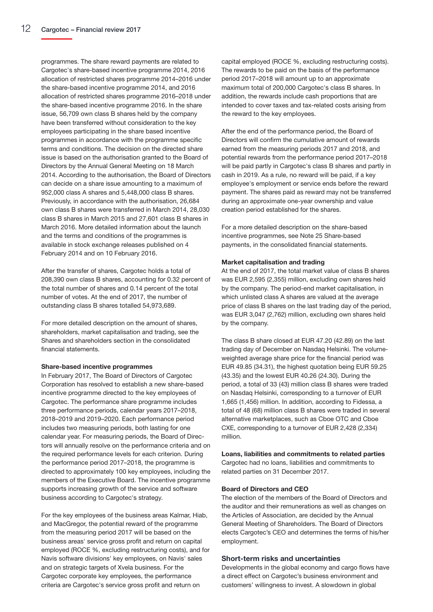programmes. The share reward payments are related to Cargotec's share-based incentive programme 2014, 2016 allocation of restricted shares programme 2014–2016 under the share-based incentive programme 2014, and 2016 allocation of restricted shares programme 2016–2018 under the share-based incentive programme 2016. In the share issue, 56,709 own class B shares held by the company have been transferred without consideration to the key employees participating in the share based incentive programmes in accordance with the programme specific terms and conditions. The decision on the directed share issue is based on the authorisation granted to the Board of Directors by the Annual General Meeting on 18 March 2014. According to the authorisation, the Board of Directors can decide on a share issue amounting to a maximum of 952,000 class A shares and 5,448,000 class B shares. Previously, in accordance with the authorisation, 26,684 own class B shares were transferred in March 2014, 28,030 class B shares in March 2015 and 27,601 class B shares in March 2016. More detailed information about the launch and the terms and conditions of the programmes is available in stock exchange releases published on 4 February 2014 and on 10 February 2016.

After the transfer of shares, Cargotec holds a total of 208,390 own class B shares, accounting for 0.32 percent of the total number of shares and 0.14 percent of the total number of votes. At the end of 2017, the number of outstanding class B shares totalled 54,973,689.

For more detailed description on the amount of shares, shareholders, market capitalisation and trading, see the Shares and shareholders section in the consolidated financial statements.

#### Share-based incentive programmes

In February 2017, The Board of Directors of Cargotec Corporation has resolved to establish a new share-based incentive programme directed to the key employees of Cargotec. The performance share programme includes three performance periods, calendar years 2017–2018, 2018–2019 and 2019–2020. Each performance period includes two measuring periods, both lasting for one calendar year. For measuring periods, the Board of Directors will annually resolve on the performance criteria and on the required performance levels for each criterion. During the performance period 2017–2018, the programme is directed to approximately 100 key employees, including the members of the Executive Board. The incentive programme supports increasing growth of the service and software business according to Cargotec's strategy.

For the key employees of the business areas Kalmar, Hiab, and MacGregor, the potential reward of the programme from the measuring period 2017 will be based on the business areas' service gross profit and return on capital employed (ROCE %, excluding restructuring costs), and for Navis software divisions' key employees, on Navis' sales and on strategic targets of Xvela business. For the Cargotec corporate key employees, the performance criteria are Cargotec's service gross profit and return on

capital employed (ROCE %, excluding restructuring costs). The rewards to be paid on the basis of the performance period 2017–2018 will amount up to an approximate maximum total of 200,000 Cargotec's class B shares. In addition, the rewards include cash proportions that are intended to cover taxes and tax-related costs arising from the reward to the key employees.

After the end of the performance period, the Board of Directors will confirm the cumulative amount of rewards earned from the measuring periods 2017 and 2018, and potential rewards from the performance period 2017–2018 will be paid partly in Cargotec's class B shares and partly in cash in 2019. As a rule, no reward will be paid, if a key employee's employment or service ends before the reward payment. The shares paid as reward may not be transferred during an approximate one-year ownership and value creation period established for the shares.

For a more detailed description on the share-based incentive programmes, see Note 25 Share-based payments, in the consolidated financial statements.

#### Market capitalisation and trading

At the end of 2017, the total market value of class B shares was EUR 2,595 (2,355) million, excluding own shares held by the company. The period-end market capitalisation, in which unlisted class A shares are valued at the average price of class B shares on the last trading day of the period, was EUR 3,047 (2,762) million, excluding own shares held by the company.

The class B share closed at EUR 47.20 (42.89) on the last trading day of December on Nasdaq Helsinki. The volumeweighted average share price for the financial period was EUR 49.85 (34.31), the highest quotation being EUR 59.25 (43.35) and the lowest EUR 40.26 (24.30). During the period, a total of 33 (43) million class B shares were traded on Nasdaq Helsinki, corresponding to a turnover of EUR 1,665 (1,456) million. In addition, according to Fidessa, a total of 48 (68) million class B shares were traded in several alternative marketplaces, such as Cboe OTC and Cboe CXE, corresponding to a turnover of EUR 2,428 (2,334) million.

Loans, liabilities and commitments to related parties Cargotec had no loans, liabilities and commitments to related parties on 31 December 2017.

#### Board of Directors and CEO

The election of the members of the Board of Directors and the auditor and their remunerations as well as changes on the Articles of Association, are decided by the Annual General Meeting of Shareholders. The Board of Directors elects Cargotec's CEO and determines the terms of his/her employment.

#### Short-term risks and uncertainties

Developments in the global economy and cargo flows have a direct effect on Cargotec's business environment and customers' willingness to invest. A slowdown in global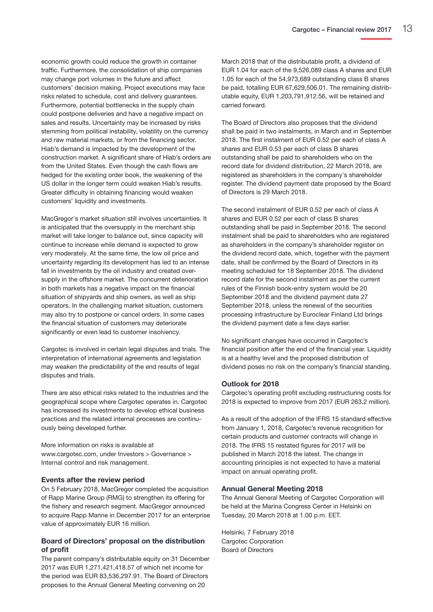economic growth could reduce the growth in container traffic. Furthermore, the consolidation of ship companies may change port volumes in the future and affect customers' decision making. Project executions may face risks related to schedule, cost and delivery guarantees. Furthermore, potential bottlenecks in the supply chain could postpone deliveries and have a negative impact on sales and results. Uncertainty may be increased by risks stemming from political instability, volatility on the currency and raw material markets, or from the financing sector. Hiab's demand is impacted by the development of the construction market. A significant share of Hiab's orders are from the United States. Even though the cash flows are hedged for the existing order book, the weakening of the US dollar in the longer term could weaken Hiab's results. Greater difficulty in obtaining financing would weaken customers' liquidity and investments.

MacGregor's market situation still involves uncertainties. It is anticipated that the oversupply in the merchant ship market will take longer to balance out, since capacity will continue to increase while demand is expected to grow very moderately. At the same time, the low oil price and uncertainty regarding its development has led to an intense fall in investments by the oil industry and created oversupply in the offshore market. The concurrent deterioration in both markets has a negative impact on the financial situation of shipyards and ship owners, as well as ship operators. In the challenging market situation, customers may also try to postpone or cancel orders. In some cases the financial situation of customers may deteriorate significantly or even lead to customer insolvency.

Cargotec is involved in certain legal disputes and trials. The interpretation of international agreements and legislation may weaken the predictability of the end results of legal disputes and trials.

There are also ethical risks related to the industries and the geographical scope where Cargotec operates in. Cargotec has increased its investments to develop ethical business practices and the related internal processes are continuously being developed further.

More information on risks is available at www.cargotec.com, under Investors > Governance > Internal control and risk management.

#### Events after the review period

On 5 February 2018, MacGregor completed the acquisition of Rapp Marine Group (RMG) to strengthen its offering for the fishery and research segment. MacGregor announced to acquire Rapp Marine in December 2017 for an enterprise value of approximately EUR 16 million.

# Board of Directors' proposal on the distribution of profit

The parent company's distributable equity on 31 December 2017 was EUR 1,271,421,418.57 of which net income for the period was EUR 83,536,297.91. The Board of Directors proposes to the Annual General Meeting convening on 20

March 2018 that of the distributable profit, a dividend of EUR 1.04 for each of the 9,526,089 class A shares and EUR 1.05 for each of the 54,973,689 outstanding class B shares be paid, totalling EUR 67,629,506.01. The remaining distributable equity, EUR 1,203,791,912.56, will be retained and carried forward.

The Board of Directors also proposes that the dividend shall be paid in two instalments, in March and in September 2018. The first instalment of EUR 0.52 per each of class A shares and EUR 0.53 per each of class B shares outstanding shall be paid to shareholders who on the record date for dividend distribution, 22 March 2018, are registered as shareholders in the company's shareholder register. The dividend payment date proposed by the Board of Directors is 29 March 2018.

The second instalment of EUR 0.52 per each of class A shares and EUR 0.52 per each of class B shares outstanding shall be paid in September 2018. The second instalment shall be paid to shareholders who are registered as shareholders in the company's shareholder register on the dividend record date, which, together with the payment date, shall be confirmed by the Board of Directors in its meeting scheduled for 18 September 2018. The dividend record date for the second instalment as per the current rules of the Finnish book-entry system would be 20 September 2018 and the dividend payment date 27 September 2018, unless the renewal of the securities processing infrastructure by Euroclear Finland Ltd brings the dividend payment date a few days earlier.

No significant changes have occurred in Cargotec's financial position after the end of the financial year. Liquidity is at a healthy level and the proposed distribution of dividend poses no risk on the company's financial standing.

#### Outlook for 2018

Cargotec's operating profit excluding restructuring costs for 2018 is expected to improve from 2017 (EUR 263.2 million).

As a result of the adoption of the IFRS 15 standard effective from January 1, 2018, Cargotec's revenue recognition for certain products and customer contracts will change in 2018. The IFRS 15 restated figures for 2017 will be published in March 2018 the latest. The change in accounting principles is not expected to have a material impact on annual operating profit.

# Annual General Meeting 2018

The Annual General Meeting of Cargotec Corporation will be held at the Marina Congress Center in Helsinki on Tuesday, 20 March 2018 at 1.00 p.m. EET.

Helsinki, 7 February 2018 Cargotec Corporation Board of Directors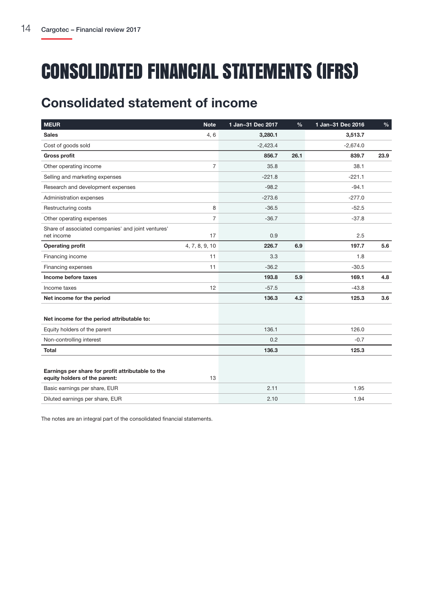# <span id="page-13-0"></span>CONSOLIDATED FINANCIAL STATEMENTS (IFRS)

# Consolidated statement of income

| <b>MEUR</b>                                                                        | <b>Note</b>    | 1 Jan-31 Dec 2017 | $\frac{9}{6}$ | 1 Jan-31 Dec 2016 | $\frac{9}{6}$ |
|------------------------------------------------------------------------------------|----------------|-------------------|---------------|-------------------|---------------|
| <b>Sales</b>                                                                       | 4, 6           | 3,280.1           |               | 3,513.7           |               |
| Cost of goods sold                                                                 |                | $-2,423.4$        |               | $-2,674.0$        |               |
| <b>Gross profit</b>                                                                |                | 856.7             | 26.1          | 839.7             | 23.9          |
| Other operating income                                                             | $\overline{7}$ | 35.8              |               | 38.1              |               |
| Selling and marketing expenses                                                     |                | $-221.8$          |               | $-221.1$          |               |
| Research and development expenses                                                  |                | $-98.2$           |               | $-94.1$           |               |
| Administration expenses                                                            |                | $-273.6$          |               | $-277.0$          |               |
| Restructuring costs                                                                | 8              | $-36.5$           |               | $-52.5$           |               |
| Other operating expenses                                                           | $\overline{7}$ | $-36.7$           |               | $-37.8$           |               |
| Share of associated companies' and joint ventures'<br>net income                   | 17             | 0.9               |               | 2.5               |               |
| <b>Operating profit</b>                                                            | 4, 7, 8, 9, 10 | 226.7             | 6.9           | 197.7             | 5.6           |
| Financing income                                                                   | 11             | 3.3               |               | 1.8               |               |
| Financing expenses                                                                 | 11             | $-36.2$           |               | $-30.5$           |               |
| Income before taxes                                                                |                | 193.8             | 5.9           | 169.1             | 4.8           |
| Income taxes                                                                       | 12             | $-57.5$           |               | $-43.8$           |               |
| Net income for the period                                                          |                | 136.3             | 4.2           | 125.3             | 3.6           |
| Net income for the period attributable to:                                         |                |                   |               |                   |               |
| Equity holders of the parent                                                       |                | 136.1             |               | 126.0             |               |
| Non-controlling interest                                                           |                | 0.2               |               | $-0.7$            |               |
| <b>Total</b>                                                                       |                | 136.3             |               | 125.3             |               |
| Earnings per share for profit attributable to the<br>equity holders of the parent: | 13             |                   |               |                   |               |
| Basic earnings per share, EUR                                                      |                | 2.11              |               | 1.95              |               |
| Diluted earnings per share, EUR                                                    |                | 2.10              |               | 1.94              |               |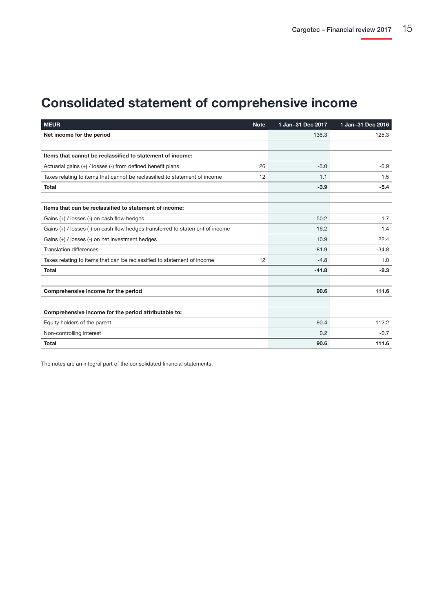# <span id="page-14-0"></span>Consolidated statement of comprehensive income

| <b>MEUR</b><br><b>Note</b>                                                       | 1 Jan-31 Dec 2017 | 1 Jan-31 Dec 2016 |
|----------------------------------------------------------------------------------|-------------------|-------------------|
| Net income for the period                                                        | 136.3             | 125.3             |
|                                                                                  |                   |                   |
| Items that cannot be reclassified to statement of income:                        |                   |                   |
| 26<br>Actuarial gains (+) / losses (-) from defined benefit plans                | $-5.0$            | $-6.9$            |
| Taxes relating to items that cannot be reclassified to statement of income<br>12 | 1.1               | 1.5               |
| <b>Total</b>                                                                     | $-3.9$            | $-5.4$            |
|                                                                                  |                   |                   |
| Items that can be reclassified to statement of income:                           |                   |                   |
| Gains $(+)$ / losses $(-)$ on cash flow hedges                                   | 50.2              | 1.7               |
| Gains (+) / losses (-) on cash flow hedges transferred to statement of income    | $-16.2$           | 1.4               |
| Gains (+) / losses (-) on net investment hedges                                  | 10.9              | 22.4              |
| <b>Translation differences</b>                                                   | $-81.9$           | $-34.8$           |
| Taxes relating to items that can be reclassified to statement of income<br>12    | $-4.8$            | 1.0               |
| <b>Total</b>                                                                     | $-41.8$           | $-8.3$            |
|                                                                                  |                   |                   |
| Comprehensive income for the period                                              | 90.6              | 111.6             |
|                                                                                  |                   |                   |
| Comprehensive income for the period attributable to:                             |                   |                   |
| Equity holders of the parent                                                     | 90.4              | 112.2             |
| Non-controlling interest                                                         | 0.2               | $-0.7$            |
| <b>Total</b>                                                                     | 90.6              | 111.6             |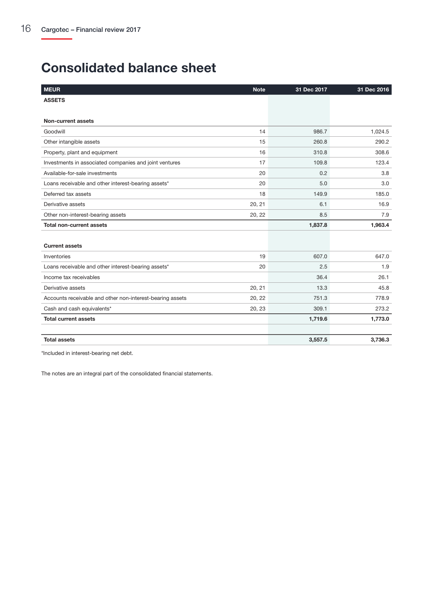# <span id="page-15-0"></span>Consolidated balance sheet

| <b>MEUR</b>                                               | <b>Note</b> | 31 Dec 2017 | 31 Dec 2016 |
|-----------------------------------------------------------|-------------|-------------|-------------|
| <b>ASSETS</b>                                             |             |             |             |
|                                                           |             |             |             |
| <b>Non-current assets</b>                                 |             |             |             |
| Goodwill                                                  | 14          | 986.7       | 1,024.5     |
| Other intangible assets                                   | 15          | 260.8       | 290.2       |
| Property, plant and equipment                             | 16          | 310.8       | 308.6       |
| Investments in associated companies and joint ventures    | 17          | 109.8       | 123.4       |
| Available-for-sale investments                            | 20          | 0.2         | 3.8         |
| Loans receivable and other interest-bearing assets*       | 20          | 5.0         | 3.0         |
| Deferred tax assets                                       | 18          | 149.9       | 185.0       |
| Derivative assets                                         | 20, 21      | 6.1         | 16.9        |
| Other non-interest-bearing assets                         | 20, 22      | 8.5         | 7.9         |
| <b>Total non-current assets</b>                           |             | 1,837.8     | 1,963.4     |
|                                                           |             |             |             |
| <b>Current assets</b>                                     |             |             |             |
| Inventories                                               | 19          | 607.0       | 647.0       |
| Loans receivable and other interest-bearing assets*       | 20          | 2.5         | 1.9         |
| Income tax receivables                                    |             | 36.4        | 26.1        |
| Derivative assets                                         | 20, 21      | 13.3        | 45.8        |
| Accounts receivable and other non-interest-bearing assets | 20, 22      | 751.3       | 778.9       |
| Cash and cash equivalents*                                | 20, 23      | 309.1       | 273.2       |
| <b>Total current assets</b>                               |             | 1,719.6     | 1,773.0     |
|                                                           |             |             |             |
| <b>Total assets</b>                                       |             | 3,557.5     | 3,736.3     |

\*Included in interest-bearing net debt.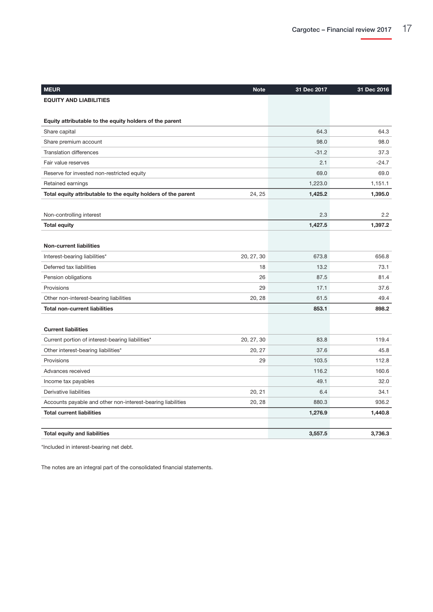| <b>MEUR</b>                                                   | <b>Note</b> | 31 Dec 2017 | 31 Dec 2016 |
|---------------------------------------------------------------|-------------|-------------|-------------|
| <b>EQUITY AND LIABILITIES</b>                                 |             |             |             |
|                                                               |             |             |             |
| Equity attributable to the equity holders of the parent       |             |             |             |
| Share capital                                                 |             | 64.3        | 64.3        |
| Share premium account                                         |             | 98.0        | 98.0        |
| <b>Translation differences</b>                                |             | $-31.2$     | 37.3        |
| Fair value reserves                                           |             | 2.1         | $-24.7$     |
| Reserve for invested non-restricted equity                    |             | 69.0        | 69.0        |
| Retained earnings                                             |             | 1,223.0     | 1,151.1     |
| Total equity attributable to the equity holders of the parent | 24, 25      | 1,425.2     | 1,395.0     |
|                                                               |             |             |             |
| Non-controlling interest                                      |             | 2.3         | $2.2\,$     |
| <b>Total equity</b>                                           |             | 1,427.5     | 1,397.2     |
|                                                               |             |             |             |
| <b>Non-current liabilities</b>                                |             |             |             |
| Interest-bearing liabilities*                                 | 20, 27, 30  | 673.8       | 656.8       |
| Deferred tax liabilities                                      | 18          | 13.2        | 73.1        |
| Pension obligations                                           | 26          | 87.5        | 81.4        |
| Provisions                                                    | 29          | 17.1        | 37.6        |
| Other non-interest-bearing liabilities                        | 20, 28      | 61.5        | 49.4        |
| <b>Total non-current liabilities</b>                          |             | 853.1       | 898.2       |
|                                                               |             |             |             |
| <b>Current liabilities</b>                                    |             |             |             |
| Current portion of interest-bearing liabilities*              | 20, 27, 30  | 83.8        | 119.4       |
| Other interest-bearing liabilities*                           | 20, 27      | 37.6        | 45.8        |
| Provisions                                                    | 29          | 103.5       | 112.8       |
| Advances received                                             |             | 116.2       | 160.6       |
| Income tax payables                                           |             | 49.1        | 32.0        |
| Derivative liabilities                                        | 20, 21      | 6.4         | 34.1        |
| Accounts payable and other non-interest-bearing liabilities   | 20, 28      | 880.3       | 936.2       |
| <b>Total current liabilities</b>                              |             | 1,276.9     | 1,440.8     |
|                                                               |             |             |             |
| <b>Total equity and liabilities</b>                           |             | 3,557.5     | 3,736.3     |

\*Included in interest-bearing net debt.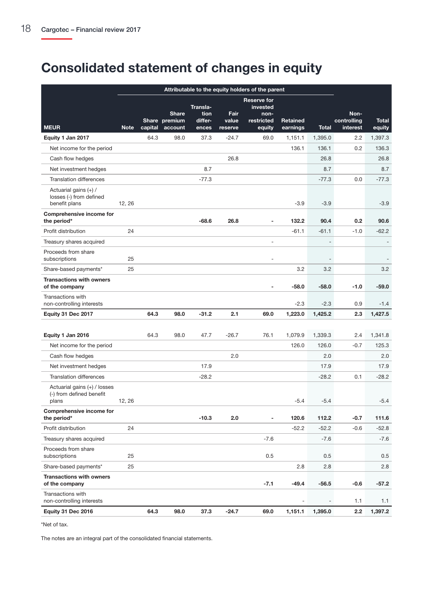# <span id="page-17-0"></span>Consolidated statement of changes in equity

|                                                                     | Attributable to the equity holders of the parent |         |                                          |                                      |                          |                                                                       |                             |                |                                 |                        |
|---------------------------------------------------------------------|--------------------------------------------------|---------|------------------------------------------|--------------------------------------|--------------------------|-----------------------------------------------------------------------|-----------------------------|----------------|---------------------------------|------------------------|
| <b>MEUR</b>                                                         | <b>Note</b>                                      | capital | <b>Share</b><br>Share premium<br>account | Transla-<br>tion<br>differ-<br>ences | Fair<br>value<br>reserve | <b>Reserve for</b><br><i>invested</i><br>non-<br>restricted<br>equity | <b>Retained</b><br>earnings | <b>Total</b>   | Non-<br>controlling<br>interest | <b>Total</b><br>equity |
| Equity 1 Jan 2017                                                   |                                                  | 64.3    | 98.0                                     | 37.3                                 | $-24.7$                  | 69.0                                                                  | 1,151.1                     | 1,395.0        | 2.2                             | 1,397.3                |
| Net income for the period                                           |                                                  |         |                                          |                                      |                          |                                                                       | 136.1                       | 136.1          | 0.2                             | 136.3                  |
| Cash flow hedges                                                    |                                                  |         |                                          |                                      | 26.8                     |                                                                       |                             | 26.8           |                                 | 26.8                   |
| Net investment hedges                                               |                                                  |         |                                          | 8.7                                  |                          |                                                                       |                             | 8.7            |                                 | 8.7                    |
| <b>Translation differences</b>                                      |                                                  |         |                                          | $-77.3$                              |                          |                                                                       |                             | $-77.3$        | 0.0                             | $-77.3$                |
| Actuarial gains (+) /<br>losses (-) from defined<br>benefit plans   | 12, 26                                           |         |                                          |                                      |                          |                                                                       | $-3.9$                      | $-3.9$         |                                 | $-3.9$                 |
| Comprehensive income for<br>the period*                             |                                                  |         |                                          | $-68.6$                              | 26.8                     | ٠                                                                     | 132.2                       | 90.4           | 0.2                             | 90.6                   |
| Profit distribution                                                 | 24                                               |         |                                          |                                      |                          |                                                                       | $-61.1$                     | $-61.1$        | $-1.0$                          | $-62.2$                |
| Treasury shares acquired                                            |                                                  |         |                                          |                                      |                          | $\overline{a}$                                                        |                             | $\overline{a}$ |                                 |                        |
| Proceeds from share<br>subscriptions                                | 25                                               |         |                                          |                                      |                          | $\overline{a}$                                                        |                             | $\overline{a}$ |                                 |                        |
| Share-based payments*                                               | 25                                               |         |                                          |                                      |                          |                                                                       | 3.2                         | 3.2            |                                 | 3.2                    |
| <b>Transactions with owners</b><br>of the company                   |                                                  |         |                                          |                                      |                          |                                                                       | $-58.0$                     | $-58.0$        | $-1.0$                          | $-59.0$                |
| Transactions with<br>non-controlling interests                      |                                                  |         |                                          |                                      |                          |                                                                       | $-2.3$                      | $-2.3$         | 0.9                             | $-1.4$                 |
| Equity 31 Dec 2017                                                  |                                                  | 64.3    | 98.0                                     | $-31.2$                              | 2.1                      | 69.0                                                                  | 1,223.0                     | 1,425.2        | 2.3                             | 1,427.5                |
|                                                                     |                                                  |         |                                          |                                      |                          |                                                                       |                             |                |                                 |                        |
| Equity 1 Jan 2016                                                   |                                                  | 64.3    | 98.0                                     | 47.7                                 | $-26.7$                  | 76.1                                                                  | 1,079.9                     | 1,339.3        | 2.4                             | 1,341.8                |
| Net income for the period                                           |                                                  |         |                                          |                                      |                          |                                                                       | 126.0                       | 126.0          | $-0.7$                          | 125.3                  |
| Cash flow hedges                                                    |                                                  |         |                                          |                                      | 2.0                      |                                                                       |                             | 2.0            |                                 | 2.0                    |
| Net investment hedges                                               |                                                  |         |                                          | 17.9                                 |                          |                                                                       |                             | 17.9           |                                 | 17.9                   |
| <b>Translation differences</b>                                      |                                                  |         |                                          | $-28.2$                              |                          |                                                                       |                             | $-28.2$        | 0.1                             | $-28.2$                |
| Actuarial gains $(+)$ / losses<br>(-) from defined benefit<br>plans | 12, 26                                           |         |                                          |                                      |                          |                                                                       | $-5.4$                      | $-5.4$         |                                 | $-5.4$                 |
| Comprehensive income for<br>the period*                             |                                                  |         |                                          | $-10.3$                              | 2.0                      | ٠                                                                     | 120.6                       | 112.2          | $-0.7$                          | 111.6                  |
| Profit distribution                                                 | 24                                               |         |                                          |                                      |                          |                                                                       | $-52.2$                     | $-52.2$        | $-0.6$                          | $-52.8$                |
| Treasury shares acquired                                            |                                                  |         |                                          |                                      |                          | $-7.6$                                                                |                             | $-7.6$         |                                 | $-7.6$                 |
| Proceeds from share<br>subscriptions                                | 25                                               |         |                                          |                                      |                          | 0.5                                                                   |                             | 0.5            |                                 | 0.5                    |
| Share-based payments*                                               | 25                                               |         |                                          |                                      |                          |                                                                       | 2.8                         | 2.8            |                                 | 2.8                    |
| <b>Transactions with owners</b><br>of the company                   |                                                  |         |                                          |                                      |                          | $-7.1$                                                                | $-49.4$                     | $-56.5$        | $-0.6$                          | -57.2                  |
| Transactions with<br>non-controlling interests                      |                                                  |         |                                          |                                      |                          |                                                                       |                             |                | 1.1                             | 1.1                    |
| Equity 31 Dec 2016                                                  |                                                  | 64.3    | 98.0                                     | 37.3                                 | $-24.7$                  | 69.0                                                                  | 1,151.1                     | 1,395.0        | 2.2                             | 1,397.2                |

\*Net of tax.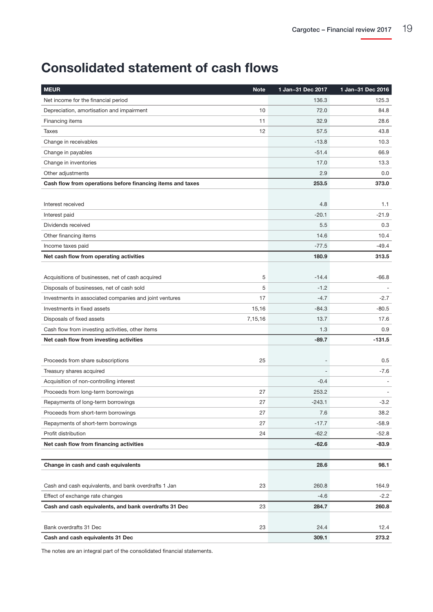# <span id="page-18-0"></span>Consolidated statement of cash flows

| <b>MEUR</b>                                                | <b>Note</b> | 1 Jan-31 Dec 2017 | 1 Jan-31 Dec 2016 |
|------------------------------------------------------------|-------------|-------------------|-------------------|
| Net income for the financial period                        |             | 136.3             | 125.3             |
| Depreciation, amortisation and impairment                  | 10          | 72.0              | 84.8              |
| Financing items                                            | 11          | 32.9              | 28.6              |
| Taxes                                                      | 12          | 57.5              | 43.8              |
| Change in receivables                                      |             | $-13.8$           | 10.3              |
| Change in payables                                         |             | $-51.4$           | 66.9              |
| Change in inventories                                      |             | 17.0              | 13.3              |
| Other adjustments                                          |             | 2.9               | 0.0               |
| Cash flow from operations before financing items and taxes |             | 253.5             | 373.0             |
|                                                            |             |                   |                   |
| Interest received                                          |             | 4.8               | 1.1               |
| Interest paid                                              |             | $-20.1$           | $-21.9$           |
| Dividends received                                         |             | 5.5               | 0.3               |
| Other financing items                                      |             | 14.6              | 10.4              |
| Income taxes paid                                          |             | $-77.5$           | $-49.4$           |
| Net cash flow from operating activities                    |             | 180.9             | 313.5             |
|                                                            |             |                   |                   |
| Acquisitions of businesses, net of cash acquired           | 5           | $-14.4$           | $-66.8$           |
| Disposals of businesses, net of cash sold                  | 5           | $-1.2$            |                   |
| Investments in associated companies and joint ventures     | 17          | $-4.7$            | $-2.7$            |
| Investments in fixed assets                                | 15,16       | $-84.3$           | $-80.5$           |
| Disposals of fixed assets                                  | 7,15,16     | 13.7              | 17.6              |
| Cash flow from investing activities, other items           |             | 1.3               | 0.9               |
| Net cash flow from investing activities                    |             | $-89.7$           | $-131.5$          |
|                                                            |             |                   |                   |
| Proceeds from share subscriptions                          | 25          |                   | 0.5               |
| Treasury shares acquired                                   |             |                   | $-7.6$            |
| Acquisition of non-controlling interest                    |             | $-0.4$            |                   |
| Proceeds from long-term borrowings                         | 27          | 253.2             |                   |
| Repayments of long-term borrowings                         | 27          | $-243.1$          | $-3.2$            |
| Proceeds from short-term borrowings                        | 27          | 7.6               | 38.2              |
| Repayments of short-term borrowings                        | 27          | $-17.7$           | $-58.9$           |
| Profit distribution                                        | 24          | $-62.2$           | $-52.8$           |
| Net cash flow from financing activities                    |             | $-62.6$           | $-83.9$           |
|                                                            |             |                   |                   |
| Change in cash and cash equivalents                        |             | 28.6              | 98.1              |
|                                                            |             |                   |                   |
| Cash and cash equivalents, and bank overdrafts 1 Jan       | 23          | 260.8             | 164.9             |
| Effect of exchange rate changes                            |             | $-4.6$            | $-2.2$            |
| Cash and cash equivalents, and bank overdrafts 31 Dec      | 23          | 284.7             | 260.8             |
|                                                            |             |                   |                   |
| Bank overdrafts 31 Dec                                     | 23          | 24.4              | 12.4              |
| Cash and cash equivalents 31 Dec                           |             | 309.1             | 273.2             |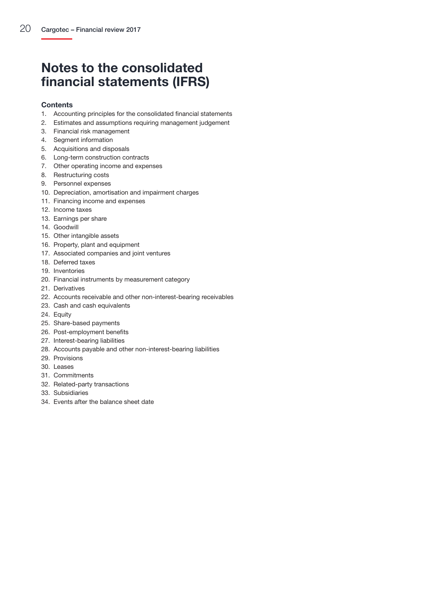# <span id="page-19-0"></span>Notes to the consolidated financial statements (IFRS)

# **Contents**

- 1. Accounting principles for the consolidated financial statements
- 2. Estimates and assumptions requiring management judgement
- 3. Financial risk management
- 4. Segment information
- 5. Acquisitions and disposals
- 6. Long-term construction contracts
- 7. Other operating income and expenses
- 8. Restructuring costs
- 9. Personnel expenses
- 10. Depreciation, amortisation and impairment charges
- 11. Financing income and expenses
- 12. Income taxes
- 13. Earnings per share
- 14. Goodwill
- 15. Other intangible assets
- 16. Property, plant and equipment
- 17. Associated companies and joint ventures
- 18. Deferred taxes
- 19. Inventories
- 20. Financial instruments by measurement category
- 21. Derivatives
- 22. Accounts receivable and other non-interest-bearing receivables
- 23. Cash and cash equivalents
- 24. Equity
- 25. Share-based payments
- 26. Post-employment benefits
- 27. Interest-bearing liabilities
- 28. Accounts payable and other non-interest-bearing liabilities
- 29. Provisions
- 30. Leases
- 31. Commitments
- 32. Related-party transactions
- 33. Subsidiaries
- 34. Events after the balance sheet date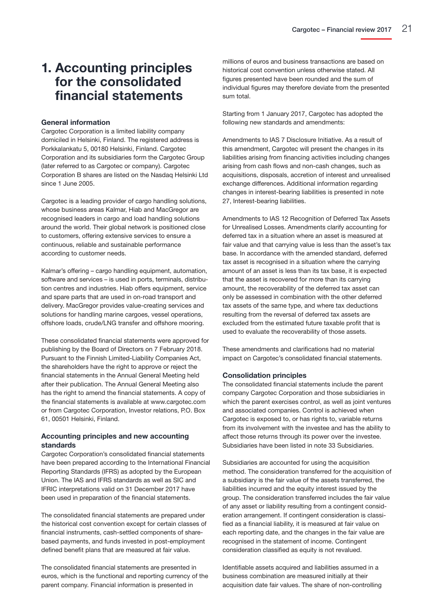# <span id="page-20-0"></span>1. Accounting principles for the consolidated financial statements

# General information

Cargotec Corporation is a limited liability company domiciled in Helsinki, Finland. The registered address is Porkkalankatu 5, 00180 Helsinki, Finland. Cargotec Corporation and its subsidiaries form the Cargotec Group (later referred to as Cargotec or company). Cargotec Corporation B shares are listed on the Nasdaq Helsinki Ltd since 1 June 2005.

Cargotec is a leading provider of cargo handling solutions, whose business areas Kalmar, Hiab and MacGregor are recognised leaders in cargo and load handling solutions around the world. Their global network is positioned close to customers, offering extensive services to ensure a continuous, reliable and sustainable performance according to customer needs.

Kalmar's offering – cargo handling equipment, automation, software and services – is used in ports, terminals, distribution centres and industries. Hiab offers equipment, service and spare parts that are used in on-road transport and delivery. MacGregor provides value-creating services and solutions for handling marine cargoes, vessel operations, offshore loads, crude/LNG transfer and offshore mooring.

These consolidated financial statements were approved for publishing by the Board of Directors on 7 February 2018. Pursuant to the Finnish Limited-Liability Companies Act, the shareholders have the right to approve or reject the financial statements in the Annual General Meeting held after their publication. The Annual General Meeting also has the right to amend the financial statements. A copy of the financial statements is available at www.cargotec.com or from Cargotec Corporation, Investor relations, P.O. Box 61, 00501 Helsinki, Finland.

# Accounting principles and new accounting standards

Cargotec Corporation's consolidated financial statements have been prepared according to the International Financial Reporting Standards (IFRS) as adopted by the European Union. The IAS and IFRS standards as well as SIC and IFRIC interpretations valid on 31 December 2017 have been used in preparation of the financial statements.

The consolidated financial statements are prepared under the historical cost convention except for certain classes of financial instruments, cash-settled components of sharebased payments, and funds invested in post-employment defined benefit plans that are measured at fair value.

The consolidated financial statements are presented in euros, which is the functional and reporting currency of the parent company. Financial information is presented in

millions of euros and business transactions are based on historical cost convention unless otherwise stated. All figures presented have been rounded and the sum of individual figures may therefore deviate from the presented sum total.

Starting from 1 January 2017, Cargotec has adopted the following new standards and amendments:

Amendments to IAS 7 Disclosure Initiative. As a result of this amendment, Cargotec will present the changes in its liabilities arising from financing activities including changes arising from cash flows and non-cash changes, such as acquisitions, disposals, accretion of interest and unrealised exchange differences. Additional information regarding changes in interest-bearing liabilities is presented in note 27, Interest-bearing liabilities.

Amendments to IAS 12 Recognition of Deferred Tax Assets for Unrealised Losses. Amendments clarify accounting for deferred tax in a situation where an asset is measured at fair value and that carrying value is less than the asset's tax base. In accordance with the amended standard, deferred tax asset is recognised in a situation where the carrying amount of an asset is less than its tax base, it is expected that the asset is recovered for more than its carrying amount, the recoverability of the deferred tax asset can only be assessed in combination with the other deferred tax assets of the same type, and where tax deductions resulting from the reversal of deferred tax assets are excluded from the estimated future taxable profit that is used to evaluate the recoverability of those assets.

These amendments and clarifications had no material impact on Cargotec's consolidated financial statements.

#### Consolidation principles

The consolidated financial statements include the parent company Cargotec Corporation and those subsidiaries in which the parent exercises control, as well as joint ventures and associated companies. Control is achieved when Cargotec is exposed to, or has rights to, variable returns from its involvement with the investee and has the ability to affect those returns through its power over the investee. Subsidiaries have been listed in note 33 Subsidiaries.

Subsidiaries are accounted for using the acquisition method. The consideration transferred for the acquisition of a subsidiary is the fair value of the assets transferred, the liabilities incurred and the equity interest issued by the group. The consideration transferred includes the fair value of any asset or liability resulting from a contingent consideration arrangement. If contingent consideration is classified as a financial liability, it is measured at fair value on each reporting date, and the changes in the fair value are recognised in the statement of income. Contingent consideration classified as equity is not revalued.

Identifiable assets acquired and liabilities assumed in a business combination are measured initially at their acquisition date fair values. The share of non-controlling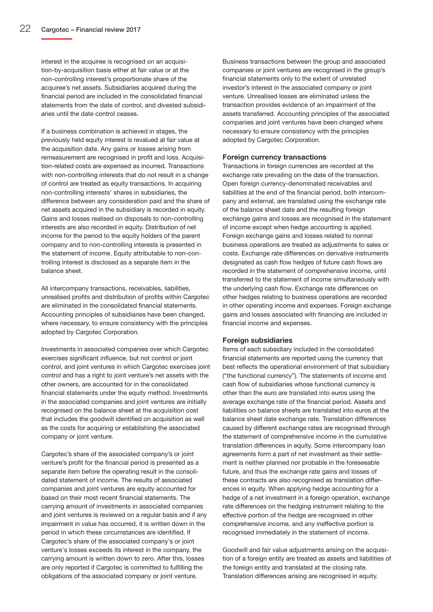interest in the acquiree is recognised on an acquisition-by-acquisition basis either at fair value or at the non-controlling interest's proportionate share of the acquiree's net assets. Subsidiaries acquired during the financial period are included in the consolidated financial statements from the date of control, and divested subsidiaries until the date control ceases.

If a business combination is achieved in stages, the previously held equity interest is revalued at fair value at the acquisition date. Any gains or losses arising from remeasurement are recognised in profit and loss. Acquisition-related costs are expensed as incurred. Transactions with non-controlling interests that do not result in a change of control are treated as equity transactions. In acquiring non-controlling interests' shares in subsidiaries, the difference between any consideration paid and the share of net assets acquired in the subsidiary is recorded in equity. Gains and losses realised on disposals to non-controlling interests are also recorded in equity. Distribution of net income for the period to the equity holders of the parent company and to non-controlling interests is presented in the statement of income. Equity attributable to non-controlling interest is disclosed as a separate item in the balance sheet.

All intercompany transactions, receivables, liabilities, unrealised profits and distribution of profits within Cargotec are eliminated in the consolidated financial statements. Accounting principles of subsidiaries have been changed, where necessary, to ensure consistency with the principles adopted by Cargotec Corporation.

Investments in associated companies over which Cargotec exercises significant influence, but not control or joint control, and joint ventures in which Cargotec exercises joint control and has a right to joint venture's net assets with the other owners, are accounted for in the consolidated financial statements under the equity method. Investments in the associated companies and joint ventures are initially recognised on the balance sheet at the acquisition cost that includes the goodwill identified on acquisition as well as the costs for acquiring or establishing the associated company or joint venture.

Cargotec's share of the associated company's or joint venture's profit for the financial period is presented as a separate item before the operating result in the consolidated statement of income. The results of associated companies and joint ventures are equity accounted for based on their most recent financial statements. The carrying amount of investments in associated companies and joint ventures is reviewed on a regular basis and if any impairment in value has occurred, it is written down in the period in which these circumstances are identified. If Cargotec's share of the associated company's or joint venture's losses exceeds its interest in the company, the carrying amount is written down to zero. After this, losses are only reported if Cargotec is committed to fulfilling the obligations of the associated company or joint venture.

Business transactions between the group and associated companies or joint ventures are recognised in the group's financial statements only to the extent of unrelated investor's interest in the associated company or joint venture. Unrealised losses are eliminated unless the transaction provides evidence of an impairment of the assets transferred. Accounting principles of the associated companies and joint ventures have been changed where necessary to ensure consistency with the principles adopted by Cargotec Corporation.

### Foreign currency transactions

Transactions in foreign currencies are recorded at the exchange rate prevailing on the date of the transaction. Open foreign currency-denominated receivables and liabilities at the end of the financial period, both intercompany and external, are translated using the exchange rate of the balance sheet date and the resulting foreign exchange gains and losses are recognised in the statement of income except when hedge accounting is applied. Foreign exchange gains and losses related to normal business operations are treated as adjustments to sales or costs. Exchange rate differences on derivative instruments designated as cash flow hedges of future cash flows are recorded in the statement of comprehensive income, until transferred to the statement of income simultaneously with the underlying cash flow. Exchange rate differences on other hedges relating to business operations are recorded in other operating income and expenses. Foreign exchange gains and losses associated with financing are included in financial income and expenses.

#### Foreign subsidiaries

Items of each subsidiary included in the consolidated financial statements are reported using the currency that best reflects the operational environment of that subsidiary ("the functional currency"). The statements of income and cash flow of subsidiaries whose functional currency is other than the euro are translated into euros using the average exchange rate of the financial period. Assets and liabilities on balance sheets are translated into euros at the balance sheet date exchange rate. Translation differences caused by different exchange rates are recognised through the statement of comprehensive income in the cumulative translation differences in equity. Some intercompany loan agreements form a part of net investment as their settlement is neither planned nor probable in the foreseeable future, and thus the exchange rate gains and losses of these contracts are also recognised as translation differences in equity. When applying hedge accounting for a hedge of a net investment in a foreign operation, exchange rate differences on the hedging instrument relating to the effective portion of the hedge are recognised in other comprehensive income, and any ineffective portion is recognised immediately in the statement of income.

Goodwill and fair value adjustments arising on the acquisition of a foreign entity are treated as assets and liabilities of the foreign entity and translated at the closing rate. Translation differences arising are recognised in equity.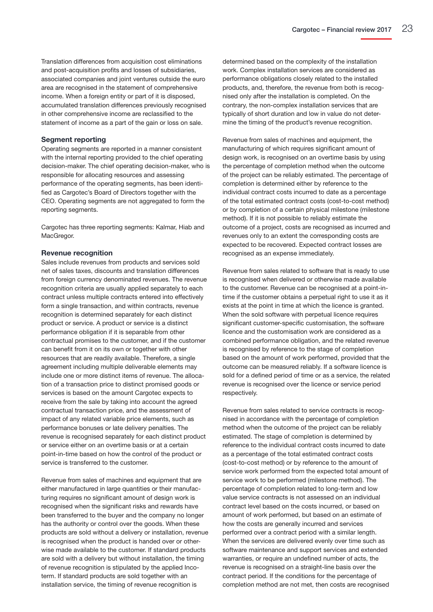Translation differences from acquisition cost eliminations and post-acquisition profits and losses of subsidiaries, associated companies and joint ventures outside the euro area are recognised in the statement of comprehensive income. When a foreign entity or part of it is disposed, accumulated translation differences previously recognised in other comprehensive income are reclassified to the statement of income as a part of the gain or loss on sale.

### Segment reporting

Operating segments are reported in a manner consistent with the internal reporting provided to the chief operating decision-maker. The chief operating decision-maker, who is responsible for allocating resources and assessing performance of the operating segments, has been identified as Cargotec's Board of Directors together with the CEO. Operating segments are not aggregated to form the reporting segments.

Cargotec has three reporting segments: Kalmar, Hiab and MacGregor.

#### Revenue recognition

Sales include revenues from products and services sold net of sales taxes, discounts and translation differences from foreign currency denominated revenues. The revenue recognition criteria are usually applied separately to each contract unless multiple contracts entered into effectively form a single transaction, and within contracts, revenue recognition is determined separately for each distinct product or service. A product or service is a distinct performance obligation if it is separable from other contractual promises to the customer, and if the customer can benefit from it on its own or together with other resources that are readily available. Therefore, a single agreement including multiple deliverable elements may include one or more distinct items of revenue. The allocation of a transaction price to distinct promised goods or services is based on the amount Cargotec expects to receive from the sale by taking into account the agreed contractual transaction price, and the assessment of impact of any related variable price elements, such as performance bonuses or late delivery penalties. The revenue is recognised separately for each distinct product or service either on an overtime basis or at a certain point-in-time based on how the control of the product or service is transferred to the customer.

Revenue from sales of machines and equipment that are either manufactured in large quantities or their manufacturing requires no significant amount of design work is recognised when the significant risks and rewards have been transferred to the buyer and the company no longer has the authority or control over the goods. When these products are sold without a delivery or installation, revenue is recognised when the product is handed over or otherwise made available to the customer. If standard products are sold with a delivery but without installation, the timing of revenue recognition is stipulated by the applied Incoterm. If standard products are sold together with an installation service, the timing of revenue recognition is

determined based on the complexity of the installation work. Complex installation services are considered as performance obligations closely related to the installed products, and, therefore, the revenue from both is recognised only after the installation is completed. On the contrary, the non-complex installation services that are typically of short duration and low in value do not determine the timing of the product's revenue recognition.

Revenue from sales of machines and equipment, the manufacturing of which requires significant amount of design work, is recognised on an overtime basis by using the percentage of completion method when the outcome of the project can be reliably estimated. The percentage of completion is determined either by reference to the individual contract costs incurred to date as a percentage of the total estimated contract costs (cost-to-cost method) or by completion of a certain physical milestone (milestone method). If it is not possible to reliably estimate the outcome of a project, costs are recognised as incurred and revenues only to an extent the corresponding costs are expected to be recovered. Expected contract losses are recognised as an expense immediately.

Revenue from sales related to software that is ready to use is recognised when delivered or otherwise made available to the customer. Revenue can be recognised at a point-intime if the customer obtains a perpetual right to use it as it exists at the point in time at which the licence is granted. When the sold software with perpetual licence requires significant customer-specific customisation, the software licence and the customisation work are considered as a combined performance obligation, and the related revenue is recognised by reference to the stage of completion based on the amount of work performed, provided that the outcome can be measured reliably. If a software licence is sold for a defined period of time or as a service, the related revenue is recognised over the licence or service period respectively.

Revenue from sales related to service contracts is recognised in accordance with the percentage of completion method when the outcome of the project can be reliably estimated. The stage of completion is determined by reference to the individual contract costs incurred to date as a percentage of the total estimated contract costs (cost-to-cost method) or by reference to the amount of service work performed from the expected total amount of service work to be performed (milestone method). The percentage of completion related to long-term and low value service contracts is not assessed on an individual contract level based on the costs incurred, or based on amount of work performed, but based on an estimate of how the costs are generally incurred and services performed over a contract period with a similar length. When the services are delivered evenly over time such as software maintenance and support services and extended warranties, or require an undefined number of acts, the revenue is recognised on a straight-line basis over the contract period. If the conditions for the percentage of completion method are not met, then costs are recognised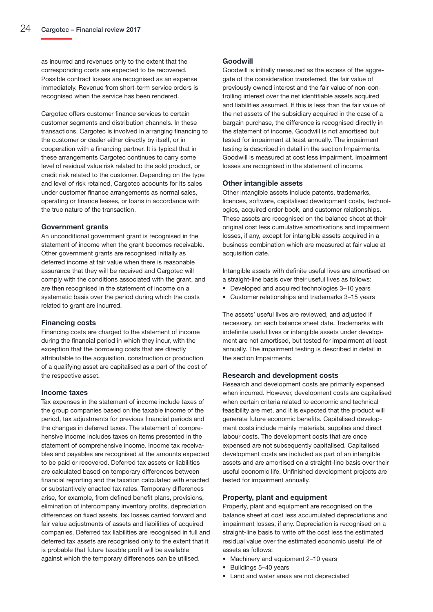as incurred and revenues only to the extent that the corresponding costs are expected to be recovered. Possible contract losses are recognised as an expense immediately. Revenue from short-term service orders is recognised when the service has been rendered.

Cargotec offers customer finance services to certain customer segments and distribution channels. In these transactions, Cargotec is involved in arranging financing to the customer or dealer either directly by itself, or in cooperation with a financing partner. It is typical that in these arrangements Cargotec continues to carry some level of residual value risk related to the sold product, or credit risk related to the customer. Depending on the type and level of risk retained, Cargotec accounts for its sales under customer finance arrangements as normal sales, operating or finance leases, or loans in accordance with the true nature of the transaction.

# Government grants

An unconditional government grant is recognised in the statement of income when the grant becomes receivable. Other government grants are recognised initially as deferred income at fair value when there is reasonable assurance that they will be received and Cargotec will comply with the conditions associated with the grant, and are then recognised in the statement of income on a systematic basis over the period during which the costs related to grant are incurred.

#### Financing costs

Financing costs are charged to the statement of income during the financial period in which they incur, with the exception that the borrowing costs that are directly attributable to the acquisition, construction or production of a qualifying asset are capitalised as a part of the cost of the respective asset.

#### Income taxes

Tax expenses in the statement of income include taxes of the group companies based on the taxable income of the period, tax adjustments for previous financial periods and the changes in deferred taxes. The statement of comprehensive income includes taxes on items presented in the statement of comprehensive income. Income tax receivables and payables are recognised at the amounts expected to be paid or recovered. Deferred tax assets or liabilities are calculated based on temporary differences between financial reporting and the taxation calculated with enacted or substantively enacted tax rates. Temporary differences arise, for example, from defined benefit plans, provisions, elimination of intercompany inventory profits, depreciation differences on fixed assets, tax losses carried forward and fair value adjustments of assets and liabilities of acquired companies. Deferred tax liabilities are recognised in full and deferred tax assets are recognised only to the extent that it is probable that future taxable profit will be available against which the temporary differences can be utilised.

### Goodwill

Goodwill is initially measured as the excess of the aggregate of the consideration transferred, the fair value of previously owned interest and the fair value of non-controlling interest over the net identifiable assets acquired and liabilities assumed. If this is less than the fair value of the net assets of the subsidiary acquired in the case of a bargain purchase, the difference is recognised directly in the statement of income. Goodwill is not amortised but tested for impairment at least annually. The impairment testing is described in detail in the section Impairments. Goodwill is measured at cost less impairment. Impairment losses are recognised in the statement of income.

#### Other intangible assets

Other intangible assets include patents, trademarks, licences, software, capitalised development costs, technologies, acquired order book, and customer relationships. These assets are recognised on the balance sheet at their original cost less cumulative amortisations and impairment losses, if any, except for intangible assets acquired in a business combination which are measured at fair value at acquisition date.

Intangible assets with definite useful lives are amortised on a straight-line basis over their useful lives as follows:

- Developed and acquired technologies 3–10 years
- Customer relationships and trademarks 3–15 years

The assets' useful lives are reviewed, and adjusted if necessary, on each balance sheet date. Trademarks with indefinite useful lives or intangible assets under development are not amortised, but tested for impairment at least annually. The impairment testing is described in detail in the section Impairments.

#### Research and development costs

Research and development costs are primarily expensed when incurred. However, development costs are capitalised when certain criteria related to economic and technical feasibility are met, and it is expected that the product will generate future economic benefits. Capitalised development costs include mainly materials, supplies and direct labour costs. The development costs that are once expensed are not subsequently capitalised. Capitalised development costs are included as part of an intangible assets and are amortised on a straight-line basis over their useful economic life. Unfinished development projects are tested for impairment annually.

#### Property, plant and equipment

Property, plant and equipment are recognised on the balance sheet at cost less accumulated depreciations and impairment losses, if any. Depreciation is recognised on a straight-line basis to write off the cost less the estimated residual value over the estimated economic useful life of assets as follows:

- Machinery and equipment 2–10 years
- Buildings 5–40 years
- Land and water areas are not depreciated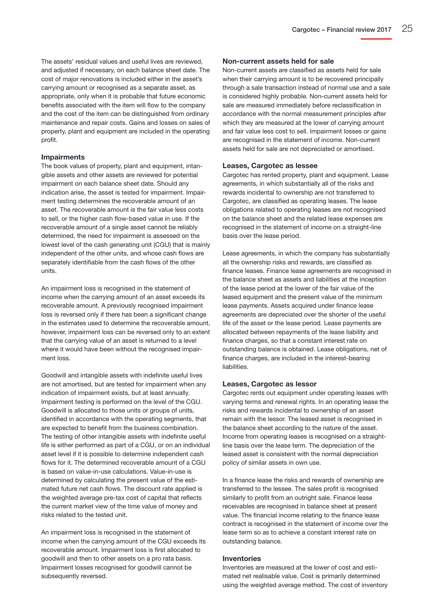The assets' residual values and useful lives are reviewed, and adjusted if necessary, on each balance sheet date. The cost of major renovations is included either in the asset's carrying amount or recognised as a separate asset, as appropriate, only when it is probable that future economic benefits associated with the item will flow to the company and the cost of the item can be distinguished from ordinary maintenance and repair costs. Gains and losses on sales of property, plant and equipment are included in the operating profit.

# Impairments

The book values of property, plant and equipment, intangible assets and other assets are reviewed for potential impairment on each balance sheet date. Should any indication arise, the asset is tested for impairment. Impairment testing determines the recoverable amount of an asset. The recoverable amount is the fair value less costs to sell, or the higher cash flow-based value in use. If the recoverable amount of a single asset cannot be reliably determined, the need for impairment is assessed on the lowest level of the cash generating unit (CGU) that is mainly independent of the other units, and whose cash flows are separately identifiable from the cash flows of the other units.

An impairment loss is recognised in the statement of income when the carrying amount of an asset exceeds its recoverable amount. A previously recognised impairment loss is reversed only if there has been a significant change in the estimates used to determine the recoverable amount, however, impairment loss can be reversed only to an extent that the carrying value of an asset is returned to a level where it would have been without the recognised impairment loss.

Goodwill and intangible assets with indefinite useful lives are not amortised, but are tested for impairment when any indication of impairment exists, but at least annually. Impairment testing is performed on the level of the CGU. Goodwill is allocated to those units or groups of units, identified in accordance with the operating segments, that are expected to benefit from the business combination. The testing of other intangible assets with indefinite useful life is either performed as part of a CGU, or on an individual asset level if it is possible to determine independent cash flows for it. The determined recoverable amount of a CGU is based on value-in-use calculations. Value-in-use is determined by calculating the present value of the estimated future net cash flows. The discount rate applied is the weighted average pre-tax cost of capital that reflects the current market view of the time value of money and risks related to the tested unit.

An impairment loss is recognised in the statement of income when the carrying amount of the CGU exceeds its recoverable amount. Impairment loss is first allocated to goodwill and then to other assets on a pro rata basis. Impairment losses recognised for goodwill cannot be subsequently reversed.

# Non-current assets held for sale

Non-current assets are classified as assets held for sale when their carrying amount is to be recovered principally through a sale transaction instead of normal use and a sale is considered highly probable. Non-current assets held for sale are measured immediately before reclassification in accordance with the normal measurement principles after which they are measured at the lower of carrying amount and fair value less cost to sell. Impairment losses or gains are recognised in the statement of income. Non-current assets held for sale are not depreciated or amortised.

### Leases, Cargotec as lessee

Cargotec has rented property, plant and equipment. Lease agreements, in which substantially all of the risks and rewards incidental to ownership are not transferred to Cargotec, are classified as operating leases. The lease obligations related to operating leases are not recognised on the balance sheet and the related lease expenses are recognised in the statement of income on a straight-line basis over the lease period.

Lease agreements, in which the company has substantially all the ownership risks and rewards, are classified as finance leases. Finance lease agreements are recognised in the balance sheet as assets and liabilities at the inception of the lease period at the lower of the fair value of the leased equipment and the present value of the minimum lease payments. Assets acquired under finance lease agreements are depreciated over the shorter of the useful life of the asset or the lease period. Lease payments are allocated between repayments of the lease liability and finance charges, so that a constant interest rate on outstanding balance is obtained. Lease obligations, net of finance charges, are included in the interest-bearing liabilities.

# Leases, Cargotec as lessor

Cargotec rents out equipment under operating leases with varying terms and renewal rights. In an operating lease the risks and rewards incidental to ownership of an asset remain with the lessor. The leased asset is recognised in the balance sheet according to the nature of the asset. Income from operating leases is recognised on a straightline basis over the lease term. The depreciation of the leased asset is consistent with the normal depreciation policy of similar assets in own use.

In a finance lease the risks and rewards of ownership are transferred to the lessee. The sales profit is recognised similarly to profit from an outright sale. Finance lease receivables are recognised in balance sheet at present value. The financial income relating to the finance lease contract is recognised in the statement of income over the lease term so as to achieve a constant interest rate on outstanding balance.

#### Inventories

Inventories are measured at the lower of cost and estimated net realisable value. Cost is primarily determined using the weighted average method. The cost of inventory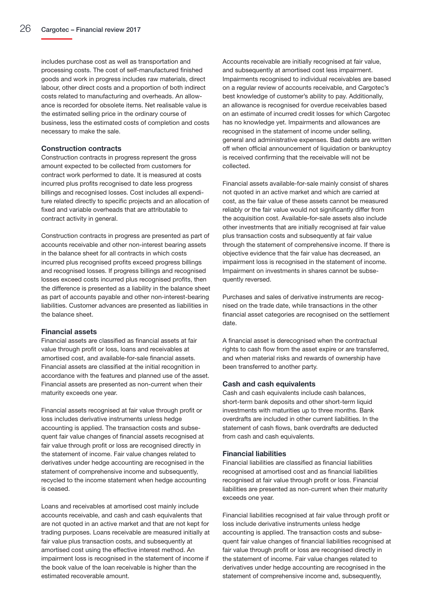includes purchase cost as well as transportation and processing costs. The cost of self-manufactured finished goods and work in progress includes raw materials, direct labour, other direct costs and a proportion of both indirect costs related to manufacturing and overheads. An allowance is recorded for obsolete items. Net realisable value is the estimated selling price in the ordinary course of business, less the estimated costs of completion and costs necessary to make the sale.

### Construction contracts

Construction contracts in progress represent the gross amount expected to be collected from customers for contract work performed to date. It is measured at costs incurred plus profits recognised to date less progress billings and recognised losses. Cost includes all expenditure related directly to specific projects and an allocation of fixed and variable overheads that are attributable to contract activity in general.

Construction contracts in progress are presented as part of accounts receivable and other non-interest bearing assets in the balance sheet for all contracts in which costs incurred plus recognised profits exceed progress billings and recognised losses. If progress billings and recognised losses exceed costs incurred plus recognised profits, then the difference is presented as a liability in the balance sheet as part of accounts payable and other non-interest-bearing liabilities. Customer advances are presented as liabilities in the balance sheet.

### Financial assets

Financial assets are classified as financial assets at fair value through profit or loss, loans and receivables at amortised cost, and available-for-sale financial assets. Financial assets are classified at the initial recognition in accordance with the features and planned use of the asset. Financial assets are presented as non-current when their maturity exceeds one year.

Financial assets recognised at fair value through profit or loss includes derivative instruments unless hedge accounting is applied. The transaction costs and subsequent fair value changes of financial assets recognised at fair value through profit or loss are recognised directly in the statement of income. Fair value changes related to derivatives under hedge accounting are recognised in the statement of comprehensive income and subsequently. recycled to the income statement when hedge accounting is ceased.

Loans and receivables at amortised cost mainly include accounts receivable, and cash and cash equivalents that are not quoted in an active market and that are not kept for trading purposes. Loans receivable are measured initially at fair value plus transaction costs, and subsequently at amortised cost using the effective interest method. An impairment loss is recognised in the statement of income if the book value of the loan receivable is higher than the estimated recoverable amount.

Accounts receivable are initially recognised at fair value, and subsequently at amortised cost less impairment. Impairments recognised to individual receivables are based on a regular review of accounts receivable, and Cargotec's best knowledge of customer's ability to pay. Additionally, an allowance is recognised for overdue receivables based on an estimate of incurred credit losses for which Cargotec has no knowledge yet. Impairments and allowances are recognised in the statement of income under selling, general and administrative expenses. Bad debts are written off when official announcement of liquidation or bankruptcy is received confirming that the receivable will not be collected.

Financial assets available-for-sale mainly consist of shares not quoted in an active market and which are carried at cost, as the fair value of these assets cannot be measured reliably or the fair value would not significantly differ from the acquisition cost. Available-for-sale assets also include other investments that are initially recognised at fair value plus transaction costs and subsequently at fair value through the statement of comprehensive income. If there is objective evidence that the fair value has decreased, an impairment loss is recognised in the statement of income. Impairment on investments in shares cannot be subsequently reversed.

Purchases and sales of derivative instruments are recognised on the trade date, while transactions in the other financial asset categories are recognised on the settlement date.

A financial asset is derecognised when the contractual rights to cash flow from the asset expire or are transferred, and when material risks and rewards of ownership have been transferred to another party.

#### **Cash and cash equivalents**

Cash and cash equivalents include cash balances, short-term bank deposits and other short-term liquid investments with maturities up to three months. Bank overdrafts are included in other current liabilities. In the statement of cash flows, bank overdrafts are deducted from cash and cash equivalents.

#### Financial liabilities

Financial liabilities are classified as financial liabilities recognised at amortised cost and as financial liabilities recognised at fair value through profit or loss. Financial liabilities are presented as non-current when their maturity exceeds one year.

Financial liabilities recognised at fair value through profit or loss include derivative instruments unless hedge accounting is applied. The transaction costs and subsequent fair value changes of financial liabilities recognised at fair value through profit or loss are recognised directly in the statement of income. Fair value changes related to derivatives under hedge accounting are recognised in the statement of comprehensive income and, subsequently,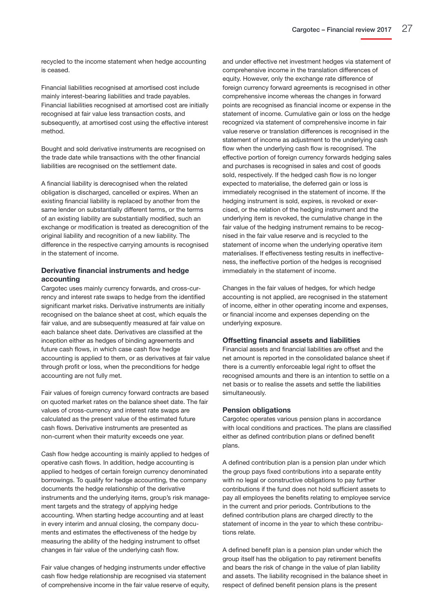recycled to the income statement when hedge accounting is ceased.

Financial liabilities recognised at amortised cost include mainly interest-bearing liabilities and trade payables. Financial liabilities recognised at amortised cost are initially recognised at fair value less transaction costs, and subsequently, at amortised cost using the effective interest method.

Bought and sold derivative instruments are recognised on the trade date while transactions with the other financial liabilities are recognised on the settlement date.

A financial liability is derecognised when the related obligation is discharged, cancelled or expires. When an existing financial liability is replaced by another from the same lender on substantially different terms, or the terms of an existing liability are substantially modified, such an exchange or modification is treated as derecognition of the original liability and recognition of a new liability. The difference in the respective carrying amounts is recognised in the statement of income.

# Derivative financial instruments and hedge accounting

Cargotec uses mainly currency forwards, and cross-currency and interest rate swaps to hedge from the identified significant market risks. Derivative instruments are initially recognised on the balance sheet at cost, which equals the fair value, and are subsequently measured at fair value on each balance sheet date. Derivatives are classified at the inception either as hedges of binding agreements and future cash flows, in which case cash flow hedge accounting is applied to them, or as derivatives at fair value through profit or loss, when the preconditions for hedge accounting are not fully met.

Fair values of foreign currency forward contracts are based on quoted market rates on the balance sheet date. The fair values of cross-currency and interest rate swaps are calculated as the present value of the estimated future cash flows. Derivative instruments are presented as non-current when their maturity exceeds one year.

Cash flow hedge accounting is mainly applied to hedges of operative cash flows. In addition, hedge accounting is applied to hedges of certain foreign currency denominated borrowings. To qualify for hedge accounting, the company documents the hedge relationship of the derivative instruments and the underlying items, group's risk management targets and the strategy of applying hedge accounting. When starting hedge accounting and at least in every interim and annual closing, the company documents and estimates the effectiveness of the hedge by measuring the ability of the hedging instrument to offset changes in fair value of the underlying cash flow.

Fair value changes of hedging instruments under effective cash flow hedge relationship are recognised via statement of comprehensive income in the fair value reserve of equity, and under effective net investment hedges via statement of comprehensive income in the translation differences of equity. However, only the exchange rate difference of foreign currency forward agreements is recognised in other comprehensive income whereas the changes in forward points are recognised as financial income or expense in the statement of income. Cumulative gain or loss on the hedge recognized via statement of comprehensive income in fair value reserve or translation differences is recognised in the statement of income as adjustment to the underlying cash flow when the underlying cash flow is recognised. The effective portion of foreign currency forwards hedging sales and purchases is recognised in sales and cost of goods sold, respectively. If the hedged cash flow is no longer expected to materialise, the deferred gain or loss is immediately recognised in the statement of income. If the hedging instrument is sold, expires, is revoked or exercised, or the relation of the hedging instrument and the underlying item is revoked, the cumulative change in the fair value of the hedging instrument remains to be recognised in the fair value reserve and is recycled to the statement of income when the underlying operative item materialises. If effectiveness testing results in ineffectiveness, the ineffective portion of the hedges is recognised immediately in the statement of income.

Changes in the fair values of hedges, for which hedge accounting is not applied, are recognised in the statement of income, either in other operating income and expenses, or financial income and expenses depending on the underlying exposure.

# Offsetting financial assets and liabilities

Financial assets and financial liabilities are offset and the net amount is reported in the consolidated balance sheet if there is a currently enforceable legal right to offset the recognised amounts and there is an intention to settle on a net basis or to realise the assets and settle the liabilities simultaneously.

#### Pension obligations

Cargotec operates various pension plans in accordance with local conditions and practices. The plans are classified either as defined contribution plans or defined benefit plans.

A defined contribution plan is a pension plan under which the group pays fixed contributions into a separate entity with no legal or constructive obligations to pay further contributions if the fund does not hold sufficient assets to pay all employees the benefits relating to employee service in the current and prior periods. Contributions to the defined contribution plans are charged directly to the statement of income in the year to which these contributions relate.

A defined benefit plan is a pension plan under which the group itself has the obligation to pay retirement benefits and bears the risk of change in the value of plan liability and assets. The liability recognised in the balance sheet in respect of defined benefit pension plans is the present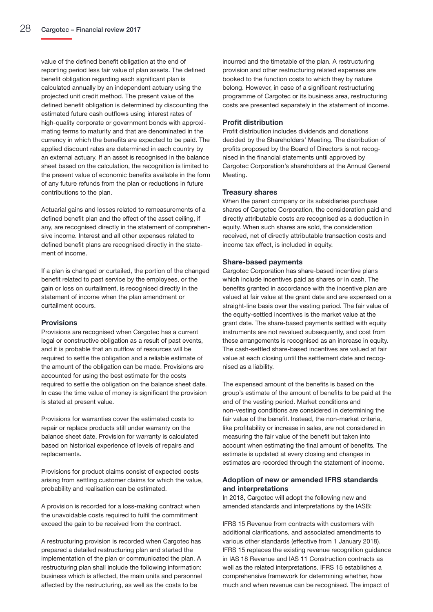value of the defined benefit obligation at the end of reporting period less fair value of plan assets. The defined benefit obligation regarding each significant plan is calculated annually by an independent actuary using the projected unit credit method. The present value of the defined benefit obligation is determined by discounting the estimated future cash outflows using interest rates of high-quality corporate or government bonds with approximating terms to maturity and that are denominated in the currency in which the benefits are expected to be paid. The applied discount rates are determined in each country by an external actuary. If an asset is recognised in the balance sheet based on the calculation, the recognition is limited to the present value of economic benefits available in the form of any future refunds from the plan or reductions in future contributions to the plan.

Actuarial gains and losses related to remeasurements of a defined benefit plan and the effect of the asset ceiling, if any, are recognised directly in the statement of comprehensive income. Interest and all other expenses related to defined benefit plans are recognised directly in the statement of income.

If a plan is changed or curtailed, the portion of the changed benefit related to past service by the employees, or the gain or loss on curtailment, is recognised directly in the statement of income when the plan amendment or curtailment occurs.

### **Provisions**

Provisions are recognised when Cargotec has a current legal or constructive obligation as a result of past events, and it is probable that an outflow of resources will be required to settle the obligation and a reliable estimate of the amount of the obligation can be made. Provisions are accounted for using the best estimate for the costs required to settle the obligation on the balance sheet date. In case the time value of money is significant the provision is stated at present value.

Provisions for warranties cover the estimated costs to repair or replace products still under warranty on the balance sheet date. Provision for warranty is calculated based on historical experience of levels of repairs and replacements.

Provisions for product claims consist of expected costs arising from settling customer claims for which the value, probability and realisation can be estimated.

A provision is recorded for a loss-making contract when the unavoidable costs required to fulfil the commitment exceed the gain to be received from the contract.

A restructuring provision is recorded when Cargotec has prepared a detailed restructuring plan and started the implementation of the plan or communicated the plan. A restructuring plan shall include the following information: business which is affected, the main units and personnel affected by the restructuring, as well as the costs to be

incurred and the timetable of the plan. A restructuring provision and other restructuring related expenses are booked to the function costs to which they by nature belong. However, in case of a significant restructuring programme of Cargotec or its business area, restructuring costs are presented separately in the statement of income.

# Profit distribution

Profit distribution includes dividends and donations decided by the Shareholders' Meeting. The distribution of profits proposed by the Board of Directors is not recognised in the financial statements until approved by Cargotec Corporation's shareholders at the Annual General Meeting.

### Treasury shares

When the parent company or its subsidiaries purchase shares of Cargotec Corporation, the consideration paid and directly attributable costs are recognised as a deduction in equity. When such shares are sold, the consideration received, net of directly attributable transaction costs and income tax effect, is included in equity.

# Share-based payments

Cargotec Corporation has share-based incentive plans which include incentives paid as shares or in cash. The benefits granted in accordance with the incentive plan are valued at fair value at the grant date and are expensed on a straight-line basis over the vesting period. The fair value of the equity-settled incentives is the market value at the grant date. The share-based payments settled with equity instruments are not revalued subsequently, and cost from these arrangements is recognised as an increase in equity. The cash-settled share-based incentives are valued at fair value at each closing until the settlement date and recognised as a liability.

The expensed amount of the benefits is based on the group's estimate of the amount of benefits to be paid at the end of the vesting period. Market conditions and non-vesting conditions are considered in determining the fair value of the benefit. Instead, the non-market criteria, like profitability or increase in sales, are not considered in measuring the fair value of the benefit but taken into account when estimating the final amount of benefits. The estimate is updated at every closing and changes in estimates are recorded through the statement of income.

# Adoption of new or amended IFRS standards and interpretations

In 2018, Cargotec will adopt the following new and amended standards and interpretations by the IASB:

IFRS 15 Revenue from contracts with customers with additional clarifications, and associated amendments to various other standards (effective from 1 January 2018). IFRS 15 replaces the existing revenue recognition guidance in IAS 18 Revenue and IAS 11 Construction contracts as well as the related interpretations. IFRS 15 establishes a comprehensive framework for determining whether, how much and when revenue can be recognised. The impact of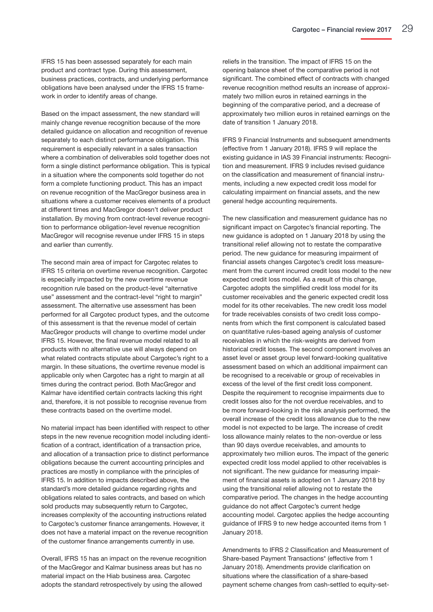IFRS 15 has been assessed separately for each main product and contract type. During this assessment, business practices, contracts, and underlying performance obligations have been analysed under the IFRS 15 framework in order to identify areas of change.

Based on the impact assessment, the new standard will mainly change revenue recognition because of the more detailed guidance on allocation and recognition of revenue separately to each distinct performance obligation. This requirement is especially relevant in a sales transaction where a combination of deliverables sold together does not form a single distinct performance obligation. This is typical in a situation where the components sold together do not form a complete functioning product. This has an impact on revenue recognition of the MacGregor business area in situations where a customer receives elements of a product at different times and MacGregor doesn't deliver product installation. By moving from contract-level revenue recognition to performance obligation-level revenue recognition MacGregor will recognise revenue under IFRS 15 in steps and earlier than currently.

The second main area of impact for Cargotec relates to IFRS 15 criteria on overtime revenue recognition. Cargotec is especially impacted by the new overtime revenue recognition rule based on the product-level "alternative use" assessment and the contract-level "right to margin" assessment. The alternative use assessment has been performed for all Cargotec product types, and the outcome of this assessment is that the revenue model of certain MacGregor products will change to overtime model under IFRS 15. However, the final revenue model related to all products with no alternative use will always depend on what related contracts stipulate about Cargotec's right to a margin. In these situations, the overtime revenue model is applicable only when Cargotec has a right to margin at all times during the contract period. Both MacGregor and Kalmar have identified certain contracts lacking this right and, therefore, it is not possible to recognise revenue from these contracts based on the overtime model.

No material impact has been identified with respect to other steps in the new revenue recognition model including identification of a contract, identification of a transaction price, and allocation of a transaction price to distinct performance obligations because the current accounting principles and practices are mostly in compliance with the principles of IFRS 15. In addition to impacts described above, the standard's more detailed guidance regarding rights and obligations related to sales contracts, and based on which sold products may subsequently return to Cargotec, increases complexity of the accounting instructions related to Cargotec's customer finance arrangements. However, it does not have a material impact on the revenue recognition of the customer finance arrangements currently in use.

Overall, IFRS 15 has an impact on the revenue recognition of the MacGregor and Kalmar business areas but has no material impact on the Hiab business area. Cargotec adopts the standard retrospectively by using the allowed

reliefs in the transition. The impact of IFRS 15 on the opening balance sheet of the comparative period is not significant. The combined effect of contracts with changed revenue recognition method results an increase of approximately two million euros in retained earnings in the beginning of the comparative period, and a decrease of approximately two million euros in retained earnings on the date of transition 1 January 2018.

IFRS 9 Financial Instruments and subsequent amendments (effective from 1 January 2018). IFRS 9 will replace the existing guidance in IAS 39 Financial instruments: Recognition and measurement. IFRS 9 includes revised guidance on the classification and measurement of financial instruments, including a new expected credit loss model for calculating impairment on financial assets, and the new general hedge accounting requirements.

The new classification and measurement guidance has no significant impact on Cargotec's financial reporting. The new guidance is adopted on 1 January 2018 by using the transitional relief allowing not to restate the comparative period. The new guidance for measuring impairment of financial assets changes Cargotec's credit loss measurement from the current incurred credit loss model to the new expected credit loss model. As a result of this change, Cargotec adopts the simplified credit loss model for its customer receivables and the generic expected credit loss model for its other receivables. The new credit loss model for trade receivables consists of two credit loss components from which the first component is calculated based on quantitative rules-based ageing analysis of customer receivables in which the risk-weights are derived from historical credit losses. The second component involves an asset level or asset group level forward-looking qualitative assessment based on which an additional impairment can be recognised to a receivable or group of receivables in excess of the level of the first credit loss component. Despite the requirement to recognise impairments due to credit losses also for the not overdue receivables, and to be more forward-looking in the risk analysis performed, the overall increase of the credit loss allowance due to the new model is not expected to be large. The increase of credit loss allowance mainly relates to the non-overdue or less than 90 days overdue receivables, and amounts to approximately two million euros. The impact of the generic expected credit loss model applied to other receivables is not significant. The new guidance for measuring impairment of financial assets is adopted on 1 January 2018 by using the transitional relief allowing not to restate the comparative period. The changes in the hedge accounting guidance do not affect Cargotec's current hedge accounting model. Cargotec applies the hedge accounting guidance of IFRS 9 to new hedge accounted items from 1 January 2018.

Amendments to IFRS 2 Classification and Measurement of Share-based Payment Transactions\* (effective from 1 January 2018). Amendments provide clarification on situations where the classification of a share-based payment scheme changes from cash-settled to equity-set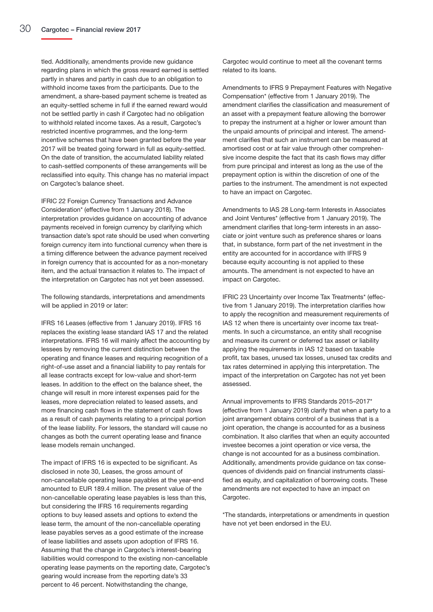tled. Additionally, amendments provide new guidance regarding plans in which the gross reward earned is settled partly in shares and partly in cash due to an obligation to withhold income taxes from the participants. Due to the amendment, a share-based payment scheme is treated as an equity-settled scheme in full if the earned reward would not be settled partly in cash if Cargotec had no obligation to withhold related income taxes. As a result, Cargotec's restricted incentive programmes, and the long-term incentive schemes that have been granted before the year 2017 will be treated going forward in full as equity-settled. On the date of transition, the accumulated liability related to cash-settled components of these arrangements will be reclassified into equity. This change has no material impact on Cargotec's balance sheet.

IFRIC 22 Foreign Currency Transactions and Advance Consideration\* (effective from 1 January 2018). The interpretation provides guidance on accounting of advance payments received in foreign currency by clarifying which transaction date's spot rate should be used when converting foreign currency item into functional currency when there is a timing difference between the advance payment received in foreign currency that is accounted for as a non-monetary item, and the actual transaction it relates to. The impact of the interpretation on Cargotec has not yet been assessed.

The following standards, interpretations and amendments will be applied in 2019 or later:

IFRS 16 Leases (effective from 1 January 2019). IFRS 16 replaces the existing lease standard IAS 17 and the related interpretations. IFRS 16 will mainly affect the accounting by lessees by removing the current distinction between the operating and finance leases and requiring recognition of a right-of-use asset and a financial liability to pay rentals for all lease contracts except for low-value and short-term leases. In addition to the effect on the balance sheet, the change will result in more interest expenses paid for the leases, more depreciation related to leased assets, and more financing cash flows in the statement of cash flows as a result of cash payments relating to a principal portion of the lease liability. For lessors, the standard will cause no changes as both the current operating lease and finance lease models remain unchanged.

The impact of IFRS 16 is expected to be significant. As disclosed in note 30, Leases, the gross amount of non-cancellable operating lease payables at the year-end amounted to EUR 189.4 million. The present value of the non-cancellable operating lease payables is less than this, but considering the IFRS 16 requirements regarding options to buy leased assets and options to extend the lease term, the amount of the non-cancellable operating lease payables serves as a good estimate of the increase of lease liabilities and assets upon adoption of IFRS 16. Assuming that the change in Cargotec's interest-bearing liabilities would correspond to the existing non-cancellable operating lease payments on the reporting date, Cargotec's gearing would increase from the reporting date's 33 percent to 46 percent. Notwithstanding the change,

Cargotec would continue to meet all the covenant terms related to its loans.

Amendments to IFRS 9 Prepayment Features with Negative Compensation\* (effective from 1 January 2019). The amendment clarifies the classification and measurement of an asset with a prepayment feature allowing the borrower to prepay the instrument at a higher or lower amount than the unpaid amounts of principal and interest. The amendment clarifies that such an instrument can be measured at amortised cost or at fair value through other comprehensive income despite the fact that its cash flows may differ from pure principal and interest as long as the use of the prepayment option is within the discretion of one of the parties to the instrument. The amendment is not expected to have an impact on Cargotec.

Amendments to IAS 28 Long-term Interests in Associates and Joint Ventures\* (effective from 1 January 2019). The amendment clarifies that long-term interests in an associate or joint venture such as preference shares or loans that, in substance, form part of the net investment in the entity are accounted for in accordance with IFRS 9 because equity accounting is not applied to these amounts. The amendment is not expected to have an impact on Cargotec.

IFRIC 23 Uncertainty over Income Tax Treatments\* (effective from 1 January 2019). The interpretation clarifies how to apply the recognition and measurement requirements of IAS 12 when there is uncertainty over income tax treatments. In such a circumstance, an entity shall recognise and measure its current or deferred tax asset or liability applying the requirements in IAS 12 based on taxable profit, tax bases, unused tax losses, unused tax credits and tax rates determined in applying this interpretation. The impact of the interpretation on Cargotec has not yet been assessed.

Annual improvements to IFRS Standards 2015–2017\* (effective from 1 January 2019) clarify that when a party to a joint arrangement obtains control of a business that is a joint operation, the change is accounted for as a business combination. It also clarifies that when an equity accounted investee becomes a joint operation or vice versa, the change is not accounted for as a business combination. Additionally, amendments provide guidance on tax consequences of dividends paid on financial instruments classified as equity, and capitalization of borrowing costs. These amendments are not expected to have an impact on Cargotec.

\*The standards, interpretations or amendments in question have not yet been endorsed in the EU.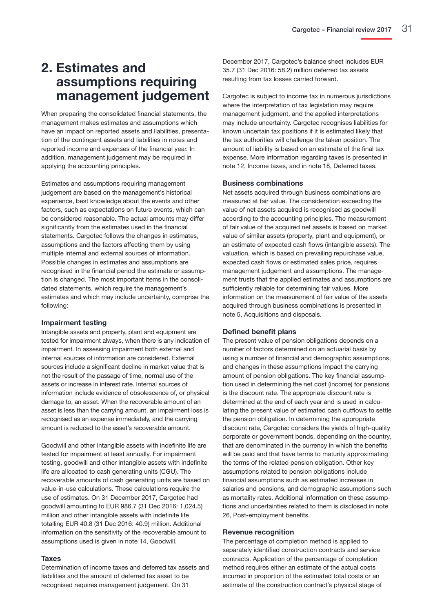# <span id="page-30-0"></span>2. Estimates and assumptions requiring management judgement

When preparing the consolidated financial statements, the management makes estimates and assumptions which have an impact on reported assets and liabilities, presentation of the contingent assets and liabilities in notes and reported income and expenses of the financial year. In addition, management judgement may be required in applying the accounting principles.

Estimates and assumptions requiring management judgement are based on the management's historical experience, best knowledge about the events and other factors, such as expectations on future events, which can be considered reasonable. The actual amounts may differ significantly from the estimates used in the financial statements. Cargotec follows the changes in estimates, assumptions and the factors affecting them by using multiple internal and external sources of information. Possible changes in estimates and assumptions are recognised in the financial period the estimate or assumption is changed. The most important items in the consolidated statements, which require the management's estimates and which may include uncertainty, comprise the following:

### Impairment testing

Intangible assets and property, plant and equipment are tested for impairment always, when there is any indication of impairment. In assessing impairment both external and internal sources of information are considered. External sources include a significant decline in market value that is not the result of the passage of time, normal use of the assets or increase in interest rate. Internal sources of information include evidence of obsolescence of, or physical damage to, an asset. When the recoverable amount of an asset is less than the carrying amount, an impairment loss is recognised as an expense immediately, and the carrying amount is reduced to the asset's recoverable amount.

Goodwill and other intangible assets with indefinite life are tested for impairment at least annually. For impairment testing, goodwill and other intangible assets with indefinite life are allocated to cash generating units (CGU). The recoverable amounts of cash generating units are based on value-in-use calculations. These calculations require the use of estimates. On 31 December 2017, Cargotec had goodwill amounting to EUR 986.7 (31 Dec 2016: 1,024.5) million and other intangible assets with indefinite life totalling EUR 40.8 (31 Dec 2016: 40.9) million. Additional information on the sensitivity of the recoverable amount to assumptions used is given in note 14, Goodwill.

# **Taxes**

Determination of income taxes and deferred tax assets and liabilities and the amount of deferred tax asset to be recognised requires management judgement. On 31

December 2017, Cargotec's balance sheet includes EUR 35.7 (31 Dec 2016: 58.2) million deferred tax assets resulting from tax losses carried forward.

Cargotec is subject to income tax in numerous jurisdictions where the interpretation of tax legislation may require management judgment, and the applied interpretations may include uncertainty. Cargotec recognises liabilities for known uncertain tax positions if it is estimated likely that the tax authorities will challenge the taken position. The amount of liability is based on an estimate of the final tax expense. More information regarding taxes is presented in note 12, Income taxes, and in note 18, Deferred taxes.

#### Business combinations

Net assets acquired through business combinations are measured at fair value. The consideration exceeding the value of net assets acquired is recognised as goodwill according to the accounting principles. The measurement of fair value of the acquired net assets is based on market value of similar assets (property, plant and equipment), or an estimate of expected cash flows (intangible assets). The valuation, which is based on prevailing repurchase value, expected cash flows or estimated sales price, requires management judgement and assumptions. The management trusts that the applied estimates and assumptions are sufficiently reliable for determining fair values. More information on the measurement of fair value of the assets acquired through business combinations is presented in note 5, Acquisitions and disposals.

#### Defined benefit plans

The present value of pension obligations depends on a number of factors determined on an actuarial basis by using a number of financial and demographic assumptions, and changes in these assumptions impact the carrying amount of pension obligations. The key financial assumption used in determining the net cost (income) for pensions is the discount rate. The appropriate discount rate is determined at the end of each year and is used in calculating the present value of estimated cash outflows to settle the pension obligation. In determining the appropriate discount rate, Cargotec considers the yields of high-quality corporate or government bonds, depending on the country, that are denominated in the currency in which the benefits will be paid and that have terms to maturity approximating the terms of the related pension obligation. Other key assumptions related to pension obligations include financial assumptions such as estimated increases in salaries and pensions, and demographic assumptions such as mortality rates. Additional information on these assumptions and uncertainties related to them is disclosed in note 26, Post-employment benefits.

#### Revenue recognition

The percentage of completion method is applied to separately identified construction contracts and service contracts. Application of the percentage of completion method requires either an estimate of the actual costs incurred in proportion of the estimated total costs or an estimate of the construction contract's physical stage of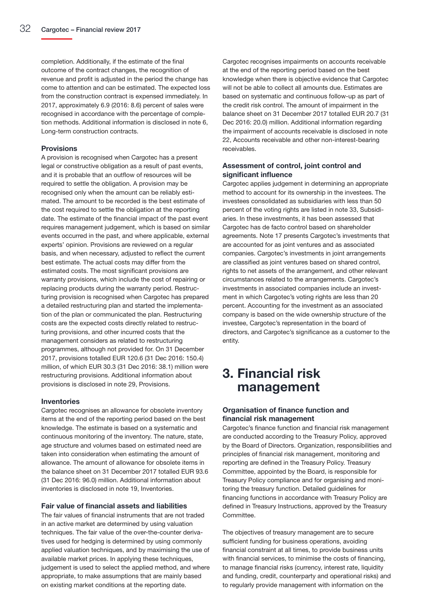<span id="page-31-0"></span>completion. Additionally, if the estimate of the final outcome of the contract changes, the recognition of revenue and profit is adjusted in the period the change has come to attention and can be estimated. The expected loss from the construction contract is expensed immediately. In 2017, approximately 6.9 (2016: 8.6) percent of sales were recognised in accordance with the percentage of completion methods. Additional information is disclosed in note 6, Long-term construction contracts.

# **Provisions**

A provision is recognised when Cargotec has a present legal or constructive obligation as a result of past events, and it is probable that an outflow of resources will be required to settle the obligation. A provision may be recognised only when the amount can be reliably estimated. The amount to be recorded is the best estimate of the cost required to settle the obligation at the reporting date. The estimate of the financial impact of the past event requires management judgement, which is based on similar events occurred in the past, and where applicable, external experts' opinion. Provisions are reviewed on a regular basis, and when necessary, adjusted to reflect the current best estimate. The actual costs may differ from the estimated costs. The most significant provisions are warranty provisions, which include the cost of repairing or replacing products during the warranty period. Restructuring provision is recognised when Cargotec has prepared a detailed restructuring plan and started the implementation of the plan or communicated the plan. Restructuring costs are the expected costs directly related to restructuring provisions, and other incurred costs that the management considers as related to restructuring programmes, although not provided for. On 31 December 2017, provisions totalled EUR 120.6 (31 Dec 2016: 150.4) million, of which EUR 30.3 (31 Dec 2016: 38.1) million were restructuring provisions. Additional information about provisions is disclosed in note 29, Provisions.

# Inventories

Cargotec recognises an allowance for obsolete inventory items at the end of the reporting period based on the best knowledge. The estimate is based on a systematic and continuous monitoring of the inventory. The nature, state, age structure and volumes based on estimated need are taken into consideration when estimating the amount of allowance. The amount of allowance for obsolete items in the balance sheet on 31 December 2017 totalled EUR 93.6 (31 Dec 2016: 96.0) million. Additional information about inventories is disclosed in note 19, Inventories.

# Fair value of financial assets and liabilities

The fair values of financial instruments that are not traded in an active market are determined by using valuation techniques. The fair value of the over-the-counter derivatives used for hedging is determined by using commonly applied valuation techniques, and by maximising the use of available market prices. In applying these techniques, judgement is used to select the applied method, and where appropriate, to make assumptions that are mainly based on existing market conditions at the reporting date.

Cargotec recognises impairments on accounts receivable at the end of the reporting period based on the best knowledge when there is objective evidence that Cargotec will not be able to collect all amounts due. Estimates are based on systematic and continuous follow-up as part of the credit risk control. The amount of impairment in the balance sheet on 31 December 2017 totalled EUR 20.7 (31 Dec 2016: 20.0) million. Additional information regarding the impairment of accounts receivable is disclosed in note 22, Accounts receivable and other non-interest-bearing receivables.

# Assessment of control, joint control and significant influence

Cargotec applies judgement in determining an appropriate method to account for its ownership in the investees. The investees consolidated as subsidiaries with less than 50 percent of the voting rights are listed in note 33, Subsidiaries. In these investments, it has been assessed that Cargotec has de facto control based on shareholder agreements. Note 17 presents Cargotec's investments that are accounted for as joint ventures and as associated companies. Cargotec's investments in joint arrangements are classified as joint ventures based on shared control, rights to net assets of the arrangement, and other relevant circumstances related to the arrangements. Cargotec's investments in associated companies include an investment in which Cargotec's voting rights are less than 20 percent. Accounting for the investment as an associated company is based on the wide ownership structure of the investee, Cargotec's representation in the board of directors, and Cargotec's significance as a customer to the entity.

# 3. Financial risk management

# Organisation of finance function and financial risk management

Cargotec's finance function and financial risk management are conducted according to the Treasury Policy, approved by the Board of Directors. Organization, responsibilities and principles of financial risk management, monitoring and reporting are defined in the Treasury Policy. Treasury Committee, appointed by the Board, is responsible for Treasury Policy compliance and for organising and monitoring the treasury function. Detailed guidelines for financing functions in accordance with Treasury Policy are defined in Treasury Instructions, approved by the Treasury Committee.

The objectives of treasury management are to secure sufficient funding for business operations, avoiding financial constraint at all times, to provide business units with financial services, to minimise the costs of financing, to manage financial risks (currency, interest rate, liquidity and funding, credit, counterparty and operational risks) and to regularly provide management with information on the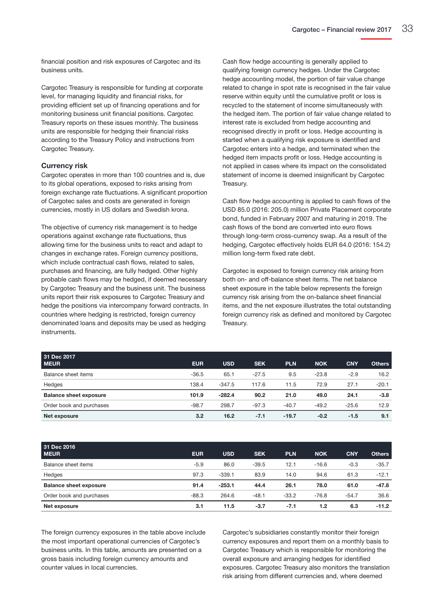financial position and risk exposures of Cargotec and its business units.

Cargotec Treasury is responsible for funding at corporate level, for managing liquidity and financial risks, for providing efficient set up of financing operations and for monitoring business unit financial positions. Cargotec Treasury reports on these issues monthly. The business units are responsible for hedging their financial risks according to the Treasury Policy and instructions from Cargotec Treasury.

#### Currency risk

Cargotec operates in more than 100 countries and is, due to its global operations, exposed to risks arising from foreign exchange rate fluctuations. A significant proportion of Cargotec sales and costs are generated in foreign currencies, mostly in US dollars and Swedish krona.

The objective of currency risk management is to hedge operations against exchange rate fluctuations, thus allowing time for the business units to react and adapt to changes in exchange rates. Foreign currency positions, which include contractual cash flows, related to sales, purchases and financing, are fully hedged. Other highly probable cash flows may be hedged, if deemed necessary by Cargotec Treasury and the business unit. The business units report their risk exposures to Cargotec Treasury and hedge the positions via intercompany forward contracts. In countries where hedging is restricted, foreign currency denominated loans and deposits may be used as hedging instruments.

Cash flow hedge accounting is generally applied to qualifying foreign currency hedges. Under the Cargotec hedge accounting model, the portion of fair value change related to change in spot rate is recognised in the fair value reserve within equity until the cumulative profit or loss is recycled to the statement of income simultaneously with the hedged item. The portion of fair value change related to interest rate is excluded from hedge accounting and recognised directly in profit or loss. Hedge accounting is started when a qualifying risk exposure is identified and Cargotec enters into a hedge, and terminated when the hedged item impacts profit or loss. Hedge accounting is not applied in cases where its impact on the consolidated statement of income is deemed insignificant by Cargotec Treasury.

Cash flow hedge accounting is applied to cash flows of the USD 85.0 (2016: 205.0) million Private Placement corporate bond, funded in February 2007 and maturing in 2019. The cash flows of the bond are converted into euro flows through long-term cross-currency swap. As a result of the hedging, Cargotec effectively holds EUR 64.0 (2016: 154.2) million long-term fixed rate debt.

Cargotec is exposed to foreign currency risk arising from both on- and off-balance sheet items. The net balance sheet exposure in the table below represents the foreign currency risk arising from the on-balance sheet financial items, and the net exposure illustrates the total outstanding foreign currency risk as defined and monitored by Cargotec Treasury.

| Net exposure                  | 3.2        | 16.2       | $-7.1$     | $-19.7$    | $-0.2$     | $-1.5$     | 9.1           |
|-------------------------------|------------|------------|------------|------------|------------|------------|---------------|
| Order book and purchases      | $-98.7$    | 298.7      | $-97.3$    | $-40.7$    | $-49.2$    | $-25.6$    | 12.9          |
| <b>Balance sheet exposure</b> | 101.9      | $-282.4$   | 90.2       | 21.0       | 49.0       | 24.1       | $-3.8$        |
| Hedges                        | 138.4      | $-347.5$   | 117.6      | 11.5       | 72.9       | 27.1       | $-20.1$       |
| Balance sheet items           | $-36.5$    | 65.1       | $-27.5$    | 9.5        | $-23.8$    | $-2.9$     | 16.2          |
| 31 Dec 2017<br><b>MEUR</b>    | <b>EUR</b> | <b>USD</b> | <b>SEK</b> | <b>PLN</b> | <b>NOK</b> | <b>CNY</b> | <b>Others</b> |

| 31 Dec 2016<br><b>MEUR</b>    | <b>EUR</b> | <b>USD</b> | <b>SEK</b> | <b>PLN</b> | <b>NOK</b> | <b>CNY</b> | <b>Others</b> |
|-------------------------------|------------|------------|------------|------------|------------|------------|---------------|
| Balance sheet items           | $-5.9$     | 86.0       | $-39.5$    | 12.1       | $-16.6$    | $-0.3$     | $-35.7$       |
| Hedges                        | 97.3       | $-339.1$   | 83.9       | 14.0       | 94.6       | 61.3       | $-12.1$       |
| <b>Balance sheet exposure</b> | 91.4       | $-253.1$   | 44.4       | 26.1       | 78.0       | 61.0       | $-47.8$       |
| Order book and purchases      | $-88.3$    | 264.6      | $-48.1$    | $-33.2$    | $-76.8$    | $-54.7$    | 36.6          |
| Net exposure                  | 3.1        | 11.5       | $-3.7$     | $-7.1$     | 1.2        | 6.3        | $-11.2$       |

The foreign currency exposures in the table above include the most important operational currencies of Cargotec's business units. In this table, amounts are presented on a gross basis including foreign currency amounts and counter values in local currencies.

Cargotec's subsidiaries constantly monitor their foreign currency exposures and report them on a monthly basis to Cargotec Treasury which is responsible for monitoring the overall exposure and arranging hedges for identified exposures. Cargotec Treasury also monitors the translation risk arising from different currencies and, where deemed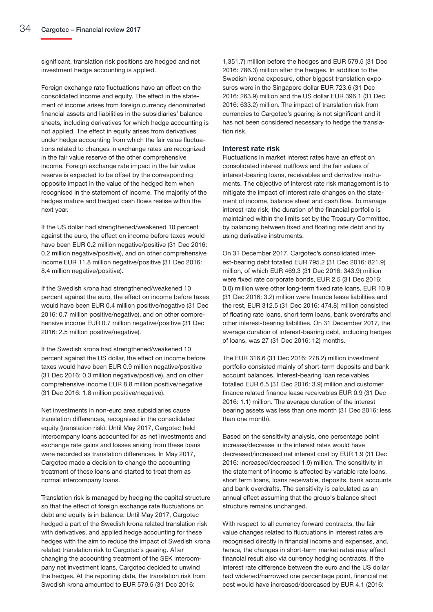significant, translation risk positions are hedged and net investment hedge accounting is applied.

Foreign exchange rate fluctuations have an effect on the consolidated income and equity. The effect in the statement of income arises from foreign currency denominated financial assets and liabilities in the subsidiaries' balance sheets, including derivatives for which hedge accounting is not applied. The effect in equity arises from derivatives under hedge accounting from which the fair value fluctuations related to changes in exchange rates are recognized in the fair value reserve of the other comprehensive income. Foreign exchange rate impact in the fair value reserve is expected to be offset by the corresponding opposite impact in the value of the hedged item when recognised in the statement of income. The majority of the hedges mature and hedged cash flows realise within the next year.

If the US dollar had strengthened/weakened 10 percent against the euro, the effect on income before taxes would have been EUR 0.2 million negative/positive (31 Dec 2016: 0.2 million negative/positive), and on other comprehensive income EUR 11.8 million negative/positive (31 Dec 2016: 8.4 million negative/positive).

If the Swedish krona had strengthened/weakened 10 percent against the euro, the effect on income before taxes would have been EUR 0.4 million positive/negative (31 Dec 2016: 0.7 million positive/negative), and on other comprehensive income EUR 0.7 million negative/positive (31 Dec 2016: 2.5 million positive/negative).

If the Swedish krona had strengthened/weakened 10 percent against the US dollar, the effect on income before taxes would have been EUR 0.9 million negative/positive (31 Dec 2016: 0.3 million negative/positive), and on other comprehensive income EUR 8.8 million positive/negative (31 Dec 2016: 1.8 million positive/negative).

Net investments in non-euro area subsidiaries cause translation differences, recognised in the consolidated equity (translation risk). Until May 2017, Cargotec held intercompany loans accounted for as net investments and exchange rate gains and losses arising from these loans were recorded as translation differences. In May 2017, Cargotec made a decision to change the accounting treatment of these loans and started to treat them as normal intercompany loans.

Translation risk is managed by hedging the capital structure so that the effect of foreign exchange rate fluctuations on debt and equity is in balance. Until May 2017, Cargotec hedged a part of the Swedish krona related translation risk with derivatives, and applied hedge accounting for these hedges with the aim to reduce the impact of Swedish krona related translation risk to Cargotec's gearing. After changing the accounting treatment of the SEK intercompany net investment loans, Cargotec decided to unwind the hedges. At the reporting date, the translation risk from Swedish krona amounted to EUR 579.5 (31 Dec 2016:

1,351.7) million before the hedges and EUR 579.5 (31 Dec 2016: 786.3) million after the hedges. In addition to the Swedish krona exposure, other biggest translation exposures were in the Singapore dollar EUR 723.6 (31 Dec 2016: 263.9) million and the US dollar EUR 396.1 (31 Dec 2016: 633.2) million. The impact of translation risk from currencies to Cargotec's gearing is not significant and it has not been considered necessary to hedge the translation risk.

#### Interest rate risk

Fluctuations in market interest rates have an effect on consolidated interest outflows and the fair values of interest-bearing loans, receivables and derivative instruments. The objective of interest rate risk management is to mitigate the impact of interest rate changes on the statement of income, balance sheet and cash flow. To manage interest rate risk, the duration of the financial portfolio is maintained within the limits set by the Treasury Committee, by balancing between fixed and floating rate debt and by using derivative instruments.

On 31 December 2017, Cargotec's consolidated interest-bearing debt totalled EUR 795.2 (31 Dec 2016: 821.9) million, of which EUR 469.3 (31 Dec 2016: 343.9) million were fixed rate corporate bonds, EUR 2.5 (31 Dec 2016: 0.0) million were other long-term fixed rate loans, EUR 10.9 (31 Dec 2016: 3.2) million were finance lease liabilities and the rest, EUR 312.5 (31 Dec 2016: 474.8) million consisted of floating rate loans, short term loans, bank overdrafts and other interest-bearing liabilities. On 31 December 2017, the average duration of interest-bearing debt, including hedges of loans, was 27 (31 Dec 2016: 12) months.

The EUR 316.6 (31 Dec 2016: 278.2) million investment portfolio consisted mainly of short-term deposits and bank account balances. Interest-bearing loan receivables totalled EUR 6.5 (31 Dec 2016: 3.9) million and customer finance related finance lease receivables EUR 0.9 (31 Dec 2016: 1.1) million. The average duration of the interest bearing assets was less than one month (31 Dec 2016: less than one month).

Based on the sensitivity analysis, one percentage point increase/decrease in the interest rates would have decreased/increased net interest cost by EUR 1.9 (31 Dec 2016: increased/decreased 1.9) million. The sensitivity in the statement of income is affected by variable rate loans, short term loans, loans receivable, deposits, bank accounts and bank overdrafts. The sensitivity is calculated as an annual effect assuming that the group's balance sheet structure remains unchanged.

With respect to all currency forward contracts, the fair value changes related to fluctuations in interest rates are recognised directly in financial income and expenses, and, hence, the changes in short-term market rates may affect financial result also via currency hedging contracts. If the interest rate difference between the euro and the US dollar had widened/narrowed one percentage point, financial net cost would have increased/decreased by EUR 4.1 (2016: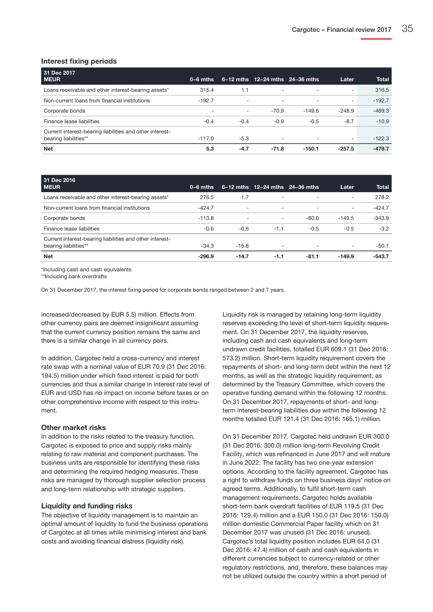# Interest fixing periods

| 31 Dec 2017<br><b>MEUR</b>                                                        | $0-6$ mths               |                          | $6-12$ mths $12-24$ mths $24-36$ mths |                          | Later                    | <b>Total</b> |
|-----------------------------------------------------------------------------------|--------------------------|--------------------------|---------------------------------------|--------------------------|--------------------------|--------------|
| Loans receivable and other interest-bearing assets*                               | 315.4                    | 1.1                      | $\overline{\phantom{a}}$              | $\overline{\phantom{a}}$ | $\overline{\phantom{a}}$ | 316.5        |
| Non-current loans from financial institutions                                     | $-192.7$                 | $\overline{\phantom{a}}$ | $\overline{\phantom{0}}$              | $\overline{\phantom{a}}$ | $\overline{\phantom{a}}$ | $-192.7$     |
| Corporate bonds                                                                   | $\overline{\phantom{a}}$ | $\overline{\phantom{a}}$ | $-70.9$                               | $-149.6$                 | $-248.9$                 | $-469.3$     |
| Finance lease liabilities                                                         | $-0.4$                   | $-0.4$                   | $-0.9$                                | $-0.5$                   | $-8.7$                   | $-10.9$      |
| Current interest-bearing liabilities and other interest-<br>bearing liabilities** | $-117.0$                 | $-5.3$                   | $\overline{\phantom{a}}$              | $\overline{\phantom{a}}$ | $\overline{\phantom{a}}$ | $-122.3$     |
| <b>Net</b>                                                                        | 5.3                      | $-4.7$                   | $-71.8$                               | $-150.1$                 | $-257.5$                 | $-478.7$     |

| 31 Dec 2016                                                                       |            |                 |                                       |                          |                          |              |
|-----------------------------------------------------------------------------------|------------|-----------------|---------------------------------------|--------------------------|--------------------------|--------------|
| <b>MEUR</b>                                                                       | $0-6$ mths |                 | $6-12$ mths $12-24$ mths $24-36$ mths |                          | Later                    | <b>Total</b> |
| Loans receivable and other interest-bearing assets*                               | 276.5      | 1.7             | $\overline{\phantom{a}}$              | $\overline{\phantom{a}}$ | $\overline{\phantom{a}}$ | 278.2        |
| Non-current loans from financial institutions                                     | $-424.7$   | $\qquad \qquad$ | $\overline{\phantom{a}}$              | $\overline{\phantom{a}}$ | $\overline{\phantom{a}}$ | $-424.7$     |
| Corporate bonds                                                                   | $-113.8$   |                 | $\overline{\phantom{a}}$              | $-80.6$                  | $-149.5$                 | $-343.9$     |
| Finance lease liabilities                                                         | $-0.6$     | $-0.6$          | $-1.1$                                | $-0.5$                   | $-0.5$                   | $-3.2$       |
| Current interest-bearing liabilities and other interest-<br>bearing liabilities** | $-34.3$    | $-15.8$         | $\overline{\phantom{a}}$              | $\overline{\phantom{a}}$ | $\overline{\phantom{a}}$ | $-50.1$      |
| <b>Net</b>                                                                        | $-296.9$   | $-14.7$         | $-1.1$                                | $-81.1$                  | $-149.9$                 | $-543.7$     |

\*Including cash and cash equivalents

\*\*Including bank overdrafts

On 31 December 2017, the interest fixing period for corporate bonds ranged between 2 and 7 years.

increased/decreased by EUR 5.5) million. Effects from other currency pairs are deemed insignificant assuming that the current currency position remains the same and there is a similar change in all currency pairs.

In addition, Cargotec held a cross-currency and interest rate swap with a nominal value of EUR 70.9 (31 Dec 2016: 194.5) million under which fixed interest is paid for both currencies and thus a similar change in interest rate level of EUR and USD has no impact on income before taxes or on other comprehensive income with respect to this instrument.

### Other market risks

In addition to the risks related to the treasury function, Cargotec is exposed to price and supply risks mainly relating to raw material and component purchases. The business units are responsible for identifying these risks and determining the required hedging measures. These risks are managed by thorough supplier selection process and long-term relationship with strategic suppliers.

# Liquidity and funding risks

The objective of liquidity management is to maintain an optimal amount of liquidity to fund the business operations of Cargotec at all times while minimising interest and bank costs and avoiding financial distress (liquidity risk).

Liquidity risk is managed by retaining long-term liquidity reserves exceeding the level of short-term liquidity requirement. On 31 December 2017, the liquidity reserves, including cash and cash equivalents and long-term undrawn credit facilities, totalled EUR 609.1 (31 Dec 2016: 573.2) million. Short-term liquidity requirement covers the repayments of short- and long-term debt within the next 12 months, as well as the strategic liquidity requirement, as determined by the Treasury Committee, which covers the operative funding demand within the following 12 months. On 31 December 2017, repayments of short- and longterm interest-bearing liabilities due within the following 12 months totalled EUR 121.4 (31 Dec 2016: 165.1) million.

On 31 December 2017, Cargotec held undrawn EUR 300.0 (31 Dec 2016: 300.0) million long-term Revolving Credit Facility, which was refinanced in June 2017 and will mature in June 2022. The facility has two one-year extension options. According to the facility agreement, Cargotec has a right to withdraw funds on three business days' notice on agreed terms. Additionally, to fulfil short-term cash management requirements, Cargotec holds available short-term bank overdraft facilities of EUR 119.5 (31 Dec 2016: 129.4) million and a EUR 150.0 (31 Dec 2016: 150.0) million domestic Commercial Paper facility which on 31 December 2017 was unused (31 Dec 2016: unused). Cargotec's total liquidity position includes EUR 64.0 (31 Dec 2016: 47.4) million of cash and cash equivalents in different currencies subject to currency-related or other regulatory restrictions, and, therefore, these balances may not be utilized outside the country within a short period of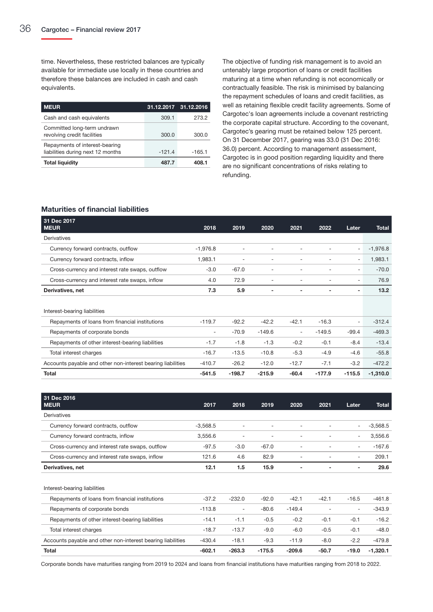time. Nevertheless, these restricted balances are typically available for immediate use locally in these countries and therefore these balances are included in cash and cash equivalents.

| <b>MEUR</b>                                                         | 31.12.2017 | 31.12.2016 |
|---------------------------------------------------------------------|------------|------------|
| Cash and cash equivalents                                           | 309.1      | 273.2      |
| Committed long-term undrawn<br>revolving credit facilities          | 300.0      | 300.0      |
| Repayments of interest-bearing<br>liabilities during next 12 months | $-121.4$   | $-165.1$   |
| <b>Total liquidity</b>                                              | 487.7      | 408.1      |

The objective of funding risk management is to avoid an untenably large proportion of loans or credit facilities maturing at a time when refunding is not economically or contractually feasible. The risk is minimised by balancing the repayment schedules of loans and credit facilities, as well as retaining flexible credit facility agreements. Some of Cargotec's loan agreements include a covenant restricting the corporate capital structure. According to the covenant, Cargotec's gearing must be retained below 125 percent. On 31 December 2017, gearing was 33.0 (31 Dec 2016: 36.0) percent. According to management assessment, Cargotec is in good position regarding liquidity and there are no significant concentrations of risks relating to refunding.

# Maturities of financial liabilities

| 31 Dec 2017<br><b>MEUR</b>                                  | 2018                     | 2019                     | 2020                     | 2021                         | 2022                         | Later                    | <b>Total</b> |
|-------------------------------------------------------------|--------------------------|--------------------------|--------------------------|------------------------------|------------------------------|--------------------------|--------------|
| Derivatives                                                 |                          |                          |                          |                              |                              |                          |              |
| Currency forward contracts, outflow                         | $-1,976.8$               | $\overline{\phantom{0}}$ | $\overline{\phantom{a}}$ | $\qquad \qquad \blacksquare$ |                              | $\overline{\phantom{a}}$ | $-1,976.8$   |
| Currency forward contracts, inflow                          | 1,983.1                  | $\overline{\phantom{0}}$ | $\overline{\phantom{a}}$ | $\overline{\phantom{a}}$     |                              | $\overline{\phantom{0}}$ | 1,983.1      |
| Cross-currency and interest rate swaps, outflow             | $-3.0$                   | $-67.0$                  |                          | $\overline{\phantom{0}}$     |                              | $\overline{\phantom{0}}$ | $-70.0$      |
| Cross-currency and interest rate swaps, inflow              | 4.0                      | 72.9                     | $\overline{\phantom{a}}$ | $\overline{\phantom{a}}$     | $\qquad \qquad \blacksquare$ | $\overline{\phantom{0}}$ | 76.9         |
| Derivatives, net                                            | 7.3                      | 5.9                      |                          | ۰                            |                              |                          | 13.2         |
| Interest-bearing liabilities                                |                          |                          |                          |                              |                              |                          |              |
| Repayments of loans from financial institutions             | $-119.7$                 | $-92.2$                  | $-42.2$                  | $-42.1$                      | $-16.3$                      | $\overline{\phantom{a}}$ | $-312.4$     |
| Repayments of corporate bonds                               | $\overline{\phantom{0}}$ | $-70.9$                  | $-149.6$                 | $\overline{\phantom{a}}$     | $-149.5$                     | $-99.4$                  | $-469.3$     |
| Repayments of other interest-bearing liabilities            | $-1.7$                   | $-1.8$                   | $-1.3$                   | $-0.2$                       | $-0.1$                       | $-8.4$                   | $-13.4$      |
| Total interest charges                                      | $-16.7$                  | $-13.5$                  | $-10.8$                  | $-5.3$                       | $-4.9$                       | $-4.6$                   | $-55.8$      |
| Accounts payable and other non-interest bearing liabilities | $-410.7$                 | $-26.2$                  | $-12.0$                  | $-12.7$                      | $-7.1$                       | $-3.2$                   | $-472.2$     |
| <b>Total</b>                                                | $-541.5$                 | $-198.7$                 | $-215.9$                 | $-60.4$                      | $-177.9$                     | $-115.5$                 | $-1,310.0$   |

| 31 Dec 2016<br><b>MEUR</b>                                  | 2017       | 2018                     | 2019     | 2020                     | 2021    | Later                    | <b>Total</b> |
|-------------------------------------------------------------|------------|--------------------------|----------|--------------------------|---------|--------------------------|--------------|
| Derivatives                                                 |            |                          |          |                          |         |                          |              |
| Currency forward contracts, outflow                         | $-3,568.5$ | $\overline{\phantom{a}}$ |          | $\overline{a}$           |         | $\overline{\phantom{a}}$ | $-3,568.5$   |
| Currency forward contracts, inflow                          | 3,556.6    | $\overline{\phantom{a}}$ |          | $\overline{\phantom{0}}$ |         | $\overline{\phantom{0}}$ | 3,556.6      |
| Cross-currency and interest rate swaps, outflow             | $-97.5$    | $-3.0$                   | $-67.0$  | $\overline{a}$           |         | $\overline{\phantom{0}}$ | $-167.6$     |
| Cross-currency and interest rate swaps, inflow              | 121.6      | 4.6                      | 82.9     | $\overline{\phantom{0}}$ |         | $\overline{\phantom{0}}$ | 209.1        |
| Derivatives, net                                            | 12.1       | 1.5                      | 15.9     | ۰                        |         |                          | 29.6         |
| Interest-bearing liabilities                                |            |                          |          |                          |         |                          |              |
| Repayments of loans from financial institutions             | $-37.2$    | $-232.0$                 | $-92.0$  | $-42.1$                  | $-42.1$ | $-16.5$                  | $-461.8$     |
| Repayments of corporate bonds                               | $-113.8$   | $\overline{\phantom{a}}$ | $-80.6$  | $-149.4$                 |         | $\overline{\phantom{a}}$ | $-343.9$     |
| Repayments of other interest-bearing liabilities            | $-14.1$    | $-1.1$                   | $-0.5$   | $-0.2$                   | $-0.1$  | $-0.1$                   | $-16.2$      |
| Total interest charges                                      | $-18.7$    | $-13.7$                  | $-9.0$   | $-6.0$                   | $-0.5$  | $-0.1$                   | $-48.0$      |
| Accounts payable and other non-interest bearing liabilities | $-430.4$   | $-18.1$                  | $-9.3$   | $-11.9$                  | $-8.0$  | $-2.2$                   | $-479.8$     |
| <b>Total</b>                                                | $-602.1$   | $-263.3$                 | $-175.5$ | $-209.6$                 | $-50.7$ | $-19.0$                  | $-1,320.1$   |

Corporate bonds have maturities ranging from 2019 to 2024 and loans from financial institutions have maturities ranging from 2018 to 2022.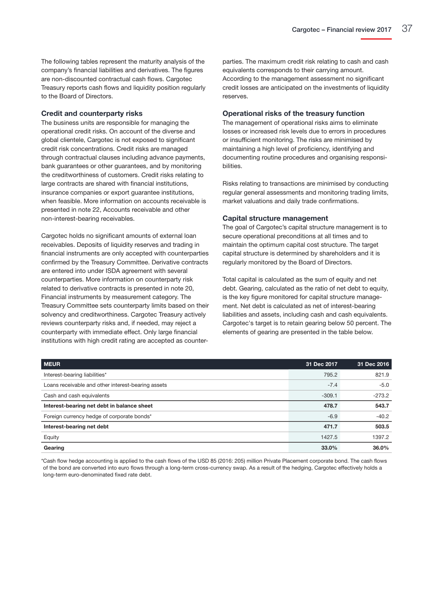The following tables represent the maturity analysis of the company's financial liabilities and derivatives. The figures are non-discounted contractual cash flows. Cargotec Treasury reports cash flows and liquidity position regularly to the Board of Directors.

#### Credit and counterparty risks

The business units are responsible for managing the operational credit risks. On account of the diverse and global clientele, Cargotec is not exposed to significant credit risk concentrations. Credit risks are managed through contractual clauses including advance payments, bank guarantees or other guarantees, and by monitoring the creditworthiness of customers. Credit risks relating to large contracts are shared with financial institutions, insurance companies or export guarantee institutions, when feasible. More information on accounts receivable is presented in note 22, Accounts receivable and other non-interest-bearing receivables.

Cargotec holds no significant amounts of external loan receivables. Deposits of liquidity reserves and trading in financial instruments are only accepted with counterparties confirmed by the Treasury Committee. Derivative contracts are entered into under ISDA agreement with several counterparties. More information on counterparty risk related to derivative contracts is presented in note 20, Financial instruments by measurement category. The Treasury Committee sets counterparty limits based on their solvency and creditworthiness. Cargotec Treasury actively reviews counterparty risks and, if needed, may reject a counterparty with immediate effect. Only large financial institutions with high credit rating are accepted as counterparties. The maximum credit risk relating to cash and cash equivalents corresponds to their carrying amount. According to the management assessment no significant credit losses are anticipated on the investments of liquidity reserves.

#### Operational risks of the treasury function

The management of operational risks aims to eliminate losses or increased risk levels due to errors in procedures or insufficient monitoring. The risks are minimised by maintaining a high level of proficiency, identifying and documenting routine procedures and organising responsibilities.

Risks relating to transactions are minimised by conducting regular general assessments and monitoring trading limits, market valuations and daily trade confirmations.

#### Capital structure management

The goal of Cargotec's capital structure management is to secure operational preconditions at all times and to maintain the optimum capital cost structure. The target capital structure is determined by shareholders and it is regularly monitored by the Board of Directors.

Total capital is calculated as the sum of equity and net debt. Gearing, calculated as the ratio of net debt to equity, is the key figure monitored for capital structure management. Net debt is calculated as net of interest-bearing liabilities and assets, including cash and cash equivalents. Cargotec's target is to retain gearing below 50 percent. The elements of gearing are presented in the table below.

| <b>MEUR</b>                                        | 31 Dec 2017 | 31 Dec 2016 |
|----------------------------------------------------|-------------|-------------|
| Interest-bearing liabilities*                      | 795.2       | 821.9       |
| Loans receivable and other interest-bearing assets | $-7.4$      | $-5.0$      |
| Cash and cash equivalents                          | $-309.1$    | $-273.2$    |
| Interest-bearing net debt in balance sheet         | 478.7       | 543.7       |
| Foreign currency hedge of corporate bonds*         | $-6.9$      | $-40.2$     |
| Interest-bearing net debt                          | 471.7       | 503.5       |
| Equity                                             | 1427.5      | 1397.2      |
| Gearing                                            | 33.0%       | 36.0%       |

\*Cash flow hedge accounting is applied to the cash flows of the USD 85 (2016: 205) million Private Placement corporate bond. The cash flows of the bond are converted into euro flows through a long-term cross-currency swap. As a result of the hedging, Cargotec effectively holds a long-term euro-denominated fixed rate debt.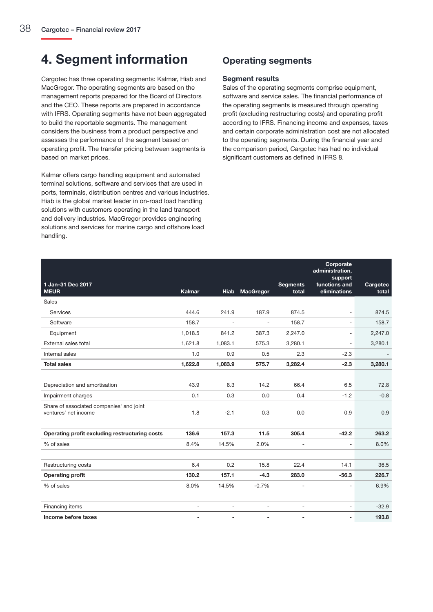# 4. Segment information

Cargotec has three operating segments: Kalmar, Hiab and MacGregor. The operating segments are based on the management reports prepared for the Board of Directors and the CEO. These reports are prepared in accordance with IFRS. Operating segments have not been aggregated to build the reportable segments. The management considers the business from a product perspective and assesses the performance of the segment based on operating profit. The transfer pricing between segments is based on market prices.

Kalmar offers cargo handling equipment and automated terminal solutions, software and services that are used in ports, terminals, distribution centres and various industries. Hiab is the global market leader in on-road load handling solutions with customers operating in the land transport and delivery industries. MacGregor provides engineering solutions and services for marine cargo and offshore load handling.

### Operating segments

#### Segment results

Sales of the operating segments comprise equipment, software and service sales. The financial performance of the operating segments is measured through operating profit (excluding restructuring costs) and operating profit according to IFRS. Financing income and expenses, taxes and certain corporate administration cost are not allocated to the operating segments. During the financial year and the comparison period, Cargotec has had no individual significant customers as defined in IFRS 8.

| 1 Jan-31 Dec 2017<br><b>MEUR</b>                                 | <b>Kalmar</b>  | <b>Hiab</b>    | <b>MacGregor</b>         | <b>Segments</b><br>total | Corporate<br>administration,<br>support<br>functions and<br>eliminations | Cargotec<br>total |
|------------------------------------------------------------------|----------------|----------------|--------------------------|--------------------------|--------------------------------------------------------------------------|-------------------|
| <b>Sales</b>                                                     |                |                |                          |                          |                                                                          |                   |
| Services                                                         | 444.6          | 241.9          | 187.9                    | 874.5                    | $\overline{a}$                                                           | 874.5             |
| Software                                                         | 158.7          | $\overline{a}$ | $\overline{\phantom{a}}$ | 158.7                    | $\overline{\phantom{0}}$                                                 | 158.7             |
| Equipment                                                        | 1,018.5        | 841.2          | 387.3                    | 2,247.0                  | -                                                                        | 2,247.0           |
| External sales total                                             | 1,621.8        | 1,083.1        | 575.3                    | 3,280.1                  | $\overline{a}$                                                           | 3,280.1           |
| Internal sales                                                   | 1.0            | 0.9            | 0.5                      | 2.3                      | $-2.3$                                                                   |                   |
| <b>Total sales</b>                                               | 1,622.8        | 1,083.9        | 575.7                    | 3,282.4                  | $-2.3$                                                                   | 3,280.1           |
|                                                                  |                |                |                          |                          |                                                                          |                   |
| Depreciation and amortisation                                    | 43.9           | 8.3            | 14.2                     | 66.4                     | 6.5                                                                      | 72.8              |
| Impairment charges                                               | 0.1            | 0.3            | 0.0                      | 0.4                      | $-1.2$                                                                   | $-0.8$            |
| Share of associated companies' and joint<br>ventures' net income | 1.8            | $-2.1$         | 0.3                      | 0.0                      | 0.9                                                                      | 0.9               |
| Operating profit excluding restructuring costs                   | 136.6          | 157.3          | 11.5                     | 305.4                    | $-42.2$                                                                  | 263.2             |
| % of sales                                                       | 8.4%           | 14.5%          | 2.0%                     | $\overline{\phantom{a}}$ | $\overline{\phantom{a}}$                                                 | 8.0%              |
|                                                                  |                |                |                          |                          |                                                                          |                   |
| Restructuring costs                                              | 6.4            | 0.2            | 15.8                     | 22.4                     | 14.1                                                                     | 36.5              |
| <b>Operating profit</b>                                          | 130.2          | 157.1          | $-4.3$                   | 283.0                    | $-56.3$                                                                  | 226.7             |
| % of sales                                                       | 8.0%           | 14.5%          | $-0.7%$                  | $\overline{\phantom{a}}$ | $\overline{\phantom{a}}$                                                 | 6.9%              |
|                                                                  |                |                |                          |                          |                                                                          |                   |
| Financing items                                                  | $\overline{a}$ | $\overline{a}$ | $\overline{\phantom{a}}$ |                          | $\overline{a}$                                                           | $-32.9$           |
| Income before taxes                                              | ۰              | ٠              | ٠                        | ٠                        | ٠                                                                        | 193.8             |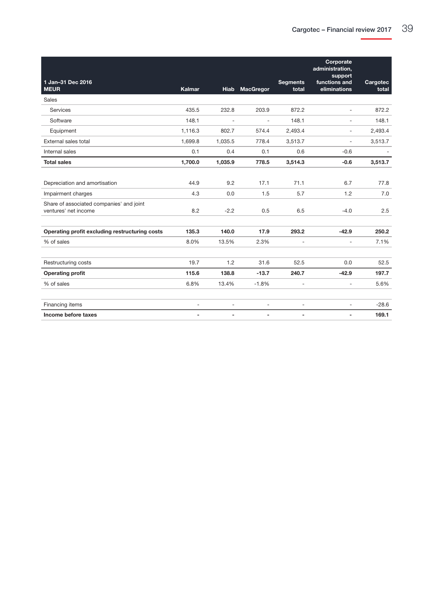|                                                                  |                          |                          |                          |                          | Corporate<br>administration,<br>support |                   |
|------------------------------------------------------------------|--------------------------|--------------------------|--------------------------|--------------------------|-----------------------------------------|-------------------|
| 1 Jan-31 Dec 2016<br><b>MEUR</b>                                 | <b>Kalmar</b>            | <b>Hiab</b>              | <b>MacGregor</b>         | <b>Segments</b><br>total | functions and<br>eliminations           | Cargotec<br>total |
| Sales                                                            |                          |                          |                          |                          |                                         |                   |
| Services                                                         | 435.5                    | 232.8                    | 203.9                    | 872.2                    | $\overline{\phantom{a}}$                | 872.2             |
| Software                                                         | 148.1                    | $\overline{\phantom{a}}$ | $\overline{\phantom{a}}$ | 148.1                    | $\overline{\phantom{a}}$                | 148.1             |
| Equipment                                                        | 1,116.3                  | 802.7                    | 574.4                    | 2,493.4                  | $\overline{\phantom{a}}$                | 2,493.4           |
| External sales total                                             | 1,699.8                  | 1,035.5                  | 778.4                    | 3,513.7                  | $\overline{\phantom{a}}$                | 3,513.7           |
| Internal sales                                                   | 0.1                      | 0.4                      | 0.1                      | 0.6                      | $-0.6$                                  |                   |
| <b>Total sales</b>                                               | 1,700.0                  | 1,035.9                  | 778.5                    | 3,514.3                  | $-0.6$                                  | 3,513.7           |
|                                                                  |                          |                          |                          |                          |                                         |                   |
| Depreciation and amortisation                                    | 44.9                     | 9.2                      | 17.1                     | 71.1                     | 6.7                                     | 77.8              |
| Impairment charges                                               | 4.3                      | 0.0                      | 1.5                      | 5.7                      | 1.2                                     | 7.0               |
| Share of associated companies' and joint<br>ventures' net income | 8.2                      | $-2.2$                   | 0.5                      | 6.5                      | $-4.0$                                  | 2.5               |
| Operating profit excluding restructuring costs                   | 135.3                    | 140.0                    | 17.9                     | 293.2                    | $-42.9$                                 | 250.2             |
| % of sales                                                       | 8.0%                     | 13.5%                    | 2.3%                     | $\overline{\phantom{a}}$ | $\overline{\phantom{a}}$                | 7.1%              |
| Restructuring costs                                              | 19.7                     | 1.2                      | 31.6                     | 52.5                     | 0.0                                     | 52.5              |
| <b>Operating profit</b>                                          | 115.6                    | 138.8                    | $-13.7$                  | 240.7                    | $-42.9$                                 | 197.7             |
| % of sales                                                       | 6.8%                     | 13.4%                    | $-1.8%$                  | $\overline{\phantom{a}}$ | $\overline{\phantom{a}}$                | 5.6%              |
| Financing items                                                  | $\overline{\phantom{a}}$ | $\overline{\phantom{a}}$ | $\overline{\phantom{a}}$ | $\overline{a}$           | $\overline{\phantom{a}}$                | $-28.6$           |
| Income before taxes                                              | $\overline{\phantom{a}}$ | ٠                        | $\sim$                   | ٠                        | ÷.                                      | 169.1             |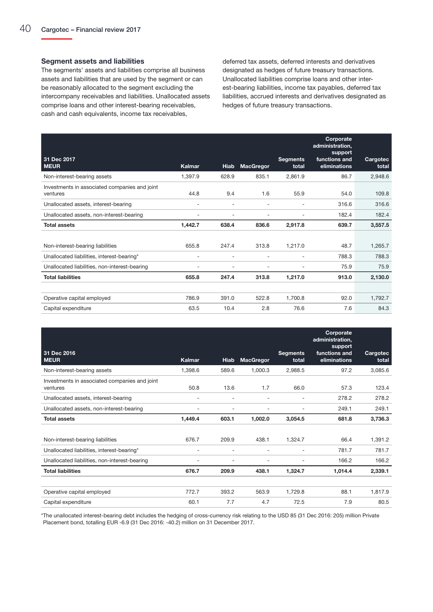#### Segment assets and liabilities

The segments' assets and liabilities comprise all business assets and liabilities that are used by the segment or can be reasonably allocated to the segment excluding the intercompany receivables and liabilities. Unallocated assets comprise loans and other interest-bearing receivables, cash and cash equivalents, income tax receivables,

deferred tax assets, deferred interests and derivatives designated as hedges of future treasury transactions. Unallocated liabilities comprise loans and other interest-bearing liabilities, income tax payables, deferred tax liabilities, accrued interests and derivatives designated as hedges of future treasury transactions.

| Kalmar                   | <b>Hiab</b>              |                          | <b>Segments</b><br>total | Corporate<br>administration,<br>support<br>functions and<br>eliminations | Cargotec<br>total |
|--------------------------|--------------------------|--------------------------|--------------------------|--------------------------------------------------------------------------|-------------------|
| 1,397.9                  | 628.9                    | 835.1                    | 2,861.9                  | 86.7                                                                     | 2,948.6           |
| 44.8                     | 9.4                      | 1.6                      | 55.9                     | 54.0                                                                     | 109.8             |
| $\overline{\phantom{a}}$ | $\overline{\phantom{a}}$ | $\overline{\phantom{0}}$ | $\overline{\phantom{a}}$ | 316.6                                                                    | 316.6             |
|                          | $\overline{\phantom{a}}$ | $\overline{\phantom{a}}$ | ۰                        | 182.4                                                                    | 182.4             |
| 1,442.7                  | 638.4                    | 836.6                    | 2,917.8                  | 639.7                                                                    | 3,557.5           |
|                          |                          |                          |                          |                                                                          |                   |
| 655.8                    | 247.4                    | 313.8                    | 1,217.0                  | 48.7                                                                     | 1,265.7           |
| $\overline{\phantom{a}}$ | $\overline{\phantom{a}}$ | $\overline{a}$           | $\overline{\phantom{a}}$ | 788.3                                                                    | 788.3             |
| ۰                        | $\overline{\phantom{a}}$ | $\overline{\phantom{a}}$ | $\overline{\phantom{a}}$ | 75.9                                                                     | 75.9              |
| 655.8                    | 247.4                    | 313.8                    | 1,217.0                  | 913.0                                                                    | 2,130.0           |
|                          |                          |                          |                          |                                                                          |                   |
| 786.9                    | 391.0                    | 522.8                    | 1,700.8                  | 92.0                                                                     | 1,792.7           |
| 63.5                     | 10.4                     | 2.8                      | 76.6                     | 7.6                                                                      | 84.3              |
|                          |                          |                          | <b>MacGregor</b>         |                                                                          |                   |

| 31 Dec 2016                                               |                              |                              |                          | <b>Segments</b>          | Corporate<br>administration,<br>support<br>functions and | Cargotec |
|-----------------------------------------------------------|------------------------------|------------------------------|--------------------------|--------------------------|----------------------------------------------------------|----------|
| <b>MEUR</b>                                               | <b>Kalmar</b>                | <b>Hiab</b>                  | <b>MacGregor</b>         | total                    | eliminations                                             | total    |
| Non-interest-bearing assets                               | 1,398.6                      | 589.6                        | 1,000.3                  | 2,988.5                  | 97.2                                                     | 3,085.6  |
| Investments in associated companies and joint<br>ventures | 50.8                         | 13.6                         | 1.7                      | 66.0                     | 57.3                                                     | 123.4    |
| Unallocated assets, interest-bearing                      | $\overline{\phantom{a}}$     | $\overline{\phantom{a}}$     | $\overline{\phantom{a}}$ | $\overline{\phantom{a}}$ | 278.2                                                    | 278.2    |
| Unallocated assets, non-interest-bearing                  | $\overline{\phantom{0}}$     | $\overline{\phantom{0}}$     | $\overline{a}$           |                          | 249.1                                                    | 249.1    |
| <b>Total assets</b>                                       | 1,449.4                      | 603.1                        | 1,002.0                  | 3,054.5                  | 681.8                                                    | 3,736.3  |
|                                                           |                              |                              |                          |                          |                                                          |          |
| Non-interest-bearing liabilities                          | 676.7                        | 209.9                        | 438.1                    | 1,324.7                  | 66.4                                                     | 1,391.2  |
| Unallocated liabilities, interest-bearing*                | $\overline{\phantom{0}}$     | $\overline{\phantom{0}}$     | $\overline{\phantom{a}}$ | $\overline{\phantom{0}}$ | 781.7                                                    | 781.7    |
| Unallocated liabilities, non-interest-bearing             | $\qquad \qquad \blacksquare$ | $\qquad \qquad \blacksquare$ | $\overline{\phantom{0}}$ |                          | 166.2                                                    | 166.2    |
| <b>Total liabilities</b>                                  | 676.7                        | 209.9                        | 438.1                    | 1,324.7                  | 1,014.4                                                  | 2,339.1  |
|                                                           |                              |                              |                          |                          |                                                          |          |
| Operative capital employed                                | 772.7                        | 393.2                        | 563.9                    | 1,729.8                  | 88.1                                                     | 1,817.9  |
| Capital expenditure                                       | 60.1                         | 7.7                          | 4.7                      | 72.5                     | 7.9                                                      | 80.5     |

\*The unallocated interest-bearing debt includes the hedging of cross-currency risk relating to the USD 85 (31 Dec 2016: 205) million Private Placement bond, totalling EUR -6.9 (31 Dec 2016: -40.2) million on 31 December 2017.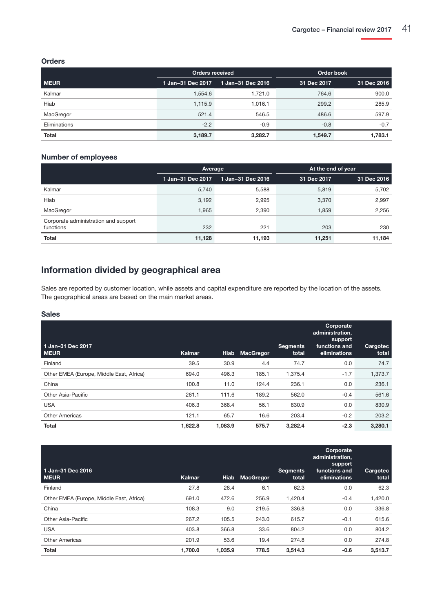#### **Orders**

|              | Orders received   |                   | Order book  |             |
|--------------|-------------------|-------------------|-------------|-------------|
| <b>MEUR</b>  | 1 Jan-31 Dec 2017 | 1 Jan-31 Dec 2016 | 31 Dec 2017 | 31 Dec 2016 |
| Kalmar       | 1,554.6           | 1,721.0           | 764.6       | 900.0       |
| Hiab         | 1,115.9           | 1,016.1           | 299.2       | 285.9       |
| MacGregor    | 521.4             | 546.5             | 486.6       | 597.9       |
| Eliminations | $-2.2$            | $-0.9$            | $-0.8$      | $-0.7$      |
| <b>Total</b> | 3,189.7           | 3,282.7           | 1,549.7     | 1,783.1     |

#### Number of employees

|                                                   | Average           |                   | At the end of year |             |
|---------------------------------------------------|-------------------|-------------------|--------------------|-------------|
|                                                   | 1 Jan-31 Dec 2017 | 1 Jan-31 Dec 2016 | 31 Dec 2017        | 31 Dec 2016 |
| Kalmar                                            | 5,740             | 5,588             | 5,819              | 5,702       |
| Hiab                                              | 3,192             | 2,995             | 3,370              | 2,997       |
| MacGregor                                         | 1,965             | 2,390             | 1,859              | 2,256       |
| Corporate administration and support<br>functions | 232               | 221               | 203                | 230         |
| <b>Total</b>                                      | 11,128            | 11,193            | 11,251             | 11,184      |

### Information divided by geographical area

Sales are reported by customer location, while assets and capital expenditure are reported by the location of the assets. The geographical areas are based on the main market areas.

#### Sales

| 1 Jan-31 Dec 2017<br><b>MEUR</b>         | Kalmar  | <b>Hiab</b> | <b>MacGregor</b> | <b>Segments</b><br>total | Corporate<br>administration,<br>support<br>functions and<br>eliminations | Cargotec<br>total |
|------------------------------------------|---------|-------------|------------------|--------------------------|--------------------------------------------------------------------------|-------------------|
| Finland                                  | 39.5    | 30.9        | 4.4              | 74.7                     | 0.0                                                                      | 74.7              |
| Other EMEA (Europe, Middle East, Africa) | 694.0   | 496.3       | 185.1            | 1.375.4                  | $-1.7$                                                                   | 1,373.7           |
| China                                    | 100.8   | 11.0        | 124.4            | 236.1                    | 0.0                                                                      | 236.1             |
| Other Asia-Pacific                       | 261.1   | 111.6       | 189.2            | 562.0                    | $-0.4$                                                                   | 561.6             |
| <b>USA</b>                               | 406.3   | 368.4       | 56.1             | 830.9                    | 0.0                                                                      | 830.9             |
| <b>Other Americas</b>                    | 121.1   | 65.7        | 16.6             | 203.4                    | $-0.2$                                                                   | 203.2             |
| <b>Total</b>                             | 1,622.8 | 1,083.9     | 575.7            | 3,282.4                  | $-2.3$                                                                   | 3,280.1           |

| 1 Jan-31 Dec 2016<br><b>MEUR</b>         | Kalmar  | Hiab    | <b>MacGregor</b> | <b>Segments</b><br>total | Corporate<br>administration,<br>support<br>functions and<br>eliminations | Cargotec<br>total |
|------------------------------------------|---------|---------|------------------|--------------------------|--------------------------------------------------------------------------|-------------------|
| Finland                                  | 27.8    | 28.4    | 6.1              | 62.3                     | 0.0                                                                      | 62.3              |
| Other EMEA (Europe, Middle East, Africa) | 691.0   | 472.6   | 256.9            | 1,420.4                  | $-0.4$                                                                   | 1,420.0           |
| China                                    | 108.3   | 9.0     | 219.5            | 336.8                    | 0.0                                                                      | 336.8             |
| Other Asia-Pacific                       | 267.2   | 105.5   | 243.0            | 615.7                    | $-0.1$                                                                   | 615.6             |
| <b>USA</b>                               | 403.8   | 366.8   | 33.6             | 804.2                    | 0.0                                                                      | 804.2             |
| <b>Other Americas</b>                    | 201.9   | 53.6    | 19.4             | 274.8                    | 0.0                                                                      | 274.8             |
| <b>Total</b>                             | 1.700.0 | 1.035.9 | 778.5            | 3.514.3                  | $-0.6$                                                                   | 3.513.7           |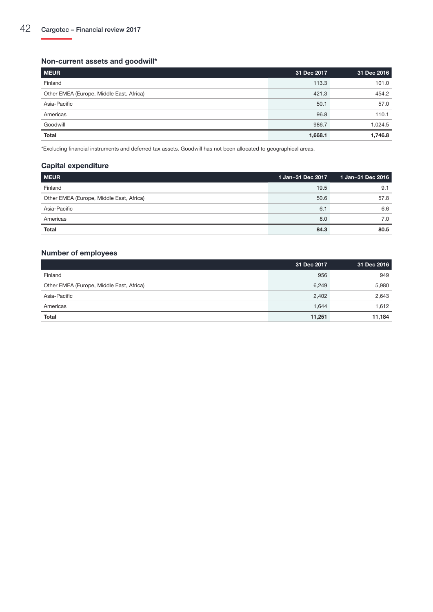### Non-current assets and goodwill\*

| <b>MEUR</b>                              | 31 Dec 2017 | 31 Dec 2016 |
|------------------------------------------|-------------|-------------|
| Finland                                  | 113.3       | 101.0       |
| Other EMEA (Europe, Middle East, Africa) | 421.3       | 454.2       |
| Asia-Pacific                             | 50.1        | 57.0        |
| Americas                                 | 96.8        | 110.1       |
| Goodwill                                 | 986.7       | 1,024.5     |
| <b>Total</b>                             | 1,668.1     | 1,746.8     |

\*Excluding financial instruments and deferred tax assets. Goodwill has not been allocated to geographical areas.

#### Capital expenditure

| <b>MEUR</b>                              | 1 Jan-31 Dec 2017 | 1 Jan-31 Dec 2016 |
|------------------------------------------|-------------------|-------------------|
| Finland                                  | 19.5              | 9.1               |
| Other EMEA (Europe, Middle East, Africa) | 50.6              | 57.8              |
| Asia-Pacific                             | 6.1               | 6.6               |
| Americas                                 | 8.0               | 7.0               |
| <b>Total</b>                             | 84.3              | 80.5              |

#### Number of employees

|                                          | 31 Dec 2017 | 31 Dec 2016 |
|------------------------------------------|-------------|-------------|
| Finland                                  | 956         | 949         |
| Other EMEA (Europe, Middle East, Africa) | 6,249       | 5,980       |
| Asia-Pacific                             | 2,402       | 2,643       |
| Americas                                 | 1.644       | 1,612       |
| <b>Total</b>                             | 11,251      | 11,184      |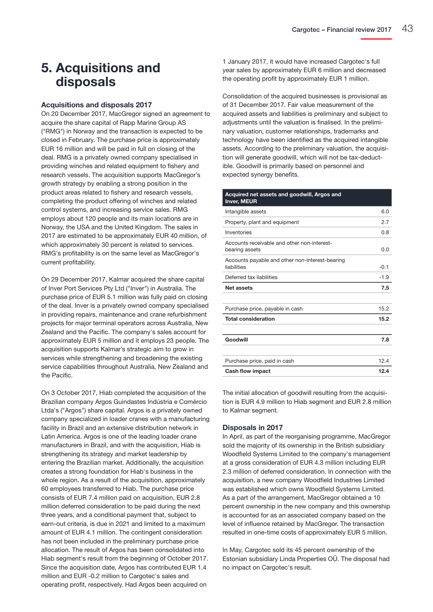## 5. Acquisitions and disposals

#### Acquisitions and disposals 2017

On 20 December 2017, MacGregor signed an agreement to acquire the share capital of Rapp Marine Group AS ("RMG") in Norway and the transaction is expected to be closed in February. The purchase price is approximately EUR 16 million and will be paid in full on closing of the deal. RMG is a privately owned company specialised in providing winches and related equipment to fishery and research vessels. The acquisition supports MacGregor's growth strategy by enabling a strong position in the product areas related to fishery and research vessels, completing the product offering of winches and related control systems, and increasing service sales. RMG employs about 120 people and its main locations are in Norway, the USA and the United Kingdom. The sales in 2017 are estimated to be approximately EUR 40 million, of which approximately 30 percent is related to services. RMG's profitability is on the same level as MacGregor's current profitability.

On 29 December 2017, Kalmar acquired the share capital of Inver Port Services Pty Ltd ("Inver") in Australia. The purchase price of EUR 5.1 million was fully paid on closing of the deal. Inver is a privately owned company specialised in providing repairs, maintenance and crane refurbishment projects for major terminal operators across Australia, New Zealand and the Pacific. The company's sales account for approximately EUR 5 million and it employs 23 people. The acquisition supports Kalmar's strategic aim to grow in services while strengthening and broadening the existing service capabilities throughout Australia, New Zealand and the Pacific.

On 3 October 2017, Hiab completed the acquisition of the Brazilian company Argos Guindastes Indústria e Comércio Ltda's ("Argos") share capital. Argos is a privately owned company specialized in loader cranes with a manufacturing facility in Brazil and an extensive distribution network in Latin America. Argos is one of the leading loader crane manufacturers in Brazil, and with the acquisition, Hiab is strengthening its strategy and market leadership by entering the Brazilian market. Additionally, the acquisition creates a strong foundation for Hiab's business in the whole region. As a result of the acquisition, approximately 60 employees transferred to Hiab. The purchase price consists of EUR 7.4 million paid on acquisition, EUR 2.8 million deferred consideration to be paid during the next three years, and a conditional payment that, subject to earn-out criteria, is due in 2021 and limited to a maximum amount of EUR 4.1 million. The contingent consideration has not been included in the preliminary purchase price allocation. The result of Argos has been consolidated into Hiab segment's result from the beginning of October 2017. Since the acquisition date, Argos has contributed EUR 1.4 million and EUR -0.2 million to Cargotec's sales and operating profit, respectively. Had Argos been acquired on

1 January 2017, it would have increased Cargotec's full year sales by approximately EUR 6 million and decreased the operating profit by approximately EUR 1 million.

Consolidation of the acquired businesses is provisional as of 31 December 2017. Fair value measurement of the acquired assets and liabilities is preliminary and subject to adjustments until the valuation is finalised. In the preliminary valuation, customer relationships, trademarks and technology have been identified as the acquired intangible assets. According to the preliminary valuation, the acquisition will generate goodwill, which will not be tax-deductible. Goodwill is primarily based on personnel and expected synergy benefits.

| Acquired net assets and goodwill, Argos and<br><b>Inver, MEUR</b> |        |
|-------------------------------------------------------------------|--------|
| Intangible assets                                                 | 6.0    |
| Property, plant and equipment                                     | 2.7    |
| Inventories                                                       | 0.8    |
| Accounts receivable and other non-interest-<br>bearing assets     | 0.0    |
| Accounts payable and other non-interest-bearing<br>liabilities    | $-0.1$ |
| Deferred tax liabilities                                          | $-1.9$ |
|                                                                   |        |
| <b>Net assets</b>                                                 | 7.5    |
|                                                                   |        |
| Purchase price, payable in cash                                   | 15.2   |
| <b>Total consideration</b>                                        | 15.2   |
|                                                                   |        |
| Goodwill                                                          | 7.8    |
|                                                                   |        |
| Purchase price, paid in cash                                      | 12.4   |

The initial allocation of goodwill resulting from the acquisition is EUR 4.9 million to Hiab segment and EUR 2.8 million to Kalmar segment.

#### Disposals in 2017

In April, as part of the reorganising programme, MacGregor sold the majority of its ownership in the British subsidiary Woodfield Systems Limited to the company's management at a gross consideration of EUR 4.3 million including EUR 2.3 million of deferred consideration. In connection with the acquisition, a new company Woodfield Industries Limited was established which owns Woodfield Systems Limited. As a part of the arrangement, MacGregor obtained a 10 percent ownership in the new company and this ownership is accounted for as an associated company based on the level of influence retained by MacGregor. The transaction resulted in one-time costs of approximately EUR 5 million.

In May, Cargotec sold its 45 percent ownership of the Estonian subsidiary Linda Properties OÜ. The disposal had no impact on Cargotec's result.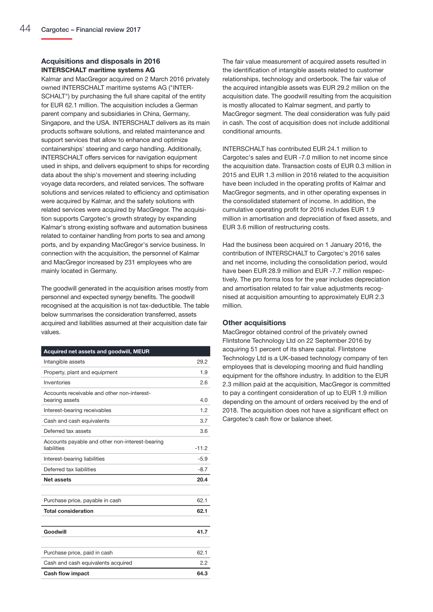#### Acquisitions and disposals in 2016 INTERSCHALT maritime systems AG

Kalmar and MacGregor acquired on 2 March 2016 privately owned INTERSCHALT maritime systems AG ("INTER-SCHALT") by purchasing the full share capital of the entity for EUR 62.1 million. The acquisition includes a German parent company and subsidiaries in China, Germany, Singapore, and the USA. INTERSCHALT delivers as its main products software solutions, and related maintenance and support services that allow to enhance and optimize containerships' steering and cargo handling. Additionally, INTERSCHALT offers services for navigation equipment used in ships, and delivers equipment to ships for recording data about the ship's movement and steering including voyage data recorders, and related services. The software solutions and services related to efficiency and optimisation were acquired by Kalmar, and the safety solutions with related services were acquired by MacGregor. The acquisition supports Cargotec's growth strategy by expanding Kalmar's strong existing software and automation business related to container handling from ports to sea and among ports, and by expanding MacGregor's service business. In connection with the acquisition, the personnel of Kalmar and MacGregor increased by 231 employees who are mainly located in Germany.

The goodwill generated in the acquisition arises mostly from personnel and expected synergy benefits. The goodwill recognised at the acquisition is not tax-deductible. The table below summarises the consideration transferred, assets acquired and liabilities assumed at their acquisition date fair values.

| Acquired net assets and goodwill, MEUR                        |         |
|---------------------------------------------------------------|---------|
| Intangible assets                                             | 29.2    |
| Property, plant and equipment                                 | 1.9     |
| Inventories                                                   | 2.6     |
| Accounts receivable and other non-interest-<br>bearing assets | 4.0     |
| Interest-bearing receivables                                  | 1.2     |
| Cash and cash equivalents                                     | 3.7     |
| Deferred tax assets                                           | 3.6     |
| Accounts payable and other non-interest-bearing               |         |
| liabilities                                                   | $-11.2$ |
| Interest-bearing liabilities                                  | $-5.9$  |
| Deferred tax liabilities                                      | $-8.7$  |
| <b>Net assets</b>                                             | 20.4    |
|                                                               |         |
| Purchase price, payable in cash                               | 62.1    |
| <b>Total consideration</b>                                    | 62.1    |
|                                                               |         |
| Goodwill                                                      | 41.7    |
|                                                               |         |
| Purchase price, paid in cash                                  | 62.1    |
| Cash and cash equivalents acquired                            | 2.2     |
| <b>Cash flow impact</b>                                       | 64.3    |

The fair value measurement of acquired assets resulted in the identification of intangible assets related to customer relationships, technology and orderbook. The fair value of the acquired intangible assets was EUR 29.2 million on the acquisition date. The goodwill resulting from the acquisition is mostly allocated to Kalmar segment, and partly to MacGregor segment. The deal consideration was fully paid in cash. The cost of acquisition does not include additional conditional amounts.

INTERSCHALT has contributed EUR 24.1 million to Cargotec's sales and EUR -7.0 million to net income since the acquisition date. Transaction costs of EUR 0.3 million in 2015 and EUR 1.3 million in 2016 related to the acquisition have been included in the operating profits of Kalmar and MacGregor segments, and in other operating expenses in the consolidated statement of income. In addition, the cumulative operating profit for 2016 includes EUR 1.9 million in amortisation and depreciation of fixed assets, and EUR 3.6 million of restructuring costs.

Had the business been acquired on 1 January 2016, the contribution of INTERSCHALT to Cargotec's 2016 sales and net income, including the consolidation period, would have been EUR 28.9 million and EUR -7.7 million respectively. The pro forma loss for the year includes depreciation and amortisation related to fair value adjustments recognised at acquisition amounting to approximately EUR 2.3 million.

#### Other acquisitions

MacGregor obtained control of the privately owned Flintstone Technology Ltd on 22 September 2016 by acquiring 51 percent of its share capital. Flintstone Technology Ltd is a UK-based technology company of ten employees that is developing mooring and fluid handling equipment for the offshore industry. In addition to the EUR 2.3 million paid at the acquisition, MacGregor is committed to pay a contingent consideration of up to EUR 1.9 million depending on the amount of orders received by the end of 2018. The acquisition does not have a significant effect on Cargotec's cash flow or balance sheet.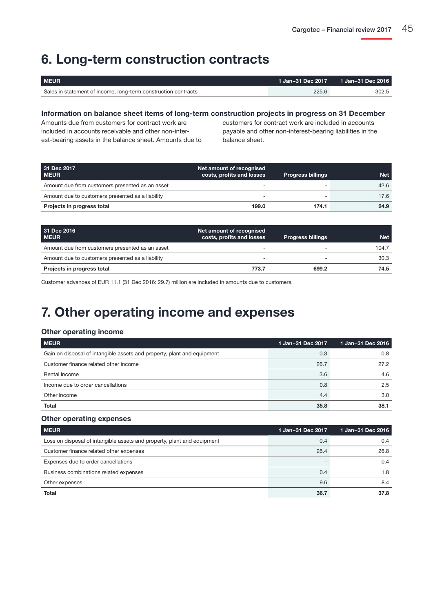# 6. Long-term construction contracts

| <b>MEUR</b>                                                    | 1 Jan-31 Dec 2017 | 1 Jan-31 Dec 2016 |
|----------------------------------------------------------------|-------------------|-------------------|
| Sales in statement of income, long-term construction contracts | 225.6             | 302.5             |

#### Information on balance sheet items of long-term construction projects in progress on 31 December

Amounts due from customers for contract work are included in accounts receivable and other non-interest-bearing assets in the balance sheet. Amounts due to customers for contract work are included in accounts payable and other non-interest-bearing liabilities in the balance sheet.

| 31 Dec 2017<br><b>MEUR</b>                       | Net amount of recognised<br>costs, profits and losses | <b>Progress billings</b> | Net. |
|--------------------------------------------------|-------------------------------------------------------|--------------------------|------|
| Amount due from customers presented as an asset  |                                                       |                          | 42.6 |
| Amount due to customers presented as a liability |                                                       |                          | 17.6 |
| Projects in progress total                       | 199.0                                                 | 174.1                    | 24.9 |

| 31 Dec 2016<br><b>MEUR</b>                       | Net amount of recognised<br>costs, profits and losses | <b>Progress billings</b> | <b>Net</b> |
|--------------------------------------------------|-------------------------------------------------------|--------------------------|------------|
| Amount due from customers presented as an asset  | -                                                     |                          | 104.7      |
| Amount due to customers presented as a liability |                                                       |                          | 30.3       |
| Projects in progress total                       | 773.7                                                 | 699.2                    | 74.5       |

Customer advances of EUR 11.1 (31 Dec 2016: 29.7) million are included in amounts due to customers.

# 7. Other operating income and expenses

#### Other operating income

| <b>MEUR</b>                                                             | 1 Jan-31 Dec 2017 | 1 Jan-31 Dec 2016 |
|-------------------------------------------------------------------------|-------------------|-------------------|
| Gain on disposal of intangible assets and property, plant and equipment | 0.3               | 0.8               |
| Customer finance related other income                                   | 26.7              | 27.2              |
| Rental income                                                           | 3.6               | 4.6               |
| Income due to order cancellations                                       | 0.8               | 2.5               |
| Other income                                                            | 4.4               | 3.0               |
| <b>Total</b>                                                            | 35.8              | 38.1              |

#### Other operating expenses

| <b>MEUR</b>                                                             | 1 Jan-31 Dec 2017 | 1 Jan-31 Dec 2016 |
|-------------------------------------------------------------------------|-------------------|-------------------|
| Loss on disposal of intangible assets and property, plant and equipment | 0.4               | 0.4               |
| Customer finance related other expenses                                 | 26.4              | 26.8              |
| Expenses due to order cancellations                                     |                   | 0.4               |
| Business combinations related expenses                                  | 0.4               | 1.8               |
| Other expenses                                                          | 9.6               | 8.4               |
| <b>Total</b>                                                            | 36.7              | 37.8              |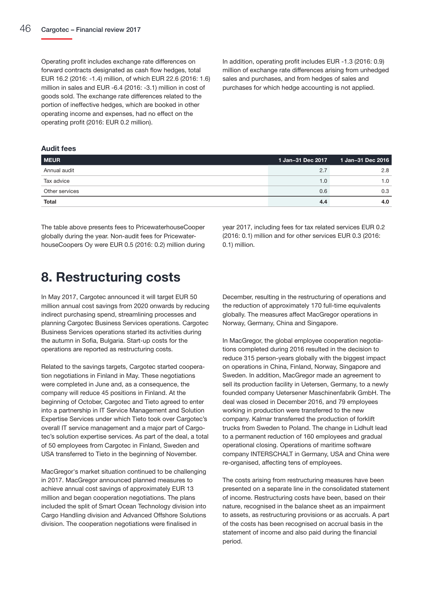Operating profit includes exchange rate differences on forward contracts designated as cash flow hedges, total EUR 16.2 (2016: -1.4) million, of which EUR 22.6 (2016: 1.6) million in sales and EUR -6.4 (2016: -3.1) million in cost of goods sold. The exchange rate differences related to the portion of ineffective hedges, which are booked in other operating income and expenses, had no effect on the operating profit (2016: EUR 0.2 million).

In addition, operating profit includes EUR -1.3 (2016: 0.9) million of exchange rate differences arising from unhedged sales and purchases, and from hedges of sales and purchases for which hedge accounting is not applied.

#### Audit fees

| <b>MEUR</b>    | 1 Jan-31 Dec 2017 | 1 Jan-31 Dec 2016 |
|----------------|-------------------|-------------------|
| Annual audit   | 2.7               | 2.8               |
| Tax advice     | 1.0               | 1.0               |
| Other services | 0.6               | 0.3               |
| <b>Total</b>   | 4.4               | 4.0               |

The table above presents fees to PricewaterhouseCooper globally during the year. Non-audit fees for PricewaterhouseCoopers Oy were EUR 0.5 (2016: 0.2) million during

## 8. Restructuring costs

In May 2017, Cargotec announced it will target EUR 50 million annual cost savings from 2020 onwards by reducing indirect purchasing spend, streamlining processes and planning Cargotec Business Services operations. Cargotec Business Services operations started its activities during the autumn in Sofia, Bulgaria. Start-up costs for the operations are reported as restructuring costs.

Related to the savings targets, Cargotec started cooperation negotiations in Finland in May. These negotiations were completed in June and, as a consequence, the company will reduce 45 positions in Finland. At the beginning of October, Cargotec and Tieto agreed to enter into a partnership in IT Service Management and Solution Expertise Services under which Tieto took over Cargotec's overall IT service management and a major part of Cargotec's solution expertise services. As part of the deal, a total of 50 employees from Cargotec in Finland, Sweden and USA transferred to Tieto in the beginning of November.

MacGregor's market situation continued to be challenging in 2017. MacGregor announced planned measures to achieve annual cost savings of approximately EUR 13 million and began cooperation negotiations. The plans included the split of Smart Ocean Technology division into Cargo Handling division and Advanced Offshore Solutions division. The cooperation negotiations were finalised in

year 2017, including fees for tax related services EUR 0.2 (2016: 0.1) million and for other services EUR 0.3 (2016: 0.1) million.

December, resulting in the restructuring of operations and the reduction of approximately 170 full-time equivalents globally. The measures affect MacGregor operations in Norway, Germany, China and Singapore.

In MacGregor, the global employee cooperation negotiations completed during 2016 resulted in the decision to reduce 315 person-years globally with the biggest impact on operations in China, Finland, Norway, Singapore and Sweden. In addition, MacGregor made an agreement to sell its production facility in Uetersen, Germany, to a newly founded company Uetersener Maschinenfabrik GmbH. The deal was closed in December 2016, and 79 employees working in production were transferred to the new company. Kalmar transferred the production of forklift trucks from Sweden to Poland. The change in Lidhult lead to a permanent reduction of 160 employees and gradual operational closing. Operations of maritime software company INTERSCHALT in Germany, USA and China were re-organised, affecting tens of employees.

The costs arising from restructuring measures have been presented on a separate line in the consolidated statement of income. Restructuring costs have been, based on their nature, recognised in the balance sheet as an impairment to assets, as restructuring provisions or as accruals. A part of the costs has been recognised on accrual basis in the statement of income and also paid during the financial period.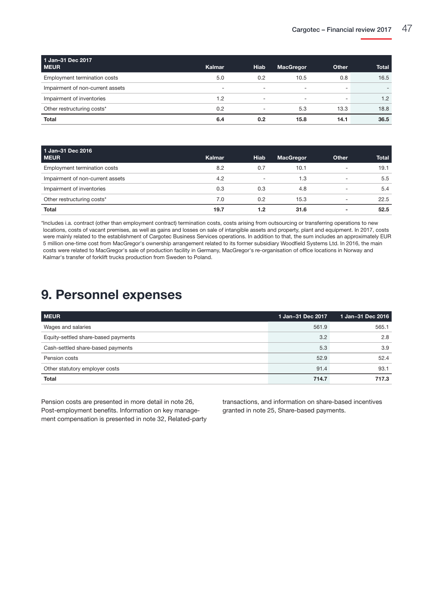| 1 Jan-31 Dec 2017<br><b>MEUR</b> | Kalmar                   | <b>Hiab</b>              | <b>MacGregor</b>         | <b>Other</b>             | <b>Total</b>             |
|----------------------------------|--------------------------|--------------------------|--------------------------|--------------------------|--------------------------|
| Employment termination costs     | 5.0                      | 0.2                      | 10.5                     | 0.8                      | 16.5                     |
| Impairment of non-current assets | $\overline{\phantom{0}}$ | $\overline{\phantom{a}}$ | $\overline{\phantom{a}}$ | $\overline{\phantom{0}}$ | $\overline{\phantom{0}}$ |
| Impairment of inventories        | 1.2                      | $\overline{\phantom{0}}$ | $\overline{\phantom{a}}$ | $\overline{\phantom{a}}$ | 1.2                      |
| Other restructuring costs*       | 0.2                      | $\overline{\phantom{a}}$ | 5.3                      | 13.3                     | 18.8                     |
| <b>Total</b>                     | 6.4                      | 0.2                      | 15.8                     | 14.1                     | 36.5                     |

| 1 Jan-31 Dec 2016                |        |                          |                  |                          |              |
|----------------------------------|--------|--------------------------|------------------|--------------------------|--------------|
| <b>MEUR</b>                      | Kalmar | <b>Hiab</b>              | <b>MacGregor</b> | <b>Other</b>             | <b>Total</b> |
| Employment termination costs     | 8.2    | 0.7                      | 10.1             | $\overline{\phantom{0}}$ | 19.1         |
| Impairment of non-current assets | 4.2    | $\overline{\phantom{a}}$ | 1.3              | $\overline{\phantom{0}}$ | 5.5          |
| Impairment of inventories        | 0.3    | 0.3                      | 4.8              | $\overline{\phantom{0}}$ | 5.4          |
| Other restructuring costs*       | 7.0    | 0.2                      | 15.3             | $\overline{\phantom{a}}$ | 22.5         |
| <b>Total</b>                     | 19.7   | 1.2                      | 31.6             |                          | 52.5         |

\*Includes i.a. contract (other than employment contract) termination costs, costs arising from outsourcing or transferring operations to new locations, costs of vacant premises, as well as gains and losses on sale of intangible assets and property, plant and equipment. In 2017, costs were mainly related to the establishment of Cargotec Business Services operations. In addition to that, the sum includes an approximately EUR 5 million one-time cost from MacGregor's ownership arrangement related to its former subsidiary Woodfield Systems Ltd. In 2016, the main costs were related to MacGregor's sale of production facility in Germany, MacGregor's re-organisation of office locations in Norway and Kalmar's transfer of forklift trucks production from Sweden to Poland.

## 9. Personnel expenses

| <b>MEUR</b>                         | 1 Jan-31 Dec 2017 | 1 Jan-31 Dec 2016 |
|-------------------------------------|-------------------|-------------------|
| Wages and salaries                  | 561.9             | 565.1             |
| Equity-settled share-based payments | 3.2               | 2.8               |
| Cash-settled share-based payments   | 5.3               | 3.9               |
| Pension costs                       | 52.9              | 52.4              |
| Other statutory employer costs      | 91.4              | 93.1              |
| <b>Total</b>                        | 714.7             | 717.3             |

Pension costs are presented in more detail in note 26, Post-employment benefits. Information on key management compensation is presented in note 32, Related-party transactions, and information on share-based incentives granted in note 25, Share-based payments.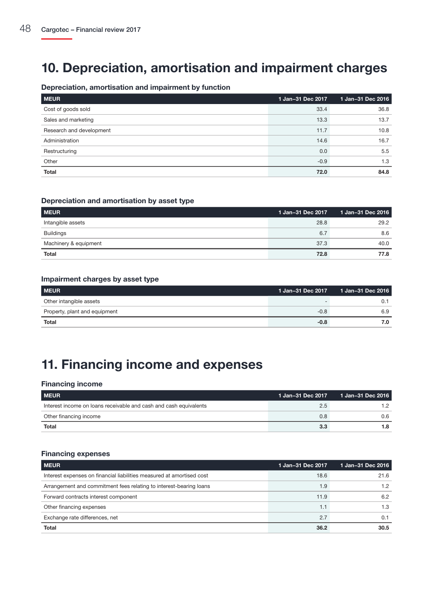# 10. Depreciation, amortisation and impairment charges

#### Depreciation, amortisation and impairment by function

| <b>MEUR</b>              | 1 Jan-31 Dec 2017 | 1 Jan-31 Dec 2016 |
|--------------------------|-------------------|-------------------|
| Cost of goods sold       | 33.4              | 36.8              |
| Sales and marketing      | 13.3              | 13.7              |
| Research and development | 11.7              | 10.8              |
| Administration           | 14.6              | 16.7              |
| Restructuring            | 0.0               | 5.5               |
| Other                    | $-0.9$            | 1.3               |
| <b>Total</b>             | 72.0              | 84.8              |

#### Depreciation and amortisation by asset type

| <b>MEUR</b>           | 1 Jan-31 Dec 2017 | 1 Jan-31 Dec 2016 |
|-----------------------|-------------------|-------------------|
| Intangible assets     | 28.8              | 29.2              |
| <b>Buildings</b>      | 6.7               | 8.6               |
| Machinery & equipment | 37.3              | 40.0              |
| <b>Total</b>          | 72.8              | 77.8              |

#### Impairment charges by asset type

| <b>MEUR</b>                   | . 1 Jan–31 Dec 2017 ' | 1 Jan–31 Dec 2016 ∣ |
|-------------------------------|-----------------------|---------------------|
| Other intangible assets       |                       |                     |
| Property, plant and equipment | $-0.8$                | 6.9                 |
| <b>Total</b>                  | $-0.8$                | 7.0                 |

# 11. Financing income and expenses

#### Financing income

| <b>MEUR</b>                                                       | 1 Jan-31 Dec 2017 | 1 Jan-31 Dec 2016 |
|-------------------------------------------------------------------|-------------------|-------------------|
| Interest income on loans receivable and cash and cash equivalents | 2.5               | 1.2               |
| Other financing income                                            | 0.8               | 0.6               |
| <b>Total</b>                                                      | 3.3               | 1.8               |

#### Financing expenses

| <b>MEUR</b>                                                           | 1 Jan-31 Dec 2017 | 1 Jan-31 Dec 2016 |
|-----------------------------------------------------------------------|-------------------|-------------------|
| Interest expenses on financial liabilities measured at amortised cost | 18.6              | 21.6              |
| Arrangement and commitment fees relating to interest-bearing loans    | 1.9               | 1.2               |
| Forward contracts interest component                                  | 11.9              | 6.2               |
| Other financing expenses                                              | 1.1               | 1.3               |
| Exchange rate differences, net                                        | 2.7               | 0.1               |
| <b>Total</b>                                                          | 36.2              | 30.5              |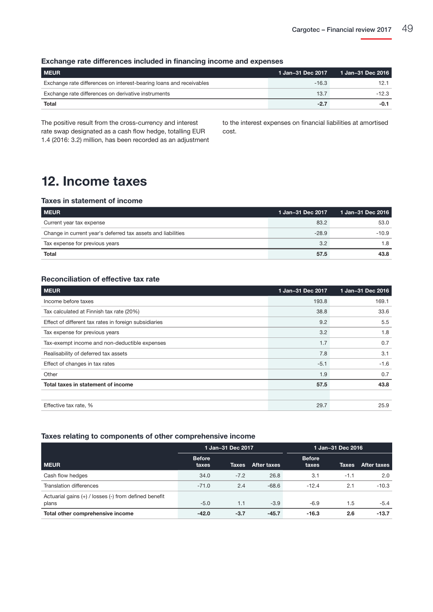| <b>MEUR</b>                                                         | .1 Jan–31 Dec 2017 ˈ | 1 Jan-31 Dec 2016 |
|---------------------------------------------------------------------|----------------------|-------------------|
| Exchange rate differences on interest-bearing loans and receivables | $-16.3$              |                   |
| Exchange rate differences on derivative instruments                 | 13.7                 | -12.3             |
| Total                                                               | $-2.7$               | $-0.1$            |

#### Exchange rate differences included in financing income and expenses

The positive result from the cross-currency and interest rate swap designated as a cash flow hedge, totalling EUR 1.4 (2016: 3.2) million, has been recorded as an adjustment to the interest expenses on financial liabilities at amortised cost.

## 12. Income taxes

#### Taxes in statement of income

| <b>MEUR</b>                                                  | 1 Jan-31 Dec 2017 | 1 Jan-31 Dec 2016 |
|--------------------------------------------------------------|-------------------|-------------------|
| Current year tax expense                                     | 83.2              | 53.0              |
| Change in current year's deferred tax assets and liabilities | $-28.9$           | $-10.9$           |
| Tax expense for previous years                               | 3.2               | 1.8               |
| <b>Total</b>                                                 | 57.5              | 43.8              |

#### Reconciliation of effective tax rate

| <b>MEUR</b>                                           | 1 Jan-31 Dec 2017 | 1 Jan-31 Dec 2016 |
|-------------------------------------------------------|-------------------|-------------------|
| Income before taxes                                   | 193.8             | 169.1             |
| Tax calculated at Finnish tax rate (20%)              | 38.8              | 33.6              |
| Effect of different tax rates in foreign subsidiaries | 9.2               | 5.5               |
| Tax expense for previous years                        | 3.2               | 1.8               |
| Tax-exempt income and non-deductible expenses         | 1.7               | 0.7               |
| Realisability of deferred tax assets                  | 7.8               | 3.1               |
| Effect of changes in tax rates                        | $-5.1$            | $-1.6$            |
| Other                                                 | 1.9               | 0.7               |
| Total taxes in statement of income                    | 57.5              | 43.8              |
|                                                       |                   |                   |
| Effective tax rate, %                                 | 29.7              | 25.9              |

#### Taxes relating to components of other comprehensive income

|                                                                | 1 Jan-31 Dec 2017      |              | 1 Jan-31 Dec 2016 |                        |              |             |
|----------------------------------------------------------------|------------------------|--------------|-------------------|------------------------|--------------|-------------|
| <b>MEUR</b>                                                    | <b>Before</b><br>taxes | <b>Taxes</b> | After taxes       | <b>Before</b><br>taxes | <b>Taxes</b> | After taxes |
| Cash flow hedges                                               | 34.0                   | $-7.2$       | 26.8              | 3.1                    | $-1.1$       | 2.0         |
| <b>Translation differences</b>                                 | $-71.0$                | 2.4          | $-68.6$           | $-12.4$                | 2.1          | $-10.3$     |
| Actuarial gains (+) / losses (-) from defined benefit<br>plans | $-5.0$                 | 1.1          | $-3.9$            | $-6.9$                 | 1.5          | $-5.4$      |
| Total other comprehensive income                               | $-42.0$                | $-3.7$       | $-45.7$           | $-16.3$                | 2.6          | $-13.7$     |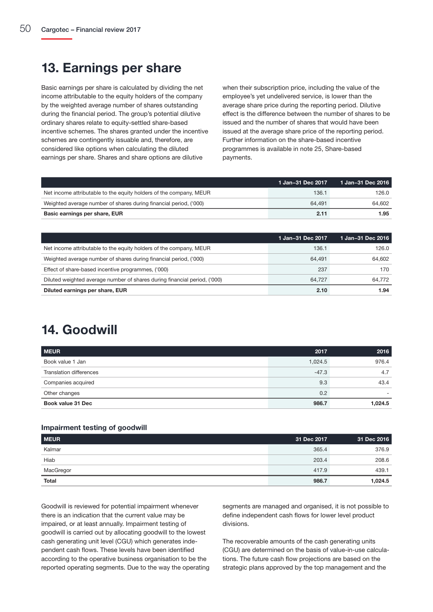### 13. Earnings per share

Basic earnings per share is calculated by dividing the net income attributable to the equity holders of the company by the weighted average number of shares outstanding during the financial period. The group's potential dilutive ordinary shares relate to equity-settled share-based incentive schemes. The shares granted under the incentive schemes are contingently issuable and, therefore, are considered like options when calculating the diluted earnings per share. Shares and share options are dilutive

when their subscription price, including the value of the employee's yet undelivered service, is lower than the average share price during the reporting period. Dilutive effect is the difference between the number of shares to be issued and the number of shares that would have been issued at the average share price of the reporting period. Further information on the share-based incentive programmes is available in note 25, Share-based payments.

|                                                                    | 1 Jan-31 Dec 2017 | 1 Jan-31 Dec 2016 |
|--------------------------------------------------------------------|-------------------|-------------------|
| Net income attributable to the equity holders of the company, MEUR | 136.1             | 126.0             |
| Weighted average number of shares during financial period, ('000)  | 64.491            | 64.602            |
| Basic earnings per share, EUR                                      | 2.11              | 1.95              |

|                                                                           | 1 Jan-31 Dec 2017 | 1 Jan-31 Dec 2016 |
|---------------------------------------------------------------------------|-------------------|-------------------|
| Net income attributable to the equity holders of the company, MEUR        | 136.1             | 126.0             |
| Weighted average number of shares during financial period, ('000)         | 64.491            | 64.602            |
| Effect of share-based incentive programmes, ('000)                        | 237               | 170               |
| Diluted weighted average number of shares during financial period, ('000) | 64.727            | 64.772            |
| Diluted earnings per share, EUR                                           | 2.10              | 1.94              |

# 14. Goodwill

| <b>MEUR</b>                    | 2017    | 2016    |
|--------------------------------|---------|---------|
| Book value 1 Jan               | 1,024.5 | 976.4   |
| <b>Translation differences</b> | $-47.3$ | 4.7     |
| Companies acquired             | 9.3     | 43.4    |
| Other changes                  | 0.2     |         |
| Book value 31 Dec              | 986.7   | 1,024.5 |

#### Impairment testing of goodwill

| <b>MEUR</b>  | 31 Dec 2017 | 31 Dec 2016 |
|--------------|-------------|-------------|
| Kalmar       | 365.4       | 376.9       |
| Hiab         | 203.4       | 208.6       |
| MacGregor    | 417.9       | 439.1       |
| <b>Total</b> | 986.7       | 1,024.5     |

Goodwill is reviewed for potential impairment whenever there is an indication that the current value may be impaired, or at least annually. Impairment testing of goodwill is carried out by allocating goodwill to the lowest cash generating unit level (CGU) which generates independent cash flows. These levels have been identified according to the operative business organisation to be the reported operating segments. Due to the way the operating segments are managed and organised, it is not possible to define independent cash flows for lower level product divisions.

The recoverable amounts of the cash generating units (CGU) are determined on the basis of value-in-use calculations. The future cash flow projections are based on the strategic plans approved by the top management and the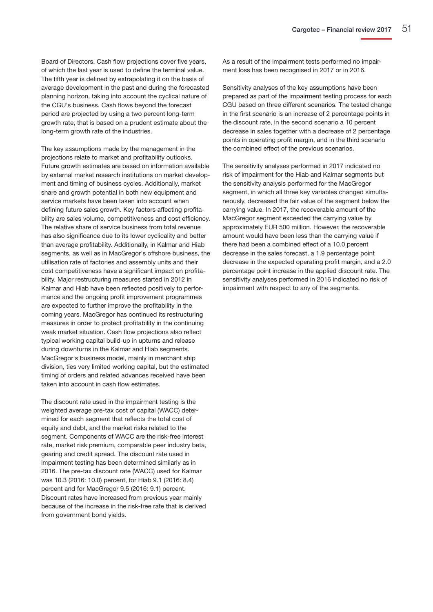Board of Directors. Cash flow projections cover five years, of which the last year is used to define the terminal value. The fifth year is defined by extrapolating it on the basis of average development in the past and during the forecasted planning horizon, taking into account the cyclical nature of the CGU's business. Cash flows beyond the forecast period are projected by using a two percent long-term growth rate, that is based on a prudent estimate about the long-term growth rate of the industries.

The key assumptions made by the management in the projections relate to market and profitability outlooks. Future growth estimates are based on information available by external market research institutions on market development and timing of business cycles. Additionally, market share and growth potential in both new equipment and service markets have been taken into account when defining future sales growth. Key factors affecting profitability are sales volume, competitiveness and cost efficiency. The relative share of service business from total revenue has also significance due to its lower cyclicality and better than average profitability. Additionally, in Kalmar and Hiab segments, as well as in MacGregor's offshore business, the utilisation rate of factories and assembly units and their cost competitiveness have a significant impact on profitability. Major restructuring measures started in 2012 in Kalmar and Hiab have been reflected positively to performance and the ongoing profit improvement programmes are expected to further improve the profitability in the coming years. MacGregor has continued its restructuring measures in order to protect profitability in the continuing weak market situation. Cash flow projections also reflect typical working capital build-up in upturns and release during downturns in the Kalmar and Hiab segments. MacGregor's business model, mainly in merchant ship division, ties very limited working capital, but the estimated timing of orders and related advances received have been taken into account in cash flow estimates.

The discount rate used in the impairment testing is the weighted average pre-tax cost of capital (WACC) determined for each segment that reflects the total cost of equity and debt, and the market risks related to the segment. Components of WACC are the risk-free interest rate, market risk premium, comparable peer industry beta, gearing and credit spread. The discount rate used in impairment testing has been determined similarly as in 2016. The pre-tax discount rate (WACC) used for Kalmar was 10.3 (2016: 10.0) percent, for Hiab 9.1 (2016: 8.4) percent and for MacGregor 9.5 (2016: 9.1) percent. Discount rates have increased from previous year mainly because of the increase in the risk-free rate that is derived from government bond yields.

As a result of the impairment tests performed no impairment loss has been recognised in 2017 or in 2016.

Sensitivity analyses of the key assumptions have been prepared as part of the impairment testing process for each CGU based on three different scenarios. The tested change in the first scenario is an increase of 2 percentage points in the discount rate, in the second scenario a 10 percent decrease in sales together with a decrease of 2 percentage points in operating profit margin, and in the third scenario the combined effect of the previous scenarios.

The sensitivity analyses performed in 2017 indicated no risk of impairment for the Hiab and Kalmar segments but the sensitivity analysis performed for the MacGregor segment, in which all three key variables changed simultaneously, decreased the fair value of the segment below the carrying value. In 2017, the recoverable amount of the MacGregor segment exceeded the carrying value by approximately EUR 500 million. However, the recoverable amount would have been less than the carrying value if there had been a combined effect of a 10.0 percent decrease in the sales forecast, a 1.9 percentage point decrease in the expected operating profit margin, and a 2.0 percentage point increase in the applied discount rate. The sensitivity analyses performed in 2016 indicated no risk of impairment with respect to any of the segments.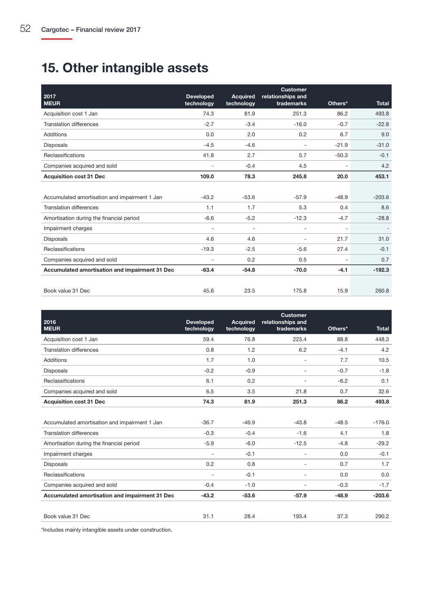# 15. Other intangible assets

| 2017<br><b>MEUR</b>                            | <b>Developed</b><br>technology | <b>Acquired</b><br>technology | <b>Customer</b><br>relationships and<br>trademarks | Others*                  | <b>Total</b> |
|------------------------------------------------|--------------------------------|-------------------------------|----------------------------------------------------|--------------------------|--------------|
| Acquisition cost 1 Jan                         | 74.3                           | 81.9                          | 251.3                                              | 86.2                     | 493.8        |
| <b>Translation differences</b>                 | $-2.7$                         | $-3.4$                        | $-16.0$                                            | $-0.7$                   | $-22.8$      |
| Additions                                      | 0.0                            | 2.0                           | 0.2                                                | 6.7                      | 9.0          |
| <b>Disposals</b>                               | $-4.5$                         | $-4.6$                        |                                                    | $-21.9$                  | $-31.0$      |
| Reclassifications                              | 41.8                           | 2.7                           | 5.7                                                | $-50.3$                  | $-0.1$       |
| Companies acquired and sold                    | $\overline{\phantom{0}}$       | $-0.4$                        | 4.5                                                |                          | 4.2          |
| <b>Acquisition cost 31 Dec</b>                 | 109.0                          | 78.3                          | 245.8                                              | 20.0                     | 453.1        |
|                                                |                                |                               |                                                    |                          |              |
| Accumulated amortisation and impairment 1 Jan  | $-43.2$                        | $-53.6$                       | $-57.9$                                            | $-48.9$                  | $-203.6$     |
| <b>Translation differences</b>                 | 1.1                            | 1.7                           | 5.3                                                | 0.4                      | 8.6          |
| Amortisation during the financial period       | $-6.6$                         | $-5.2$                        | $-12.3$                                            | $-4.7$                   | $-28.8$      |
| Impairment charges                             | $\overline{a}$                 | $\overline{a}$                | $\overline{\phantom{a}}$                           | $\overline{\phantom{a}}$ |              |
| <b>Disposals</b>                               | 4.6                            | 4.6                           |                                                    | 21.7                     | 31.0         |
| Reclassifications                              | $-19.3$                        | $-2.5$                        | $-5.6$                                             | 27.4                     | $-0.1$       |
| Companies acquired and sold                    | $\overline{a}$                 | 0.2                           | 0.5                                                | $\overline{\phantom{0}}$ | 0.7          |
| Accumulated amortisation and impairment 31 Dec | $-63.4$                        | $-54.8$                       | $-70.0$                                            | $-4.1$                   | $-192.3$     |
|                                                |                                |                               |                                                    |                          |              |
| Book value 31 Dec                              | 45.6                           | 23.5                          | 175.8                                              | 15.9                     | 260.8        |

| 2016<br><b>MEUR</b>                            | <b>Developed</b><br>technology | <b>Acquired</b><br>technology | <b>Customer</b><br>relationships and<br>trademarks | Others* | <b>Total</b> |
|------------------------------------------------|--------------------------------|-------------------------------|----------------------------------------------------|---------|--------------|
| Acquisition cost 1 Jan                         | 59.4                           | 76.8                          | 223.4                                              | 88.8    | 448.3        |
| <b>Translation differences</b>                 | 0.8                            | 1.2                           | 6.2                                                | $-4.1$  | 4.2          |
| Additions                                      | 1.7                            | 1.0                           | $\overline{\phantom{a}}$                           | 7.7     | 10.5         |
| <b>Disposals</b>                               | $-0.2$                         | $-0.9$                        | $\overline{\phantom{a}}$                           | $-0.7$  | $-1.8$       |
| Reclassifications                              | 6.1                            | 0.2                           | $\overline{\phantom{a}}$                           | $-6.2$  | 0.1          |
| Companies acquired and sold                    | 6.5                            | 3.5                           | 21.8                                               | 0.7     | 32.6         |
| <b>Acquisition cost 31 Dec</b>                 | 74.3                           | 81.9                          | 251.3                                              | 86.2    | 493.8        |
| Accumulated amortisation and impairment 1 Jan  | $-36.7$                        | $-46.9$                       | $-43.8$                                            | $-48.5$ | $-176.0$     |
| <b>Translation differences</b>                 | $-0.3$                         | $-0.4$                        | $-1.6$                                             | 4.1     | 1.8          |
| Amortisation during the financial period       | $-5.9$                         | $-6.0$                        | $-12.5$                                            | $-4.8$  | $-29.2$      |
| Impairment charges                             | $\overline{\phantom{a}}$       | $-0.1$                        | $\overline{\phantom{a}}$                           | 0.0     | $-0.1$       |
| <b>Disposals</b>                               | 0.2                            | 0.8                           | $\overline{\phantom{a}}$                           | 0.7     | 1.7          |
| Reclassifications                              | $\overline{a}$                 | $-0.1$                        | $\overline{\phantom{a}}$                           | 0.0     | 0.0          |
| Companies acquired and sold                    | $-0.4$                         | $-1.0$                        | $\overline{\phantom{a}}$                           | $-0.3$  | $-1.7$       |
| Accumulated amortisation and impairment 31 Dec | $-43.2$                        | $-53.6$                       | $-57.9$                                            | $-48.9$ | $-203.6$     |
| Book value 31 Dec                              | 31.1                           | 28.4                          | 193.4                                              | 37.3    | 290.2        |

\*Includes mainly intangible assets under construction.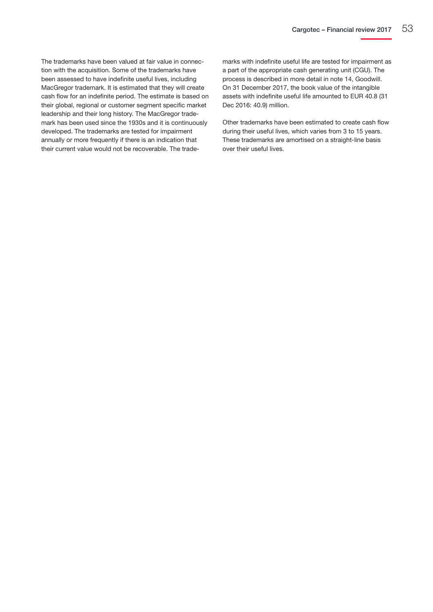The trademarks have been valued at fair value in connection with the acquisition. Some of the trademarks have been assessed to have indefinite useful lives, including MacGregor trademark. It is estimated that they will create cash flow for an indefinite period. The estimate is based on their global, regional or customer segment specific market leadership and their long history. The MacGregor trademark has been used since the 1930s and it is continuously developed. The trademarks are tested for impairment annually or more frequently if there is an indication that their current value would not be recoverable. The trademarks with indefinite useful life are tested for impairment as a part of the appropriate cash generating unit (CGU). The process is described in more detail in note 14, Goodwill. On 31 December 2017, the book value of the intangible assets with indefinite useful life amounted to EUR 40.8 (31 Dec 2016: 40.9) million.

Other trademarks have been estimated to create cash flow during their useful lives, which varies from 3 to 15 years. These trademarks are amortised on a straight-line basis over their useful lives.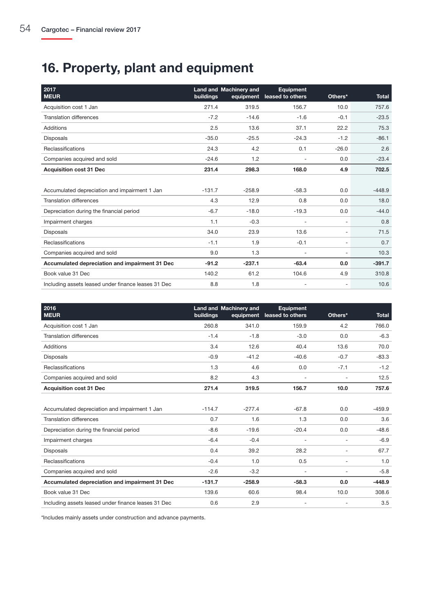# 16. Property, plant and equipment

| 2017                                                |           | Land and Machinery and | <b>Equipment</b>         |                          |              |
|-----------------------------------------------------|-----------|------------------------|--------------------------|--------------------------|--------------|
| <b>MEUR</b>                                         | buildings | equipment              | leased to others         | Others*                  | <b>Total</b> |
| Acquisition cost 1 Jan                              | 271.4     | 319.5                  | 156.7                    | 10.0                     | 757.6        |
| <b>Translation differences</b>                      | $-7.2$    | $-14.6$                | $-1.6$                   | $-0.1$                   | $-23.5$      |
| Additions                                           | 2.5       | 13.6                   | 37.1                     | 22.2                     | 75.3         |
| <b>Disposals</b>                                    | $-35.0$   | $-25.5$                | $-24.3$                  | $-1.2$                   | $-86.1$      |
| Reclassifications                                   | 24.3      | 4.2                    | 0.1                      | $-26.0$                  | 2.6          |
| Companies acquired and sold                         | $-24.6$   | 1.2                    |                          | 0.0                      | $-23.4$      |
| <b>Acquisition cost 31 Dec</b>                      | 231.4     | 298.3                  | 168.0                    | 4.9                      | 702.5        |
|                                                     |           |                        |                          |                          |              |
| Accumulated depreciation and impairment 1 Jan       | $-131.7$  | $-258.9$               | $-58.3$                  | 0.0                      | $-448.9$     |
| <b>Translation differences</b>                      | 4.3       | 12.9                   | 0.8                      | 0.0                      | 18.0         |
| Depreciation during the financial period            | $-6.7$    | $-18.0$                | $-19.3$                  | 0.0                      | $-44.0$      |
| Impairment charges                                  | 1.1       | $-0.3$                 | $\overline{\phantom{a}}$ | $\overline{\phantom{a}}$ | 0.8          |
| <b>Disposals</b>                                    | 34.0      | 23.9                   | 13.6                     | $\overline{\phantom{a}}$ | 71.5         |
| Reclassifications                                   | $-1.1$    | 1.9                    | $-0.1$                   | $\overline{\phantom{a}}$ | 0.7          |
| Companies acquired and sold                         | 9.0       | 1.3                    |                          | $\qquad \qquad -$        | 10.3         |
| Accumulated depreciation and impairment 31 Dec      | $-91.2$   | $-237.1$               | $-63.4$                  | 0.0                      | $-391.7$     |
| Book value 31 Dec                                   | 140.2     | 61.2                   | 104.6                    | 4.9                      | 310.8        |
| Including assets leased under finance leases 31 Dec | 8.8       | 1.8                    |                          | $\overline{\phantom{a}}$ | 10.6         |

| 2016<br><b>MEUR</b>                                 | buildings | <b>Land and Machinery and</b><br>equipment | <b>Equipment</b><br>leased to others | Others*                  | <b>Total</b> |
|-----------------------------------------------------|-----------|--------------------------------------------|--------------------------------------|--------------------------|--------------|
| Acquisition cost 1 Jan                              | 260.8     | 341.0                                      | 159.9                                | 4.2                      | 766.0        |
| <b>Translation differences</b>                      | $-1.4$    | $-1.8$                                     | $-3.0$                               | 0.0                      | $-6.3$       |
| <b>Additions</b>                                    | 3.4       | 12.6                                       | 40.4                                 | 13.6                     | 70.0         |
| <b>Disposals</b>                                    | $-0.9$    | $-41.2$                                    | $-40.6$                              | $-0.7$                   | $-83.3$      |
| Reclassifications                                   | 1.3       | 4.6                                        | 0.0                                  | $-7.1$                   | $-1.2$       |
| Companies acquired and sold                         | 8.2       | 4.3                                        | $\overline{\phantom{a}}$             | $\overline{\phantom{a}}$ | 12.5         |
| <b>Acquisition cost 31 Dec</b>                      | 271.4     | 319.5                                      | 156.7                                | 10.0                     | 757.6        |
|                                                     |           |                                            |                                      |                          |              |
| Accumulated depreciation and impairment 1 Jan       | $-114.7$  | $-277.4$                                   | $-67.8$                              | 0.0                      | $-459.9$     |
| <b>Translation differences</b>                      | 0.7       | 1.6                                        | 1.3                                  | 0.0                      | 3.6          |
| Depreciation during the financial period            | $-8.6$    | $-19.6$                                    | $-20.4$                              | 0.0                      | $-48.6$      |
| Impairment charges                                  | $-6.4$    | $-0.4$                                     | $\overline{\phantom{a}}$             | $\overline{\phantom{a}}$ | $-6.9$       |
| <b>Disposals</b>                                    | 0.4       | 39.2                                       | 28.2                                 | $\overline{\phantom{0}}$ | 67.7         |
| Reclassifications                                   | $-0.4$    | 1.0                                        | 0.5                                  | $\overline{\phantom{0}}$ | 1.0          |
| Companies acquired and sold                         | $-2.6$    | $-3.2$                                     | $\overline{\phantom{a}}$             | $\overline{\phantom{a}}$ | $-5.8$       |
| Accumulated depreciation and impairment 31 Dec      | $-131.7$  | $-258.9$                                   | $-58.3$                              | 0.0                      | $-448.9$     |
| Book value 31 Dec                                   | 139.6     | 60.6                                       | 98.4                                 | 10.0                     | 308.6        |
| Including assets leased under finance leases 31 Dec | 0.6       | 2.9                                        |                                      |                          | 3.5          |

\*Includes mainly assets under construction and advance payments.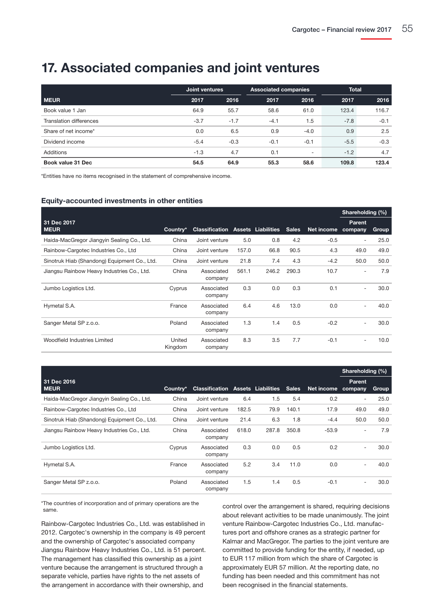## 17. Associated companies and joint ventures

|                         | Joint ventures |        | <b>Associated companies</b> |                          | <b>Total</b> |        |  |
|-------------------------|----------------|--------|-----------------------------|--------------------------|--------------|--------|--|
| <b>MEUR</b>             | 2017           | 2016   | 2017                        | 2016                     | 2017         | 2016   |  |
| Book value 1 Jan        | 64.9           | 55.7   | 58.6                        | 61.0                     | 123.4        | 116.7  |  |
| Translation differences | $-3.7$         | $-1.7$ | $-4.1$                      | 1.5                      | $-7.8$       | $-0.1$ |  |
| Share of net income*    | 0.0            | 6.5    | 0.9                         | $-4.0$                   | 0.9          | 2.5    |  |
| Dividend income         | $-5.4$         | $-0.3$ | $-0.1$                      | $-0.1$                   | $-5.5$       | $-0.3$ |  |
| Additions               | $-1.3$         | 4.7    | 0.1                         | $\overline{\phantom{0}}$ | $-1.2$       | 4.7    |  |
| Book value 31 Dec       | 54.5           | 64.9   | 55.3                        | 58.6                     | 109.8        | 123.4  |  |

\*Entities have no items recognised in the statement of comprehensive income.

#### Equity-accounted investments in other entities

|                                              |                   |                       |       |                           |              |            | Shareholding (%)         |              |
|----------------------------------------------|-------------------|-----------------------|-------|---------------------------|--------------|------------|--------------------------|--------------|
| 31 Dec 2017<br><b>MEUR</b>                   | Country*          | <b>Classification</b> |       | <b>Assets Liabilities</b> | <b>Sales</b> | Net income | <b>Parent</b><br>company | <b>Group</b> |
| Haida-MacGregor Jiangyin Sealing Co., Ltd.   | China             | Joint venture         | 5.0   | 0.8                       | 4.2          | $-0.5$     |                          | 25.0         |
| Rainbow-Cargotec Industries Co., Ltd         | China             | Joint venture         | 157.0 | 66.8                      | 90.5         | 4.3        | 49.0                     | 49.0         |
| Sinotruk Hiab (Shandong) Equipment Co., Ltd. | China             | Joint venture         | 21.8  | 7.4                       | 4.3          | $-4.2$     | 50.0                     | 50.0         |
| Jiangsu Rainbow Heavy Industries Co., Ltd.   | China             | Associated<br>company | 561.1 | 246.2                     | 290.3        | 10.7       |                          | 7.9          |
| Jumbo Logistics Ltd.                         | Cyprus            | Associated<br>company | 0.3   | 0.0                       | 0.3          | 0.1        |                          | 30.0         |
| Hymetal S.A.                                 | France            | Associated<br>company | 6.4   | 4.6                       | 13.0         | 0.0        |                          | 40.0         |
| Sanger Metal SP z.o.o.                       | Poland            | Associated<br>company | 1.3   | 1.4                       | 0.5          | $-0.2$     |                          | 30.0         |
| Woodfield Industries Limited                 | United<br>Kingdom | Associated<br>company | 8.3   | 3.5                       | 7.7          | $-0.1$     |                          | 10.0         |

|                                              |          |                       |       |                           |              |            | Shareholding (%)         |              |
|----------------------------------------------|----------|-----------------------|-------|---------------------------|--------------|------------|--------------------------|--------------|
| 31 Dec 2016<br><b>MEUR</b>                   | Country* | <b>Classification</b> |       | <b>Assets Liabilities</b> | <b>Sales</b> | Net income | Parent<br>company        | <b>Group</b> |
| Haida-MacGregor Jiangyin Sealing Co., Ltd.   | China    | Joint venture         | 6.4   | 1.5                       | 5.4          | 0.2        | $\overline{\phantom{0}}$ | 25.0         |
| Rainbow-Cargotec Industries Co., Ltd         | China    | Joint venture         | 182.5 | 79.9                      | 140.1        | 17.9       | 49.0                     | 49.0         |
| Sinotruk Hiab (Shandong) Equipment Co., Ltd. | China    | Joint venture         | 21.4  | 6.3                       | 1.8          | $-4.4$     | 50.0                     | 50.0         |
| Jiangsu Rainbow Heavy Industries Co., Ltd.   | China    | Associated<br>company | 618.0 | 287.8                     | 350.8        | $-53.9$    |                          | 7.9          |
| Jumbo Logistics Ltd.                         | Cyprus   | Associated<br>company | 0.3   | 0.0                       | 0.5          | 0.2        | $\overline{\phantom{0}}$ | 30.0         |
| Hymetal S.A.                                 | France   | Associated<br>company | 5.2   | 3.4                       | 11.0         | 0.0        | $\overline{\phantom{0}}$ | 40.0         |
| Sanger Metal SP z.o.o.                       | Poland   | Associated<br>company | 1.5   | 1.4                       | 0.5          | $-0.1$     | $\qquad \qquad -$        | 30.0         |

\*The countries of incorporation and of primary operations are the same.

Rainbow-Cargotec Industries Co., Ltd. was established in 2012. Cargotec's ownership in the company is 49 percent and the ownership of Cargotec's associated company Jiangsu Rainbow Heavy Industries Co., Ltd. is 51 percent. The management has classified this ownership as a joint venture because the arrangement is structured through a separate vehicle, parties have rights to the net assets of the arrangement in accordance with their ownership, and

control over the arrangement is shared, requiring decisions about relevant activities to be made unanimously. The joint venture Rainbow-Cargotec Industries Co., Ltd. manufactures port and offshore cranes as a strategic partner for Kalmar and MacGregor. The parties to the joint venture are committed to provide funding for the entity, if needed, up to EUR 117 million from which the share of Cargotec is approximately EUR 57 million. At the reporting date, no funding has been needed and this commitment has not been recognised in the financial statements.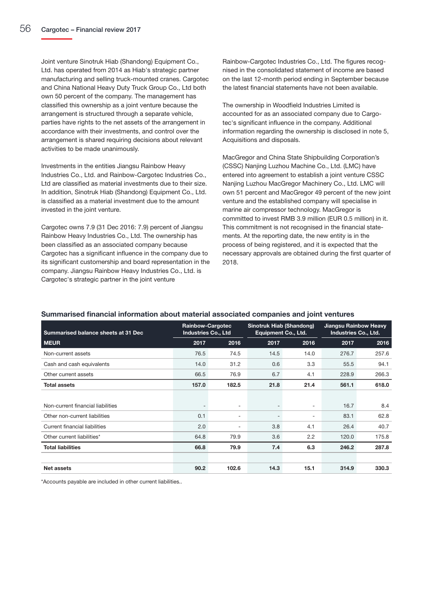Joint venture Sinotruk Hiab (Shandong) Equipment Co., Ltd. has operated from 2014 as Hiab's strategic partner manufacturing and selling truck-mounted cranes. Cargotec and China National Heavy Duty Truck Group Co., Ltd both own 50 percent of the company. The management has classified this ownership as a joint venture because the arrangement is structured through a separate vehicle, parties have rights to the net assets of the arrangement in accordance with their investments, and control over the arrangement is shared requiring decisions about relevant activities to be made unanimously.

Investments in the entities Jiangsu Rainbow Heavy Industries Co., Ltd. and Rainbow-Cargotec Industries Co., Ltd are classified as material investments due to their size. In addition, Sinotruk Hiab (Shandong) Equipment Co., Ltd. is classified as a material investment due to the amount invested in the joint venture.

Cargotec owns 7.9 (31 Dec 2016: 7.9) percent of Jiangsu Rainbow Heavy Industries Co., Ltd. The ownership has been classified as an associated company because Cargotec has a significant influence in the company due to its significant customership and board representation in the company. Jiangsu Rainbow Heavy Industries Co., Ltd. is Cargotec's strategic partner in the joint venture

Rainbow-Cargotec Industries Co., Ltd. The figures recognised in the consolidated statement of income are based on the last 12-month period ending in September because the latest financial statements have not been available.

The ownership in Woodfield Industries Limited is accounted for as an associated company due to Cargotec's significant influence in the company. Additional information regarding the ownership is disclosed in note 5, Acquisitions and disposals.

MacGregor and China State Shipbuilding Corporation's (CSSC) Nanjing Luzhou Machine Co., Ltd. (LMC) have entered into agreement to establish a joint venture CSSC Nanjing Luzhou MacGregor Machinery Co., Ltd. LMC will own 51 percent and MacGregor 49 percent of the new joint venture and the established company will specialise in marine air compressor technology. MacGregor is committed to invest RMB 3.9 million (EUR 0.5 million) in it. This commitment is not recognised in the financial statements. At the reporting date, the new entity is in the process of being registered, and it is expected that the necessary approvals are obtained during the first quarter of 2018.

| Summarised balance sheets at 31 Dec | <b>Rainbow-Cargotec</b><br><b>Industries Co., Ltd</b> |                          | <b>Sinotruk Hiab (Shandong)</b><br><b>Equipment Co., Ltd.</b> |                          | <b>Jiangsu Rainbow Heavy</b><br><b>Industries Co., Ltd.</b> |       |  |
|-------------------------------------|-------------------------------------------------------|--------------------------|---------------------------------------------------------------|--------------------------|-------------------------------------------------------------|-------|--|
| <b>MEUR</b>                         | 2017                                                  | 2016                     | 2017                                                          | 2016                     | 2017                                                        | 2016  |  |
| Non-current assets                  | 76.5                                                  | 74.5                     | 14.5                                                          | 14.0                     | 276.7                                                       | 257.6 |  |
| Cash and cash equivalents           | 14.0                                                  | 31.2                     | 0.6                                                           | 3.3                      | 55.5                                                        | 94.1  |  |
| Other current assets                | 66.5                                                  | 76.9                     | 6.7                                                           | 4.1                      | 228.9                                                       | 266.3 |  |
| <b>Total assets</b>                 | 157.0                                                 | 182.5                    | 21.8                                                          | 21.4                     | 561.1                                                       | 618.0 |  |
|                                     |                                                       |                          |                                                               |                          |                                                             |       |  |
| Non-current financial liabilities   |                                                       | $\overline{\phantom{a}}$ |                                                               | $\overline{\phantom{a}}$ | 16.7                                                        | 8.4   |  |
| Other non-current liabilities       | 0.1                                                   | $\overline{\phantom{a}}$ |                                                               | $\overline{\phantom{a}}$ | 83.1                                                        | 62.8  |  |
| Current financial liabilities       | 2.0                                                   | $\overline{\phantom{a}}$ | 3.8                                                           | 4.1                      | 26.4                                                        | 40.7  |  |
| Other current liabilities*          | 64.8                                                  | 79.9                     | 3.6                                                           | 2.2                      | 120.0                                                       | 175.8 |  |
| <b>Total liabilities</b>            | 66.8                                                  | 79.9                     | 7.4                                                           | 6.3                      | 246.2                                                       | 287.8 |  |
|                                     |                                                       |                          |                                                               |                          |                                                             |       |  |
| Net assets                          | 90.2                                                  | 102.6                    | 14.3                                                          | 15.1                     | 314.9                                                       | 330.3 |  |

#### Summarised financial information about material associated companies and joint ventures

\*Accounts payable are included in other current liabilities..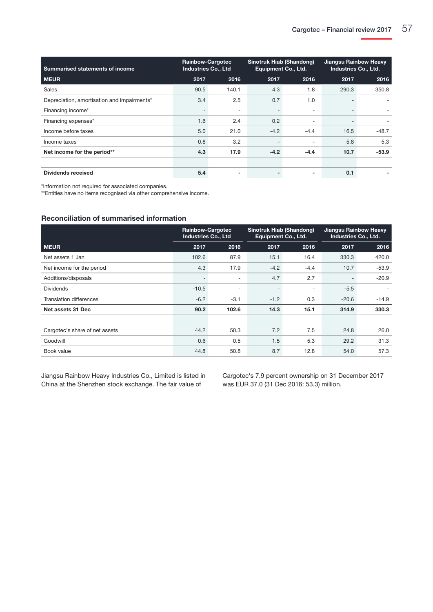| <b>Summarised statements of income</b>      | <b>Rainbow-Cargotec</b><br><b>Industries Co., Ltd</b> |                          | <b>Sinotruk Hiab (Shandong)</b><br>Equipment Co., Ltd. |                          | <b>Jiangsu Rainbow Heavy</b><br><b>Industries Co., Ltd.</b> |         |  |
|---------------------------------------------|-------------------------------------------------------|--------------------------|--------------------------------------------------------|--------------------------|-------------------------------------------------------------|---------|--|
| <b>MEUR</b>                                 | 2017                                                  | 2016                     | 2017                                                   | 2016                     | 2017                                                        | 2016    |  |
| Sales                                       | 90.5                                                  | 140.1                    | 4.3                                                    | 1.8                      | 290.3                                                       | 350.8   |  |
| Depreciation, amortisation and impairments* | 3.4                                                   | 2.5                      | 0.7                                                    | 1.0                      |                                                             |         |  |
| Financing income*                           |                                                       | $\overline{\phantom{a}}$ |                                                        | $\overline{\phantom{a}}$ | $\overline{\phantom{0}}$                                    |         |  |
| Financing expenses*                         | 1.6                                                   | 2.4                      | 0.2                                                    | $\overline{\phantom{a}}$ | $\overline{\phantom{a}}$                                    |         |  |
| Income before taxes                         | 5.0                                                   | 21.0                     | $-4.2$                                                 | $-4.4$                   | 16.5                                                        | $-48.7$ |  |
| Income taxes                                | 0.8                                                   | 3.2                      |                                                        | $\overline{\phantom{a}}$ | 5.8                                                         | 5.3     |  |
| Net income for the period**                 | 4.3                                                   | 17.9                     | $-4.2$                                                 | $-4.4$                   | 10.7                                                        | $-53.9$ |  |
|                                             |                                                       |                          |                                                        |                          |                                                             |         |  |
| <b>Dividends received</b>                   | 5.4                                                   | ۰                        |                                                        | ۰                        | 0.1                                                         |         |  |

\*Information not required for associated companies.

\*\*Entities have no items recognised via other comprehensive income.

#### Reconciliation of summarised information

|                                | <b>Rainbow-Cargotec</b><br><b>Industries Co., Ltd</b> |                          | <b>Sinotruk Hiab (Shandong)</b><br><b>Equipment Co., Ltd.</b> |                          | <b>Jiangsu Rainbow Heavy</b><br><b>Industries Co., Ltd.</b> |                          |  |
|--------------------------------|-------------------------------------------------------|--------------------------|---------------------------------------------------------------|--------------------------|-------------------------------------------------------------|--------------------------|--|
| <b>MEUR</b>                    | 2017                                                  | 2016                     | 2017                                                          | 2016                     | 2017                                                        | 2016                     |  |
| Net assets 1 Jan               | 102.6                                                 | 87.9                     | 15.1                                                          | 16.4                     | 330.3                                                       | 420.0                    |  |
| Net income for the period      | 4.3                                                   | 17.9                     | $-4.2$                                                        | $-4.4$                   | 10.7                                                        | $-53.9$                  |  |
| Additions/disposals            |                                                       | $\overline{\phantom{a}}$ | 4.7                                                           | 2.7                      | $\overline{\phantom{a}}$                                    | $-20.9$                  |  |
| <b>Dividends</b>               | $-10.5$                                               | $\overline{\phantom{a}}$ | $\overline{\phantom{a}}$                                      | $\overline{\phantom{a}}$ | $-5.5$                                                      | $\overline{\phantom{0}}$ |  |
| <b>Translation differences</b> | $-6.2$                                                | $-3.1$                   | $-1.2$                                                        | 0.3                      | $-20.6$                                                     | $-14.9$                  |  |
| Net assets 31 Dec              | 90.2                                                  | 102.6                    | 14.3                                                          | 15.1                     | 314.9                                                       | 330.3                    |  |
|                                |                                                       |                          |                                                               |                          |                                                             |                          |  |
| Cargotec's share of net assets | 44.2                                                  | 50.3                     | 7.2                                                           | 7.5                      | 24.8                                                        | 26.0                     |  |
| Goodwill                       | 0.6                                                   | 0.5                      | 1.5                                                           | 5.3                      | 29.2                                                        | 31.3                     |  |
| Book value                     | 44.8                                                  | 50.8                     | 8.7                                                           | 12.8                     | 54.0                                                        | 57.3                     |  |

Jiangsu Rainbow Heavy Industries Co., Limited is listed in China at the Shenzhen stock exchange. The fair value of

Cargotec's 7.9 percent ownership on 31 December 2017 was EUR 37.0 (31 Dec 2016: 53.3) million.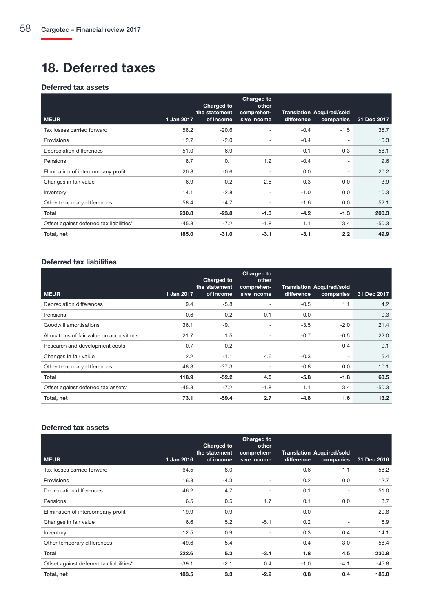# 18. Deferred taxes

### Deferred tax assets

| <b>MEUR</b>                              | 1 Jan 2017 | <b>Charged to</b><br>the statement<br>of income | Charged to<br>other<br>comprehen-<br>sive income | difference | <b>Translation Acquired/sold</b><br>companies | 31 Dec 2017 |
|------------------------------------------|------------|-------------------------------------------------|--------------------------------------------------|------------|-----------------------------------------------|-------------|
| Tax losses carried forward               | 58.2       | $-20.6$                                         | $\overline{\phantom{0}}$                         | $-0.4$     | $-1.5$                                        | 35.7        |
| Provisions                               | 12.7       | $-2.0$                                          |                                                  | $-0.4$     | $\overline{\phantom{a}}$                      | 10.3        |
| Depreciation differences                 | 51.0       | 6.9                                             |                                                  | $-0.1$     | 0.3                                           | 58.1        |
| Pensions                                 | 8.7        | 0.1                                             | 1.2                                              | $-0.4$     | $\overline{\phantom{a}}$                      | 9.6         |
| Elimination of intercompany profit       | 20.8       | $-0.6$                                          | $\overline{\phantom{a}}$                         | 0.0        | $\overline{\phantom{a}}$                      | 20.2        |
| Changes in fair value                    | 6.9        | $-0.2$                                          | $-2.5$                                           | $-0.3$     | 0.0                                           | 3.9         |
| Inventory                                | 14.1       | $-2.8$                                          |                                                  | $-1.0$     | 0.0                                           | 10.3        |
| Other temporary differences              | 58.4       | $-4.7$                                          |                                                  | $-1.6$     | 0.0                                           | 52.1        |
| <b>Total</b>                             | 230.8      | $-23.8$                                         | $-1.3$                                           | $-4.2$     | $-1.3$                                        | 200.3       |
| Offset against deferred tax liabilities* | $-45.8$    | $-7.2$                                          | $-1.8$                                           | 1.1        | 3.4                                           | $-50.3$     |
| Total, net                               | 185.0      | $-31.0$                                         | $-3.1$                                           | $-3.1$     | 2.2                                           | 149.9       |

### Deferred tax liabilities

| <b>MEUR</b>                               | 1 Jan 2017 | <b>Charged to</b><br>the statement<br>of income | <b>Charged to</b><br>other<br>comprehen-<br>sive income | difference        | <b>Translation Acquired/sold</b><br>companies | 31 Dec 2017 |
|-------------------------------------------|------------|-------------------------------------------------|---------------------------------------------------------|-------------------|-----------------------------------------------|-------------|
| Depreciation differences                  | 9.4        | $-5.8$                                          |                                                         | $-0.5$            | 1.1                                           | 4.2         |
| Pensions                                  | 0.6        | $-0.2$                                          | $-0.1$                                                  | 0.0               |                                               | 0.3         |
| Goodwill amortisations                    | 36.1       | $-9.1$                                          |                                                         | $-3.5$            | $-2.0$                                        | 21.4        |
| Allocations of fair value on acquisitions | 21.7       | 1.5                                             | $\overline{\phantom{0}}$                                | $-0.7$            | $-0.5$                                        | 22.0        |
| Research and development costs            | 0.7        | $-0.2$                                          |                                                         | $\qquad \qquad -$ | $-0.4$                                        | 0.1         |
| Changes in fair value                     | 2.2        | $-1.1$                                          | 4.6                                                     | $-0.3$            |                                               | 5.4         |
| Other temporary differences               | 48.3       | $-37.3$                                         |                                                         | $-0.8$            | 0.0                                           | 10.1        |
| <b>Total</b>                              | 118.9      | $-52.2$                                         | 4.5                                                     | $-5.8$            | $-1.8$                                        | 63.5        |
| Offset against deferred tax assets*       | $-45.8$    | $-7.2$                                          | $-1.8$                                                  | 1.1               | 3.4                                           | $-50.3$     |
| Total, net                                | 73.1       | $-59.4$                                         | 2.7                                                     | $-4.8$            | 1.6                                           | 13.2        |

### Deferred tax assets

| <b>MEUR</b>                              | 1 Jan 2016 | <b>Charged to</b><br>the statement<br>of income | Charged to<br>other<br>comprehen-<br>sive income | difference | <b>Translation Acquired/sold</b><br>companies | 31 Dec 2016 |
|------------------------------------------|------------|-------------------------------------------------|--------------------------------------------------|------------|-----------------------------------------------|-------------|
| Tax losses carried forward               | 64.5       | $-8.0$                                          | $\overline{\phantom{0}}$                         | 0.6        | 1.1                                           | 58.2        |
| <b>Provisions</b>                        | 16.8       | $-4.3$                                          | $\overline{\phantom{0}}$                         | 0.2        | 0.0                                           | 12.7        |
| Depreciation differences                 | 46.2       | 4.7                                             | -                                                | 0.1        | $\overline{\phantom{a}}$                      | 51.0        |
| Pensions                                 | 6.5        | 0.5                                             | 1.7                                              | 0.1        | 0.0                                           | 8.7         |
| Elimination of intercompany profit       | 19.9       | 0.9                                             | $\overline{\phantom{0}}$                         | 0.0        | $\overline{\phantom{a}}$                      | 20.8        |
| Changes in fair value                    | 6.6        | 5.2                                             | $-5.1$                                           | 0.2        | $\overline{\phantom{0}}$                      | 6.9         |
| Inventory                                | 12.5       | 0.9                                             | $\overline{\phantom{0}}$                         | 0.3        | 0.4                                           | 14.1        |
| Other temporary differences              | 49.6       | 5.4                                             | $\overline{\phantom{0}}$                         | 0.4        | 3.0                                           | 58.4        |
| <b>Total</b>                             | 222.6      | 5.3                                             | $-3.4$                                           | 1.8        | 4.5                                           | 230.8       |
| Offset against deferred tax liabilities* | $-39.1$    | $-2.1$                                          | 0.4                                              | $-1.0$     | $-4.1$                                        | $-45.8$     |
| Total, net                               | 183.5      | 3.3                                             | $-2.9$                                           | 0.8        | 0.4                                           | 185.0       |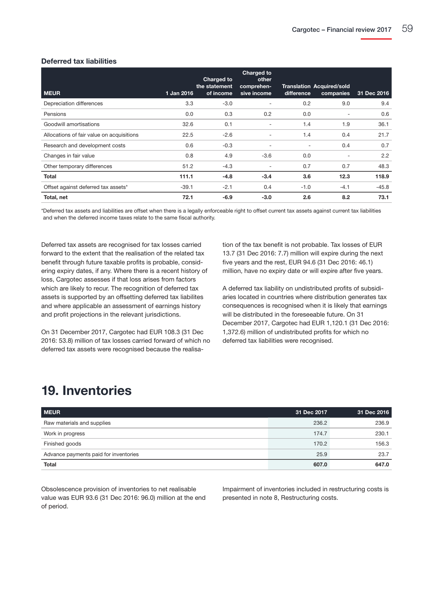#### Deferred tax liabilities

| <b>MEUR</b>                               | 1 Jan 2016 | Charged to<br>the statement<br>of income | <b>Charged to</b><br>other<br>comprehen-<br>sive income | difference        | <b>Translation Acquired/sold</b><br>companies | 31 Dec 2016 |
|-------------------------------------------|------------|------------------------------------------|---------------------------------------------------------|-------------------|-----------------------------------------------|-------------|
| Depreciation differences                  | 3.3        | $-3.0$                                   |                                                         | 0.2               | 9.0                                           | 9.4         |
| Pensions                                  | 0.0        | 0.3                                      | 0.2                                                     | 0.0               | $\qquad \qquad \blacksquare$                  | 0.6         |
| Goodwill amortisations                    | 32.6       | 0.1                                      |                                                         | 1.4               | 1.9                                           | 36.1        |
| Allocations of fair value on acquisitions | 22.5       | $-2.6$                                   |                                                         | 1.4               | 0.4                                           | 21.7        |
| Research and development costs            | 0.6        | $-0.3$                                   |                                                         | $\qquad \qquad -$ | 0.4                                           | 0.7         |
| Changes in fair value                     | 0.8        | 4.9                                      | $-3.6$                                                  | 0.0               | $\overline{\phantom{a}}$                      | 2.2         |
| Other temporary differences               | 51.2       | $-4.3$                                   |                                                         | 0.7               | 0.7                                           | 48.3        |
| <b>Total</b>                              | 111.1      | $-4.8$                                   | $-3.4$                                                  | 3.6               | 12.3                                          | 118.9       |
| Offset against deferred tax assets*       | $-39.1$    | $-2.1$                                   | 0.4                                                     | $-1.0$            | $-4.1$                                        | $-45.8$     |
| Total, net                                | 72.1       | $-6.9$                                   | $-3.0$                                                  | 2.6               | 8.2                                           | 73.1        |

\*Deferred tax assets and liabilities are offset when there is a legally enforceable right to offset current tax assets against current tax liabilities and when the deferred income taxes relate to the same fiscal authority.

Deferred tax assets are recognised for tax losses carried forward to the extent that the realisation of the related tax benefit through future taxable profits is probable, considering expiry dates, if any. Where there is a recent history of loss, Cargotec assesses if that loss arises from factors which are likely to recur. The recognition of deferred tax assets is supported by an offsetting deferred tax liabilites and where applicable an assessment of earnings history and profit projections in the relevant jurisdictions.

On 31 December 2017, Cargotec had EUR 108.3 (31 Dec 2016: 53.8) million of tax losses carried forward of which no deferred tax assets were recognised because the realisation of the tax benefit is not probable. Tax losses of EUR 13.7 (31 Dec 2016: 7.7) million will expire during the next five years and the rest, EUR 94.6 (31 Dec 2016: 46.1) million, have no expiry date or will expire after five years.

A deferred tax liability on undistributed profits of subsidiaries located in countries where distribution generates tax consequences is recognised when it is likely that earnings will be distributed in the foreseeable future. On 31 December 2017, Cargotec had EUR 1,120.1 (31 Dec 2016: 1,372.6) million of undistributed profits for which no deferred tax liabilities were recognised.

## 19. Inventories

| <b>MEUR</b>                           | 31 Dec 2017 | 31 Dec 2016 |
|---------------------------------------|-------------|-------------|
| Raw materials and supplies            | 236.2       | 236.9       |
| Work in progress                      | 174.7       | 230.1       |
| Finished goods                        | 170.2       | 156.3       |
| Advance payments paid for inventories | 25.9        | 23.7        |
| <b>Total</b>                          | 607.0       | 647.0       |

Obsolescence provision of inventories to net realisable value was EUR 93.6 (31 Dec 2016: 96.0) million at the end of period.

Impairment of inventories included in restructuring costs is presented in note 8, Restructuring costs.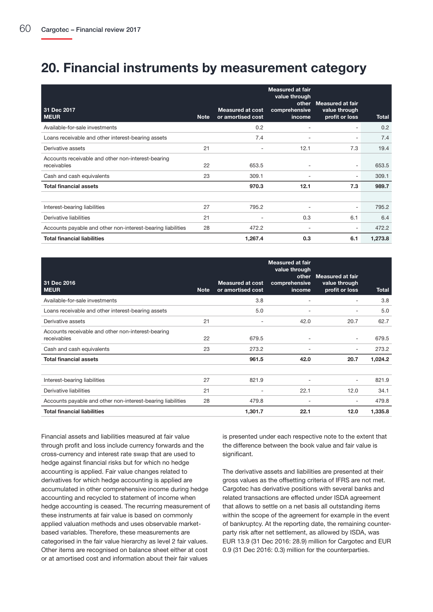# 20. Financial instruments by measurement category

| 31 Dec 2017<br><b>MEUR</b>                                        | <b>Note</b> | <b>Measured at cost</b><br>or amortised cost | <b>Measured at fair</b><br>value through<br>other<br>comprehensive<br>income | <b>Measured at fair</b><br>value through<br>profit or loss | Total   |
|-------------------------------------------------------------------|-------------|----------------------------------------------|------------------------------------------------------------------------------|------------------------------------------------------------|---------|
| Available-for-sale investments                                    |             | 0.2                                          | $\overline{\phantom{a}}$                                                     | $\overline{\phantom{0}}$                                   | 0.2     |
| Loans receivable and other interest-bearing assets                |             | 7.4                                          |                                                                              | $\overline{a}$                                             | 7.4     |
| Derivative assets                                                 | 21          | $\overline{\phantom{0}}$                     | 12.1                                                                         | 7.3                                                        | 19.4    |
| Accounts receivable and other non-interest-bearing<br>receivables | 22          | 653.5                                        | $\overline{\phantom{a}}$                                                     | $\overline{\phantom{a}}$                                   | 653.5   |
| Cash and cash equivalents                                         | 23          | 309.1                                        |                                                                              | $\qquad \qquad -$                                          | 309.1   |
| <b>Total financial assets</b>                                     |             | 970.3                                        | 12.1                                                                         | 7.3                                                        | 989.7   |
|                                                                   |             |                                              |                                                                              |                                                            |         |
| Interest-bearing liabilities                                      | 27          | 795.2                                        | $\overline{\phantom{a}}$                                                     | $\overline{\phantom{a}}$                                   | 795.2   |
| Derivative liabilities                                            | 21          | $\overline{\phantom{0}}$                     | 0.3                                                                          | 6.1                                                        | 6.4     |
| Accounts payable and other non-interest-bearing liabilities       | 28          | 472.2                                        | $\overline{\phantom{a}}$                                                     | $\qquad \qquad -$                                          | 472.2   |
| <b>Total financial liabilities</b>                                |             | 1,267.4                                      | 0.3                                                                          | 6.1                                                        | 1,273.8 |

|                                                                   |             |                                              | <b>Measured at fair</b><br>value through<br>other | <b>Measured at fair</b>         |         |
|-------------------------------------------------------------------|-------------|----------------------------------------------|---------------------------------------------------|---------------------------------|---------|
| 31 Dec 2016<br><b>MEUR</b>                                        | <b>Note</b> | <b>Measured at cost</b><br>or amortised cost | comprehensive<br>income                           | value through<br>profit or loss | Total   |
| Available-for-sale investments                                    |             | 3.8                                          | $\overline{\phantom{a}}$                          | $\overline{\phantom{0}}$        | 3.8     |
| Loans receivable and other interest-bearing assets                |             | 5.0                                          | $\overline{\phantom{a}}$                          | $\qquad \qquad$                 | 5.0     |
| Derivative assets                                                 | 21          |                                              | 42.0                                              | 20.7                            | 62.7    |
| Accounts receivable and other non-interest-bearing<br>receivables | 22          | 679.5                                        | $\overline{\phantom{a}}$                          | $\overline{\phantom{a}}$        | 679.5   |
| Cash and cash equivalents                                         | 23          | 273.2                                        | $\overline{\phantom{0}}$                          | $\overline{\phantom{a}}$        | 273.2   |
| <b>Total financial assets</b>                                     |             | 961.5                                        | 42.0                                              | 20.7                            | 1,024.2 |
|                                                                   |             |                                              |                                                   |                                 |         |
| Interest-bearing liabilities                                      | 27          | 821.9                                        | $\overline{\phantom{0}}$                          | $\overline{\phantom{a}}$        | 821.9   |
| Derivative liabilities                                            | 21          |                                              | 22.1                                              | 12.0                            | 34.1    |
| Accounts payable and other non-interest-bearing liabilities       | 28          | 479.8                                        | $\overline{a}$                                    | $\overline{\phantom{a}}$        | 479.8   |
| <b>Total financial liabilities</b>                                |             | 1,301.7                                      | 22.1                                              | 12.0                            | 1,335.8 |

Financial assets and liabilities measured at fair value through profit and loss include currency forwards and the cross-currency and interest rate swap that are used to hedge against financial risks but for which no hedge accounting is applied. Fair value changes related to derivatives for which hedge accounting is applied are accumulated in other comprehensive income during hedge accounting and recycled to statement of income when hedge accounting is ceased. The recurring measurement of these instruments at fair value is based on commonly applied valuation methods and uses observable marketbased variables. Therefore, these measurements are categorised in the fair value hierarchy as level 2 fair values. Other items are recognised on balance sheet either at cost or at amortised cost and information about their fair values

is presented under each respective note to the extent that the difference between the book value and fair value is significant.

The derivative assets and liabilities are presented at their gross values as the offsetting criteria of IFRS are not met. Cargotec has derivative positions with several banks and related transactions are effected under ISDA agreement that allows to settle on a net basis all outstanding items within the scope of the agreement for example in the event of bankruptcy. At the reporting date, the remaining counterparty risk after net settlement, as allowed by ISDA, was EUR 13.9 (31 Dec 2016: 28.9) million for Cargotec and EUR 0.9 (31 Dec 2016: 0.3) million for the counterparties.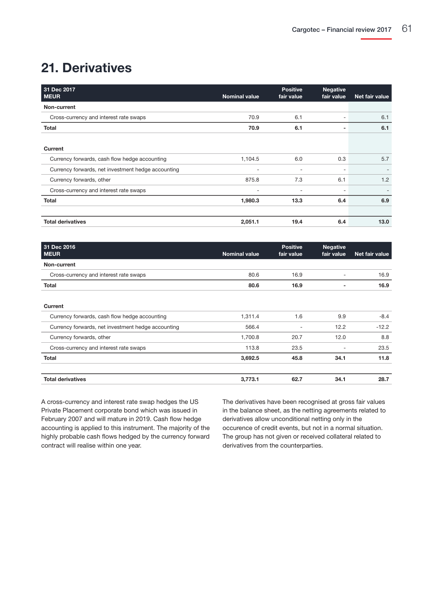# 21. Derivatives

| 31 Dec 2017<br><b>MEUR</b>                         | <b>Nominal value</b>     | <b>Positive</b><br>fair value | <b>Negative</b><br>fair value | Net fair value |
|----------------------------------------------------|--------------------------|-------------------------------|-------------------------------|----------------|
| Non-current                                        |                          |                               |                               |                |
| Cross-currency and interest rate swaps             | 70.9                     | 6.1                           |                               | 6.1            |
| <b>Total</b>                                       | 70.9                     | 6.1                           |                               | 6.1            |
| <b>Current</b>                                     |                          |                               |                               |                |
| Currency forwards, cash flow hedge accounting      | 1,104.5                  | 6.0                           | 0.3                           | 5.7            |
| Currency forwards, net investment hedge accounting | $\overline{\phantom{a}}$ | $\overline{\phantom{a}}$      | $\overline{\phantom{a}}$      |                |
| Currency forwards, other                           | 875.8                    | 7.3                           | 6.1                           | 1.2            |
| Cross-currency and interest rate swaps             |                          | $\qquad \qquad$               |                               |                |
| <b>Total</b>                                       | 1,980.3                  | 13.3                          | 6.4                           | 6.9            |
|                                                    |                          |                               |                               |                |
| <b>Total derivatives</b>                           | 2,051.1                  | 19.4                          | 6.4                           | 13.0           |

| 31 Dec 2016<br><b>MEUR</b>                         | <b>Nominal value</b> | <b>Positive</b><br>fair value | <b>Negative</b><br>fair value | Net fair value |
|----------------------------------------------------|----------------------|-------------------------------|-------------------------------|----------------|
| Non-current                                        |                      |                               |                               |                |
| Cross-currency and interest rate swaps             | 80.6                 | 16.9                          |                               | 16.9           |
| <b>Total</b>                                       | 80.6                 | 16.9                          |                               | 16.9           |
| <b>Current</b>                                     |                      |                               |                               |                |
| Currency forwards, cash flow hedge accounting      | 1,311.4              | 1.6                           | 9.9                           | $-8.4$         |
| Currency forwards, net investment hedge accounting | 566.4                | $\qquad \qquad \blacksquare$  | 12.2                          | $-12.2$        |
| Currency forwards, other                           | 1,700.8              | 20.7                          | 12.0                          | 8.8            |
| Cross-currency and interest rate swaps             | 113.8                | 23.5                          |                               | 23.5           |
| <b>Total</b>                                       | 3,692.5              | 45.8                          | 34.1                          | 11.8           |
| <b>Total derivatives</b>                           | 3,773.1              | 62.7                          | 34.1                          | 28.7           |

A cross-currency and interest rate swap hedges the US Private Placement corporate bond which was issued in February 2007 and will mature in 2019. Cash flow hedge accounting is applied to this instrument. The majority of the highly probable cash flows hedged by the currency forward contract will realise within one year.

The derivatives have been recognised at gross fair values in the balance sheet, as the netting agreements related to derivatives allow unconditional netting only in the occurence of credit events, but not in a normal situation. The group has not given or received collateral related to derivatives from the counterparties.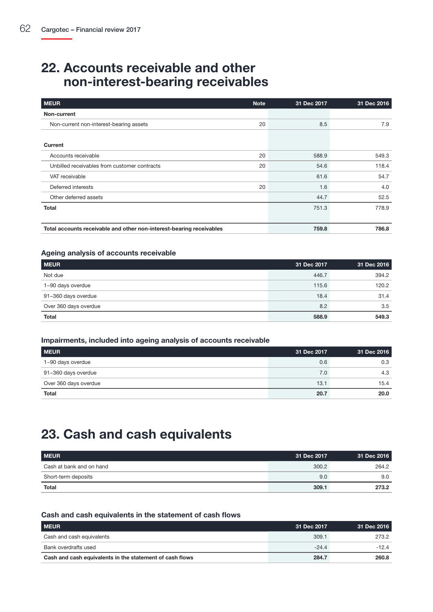### 22. Accounts receivable and other non-interest-bearing receivables

| <b>MEUR</b>                                                          | <b>Note</b> | 31 Dec 2017 | 31 Dec 2016 |
|----------------------------------------------------------------------|-------------|-------------|-------------|
| Non-current                                                          |             |             |             |
| Non-current non-interest-bearing assets                              | 20          | 8.5         | 7.9         |
|                                                                      |             |             |             |
| <b>Current</b>                                                       |             |             |             |
| Accounts receivable                                                  | 20          | 588.9       | 549.3       |
| Unbilled receivables from customer contracts                         | 20          | 54.6        | 118.4       |
| VAT receivable                                                       |             | 61.6        | 54.7        |
| Deferred interests                                                   | 20          | 1.6         | 4.0         |
| Other deferred assets                                                |             | 44.7        | 52.5        |
| <b>Total</b>                                                         |             | 751.3       | 778.9       |
|                                                                      |             |             |             |
| Total accounts receivable and other non-interest-bearing receivables |             | 759.8       | 786.8       |

#### Ageing analysis of accounts receivable

| <b>MEUR</b>           | 31 Dec 2017 | 31 Dec 2016 |
|-----------------------|-------------|-------------|
| Not due               | 446.7       | 394.2       |
| 1-90 days overdue     | 115.6       | 120.2       |
| 91-360 days overdue   | 18.4        | 31.4        |
| Over 360 days overdue | 8.2         | 3.5         |
| <b>Total</b>          | 588.9       | 549.3       |

#### Impairments, included into ageing analysis of accounts receivable

| <b>MEUR</b>           | 31 Dec 2017 | 31 Dec 2016 |
|-----------------------|-------------|-------------|
| 1-90 days overdue     | 0.6         | 0.3         |
| 91-360 days overdue   | 7.0         | 4.3         |
| Over 360 days overdue | 13.1        | 15.4        |
| <b>Total</b>          | 20.7        | 20.0        |

## 23. Cash and cash equivalents

| <b>MEUR</b>              | 31 Dec 2017 | 31 Dec 2016 |
|--------------------------|-------------|-------------|
| Cash at bank and on hand | 300.2       | 264.2       |
| Short-term deposits      | 9.0         | 9.0         |
| <b>Total</b>             | 309.1       | 273.2       |

#### Cash and cash equivalents in the statement of cash flows

| I MEUR                                                   | 31 Dec 2017 | 31 Dec 2016 |
|----------------------------------------------------------|-------------|-------------|
| Cash and cash equivalents                                | 309.1       | 273.2       |
| Bank overdrafts used                                     | $-24.4$     | $-12.4$     |
| Cash and cash equivalents in the statement of cash flows | 284.7       | 260.8       |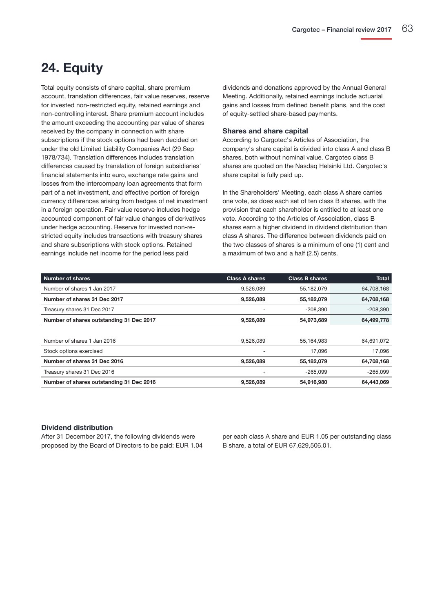# 24. Equity

Total equity consists of share capital, share premium account, translation differences, fair value reserves, reserve for invested non-restricted equity, retained earnings and non-controlling interest. Share premium account includes the amount exceeding the accounting par value of shares received by the company in connection with share subscriptions if the stock options had been decided on under the old Limited Liability Companies Act (29 Sep 1978/734). Translation differences includes translation differences caused by translation of foreign subsidiaries' financial statements into euro, exchange rate gains and losses from the intercompany loan agreements that form part of a net investment, and effective portion of foreign currency differences arising from hedges of net investment in a foreign operation. Fair value reserve includes hedge accounted component of fair value changes of derivatives under hedge accounting. Reserve for invested non-restricted equity includes transactions with treasury shares and share subscriptions with stock options. Retained earnings include net income for the period less paid

dividends and donations approved by the Annual General Meeting. Additionally, retained earnings include actuarial gains and losses from defined benefit plans, and the cost of equity-settled share-based payments.

#### Shares and share capital

According to Cargotec's Articles of Association, the company's share capital is divided into class A and class B shares, both without nominal value. Cargotec class B shares are quoted on the Nasdaq Helsinki Ltd. Cargotec's share capital is fully paid up.

In the Shareholders' Meeting, each class A share carries one vote, as does each set of ten class B shares, with the provision that each shareholder is entitled to at least one vote. According to the Articles of Association, class B shares earn a higher dividend in dividend distribution than class A shares. The difference between dividends paid on the two classes of shares is a minimum of one (1) cent and a maximum of two and a half (2.5) cents.

| <b>Number of shares</b>                  | <b>Class A shares</b> | <b>Class B shares</b> | <b>Total</b> |
|------------------------------------------|-----------------------|-----------------------|--------------|
| Number of shares 1 Jan 2017              | 9,526,089             | 55,182,079            | 64,708,168   |
| Number of shares 31 Dec 2017             | 9,526,089             | 55,182,079            | 64,708,168   |
| Treasury shares 31 Dec 2017              |                       | -208.390              | $-208,390$   |
| Number of shares outstanding 31 Dec 2017 | 9,526,089             | 54,973,689            | 64,499,778   |
|                                          |                       |                       |              |
| Number of shares 1 Jan 2016              | 9,526,089             | 55,164,983            | 64,691,072   |
| Stock options exercised                  |                       | 17.096                | 17.096       |
| Number of shares 31 Dec 2016             | 9,526,089             | 55,182,079            | 64,708,168   |
| Treasury shares 31 Dec 2016              |                       | $-265.099$            | $-265.099$   |
| Number of shares outstanding 31 Dec 2016 | 9,526,089             | 54,916,980            | 64.443.069   |

#### Dividend distribution

After 31 December 2017, the following dividends were proposed by the Board of Directors to be paid: EUR 1.04 per each class A share and EUR 1.05 per outstanding class B share, a total of EUR 67,629,506.01.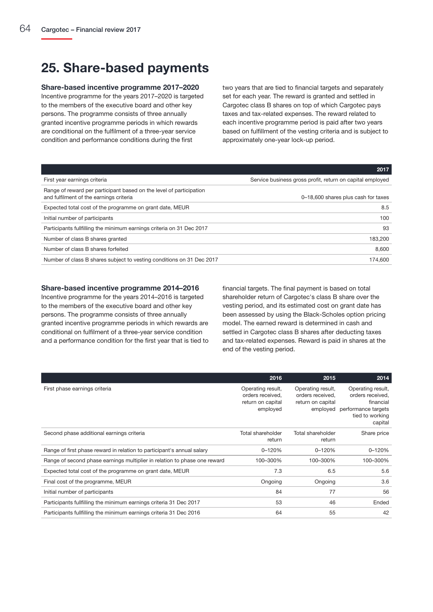## 25. Share-based payments

#### Share-based incentive programme 2017–2020

Incentive programme for the years 2017–2020 is targeted to the members of the executive board and other key persons. The programme consists of three annually granted incentive programme periods in which rewards are conditional on the fulfilment of a three-year service condition and performance conditions during the first

two years that are tied to financial targets and separately set for each year. The reward is granted and settled in Cargotec class B shares on top of which Cargotec pays taxes and tax-related expenses. The reward related to each incentive programme period is paid after two years based on fulfillment of the vesting criteria and is subject to approximately one-year lock-up period.

|                                                                                                                | 2017                                                      |
|----------------------------------------------------------------------------------------------------------------|-----------------------------------------------------------|
| First year earnings criteria                                                                                   | Service business gross profit, return on capital employed |
| Range of reward per participant based on the level of participation<br>and fulfilment of the earnings criteria | 0-18,600 shares plus cash for taxes                       |
| Expected total cost of the programme on grant date, MEUR                                                       | 8.5                                                       |
| Initial number of participants                                                                                 | 100                                                       |
| Participants fullfilling the minimum earnings criteria on 31 Dec 2017                                          | 93                                                        |
| Number of class B shares granted                                                                               | 183,200                                                   |
| Number of class B shares forfeited                                                                             | 8.600                                                     |
| Number of class B shares subject to vesting conditions on 31 Dec 2017                                          | 174,600                                                   |
|                                                                                                                |                                                           |

#### Share-based incentive programme 2014–2016

Incentive programme for the years 2014–2016 is targeted to the members of the executive board and other key persons. The programme consists of three annually granted incentive programme periods in which rewards are conditional on fulfilment of a three-year service condition and a performance condition for the first year that is tied to financial targets. The final payment is based on total shareholder return of Cargotec's class B share over the vesting period, and its estimated cost on grant date has been assessed by using the Black-Scholes option pricing model. The earned reward is determined in cash and settled in Cargotec class B shares after deducting taxes and tax-related expenses. Reward is paid in shares at the end of the vesting period.

|                                                                           | 2016                                                                   | 2015                                                                   | 2014                                                                                                    |
|---------------------------------------------------------------------------|------------------------------------------------------------------------|------------------------------------------------------------------------|---------------------------------------------------------------------------------------------------------|
| First phase earnings criteria                                             | Operating result,<br>orders received,<br>return on capital<br>employed | Operating result,<br>orders received,<br>return on capital<br>employed | Operating result,<br>orders received.<br>financial<br>performance targets<br>tied to working<br>capital |
| Second phase additional earnings criteria                                 | Total shareholder<br>return                                            | Total shareholder<br>return                                            | Share price                                                                                             |
| Range of first phase reward in relation to participant's annual salary    | $0 - 120%$                                                             | $0 - 120%$                                                             | $0 - 120%$                                                                                              |
| Range of second phase earnings multiplier in relation to phase one reward | 100-300%                                                               | 100-300%                                                               | 100-300%                                                                                                |
| Expected total cost of the programme on grant date, MEUR                  | 7.3                                                                    | 6.5                                                                    | 5.6                                                                                                     |
| Final cost of the programme, MEUR                                         | Ongoing                                                                | Ongoing                                                                | 3.6                                                                                                     |
| Initial number of participants                                            | 84                                                                     | 77                                                                     | 56                                                                                                      |
| Participants fullfilling the minimum earnings criteria 31 Dec 2017        | 53                                                                     | 46                                                                     | Ended                                                                                                   |
| Participants fullfilling the minimum earnings criteria 31 Dec 2016        | 64                                                                     | 55                                                                     | 42                                                                                                      |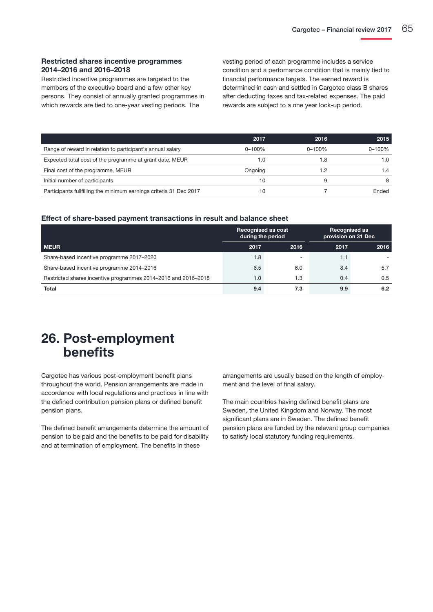#### Restricted shares incentive programmes 2014–2016 and 2016–2018

Restricted incentive programmes are targeted to the members of the executive board and a few other key persons. They consist of annually granted programmes in which rewards are tied to one-year vesting periods. The

vesting period of each programme includes a service condition and a perfomance condition that is mainly tied to financial performance targets. The earned reward is determined in cash and settled in Cargotec class B shares after deducting taxes and tax-related expenses. The paid rewards are subject to a one year lock-up period.

|                                                                    | 2017        | 2016       | 2015        |
|--------------------------------------------------------------------|-------------|------------|-------------|
| Range of reward in relation to participant's annual salary         | $0 - 100\%$ | $0 - 100%$ | $0 - 100\%$ |
| Expected total cost of the programme at grant date, MEUR           | 0. ا        | 1.8        | 1.0         |
| Final cost of the programme, MEUR                                  | Ongoing     | 1.2        | 1.4         |
| Initial number of participants                                     | 10          |            | 8           |
| Participants fullfilling the minimum earnings criteria 31 Dec 2017 | 10          |            | Ended       |

#### Effect of share-based payment transactions in result and balance sheet

|                                                                | <b>Recognised as cost</b><br>during the period |                          | <b>Recognised as</b><br>provision on 31 Dec |      |
|----------------------------------------------------------------|------------------------------------------------|--------------------------|---------------------------------------------|------|
| <b>MEUR</b>                                                    | 2017                                           | 2016                     | 2017                                        | 2016 |
| Share-based incentive programme 2017-2020                      | 1.8                                            | $\overline{\phantom{0}}$ | 1.7                                         |      |
| Share-based incentive programme 2014-2016                      | 6.5                                            | 6.0                      | 8.4                                         | 5.7  |
| Restricted shares incentive programmes 2014-2016 and 2016-2018 | 1.0                                            | 1.3                      | 0.4                                         | 0.5  |
| <b>Total</b>                                                   | 9.4                                            | 7.3                      | 9.9                                         | 6.2  |

### 26. Post-employment benefits

Cargotec has various post-employment benefit plans throughout the world. Pension arrangements are made in accordance with local regulations and practices in line with the defined contribution pension plans or defined benefit pension plans.

The defined benefit arrangements determine the amount of pension to be paid and the benefits to be paid for disability and at termination of employment. The benefits in these

arrangements are usually based on the length of employment and the level of final salary.

The main countries having defined benefit plans are Sweden, the United Kingdom and Norway. The most significant plans are in Sweden. The defined benefit pension plans are funded by the relevant group companies to satisfy local statutory funding requirements.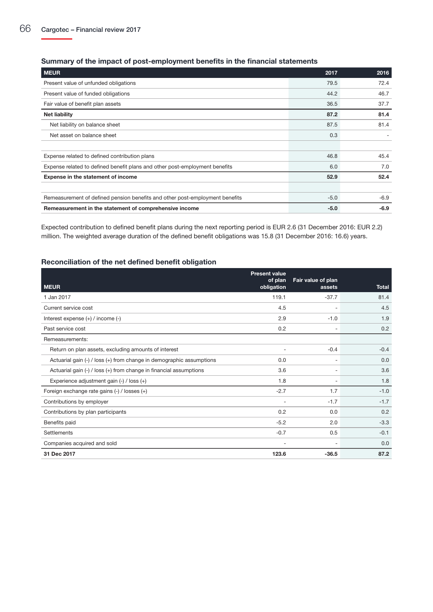#### Summary of the impact of post-employment benefits in the financial statements

| <b>MEUR</b>                                                                  | 2017   | 2016   |
|------------------------------------------------------------------------------|--------|--------|
| Present value of unfunded obligations                                        | 79.5   | 72.4   |
| Present value of funded obligations                                          | 44.2   | 46.7   |
| Fair value of benefit plan assets                                            | 36.5   | 37.7   |
| <b>Net liability</b>                                                         | 87.2   | 81.4   |
| Net liability on balance sheet                                               | 87.5   | 81.4   |
| Net asset on balance sheet                                                   | 0.3    |        |
|                                                                              |        |        |
| Expense related to defined contribution plans                                | 46.8   | 45.4   |
| Expense related to defined benefit plans and other post-employment benefits  | 6.0    | 7.0    |
| Expense in the statement of income                                           | 52.9   | 52.4   |
|                                                                              |        |        |
| Remeasurement of defined pension benefits and other post-employment benefits | $-5.0$ | $-6.9$ |
| Remeasurement in the statement of comprehensive income                       | $-5.0$ | $-6.9$ |

Expected contribution to defined benefit plans during the next reporting period is EUR 2.6 (31 December 2016: EUR 2.2) million. The weighted average duration of the defined benefit obligations was 15.8 (31 December 2016: 16.6) years.

### Reconciliation of the net defined benefit obligation

|                                                                                                                    | <b>Present value</b>         |                              |              |
|--------------------------------------------------------------------------------------------------------------------|------------------------------|------------------------------|--------------|
| <b>MEUR</b>                                                                                                        | of plan<br>obligation        | Fair value of plan<br>assets | <b>Total</b> |
| 1 Jan 2017                                                                                                         | 119.1                        | $-37.7$                      | 81.4         |
| Current service cost                                                                                               | 4.5                          |                              | 4.5          |
| Interest expense $(+)$ / income $(-)$                                                                              | 2.9                          | $-1.0$                       | 1.9          |
| Past service cost                                                                                                  | 0.2                          |                              | 0.2          |
| Remeasurements:                                                                                                    |                              |                              |              |
| Return on plan assets, excluding amounts of interest                                                               | $\qquad \qquad \blacksquare$ | $-0.4$                       | $-0.4$       |
| Actuarial gain $\left(\frac{1}{2}\right)$ / loss $\left(\frac{1}{2}\right)$ from change in demographic assumptions | 0.0                          |                              | 0.0          |
| Actuarial gain (-) / loss (+) from change in financial assumptions                                                 | 3.6                          | $\overline{a}$               | 3.6          |
| Experience adjustment gain (-) / loss (+)                                                                          | 1.8                          |                              | 1.8          |
| Foreign exchange rate gains (-) / losses (+)                                                                       | $-2.7$                       | 1.7                          | $-1.0$       |
| Contributions by employer                                                                                          | $\overline{\phantom{a}}$     | $-1.7$                       | $-1.7$       |
| Contributions by plan participants                                                                                 | 0.2                          | 0.0                          | 0.2          |
| Benefits paid                                                                                                      | $-5.2$                       | 2.0                          | $-3.3$       |
| <b>Settlements</b>                                                                                                 | $-0.7$                       | 0.5                          | $-0.1$       |
| Companies acquired and sold                                                                                        |                              |                              | 0.0          |
| 31 Dec 2017                                                                                                        | 123.6                        | $-36.5$                      | 87.2         |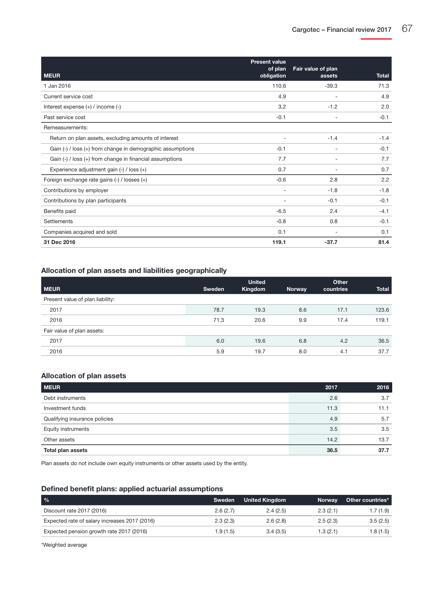|                                                            | <b>Present value</b><br>of plan | Fair value of plan       |              |
|------------------------------------------------------------|---------------------------------|--------------------------|--------------|
| <b>MEUR</b>                                                | obligation                      | assets                   | <b>Total</b> |
| 1 Jan 2016                                                 | 110.6                           | $-39.3$                  | 71.3         |
| Current service cost                                       | 4.9                             | $\overline{a}$           | 4.9          |
| Interest expense (+) / income (-)                          | 3.2                             | $-1.2$                   | 2.0          |
| Past service cost                                          | $-0.1$                          | $\overline{\phantom{0}}$ | $-0.1$       |
| Remeasurements:                                            |                                 |                          |              |
| Return on plan assets, excluding amounts of interest       | $\overline{\phantom{a}}$        | $-1.4$                   | $-1.4$       |
| Gain (-) / loss (+) from change in demographic assumptions | $-0.1$                          |                          | $-0.1$       |
| Gain (-) / loss (+) from change in financial assumptions   | 7.7                             | $\overline{a}$           | 7.7          |
| Experience adjustment gain (-) / loss (+)                  | 0.7                             |                          | 0.7          |
| Foreign exchange rate gains (-) / losses (+)               | $-0.6$                          | 2.8                      | 2.2          |
| Contributions by employer                                  | $\overline{\phantom{a}}$        | $-1.8$                   | $-1.8$       |
| Contributions by plan participants                         | $\overline{\phantom{a}}$        | $-0.1$                   | $-0.1$       |
| Benefits paid                                              | $-6.5$                          | 2.4                      | $-4.1$       |
| <b>Settlements</b>                                         | $-0.8$                          | 0.8                      | $-0.1$       |
| Companies acquired and sold                                | 0.1                             | $\overline{\phantom{0}}$ | 0.1          |
| 31 Dec 2016                                                | 119.1                           | $-37.7$                  | 81.4         |

### Allocation of plan assets and liabilities geographically

| <b>MEUR</b>                      | Sweden | <b>United</b><br><b>Kingdom</b> | <b>Norway</b> | Other<br>countries | <b>Total</b> |
|----------------------------------|--------|---------------------------------|---------------|--------------------|--------------|
| Present value of plan liability: |        |                                 |               |                    |              |
| 2017                             | 78.7   | 19.3                            | 8.6           | 17.1               | 123.6        |
| 2016                             | 71.3   | 20.6                            | 9.9           | 17.4               | 119.1        |
| Fair value of plan assets:       |        |                                 |               |                    |              |
| 2017                             | 6.0    | 19.6                            | 6.8           | 4.2                | 36.5         |
| 2016                             | 5.9    | 19.7                            | 8.0           | 4.1                | 37.7         |

#### Allocation of plan assets

| <b>MEUR</b>                   | 2017 | 2016 |
|-------------------------------|------|------|
| Debt instruments              | 2.6  | 3.7  |
| Investment funds              | 11.3 | 11.1 |
| Qualifying insurance policies | 4.9  | 5.7  |
| Equity instruments            | 3.5  | 3.5  |
| Other assets                  | 14.2 | 13.7 |
| Total plan assets             | 36.5 | 37.7 |

Plan assets do not include own equity instruments or other assets used by the entity.

#### Defined benefit plans: applied actuarial assumptions

| $\frac{9}{6}$                                 | Sweden   | <b>United Kingdom</b> | <b>Norway</b> | Other countries* |
|-----------------------------------------------|----------|-----------------------|---------------|------------------|
| Discount rate 2017 (2016)                     | 2.6(2.7) | 2.4(2.5)              | 2.3(2.1)      | 1.7(1.9)         |
| Expected rate of salary increases 2017 (2016) | 2.3(2.3) | 2.6(2.8)              | 2.5(2.3)      | 3.5(2.5)         |
| Expected pension growth rate 2017 (2016)      | 1.9(1.5) | 3.4(3.5)              | 1.3(2.1)      | 1.8(1.5)         |
|                                               |          |                       |               |                  |

\*Weighted average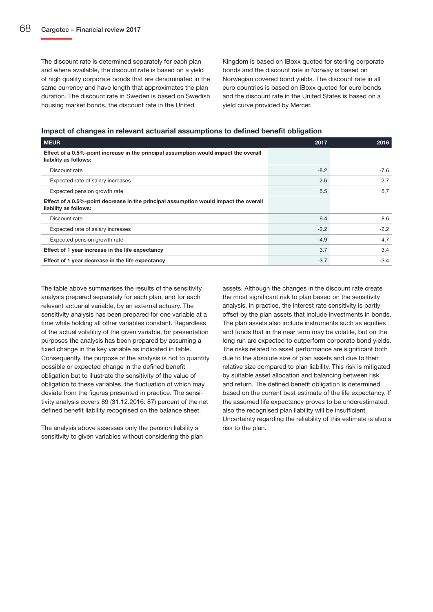The discount rate is determined separately for each plan and where available, the discount rate is based on a yield of high quality corporate bonds that are denominated in the same currency and have length that approximates the plan duration. The discount rate in Sweden is based on Swedish housing market bonds, the discount rate in the United

Kingdom is based on iBoxx quoted for sterling corporate bonds and the discount rate in Norway is based on Norwegian covered bond yields. The discount rate in all euro countries is based on iBoxx quoted for euro bonds and the discount rate in the United States is based on a yield curve provided by Mercer.

Impact of changes in relevant actuarial assumptions to defined benefit obligation

| <b>MEUR</b>                                                                                                   | 2017   | 2016   |
|---------------------------------------------------------------------------------------------------------------|--------|--------|
| Effect of a 0.5%-point increase in the principal assumption would impact the overall<br>liability as follows: |        |        |
| Discount rate                                                                                                 | $-8.2$ | $-7.6$ |
| Expected rate of salary increases                                                                             | 2.6    | 2.7    |
| Expected pension growth rate                                                                                  | 5.5    | 5.7    |
| Effect of a 0.5%-point decrease in the principal assumption would impact the overall<br>liability as follows: |        |        |
| Discount rate                                                                                                 | 9.4    | 8.6    |
| Expected rate of salary increases                                                                             | $-2.2$ | $-2.2$ |
| Expected pension growth rate                                                                                  | $-4.9$ | $-4.7$ |
| Effect of 1 year increase in the life expectancy                                                              | 3.7    | 3.4    |
| Effect of 1 year decrease in the life expectancy                                                              | $-3.7$ | $-3.4$ |

The table above summarises the results of the sensitivity analysis prepared separately for each plan, and for each relevant actuarial variable, by an external actuary. The sensitivity analysis has been prepared for one variable at a time while holding all other variables constant. Regardless of the actual volatility of the given variable, for presentation purposes the analysis has been prepared by assuming a fixed change in the key variable as indicated in table. Consequently, the purpose of the analysis is not to quantify possible or expected change in the defined benefit obligation but to illustrate the sensitivity of the value of obligation to these variables, the fluctuation of which may deviate from the figures presented in practice. The sensitivity analysis covers 89 (31.12.2016: 87) percent of the net defined benefit liability recognised on the balance sheet.

The analysis above assesses only the pension liability's sensitivity to given variables without considering the plan assets. Although the changes in the discount rate create the most significant risk to plan based on the sensitivity analysis, in practice, the interest rate sensitivity is partly offset by the plan assets that include investments in bonds. The plan assets also include instruments such as equities and funds that in the near term may be volatile, but on the long run are expected to outperform corporate bond yields. The risks related to asset performance are significant both due to the absolute size of plan assets and due to their relative size compared to plan liability. This risk is mitigated by suitable asset allocation and balancing between risk and return. The defined benefit obligation is determined based on the current best estimate of the life expectancy. If the assumed life expectancy proves to be underestimated, also the recognised plan liability will be insufficient. Uncertainty regarding the reliability of this estimate is also a risk to the plan.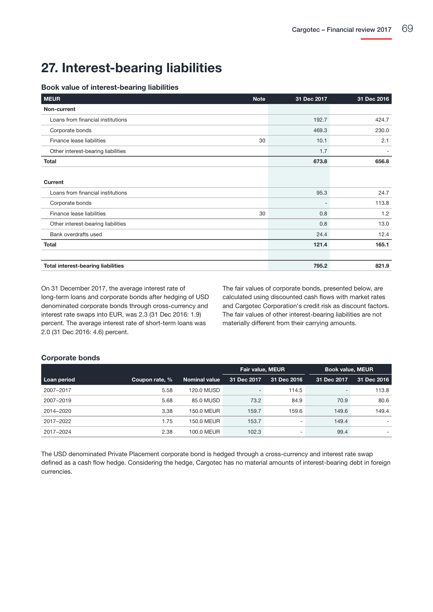# 27. Interest-bearing liabilities

#### Book value of interest-bearing liabilities

| <b>MEUR</b><br><b>Note</b>                | 31 Dec 2017 | 31 Dec 2016 |
|-------------------------------------------|-------------|-------------|
| Non-current                               |             |             |
| Loans from financial institutions         | 192.7       | 424.7       |
| Corporate bonds                           | 469.3       | 230.0       |
| Finance lease liabilities<br>30           | 10.1        | 2.1         |
| Other interest-bearing liabilities        | 1.7         |             |
| <b>Total</b>                              | 673.8       | 656.8       |
|                                           |             |             |
| Current                                   |             |             |
| Loans from financial institutions         | 95.3        | 24.7        |
| Corporate bonds                           |             | 113.8       |
| Finance lease liabilities<br>30           | 0.8         | 1.2         |
| Other interest-bearing liabilities        | 0.8         | 13.0        |
| Bank overdrafts used                      | 24.4        | 12.4        |
| Total                                     | 121.4       | 165.1       |
| <b>Total interest-bearing liabilities</b> | 795.2       | 821.9       |

On 31 December 2017, the average interest rate of long-term loans and corporate bonds after hedging of USD denominated corporate bonds through cross-currency and interest rate swaps into EUR, was 2.3 (31 Dec 2016: 1.9) percent. The average interest rate of short-term loans was 2.0 (31 Dec 2016: 4.6) percent.

The fair values of corporate bonds, presented below, are calculated using discounted cash flows with market rates and Cargotec Corporation's credit risk as discount factors. The fair values of other interest-bearing liabilities are not materially different from their carrying amounts.

#### Corporate bonds

|             |                |               | <b>Fair value, MEUR</b> |                          | <b>Book value, MEUR</b> |                          |
|-------------|----------------|---------------|-------------------------|--------------------------|-------------------------|--------------------------|
| Loan period | Coupon rate, % | Nominal value | 31 Dec 2017             | 31 Dec 2016              | 31 Dec 2017             | 31 Dec 2016              |
| 2007-2017   | 5.58           | 120.0 MUSD    | -                       | 114.5                    |                         | 113.8                    |
| 2007-2019   | 5.68           | 85.0 MUSD     | 73.2                    | 84.9                     | 70.9                    | 80.6                     |
| 2014-2020   | 3.38           | 150.0 MEUR    | 159.7                   | 159.6                    | 149.6                   | 149.4                    |
| 2017-2022   | 1.75           | 150.0 MEUR    | 153.7                   | $\overline{\phantom{a}}$ | 149.4                   | $\overline{\phantom{0}}$ |
| 2017-2024   | 2.38           | 100.0 MEUR    | 102.3                   | $\overline{\phantom{a}}$ | 99.4                    |                          |

The USD denominated Private Placement corporate bond is hedged through a cross-currency and interest rate swap defined as a cash flow hedge. Considering the hedge, Cargotec has no material amounts of interest-bearing debt in foreign currencies.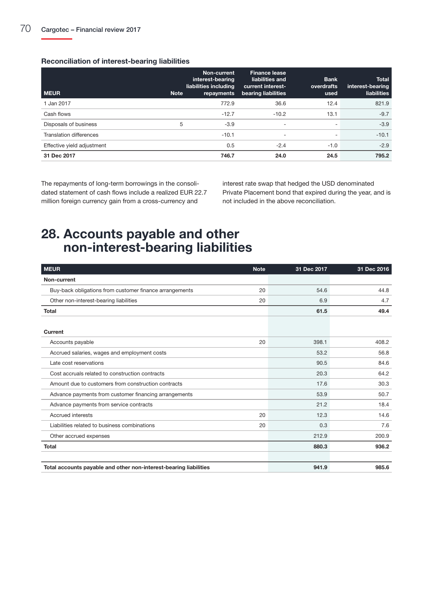#### Reconciliation of interest-bearing liabilities

| <b>MEUR</b>                    | <b>Note</b> | Non-current<br>interest-bearing<br>liabilities including<br>repayments | <b>Finance lease</b><br>liabilities and<br>current interest-<br>bearing liabilities | <b>Bank</b><br>overdrafts<br>used | <b>Total</b><br>interest-bearing<br>liabilities |
|--------------------------------|-------------|------------------------------------------------------------------------|-------------------------------------------------------------------------------------|-----------------------------------|-------------------------------------------------|
| 1 Jan 2017                     |             | 772.9                                                                  | 36.6                                                                                | 12.4                              | 821.9                                           |
| Cash flows                     |             | $-12.7$                                                                | $-10.2$                                                                             | 13.1                              | $-9.7$                                          |
| Disposals of business          | 5           | $-3.9$                                                                 | $\overline{\phantom{a}}$                                                            | $\overline{\phantom{0}}$          | $-3.9$                                          |
| <b>Translation differences</b> |             | $-10.1$                                                                | $\overline{\phantom{0}}$                                                            | $\overline{a}$                    | $-10.1$                                         |
| Effective yield adjustment     |             | 0.5                                                                    | $-2.4$                                                                              | $-1.0$                            | $-2.9$                                          |
| 31 Dec 2017                    |             | 746.7                                                                  | 24.0                                                                                | 24.5                              | 795.2                                           |

The repayments of long-term borrowings in the consolidated statement of cash flows include a realized EUR 22.7 million foreign currency gain from a cross-currency and

interest rate swap that hedged the USD denominated Private Placement bond that expired during the year, and is not included in the above reconciliation.

## 28. Accounts payable and other non-interest-bearing liabilities

| <b>MEUR</b>                                                       | <b>Note</b> | 31 Dec 2017 | 31 Dec 2016 |
|-------------------------------------------------------------------|-------------|-------------|-------------|
| Non-current                                                       |             |             |             |
| Buy-back obligations from customer finance arrangements           | 20          | 54.6        | 44.8        |
| Other non-interest-bearing liabilities                            | 20          | 6.9         | 4.7         |
| <b>Total</b>                                                      |             | 61.5        | 49.4        |
| <b>Current</b>                                                    |             |             |             |
| Accounts payable                                                  | 20          | 398.1       | 408.2       |
| Accrued salaries, wages and employment costs                      |             | 53.2        | 56.8        |
| Late cost reservations                                            |             | 90.5        | 84.6        |
| Cost accruals related to construction contracts                   |             | 20.3        | 64.2        |
| Amount due to customers from construction contracts               |             | 17.6        | 30.3        |
| Advance payments from customer financing arrangements             |             | 53.9        | 50.7        |
| Advance payments from service contracts                           |             | 21.2        | 18.4        |
| <b>Accrued interests</b>                                          | 20          | 12.3        | 14.6        |
| Liabilities related to business combinations                      | 20          | 0.3         | 7.6         |
| Other accrued expenses                                            |             | 212.9       | 200.9       |
| <b>Total</b>                                                      |             | 880.3       | 936.2       |
| Total accounts payable and other non-interest-bearing liabilities |             | 941.9       | 985.6       |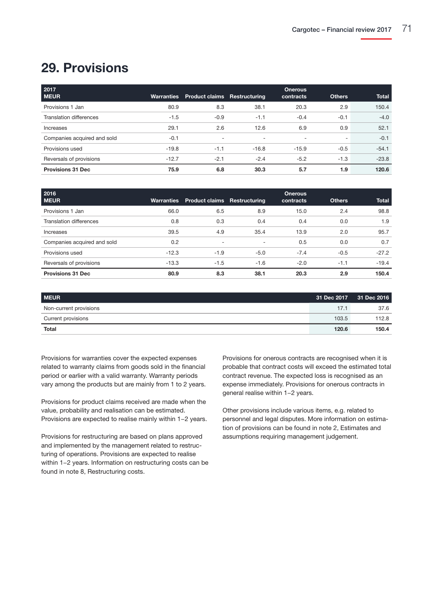# 29. Provisions

| 2017<br><b>MEUR</b>         | Warranties | <b>Product claims Restructuring</b> |                          | <b>Onerous</b><br>contracts | <b>Others</b>            | <b>Total</b> |
|-----------------------------|------------|-------------------------------------|--------------------------|-----------------------------|--------------------------|--------------|
| Provisions 1 Jan            | 80.9       | 8.3                                 | 38.1                     | 20.3                        | 2.9                      | 150.4        |
| Translation differences     | $-1.5$     | $-0.9$                              | $-1.1$                   | $-0.4$                      | $-0.1$                   | $-4.0$       |
| Increases                   | 29.1       | 2.6                                 | 12.6                     | 6.9                         | 0.9                      | 52.1         |
| Companies acquired and sold | $-0.1$     | $\overline{\phantom{0}}$            | $\overline{\phantom{a}}$ | $\overline{\phantom{a}}$    | $\overline{\phantom{a}}$ | $-0.1$       |
| Provisions used             | $-19.8$    | $-1.1$                              | $-16.8$                  | $-15.9$                     | $-0.5$                   | $-54.1$      |
| Reversals of provisions     | $-12.7$    | $-2.1$                              | $-2.4$                   | $-5.2$                      | $-1.3$                   | $-23.8$      |
| <b>Provisions 31 Dec</b>    | 75.9       | 6.8                                 | 30.3                     | 5.7                         | 1.9                      | 120.6        |

| 2016<br><b>MEUR</b>         | Warranties | <b>Product claims</b>    | Restructuring            | <b>Onerous</b><br>contracts | <b>Others</b> | <b>Total</b> |
|-----------------------------|------------|--------------------------|--------------------------|-----------------------------|---------------|--------------|
| Provisions 1 Jan            | 66.0       | 6.5                      | 8.9                      | 15.0                        | 2.4           | 98.8         |
| Translation differences     | 0.8        | 0.3                      | 0.4                      | 0.4                         | 0.0           | 1.9          |
| Increases                   | 39.5       | 4.9                      | 35.4                     | 13.9                        | 2.0           | 95.7         |
| Companies acquired and sold | 0.2        | $\overline{\phantom{a}}$ | $\overline{\phantom{0}}$ | 0.5                         | 0.0           | 0.7          |
| Provisions used             | $-12.3$    | $-1.9$                   | $-5.0$                   | $-7.4$                      | $-0.5$        | $-27.2$      |
| Reversals of provisions     | $-13.3$    | $-1.5$                   | $-1.6$                   | $-2.0$                      | $-1.1$        | $-19.4$      |
| <b>Provisions 31 Dec</b>    | 80.9       | 8.3                      | 38.1                     | 20.3                        | 2.9           | 150.4        |

| <b>MEUR</b>               |       | 31 Dec 2017 31 Dec 2016 |
|---------------------------|-------|-------------------------|
| Non-current provisions    | 17.1  | 37.6                    |
| <b>Current provisions</b> | 103.5 | 112.8                   |
| <b>Total</b>              | 120.6 | 150.4                   |

Provisions for warranties cover the expected expenses related to warranty claims from goods sold in the financial period or earlier with a valid warranty. Warranty periods vary among the products but are mainly from 1 to 2 years.

Provisions for product claims received are made when the value, probability and realisation can be estimated. Provisions are expected to realise mainly within 1−2 years.

Provisions for restructuring are based on plans approved and implemented by the management related to restructuring of operations. Provisions are expected to realise within 1−2 years. Information on restructuring costs can be found in note 8, Restructuring costs.

Provisions for onerous contracts are recognised when it is probable that contract costs will exceed the estimated total contract revenue. The expected loss is recognised as an expense immediately. Provisions for onerous contracts in general realise within 1−2 years.

Other provisions include various items, e.g. related to personnel and legal disputes. More information on estimation of provisions can be found in note 2, Estimates and assumptions requiring management judgement.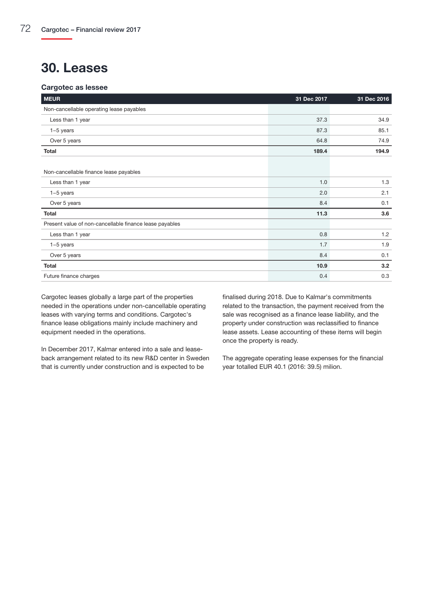# 30. Leases

#### Cargotec as lessee

| <b>MEUR</b>                                             | 31 Dec 2017 | 31 Dec 2016 |
|---------------------------------------------------------|-------------|-------------|
| Non-cancellable operating lease payables                |             |             |
| Less than 1 year                                        | 37.3        | 34.9        |
| $1-5$ years                                             | 87.3        | 85.1        |
| Over 5 years                                            | 64.8        | 74.9        |
| <b>Total</b>                                            | 189.4       | 194.9       |
|                                                         |             |             |
| Non-cancellable finance lease payables                  |             |             |
| Less than 1 year                                        | 1.0         | 1.3         |
| $1-5$ years                                             | 2.0         | 2.1         |
| Over 5 years                                            | 8.4         | 0.1         |
| <b>Total</b>                                            | 11.3        | 3.6         |
| Present value of non-cancellable finance lease payables |             |             |
| Less than 1 year                                        | 0.8         | 1.2         |
| $1-5$ years                                             | 1.7         | 1.9         |
| Over 5 years                                            | 8.4         | 0.1         |
| <b>Total</b>                                            | 10.9        | 3.2         |
| Future finance charges                                  | 0.4         | 0.3         |

Cargotec leases globally a large part of the properties needed in the operations under non-cancellable operating leases with varying terms and conditions. Cargotec's finance lease obligations mainly include machinery and equipment needed in the operations.

In December 2017, Kalmar entered into a sale and leaseback arrangement related to its new R&D center in Sweden that is currently under construction and is expected to be

finalised during 2018. Due to Kalmar's commitments related to the transaction, the payment received from the sale was recognised as a finance lease liability, and the property under construction was reclassified to finance lease assets. Lease accounting of these items will begin once the property is ready.

The aggregate operating lease expenses for the financial year totalled EUR 40.1 (2016: 39.5) milion.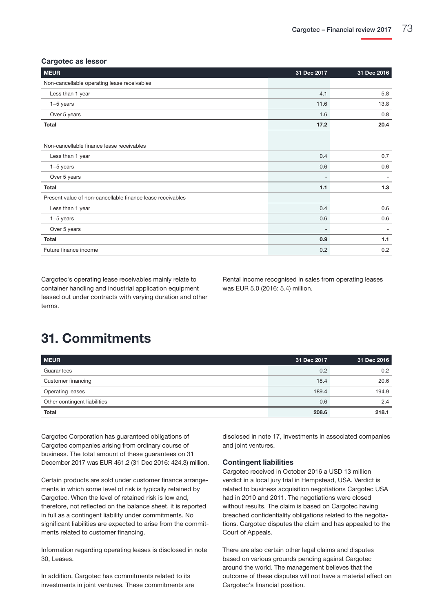#### Cargotec as lessor

| <b>MEUR</b>                                                | 31 Dec 2017              | 31 Dec 2016              |
|------------------------------------------------------------|--------------------------|--------------------------|
| Non-cancellable operating lease receivables                |                          |                          |
| Less than 1 year                                           | 4.1                      | 5.8                      |
| $1-5$ years                                                | 11.6                     | 13.8                     |
| Over 5 years                                               | 1.6                      | 0.8                      |
| <b>Total</b>                                               | 17.2                     | 20.4                     |
| Non-cancellable finance lease receivables                  |                          |                          |
| Less than 1 year                                           | 0.4                      | 0.7                      |
| $1-5$ years                                                | 0.6                      | 0.6                      |
| Over 5 years                                               |                          | $\overline{\phantom{a}}$ |
| <b>Total</b>                                               | 1.1                      | 1.3                      |
| Present value of non-cancellable finance lease receivables |                          |                          |
| Less than 1 year                                           | 0.4                      | 0.6                      |
| $1-5$ years                                                | 0.6                      | 0.6                      |
| Over 5 years                                               | $\overline{\phantom{a}}$ |                          |
| <b>Total</b>                                               | 0.9                      | 1.1                      |
| Future finance income                                      | 0.2                      | 0.2                      |

Cargotec's operating lease receivables mainly relate to container handling and industrial application equipment leased out under contracts with varying duration and other terms.

Rental income recognised in sales from operating leases was EUR 5.0 (2016: 5.4) million.

## 31. Commitments

| <b>MEUR</b>                  | 31 Dec 2017 | 31 Dec 2016 |
|------------------------------|-------------|-------------|
| Guarantees                   | 0.2         | 0.2         |
| Customer financing           | 18.4        | 20.6        |
| Operating leases             | 189.4       | 194.9       |
| Other contingent liabilities | 0.6         | 2.4         |
| <b>Total</b>                 | 208.6       | 218.1       |

Cargotec Corporation has guaranteed obligations of Cargotec companies arising from ordinary course of business. The total amount of these guarantees on 31 December 2017 was EUR 461.2 (31 Dec 2016: 424.3) million.

Certain products are sold under customer finance arrangements in which some level of risk is typically retained by Cargotec. When the level of retained risk is low and, therefore, not reflected on the balance sheet, it is reported in full as a contingent liability under commitments. No significant liabilities are expected to arise from the commitments related to customer financing.

Information regarding operating leases is disclosed in note 30, Leases.

In addition, Cargotec has commitments related to its investments in joint ventures. These commitments are disclosed in note 17, Investments in associated companies and joint ventures.

### Contingent liabilities

Cargotec received in October 2016 a USD 13 million verdict in a local jury trial in Hempstead, USA. Verdict is related to business acquisition negotiations Cargotec USA had in 2010 and 2011. The negotiations were closed without results. The claim is based on Cargotec having breached confidentiality obligations related to the negotiations. Cargotec disputes the claim and has appealed to the Court of Appeals.

There are also certain other legal claims and disputes based on various grounds pending against Cargotec around the world. The management believes that the outcome of these disputes will not have a material effect on Cargotec's financial position.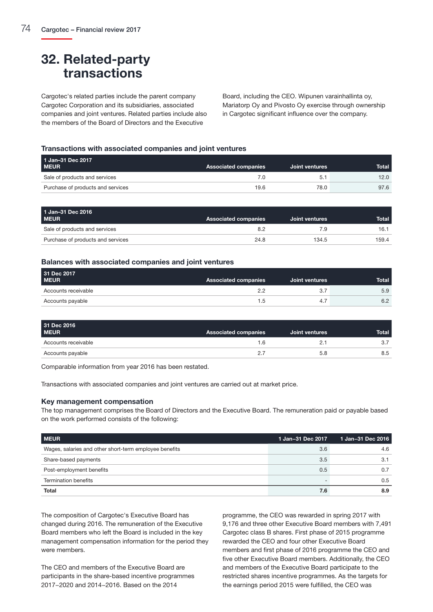### 32. Related-party transactions

Cargotec's related parties include the parent company Cargotec Corporation and its subsidiaries, associated companies and joint ventures. Related parties include also the members of the Board of Directors and the Executive

Board, including the CEO. Wipunen varainhallinta oy, Mariatorp Oy and Pivosto Oy exercise through ownership in Cargotec significant influence over the company.

### Transactions with associated companies and joint ventures

| 1 Jan-31 Dec 2017<br><b>MEUR</b>  | <b>Associated companies</b> | Joint ventures | Total |
|-----------------------------------|-----------------------------|----------------|-------|
| Sale of products and services     | $\ell$ .0                   | 5.1            | 12.0  |
| Purchase of products and services | 19.6                        | 78.0           | 97.6  |

| l 1 Jan–31 Dec 2016<br><b>MEUR</b> | <b>Associated companies</b> | Joint ventures | Total |
|------------------------------------|-----------------------------|----------------|-------|
| Sale of products and services      |                             | 7.9            | 16.1  |
| Purchase of products and services  | 24.8                        | 134.5          | 159.4 |

### Balances with associated companies and joint ventures

| 31 Dec 2017<br><b>MEUR</b> | <b>Associated companies</b> | Joint ventures | Total |
|----------------------------|-----------------------------|----------------|-------|
| Accounts receivable        |                             | 3.7            | 5.9   |
| Accounts payable           | .5                          | 4.7            | 6.2   |

| 31 Dec 2016<br><b>MEUR</b> | <b>Associated companies</b> | Joint ventures | <b>Total</b> |
|----------------------------|-----------------------------|----------------|--------------|
| Accounts receivable        | $\overline{b}$              |                |              |
| Accounts payable           |                             | 5.8            | 8.5          |

Comparable information from year 2016 has been restated.

Transactions with associated companies and joint ventures are carried out at market price.

### Key management compensation

The top management comprises the Board of Directors and the Executive Board. The remuneration paid or payable based on the work performed consists of the following:

| <b>MEUR</b>                                            | 1 Jan-31 Dec 2017 | 1 Jan-31 Dec 2016 |
|--------------------------------------------------------|-------------------|-------------------|
| Wages, salaries and other short-term employee benefits | 3.6               | 4.6               |
| Share-based payments                                   | 3.5               | 3.1               |
| Post-employment benefits                               | 0.5               | 0.7               |
| Termination benefits                                   |                   | 0.5               |
| <b>Total</b>                                           | 7.6               | 8.9               |

The composition of Cargotec's Executive Board has changed during 2016. The remuneration of the Executive Board members who left the Board is included in the key management compensation information for the period they were members.

The CEO and members of the Executive Board are participants in the share-based incentive programmes 2017−2020 and 2014−2016. Based on the 2014

programme, the CEO was rewarded in spring 2017 with 9,176 and three other Executive Board members with 7,491 Cargotec class B shares. First phase of 2015 programme rewarded the CEO and four other Executive Board members and first phase of 2016 programme the CEO and five other Executive Board members. Additionally, the CEO and members of the Executive Board participate to the restricted shares incentive programmes. As the targets for the earnings period 2015 were fulfilled, the CEO was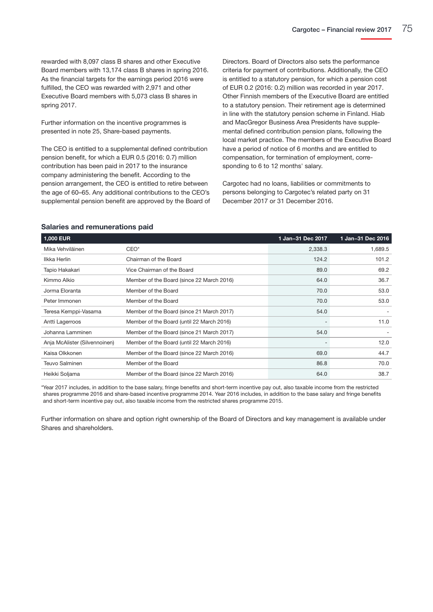rewarded with 8,097 class B shares and other Executive Board members with 13,174 class B shares in spring 2016. As the financial targets for the earnings period 2016 were fulfilled, the CEO was rewarded with 2,971 and other Executive Board members with 5,073 class B shares in spring 2017.

Further information on the incentive programmes is presented in note 25, Share-based payments.

The CEO is entitled to a supplemental defined contribution pension benefit, for which a EUR 0.5 (2016: 0.7) million contribution has been paid in 2017 to the insurance company administering the benefit. According to the pension arrangement, the CEO is entitled to retire between the age of 60–65. Any additional contributions to the CEO's supplemental pension benefit are approved by the Board of Directors. Board of Directors also sets the performance criteria for payment of contributions. Additionally, the CEO is entitled to a statutory pension, for which a pension cost of EUR 0.2 (2016: 0.2) million was recorded in year 2017. Other Finnish members of the Executive Board are entitled to a statutory pension. Their retirement age is determined in line with the statutory pension scheme in Finland. Hiab and MacGregor Business Area Presidents have supplemental defined contribution pension plans, following the local market practice. The members of the Executive Board have a period of notice of 6 months and are entitled to compensation, for termination of employment, corresponding to 6 to 12 months' salary.

Cargotec had no loans, liabilities or commitments to persons belonging to Cargotec's related party on 31 December 2017 or 31 December 2016.

#### Salaries and remunerations paid

| $1,000$ EUR                   |                                           | 1 Jan-31 Dec 2017 | 1 Jan-31 Dec 2016 |
|-------------------------------|-------------------------------------------|-------------------|-------------------|
| Mika Vehviläinen              | $CEO*$                                    | 2,338.3           | 1,689.5           |
| Ilkka Herlin                  | Chairman of the Board                     | 124.2             | 101.2             |
| Tapio Hakakari                | Vice Chairman of the Board                | 89.0              | 69.2              |
| Kimmo Alkio                   | Member of the Board (since 22 March 2016) | 64.0              | 36.7              |
| Jorma Eloranta                | Member of the Board                       | 70.0              | 53.0              |
| Peter Immonen                 | Member of the Board                       | 70.0              | 53.0              |
| Teresa Kemppi-Vasama          | Member of the Board (since 21 March 2017) | 54.0              |                   |
| Antti Lagerroos               | Member of the Board (until 22 March 2016) |                   | 11.0              |
| Johanna Lamminen              | Member of the Board (since 21 March 2017) | 54.0              |                   |
| Anja McAlister (Silvennoinen) | Member of the Board (until 22 March 2016) |                   | 12.0              |
| Kaisa Olkkonen                | Member of the Board (since 22 March 2016) | 69.0              | 44.7              |
| <b>Teuvo Salminen</b>         | Member of the Board                       | 86.8              | 70.0              |
| Heikki Soljama                | Member of the Board (since 22 March 2016) | 64.0              | 38.7              |

\*Year 2017 includes, in addition to the base salary, fringe benefits and short-term incentive pay out, also taxable income from the restricted shares programme 2016 and share-based incentive programme 2014. Year 2016 includes, in addition to the base salary and fringe benefits and short-term incentive pay out, also taxable income from the restricted shares programme 2015.

Further information on share and option right ownership of the Board of Directors and key management is available under Shares and shareholders.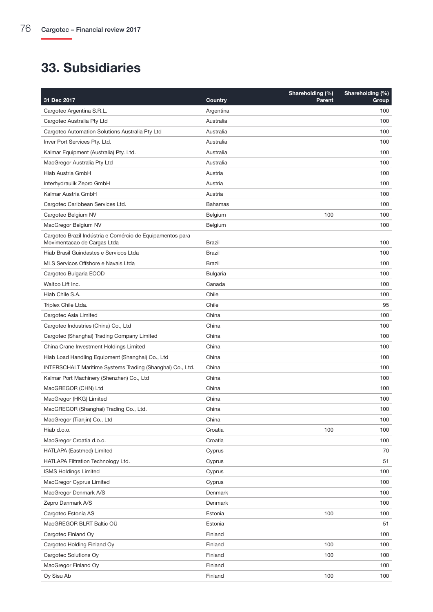# 33. Subsidiaries

| 31 Dec 2017                                                                              | <b>Country</b>  | Shareholding (%)<br><b>Parent</b> | Shareholding (%)<br>Group |
|------------------------------------------------------------------------------------------|-----------------|-----------------------------------|---------------------------|
| Cargotec Argentina S.R.L.                                                                | Argentina       |                                   | 100                       |
| Cargotec Australia Pty Ltd                                                               | Australia       |                                   | 100                       |
| Cargotec Automation Solutions Australia Pty Ltd                                          | Australia       |                                   | 100                       |
| Inver Port Services Pty. Ltd.                                                            | Australia       |                                   | 100                       |
| Kalmar Equipment (Australia) Pty. Ltd.                                                   | Australia       |                                   | 100                       |
| MacGregor Australia Pty Ltd                                                              | Australia       |                                   | 100                       |
| Hiab Austria GmbH                                                                        | Austria         |                                   | 100                       |
| Interhydraulik Zepro GmbH                                                                | Austria         |                                   | 100                       |
| Kalmar Austria GmbH                                                                      | Austria         |                                   | 100                       |
| Cargotec Caribbean Services Ltd.                                                         | <b>Bahamas</b>  |                                   | 100                       |
| Cargotec Belgium NV                                                                      | Belgium         | 100                               | 100                       |
| MacGregor Belgium NV                                                                     | Belgium         |                                   | 100                       |
| Cargotec Brazil Indústria e Comércio de Equipamentos para<br>Movimentacao de Cargas Ltda | Brazil          |                                   | 100                       |
| Hiab Brasil Guindastes e Servicos Ltda                                                   | Brazil          |                                   | 100                       |
| MLS Servicos Offshore e Navais Ltda                                                      | Brazil          |                                   | 100                       |
| Cargotec Bulgaria EOOD                                                                   | <b>Bulgaria</b> |                                   | 100                       |
| Waltco Lift Inc.                                                                         | Canada          |                                   | 100                       |
| Hiab Chile S.A.                                                                          | Chile           |                                   | 100                       |
| Triplex Chile Ltda.                                                                      | Chile           |                                   | 95                        |
| Cargotec Asia Limited                                                                    | China           |                                   | 100                       |
| Cargotec Industries (China) Co., Ltd                                                     | China           |                                   | 100                       |
| Cargotec (Shanghai) Trading Company Limited                                              | China           |                                   | 100                       |
| China Crane Investment Holdings Limited                                                  | China           |                                   | 100                       |
| Hiab Load Handling Equipment (Shanghai) Co., Ltd                                         | China           |                                   | 100                       |
| INTERSCHALT Maritime Systems Trading (Shanghai) Co., Ltd.                                | China           |                                   | 100                       |
| Kalmar Port Machinery (Shenzhen) Co., Ltd                                                | China           |                                   | 100                       |
| MacGREGOR (CHN) Ltd                                                                      | China           |                                   | 100                       |
| MacGregor (HKG) Limited                                                                  | China           |                                   | 100                       |
| MacGREGOR (Shanghai) Trading Co., Ltd.                                                   | China           |                                   | 100                       |
| MacGregor (Tianjin) Co., Ltd                                                             | China           |                                   | 100                       |
| Hiab d.o.o.                                                                              | Croatia         | 100                               | 100                       |
| MacGregor Croatia d.o.o.                                                                 | Croatia         |                                   | 100                       |
| HATLAPA (Eastmed) Limited                                                                | Cyprus          |                                   | 70                        |
| HATLAPA Filtration Technology Ltd.                                                       | Cyprus          |                                   | 51                        |
| <b>ISMS Holdings Limited</b>                                                             | Cyprus          |                                   | 100                       |
| MacGregor Cyprus Limited                                                                 | Cyprus          |                                   | 100                       |
| MacGregor Denmark A/S                                                                    | Denmark         |                                   | 100                       |
| Zepro Danmark A/S                                                                        | Denmark         |                                   | 100                       |
| Cargotec Estonia AS                                                                      | Estonia         | 100                               | 100                       |
| MacGREGOR BLRT Baltic OÜ                                                                 | Estonia         |                                   | 51                        |
| Cargotec Finland Oy                                                                      | Finland         |                                   | 100                       |
| Cargotec Holding Finland Oy                                                              | Finland         | 100                               | 100                       |
| Cargotec Solutions Oy                                                                    | Finland         | 100                               | 100                       |
| MacGregor Finland Oy                                                                     | Finland         |                                   | 100                       |
| Oy Sisu Ab                                                                               | Finland         | 100                               | 100                       |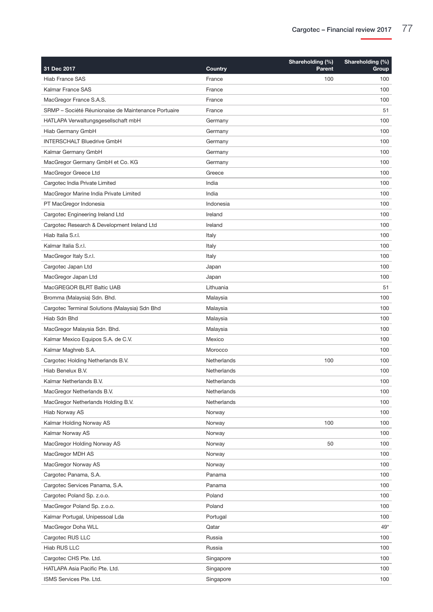| 31 Dec 2017                                         | Country     | <b>Shareholding (%)</b><br>Parent | Shareholding (%)<br>Group |
|-----------------------------------------------------|-------------|-----------------------------------|---------------------------|
| <b>Hiab France SAS</b>                              | France      | 100                               | 100                       |
| Kalmar France SAS                                   | France      |                                   | 100                       |
| MacGregor France S.A.S.                             | France      |                                   | 100                       |
| SRMP – Société Réunionaise de Maintenance Portuaire | France      |                                   | 51                        |
| HATLAPA Verwaltungsgesellschaft mbH                 | Germany     |                                   | 100                       |
| Hiab Germany GmbH                                   | Germany     |                                   | 100                       |
| <b>INTERSCHALT Bluedrive GmbH</b>                   | Germany     |                                   | 100                       |
| Kalmar Germany GmbH                                 | Germany     |                                   | 100                       |
| MacGregor Germany GmbH et Co. KG                    | Germany     |                                   | 100                       |
| MacGregor Greece Ltd                                | Greece      |                                   | 100                       |
| Cargotec India Private Limited                      | India       |                                   | 100                       |
| MacGregor Marine India Private Limited              | India       |                                   | 100                       |
| PT MacGregor Indonesia                              | Indonesia   |                                   | 100                       |
| Cargotec Engineering Ireland Ltd                    | Ireland     |                                   | 100                       |
| Cargotec Research & Development Ireland Ltd         | Ireland     |                                   | 100                       |
| Hiab Italia S.r.l.                                  | Italy       |                                   | 100                       |
| Kalmar Italia S.r.l.                                | Italy       |                                   | 100                       |
| MacGregor Italy S.r.l.                              | Italy       |                                   | 100                       |
| Cargotec Japan Ltd                                  | Japan       |                                   | 100                       |
| MacGregor Japan Ltd                                 | Japan       |                                   | 100                       |
| MacGREGOR BLRT Baltic UAB                           | Lithuania   |                                   | 51                        |
| Bromma (Malaysia) Sdn. Bhd.                         | Malaysia    |                                   | 100                       |
| Cargotec Terminal Solutions (Malaysia) Sdn Bhd      | Malaysia    |                                   | 100                       |
| Hiab Sdn Bhd                                        | Malaysia    |                                   | 100                       |
| MacGregor Malaysia Sdn. Bhd.                        | Malaysia    |                                   | 100                       |
| Kalmar Mexico Equipos S.A. de C.V.                  | Mexico      |                                   | 100                       |
| Kalmar Maghreb S.A.                                 | Morocco     |                                   | 100                       |
| Cargotec Holding Netherlands B.V.                   | Netherlands | 100                               | 100                       |
| Hiab Benelux B.V.                                   | Netherlands |                                   | 100                       |
| Kalmar Netherlands B.V.                             | Netherlands |                                   | 100                       |
| MacGregor Netherlands B.V.                          | Netherlands |                                   | 100                       |
| MacGregor Netherlands Holding B.V.                  | Netherlands |                                   | 100                       |
| Hiab Norway AS                                      | Norway      |                                   | 100                       |
| Kalmar Holding Norway AS                            | Norway      | 100                               | 100                       |
| Kalmar Norway AS                                    | Norway      |                                   | 100                       |
| MacGregor Holding Norway AS                         | Norway      | 50                                | 100                       |
| MacGregor MDH AS                                    | Norway      |                                   | 100                       |
| MacGregor Norway AS                                 | Norway      |                                   | 100                       |
| Cargotec Panama, S.A.                               | Panama      |                                   | 100                       |
| Cargotec Services Panama, S.A.                      | Panama      |                                   | 100                       |
| Cargotec Poland Sp. z.o.o.                          | Poland      |                                   | 100                       |
| MacGregor Poland Sp. z.o.o.                         | Poland      |                                   | 100                       |
| Kalmar Portugal, Unipessoal Lda                     | Portugal    |                                   | 100                       |
| MacGregor Doha WLL                                  | Qatar       |                                   | 49*                       |
| Cargotec RUS LLC                                    | Russia      |                                   | 100                       |
| Hiab RUS LLC                                        | Russia      |                                   | 100                       |
| Cargotec CHS Pte. Ltd.                              | Singapore   |                                   | 100                       |
| HATLAPA Asia Pacific Pte. Ltd.                      | Singapore   |                                   | 100                       |
| ISMS Services Pte. Ltd.                             | Singapore   |                                   | 100                       |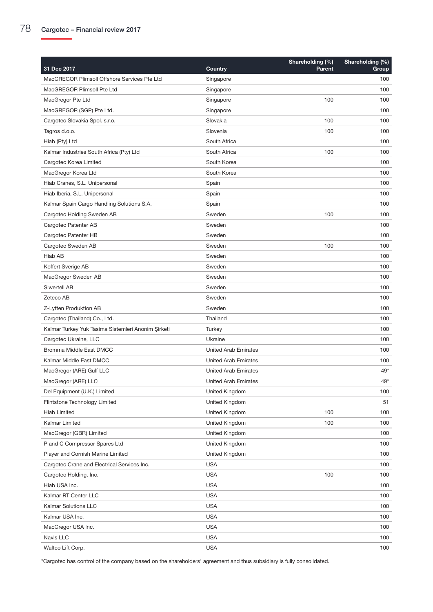| 31 Dec 2017                                        | <b>Country</b>              | Shareholding (%)<br>Parent | Shareholding (%)<br>Group |
|----------------------------------------------------|-----------------------------|----------------------------|---------------------------|
| MacGREGOR Plimsoll Offshore Services Pte Ltd       | Singapore                   |                            | 100                       |
| MacGREGOR Plimsoll Pte Ltd                         | Singapore                   |                            | 100                       |
| MacGregor Pte Ltd                                  | Singapore                   | 100                        | 100                       |
| MacGREGOR (SGP) Pte Ltd.                           | Singapore                   |                            | 100                       |
| Cargotec Slovakia Spol. s.r.o.                     | Slovakia                    | 100                        | 100                       |
| Tagros d.o.o.                                      | Slovenia                    | 100                        | 100                       |
| Hiab (Pty) Ltd                                     | South Africa                |                            | 100                       |
| Kalmar Industries South Africa (Pty) Ltd           | South Africa                | 100                        | 100                       |
| Cargotec Korea Limited                             | South Korea                 |                            | 100                       |
| MacGregor Korea Ltd                                | South Korea                 |                            | 100                       |
| Hiab Cranes, S.L. Unipersonal                      | Spain                       |                            | 100                       |
| Hiab Iberia, S.L. Unipersonal                      | Spain                       |                            | 100                       |
| Kalmar Spain Cargo Handling Solutions S.A.         | Spain                       |                            | 100                       |
| Cargotec Holding Sweden AB                         | Sweden                      | 100                        | 100                       |
| Cargotec Patenter AB                               | Sweden                      |                            | 100                       |
| Cargotec Patenter HB                               | Sweden                      |                            | 100                       |
| Cargotec Sweden AB                                 | Sweden                      | 100                        | 100                       |
| Hiab AB                                            | Sweden                      |                            | 100                       |
| Koffert Sverige AB                                 | Sweden                      |                            | 100                       |
| MacGregor Sweden AB                                | Sweden                      |                            | 100                       |
| Siwertell AB                                       | Sweden                      |                            | 100                       |
| Zeteco AB                                          | Sweden                      |                            | 100                       |
| Z-Lyften Produktion AB                             | Sweden                      |                            | 100                       |
| Cargotec (Thailand) Co., Ltd.                      | Thailand                    |                            | 100                       |
| Kalmar Turkey Yuk Tasima Sistemleri Anonim Şirketi | Turkey                      |                            | 100                       |
| Cargotec Ukraine, LLC                              | Ukraine                     |                            | 100                       |
| Bromma Middle East DMCC                            | <b>United Arab Emirates</b> |                            | 100                       |
| Kalmar Middle East DMCC                            | <b>United Arab Emirates</b> |                            | 100                       |
| MacGregor (ARE) Gulf LLC                           | <b>United Arab Emirates</b> |                            | $49*$                     |
| MacGregor (ARE) LLC                                | United Arab Emirates        |                            | 49*                       |
| Del Equipment (U.K.) Limited                       | <b>United Kingdom</b>       |                            | 100                       |
| Flintstone Technology Limited                      | United Kingdom              |                            | 51                        |
| <b>Hiab Limited</b>                                | United Kingdom              | 100                        | 100                       |
| Kalmar Limited                                     | United Kingdom              | 100                        | 100                       |
| MacGregor (GBR) Limited                            | United Kingdom              |                            | 100                       |
| P and C Compressor Spares Ltd                      | United Kingdom              |                            | 100                       |
| Player and Cornish Marine Limited                  | United Kingdom              |                            | 100                       |
| Cargotec Crane and Electrical Services Inc.        | <b>USA</b>                  |                            | 100                       |
| Cargotec Holding, Inc.                             | <b>USA</b>                  | 100                        | 100                       |
| Hiab USA Inc.                                      | <b>USA</b>                  |                            | 100                       |
| Kalmar RT Center LLC                               | <b>USA</b>                  |                            | 100                       |
| Kalmar Solutions LLC                               | <b>USA</b>                  |                            | 100                       |
| Kalmar USA Inc.                                    | <b>USA</b>                  |                            | 100                       |
| MacGregor USA Inc.                                 | <b>USA</b>                  |                            | 100                       |
| Navis LLC                                          | <b>USA</b>                  |                            | 100                       |
| Waltco Lift Corp.                                  | <b>USA</b>                  |                            | 100                       |

\*Cargotec has control of the company based on the shareholders' agreement and thus subsidiary is fully consolidated.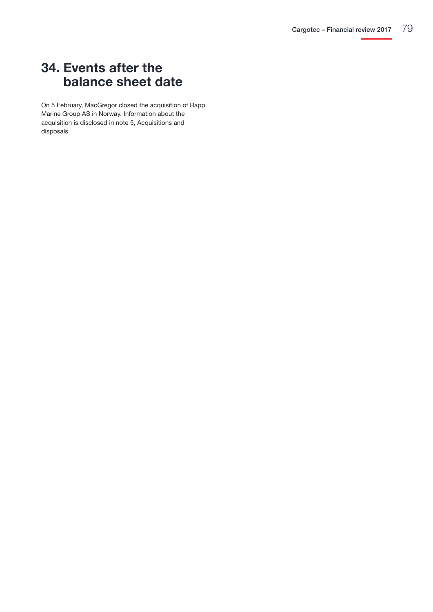### 34. Events after the balance sheet date

On 5 February, MacGregor closed the acquisition of Rapp Marine Group AS in Norway. Information about the acquisition is disclosed in note 5, Acquisitions and disposals.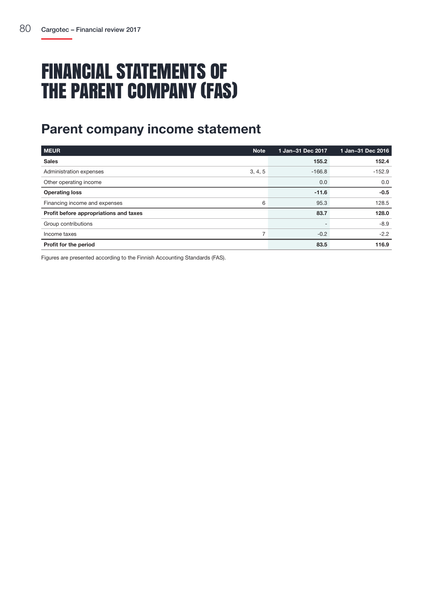# FINANCIAL STATEMENTS OF THE PARENT COMPANY (FAS)

### Parent company income statement

| <b>MEUR</b>                            | <b>Note</b>    | 1 Jan-31 Dec 2017 | 1 Jan-31 Dec 2016 |
|----------------------------------------|----------------|-------------------|-------------------|
| <b>Sales</b>                           |                | 155.2             | 152.4             |
| Administration expenses                | 3, 4, 5        | $-166.8$          | $-152.9$          |
| Other operating income                 |                | 0.0               | 0.0               |
| <b>Operating loss</b>                  |                | $-11.6$           | $-0.5$            |
| Financing income and expenses          | 6              | 95.3              | 128.5             |
| Profit before appropriations and taxes |                | 83.7              | 128.0             |
| Group contributions                    |                |                   | $-8.9$            |
| Income taxes                           | $\overline{ }$ | $-0.2$            | $-2.2$            |
| Profit for the period                  |                | 83.5              | 116.9             |

Figures are presented according to the Finnish Accounting Standards (FAS).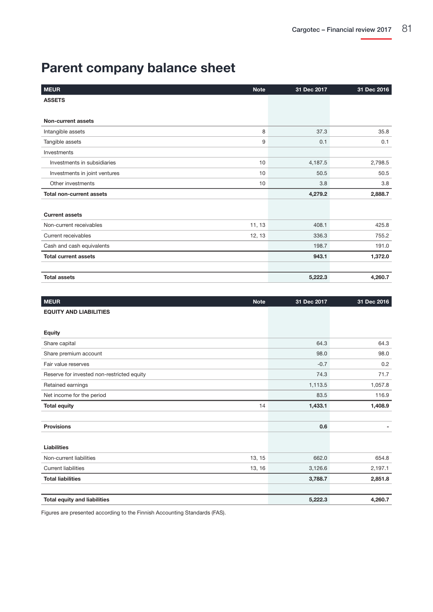# Parent company balance sheet

| <b>MEUR</b><br><b>Note</b>        |    | 31 Dec 2017 | 31 Dec 2016 |
|-----------------------------------|----|-------------|-------------|
| <b>ASSETS</b>                     |    |             |             |
|                                   |    |             |             |
| Non-current assets                |    |             |             |
| Intangible assets                 | 8  | 37.3        | 35.8        |
| Tangible assets                   | 9  | 0.1         | 0.1         |
| Investments                       |    |             |             |
| Investments in subsidiaries       | 10 | 4,187.5     | 2,798.5     |
| Investments in joint ventures     | 10 | 50.5        | 50.5        |
| Other investments                 | 10 | 3.8         | 3.8         |
| <b>Total non-current assets</b>   |    | 4,279.2     | 2,888.7     |
|                                   |    |             |             |
| <b>Current assets</b>             |    |             |             |
| Non-current receivables<br>11, 13 |    | 408.1       | 425.8       |
| Current receivables<br>12, 13     |    | 336.3       | 755.2       |
| Cash and cash equivalents         |    | 198.7       | 191.0       |
| <b>Total current assets</b>       |    | 943.1       | 1,372.0     |
|                                   |    |             |             |
| <b>Total assets</b>               |    | 5,222.3     | 4,260.7     |

| <b>MEUR</b>                                | <b>Note</b> | 31 Dec 2017 | 31 Dec 2016 |
|--------------------------------------------|-------------|-------------|-------------|
| <b>EQUITY AND LIABILITIES</b>              |             |             |             |
|                                            |             |             |             |
| <b>Equity</b>                              |             |             |             |
| Share capital                              |             | 64.3        | 64.3        |
| Share premium account                      |             | 98.0        | 98.0        |
| Fair value reserves                        |             | $-0.7$      | 0.2         |
| Reserve for invested non-restricted equity |             | 74.3        | 71.7        |
| Retained earnings                          |             | 1,113.5     | 1,057.8     |
| Net income for the period                  |             | 83.5        | 116.9       |
| <b>Total equity</b>                        | 14          | 1,433.1     | 1,408.9     |
|                                            |             |             |             |
| <b>Provisions</b>                          |             | 0.6         |             |
|                                            |             |             |             |
| <b>Liabilities</b>                         |             |             |             |
| Non-current liabilities                    | 13, 15      | 662.0       | 654.8       |
| <b>Current liabilities</b>                 | 13, 16      | 3,126.6     | 2,197.1     |
| <b>Total liabilities</b>                   |             | 3,788.7     | 2,851.8     |
|                                            |             |             |             |
| <b>Total equity and liabilities</b>        |             | 5,222.3     | 4,260.7     |

Figures are presented according to the Finnish Accounting Standards (FAS).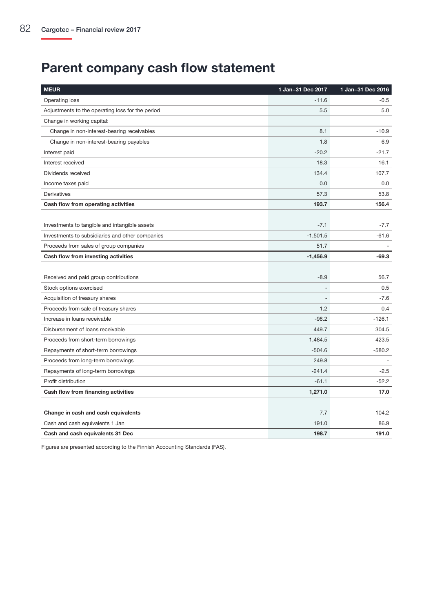## Parent company cash flow statement

| <b>MEUR</b>                                      | 1 Jan-31 Dec 2017 | 1 Jan-31 Dec 2016 |
|--------------------------------------------------|-------------------|-------------------|
| Operating loss                                   | $-11.6$           | $-0.5$            |
| Adjustments to the operating loss for the period | 5.5               | 5.0               |
| Change in working capital:                       |                   |                   |
| Change in non-interest-bearing receivables       | 8.1               | $-10.9$           |
| Change in non-interest-bearing payables          | 1.8               | 6.9               |
| Interest paid                                    | $-20.2$           | $-21.7$           |
| Interest received                                | 18.3              | 16.1              |
| Dividends received                               | 134.4             | 107.7             |
| Income taxes paid                                | 0.0               | 0.0               |
| Derivatives                                      | 57.3              | 53.8              |
| Cash flow from operating activities              | 193.7             | 156.4             |
|                                                  |                   |                   |
| Investments to tangible and intangible assets    | $-7.1$            | $-7.7$            |
| Investments to subsidiaries and other companies  | $-1,501.5$        | $-61.6$           |
| Proceeds from sales of group companies           | 51.7              |                   |
| Cash flow from investing activities              | $-1,456.9$        | $-69.3$           |
|                                                  |                   |                   |
| Received and paid group contributions            | $-8.9$            | 56.7              |
| Stock options exercised                          |                   | 0.5               |
| Acquisition of treasury shares                   |                   | $-7.6$            |
| Proceeds from sale of treasury shares            | 1.2               | 0.4               |
| Increase in loans receivable                     | $-98.2$           | $-126.1$          |
| Disbursement of loans receivable                 | 449.7             | 304.5             |
| Proceeds from short-term borrowings              | 1,484.5           | 423.5             |
| Repayments of short-term borrowings              | $-504.6$          | $-580.2$          |
| Proceeds from long-term borrowings               | 249.8             |                   |
| Repayments of long-term borrowings               | $-241.4$          | $-2.5$            |
| Profit distribution                              | $-61.1$           | $-52.2$           |
| Cash flow from financing activities              | 1,271.0           | 17.0              |
|                                                  |                   |                   |
| Change in cash and cash equivalents              | 7.7               | 104.2             |
| Cash and cash equivalents 1 Jan                  | 191.0             | 86.9              |
| Cash and cash equivalents 31 Dec                 | 198.7             | 191.0             |

Figures are presented according to the Finnish Accounting Standards (FAS).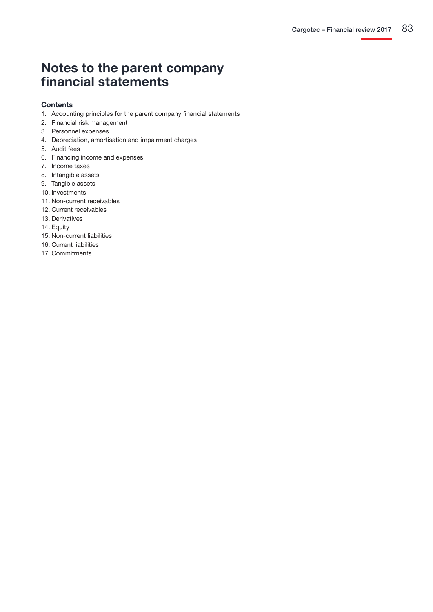### Notes to the parent company financial statements

### **Contents**

- 1. Accounting principles for the parent company financial statements
- 2. Financial risk management
- 3. Personnel expenses
- 4. Depreciation, amortisation and impairment charges
- 5. Audit fees
- 6. Financing income and expenses
- 7. Income taxes
- 8. Intangible assets
- 9. Tangible assets
- 10. Investments
- 11. Non-current receivables
- 12. Current receivables
- 13. Derivatives
- 14. Equity
- 15. Non-current liabilities
- 16. Current liabilities
- 17. Commitments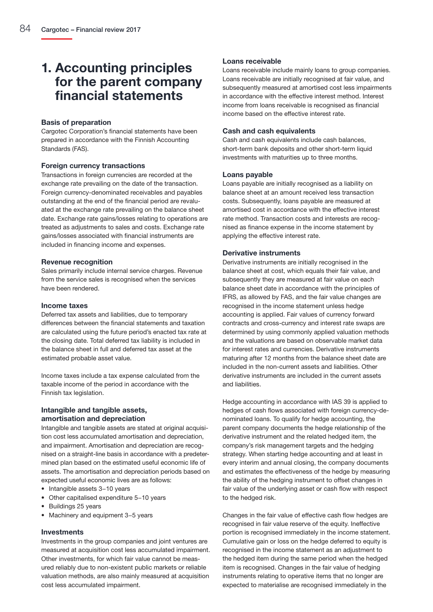### 1. Accounting principles for the parent company financial statements

### Basis of preparation

Cargotec Corporation's financial statements have been prepared in accordance with the Finnish Accounting Standards (FAS).

#### Foreign currency transactions

Transactions in foreign currencies are recorded at the exchange rate prevailing on the date of the transaction. Foreign currency-denominated receivables and payables outstanding at the end of the financial period are revaluated at the exchange rate prevailing on the balance sheet date. Exchange rate gains/losses relating to operations are treated as adjustments to sales and costs. Exchange rate gains/losses associated with financial instruments are included in financing income and expenses.

### Revenue recognition

Sales primarily include internal service charges. Revenue from the service sales is recognised when the services have been rendered.

#### Income taxes

Deferred tax assets and liabilities, due to temporary differences between the financial statements and taxation are calculated using the future period's enacted tax rate at the closing date. Total deferred tax liability is included in the balance sheet in full and deferred tax asset at the estimated probable asset value.

Income taxes include a tax expense calculated from the taxable income of the period in accordance with the Finnish tax legislation.

### Intangible and tangible assets, amortisation and depreciation

Intangible and tangible assets are stated at original acquisition cost less accumulated amortisation and depreciation, and impairment. Amortisation and depreciation are recognised on a straight-line basis in accordance with a predetermined plan based on the estimated useful economic life of assets. The amortisation and depreciation periods based on expected useful economic lives are as follows:

- Intangible assets 3−10 years
- Other capitalised expenditure 5−10 years
- Buildings 25 years
- Machinery and equipment 3−5 years

#### Investments

Investments in the group companies and joint ventures are measured at acquisition cost less accumulated impairment. Other investments, for which fair value cannot be measured reliably due to non-existent public markets or reliable valuation methods, are also mainly measured at acquisition cost less accumulated impairment.

#### Loans receivable

Loans receivable include mainly loans to group companies. Loans receivable are initially recognised at fair value, and subsequently measured at amortised cost less impairments in accordance with the effective interest method. Interest income from loans receivable is recognised as financial income based on the effective interest rate.

#### Cash and cash equivalents

Cash and cash equivalents include cash balances, short-term bank deposits and other short-term liquid investments with maturities up to three months.

#### Loans payable

Loans payable are initially recognised as a liability on balance sheet at an amount received less transaction costs. Subsequently, loans payable are measured at amortised cost in accordance with the effective interest rate method. Transaction costs and interests are recognised as finance expense in the income statement by applying the effective interest rate.

### Derivative instruments

Derivative instruments are initially recognised in the balance sheet at cost, which equals their fair value, and subsequently they are measured at fair value on each balance sheet date in accordance with the principles of IFRS, as allowed by FAS, and the fair value changes are recognised in the income statement unless hedge accounting is applied. Fair values of currency forward contracts and cross-currency and interest rate swaps are determined by using commonly applied valuation methods and the valuations are based on observable market data for interest rates and currencies. Derivative instruments maturing after 12 months from the balance sheet date are included in the non-current assets and liabilities. Other derivative instruments are included in the current assets and liabilities.

Hedge accounting in accordance with IAS 39 is applied to hedges of cash flows associated with foreign currency-denominated loans. To qualify for hedge accounting, the parent company documents the hedge relationship of the derivative instrument and the related hedged item, the company's risk management targets and the hedging strategy. When starting hedge accounting and at least in every interim and annual closing, the company documents and estimates the effectiveness of the hedge by measuring the ability of the hedging instrument to offset changes in fair value of the underlying asset or cash flow with respect to the hedged risk.

Changes in the fair value of effective cash flow hedges are recognised in fair value reserve of the equity. Ineffective portion is recognised immediately in the income statement. Cumulative gain or loss on the hedge deferred to equity is recognised in the income statement as an adjustment to the hedged item during the same period when the hedged item is recognised. Changes in the fair value of hedging instruments relating to operative items that no longer are expected to materialise are recognised immediately in the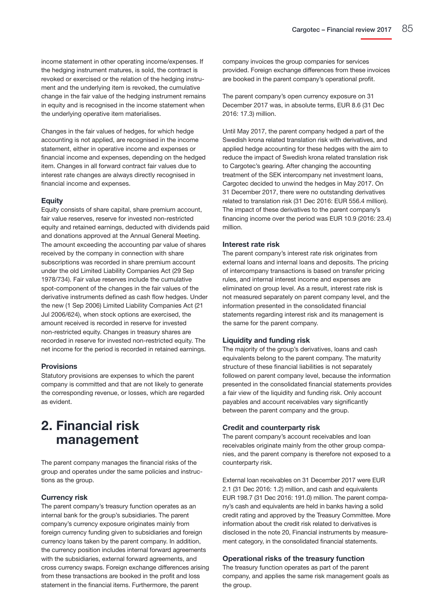income statement in other operating income/expenses. If the hedging instrument matures, is sold, the contract is revoked or exercised or the relation of the hedging instrument and the underlying item is revoked, the cumulative change in the fair value of the hedging instrument remains in equity and is recognised in the income statement when the underlying operative item materialises.

Changes in the fair values of hedges, for which hedge accounting is not applied, are recognised in the income statement, either in operative income and expenses or financial income and expenses, depending on the hedged item. Changes in all forward contract fair values due to interest rate changes are always directly recognised in financial income and expenses.

#### **Equity**

Equity consists of share capital, share premium account, fair value reserves, reserve for invested non-restricted equity and retained earnings, deducted with dividends paid and donations approved at the Annual General Meeting. The amount exceeding the accounting par value of shares received by the company in connection with share subscriptions was recorded in share premium account under the old Limited Liability Companies Act (29 Sep 1978/734). Fair value reserves include the cumulative spot-component of the changes in the fair values of the derivative instruments defined as cash flow hedges. Under the new (1 Sep 2006) Limited Liability Companies Act (21 Jul 2006/624), when stock options are exercised, the amount received is recorded in reserve for invested non-restricted equity. Changes in treasury shares are recorded in reserve for invested non-restricted equity. The net income for the period is recorded in retained earnings.

#### Provisions

Statutory provisions are expenses to which the parent company is committed and that are not likely to generate the corresponding revenue, or losses, which are regarded as evident.

### 2. Financial risk management

The parent company manages the financial risks of the group and operates under the same policies and instructions as the group.

#### Currency risk

The parent company's treasury function operates as an internal bank for the group's subsidiaries. The parent company's currency exposure originates mainly from foreign currency funding given to subsidiaries and foreign currency loans taken by the parent company. In addition, the currency position includes internal forward agreements with the subsidiaries, external forward agreements, and cross currency swaps. Foreign exchange differences arising from these transactions are booked in the profit and loss statement in the financial items. Furthermore, the parent

company invoices the group companies for services provided. Foreign exchange differences from these invoices are booked in the parent company's operational profit.

The parent company's open currency exposure on 31 December 2017 was, in absolute terms, EUR 8.6 (31 Dec 2016: 17.3) million.

Until May 2017, the parent company hedged a part of the Swedish krona related translation risk with derivatives, and applied hedge accounting for these hedges with the aim to reduce the impact of Swedish krona related translation risk to Cargotec's gearing. After changing the accounting treatment of the SEK intercompany net investment loans, Cargotec decided to unwind the hedges in May 2017. On 31 December 2017, there were no outstanding derivatives related to translation risk (31 Dec 2016: EUR 556.4 million). The impact of these derivatives to the parent company's financing income over the period was EUR 10.9 (2016: 23.4) million.

#### Interest rate risk

The parent company's interest rate risk originates from external loans and internal loans and deposits. The pricing of intercompany transactions is based on transfer pricing rules, and internal interest income and expenses are eliminated on group level. As a result, interest rate risk is not measured separately on parent company level, and the information presented in the consolidated financial statements regarding interest risk and its management is the same for the parent company.

#### Liquidity and funding risk

The majority of the group's derivatives, loans and cash equivalents belong to the parent company. The maturity structure of these financial liabilities is not separately followed on parent company level, because the information presented in the consolidated financial statements provides a fair view of the liquidity and funding risk. Only account payables and account receivables vary significantly between the parent company and the group.

#### Credit and counterparty risk

The parent company's account receivables and loan receivables originate mainly from the other group companies, and the parent company is therefore not exposed to a counterparty risk.

External loan receivables on 31 December 2017 were EUR 2.1 (31 Dec 2016: 1.2) million, and cash and equivalents EUR 198.7 (31 Dec 2016: 191.0) million. The parent company's cash and equivalents are held in banks having a solid credit rating and approved by the Treasury Committee. More information about the credit risk related to derivatives is disclosed in the note 20, Financial instruments by measurement category, in the consolidated financial statements.

#### Operational risks of the treasury function

The treasury function operates as part of the parent company, and applies the same risk management goals as the group.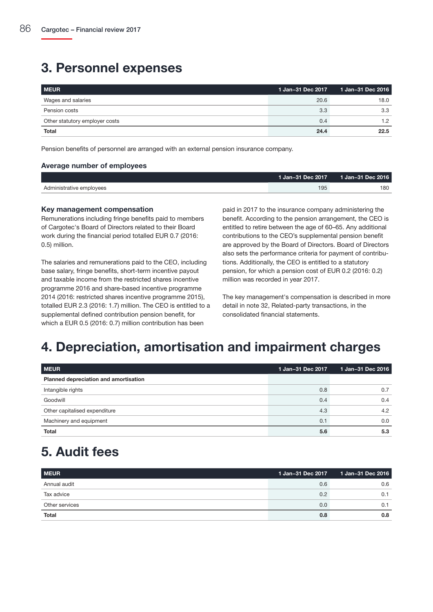# 3. Personnel expenses

| <b>MEUR</b>                    | 1 Jan-31 Dec 2017 | 1 Jan-31 Dec 2016 |
|--------------------------------|-------------------|-------------------|
| Wages and salaries             | 20.6              | 18.0              |
| Pension costs                  | 3.3               | 3.3               |
| Other statutory employer costs | 0.4               | 1.2               |
| <b>Total</b>                   | 24.4              | 22.5              |

Pension benefits of personnel are arranged with an external pension insurance company.

### Average number of employees

|                          | 1 Jan-31 Dec 2017 | 1 Jan-31 Dec 2016 |
|--------------------------|-------------------|-------------------|
| Administrative employees | 195               | 180               |

### Key management compensation

Remunerations including fringe benefits paid to members of Cargotec's Board of Directors related to their Board work during the financial period totalled EUR 0.7 (2016: 0.5) million.

The salaries and remunerations paid to the CEO, including base salary, fringe benefits, short-term incentive payout and taxable income from the restricted shares incentive programme 2016 and share-based incentive programme 2014 (2016: restricted shares incentive programme 2015), totalled EUR 2.3 (2016: 1.7) million. The CEO is entitled to a supplemental defined contribution pension benefit, for which a EUR 0.5 (2016: 0.7) million contribution has been

paid in 2017 to the insurance company administering the benefit. According to the pension arrangement, the CEO is entitled to retire between the age of 60–65. Any additional contributions to the CEO's supplemental pension benefit are approved by the Board of Directors. Board of Directors also sets the performance criteria for payment of contributions. Additionally, the CEO is entitled to a statutory pension, for which a pension cost of EUR 0.2 (2016: 0.2) million was recorded in year 2017.

The key management's compensation is described in more detail in note 32, Related-party transactions, in the consolidated financial statements.

## 4. Depreciation, amortisation and impairment charges

| <b>MEUR</b>                           | 1 Jan-31 Dec 2017 | 1 Jan-31 Dec 2016 |
|---------------------------------------|-------------------|-------------------|
| Planned depreciation and amortisation |                   |                   |
| Intangible rights                     | 0.8               | 0.7               |
| Goodwill                              | 0.4               | 0.4               |
| Other capitalised expenditure         | 4.3               | 4.2               |
| Machinery and equipment               | 0.1               | 0.0               |
| <b>Total</b>                          | 5.6               | 5.3               |

# 5. Audit fees

| <b>MEUR</b>    | 1 Jan-31 Dec 2017 | 1 Jan-31 Dec 2016 |
|----------------|-------------------|-------------------|
| Annual audit   | 0.6               | 0.6               |
| Tax advice     | 0.2               | 0.1               |
| Other services | 0.0               | 0.1               |
| <b>Total</b>   | 0.8               | 0.8               |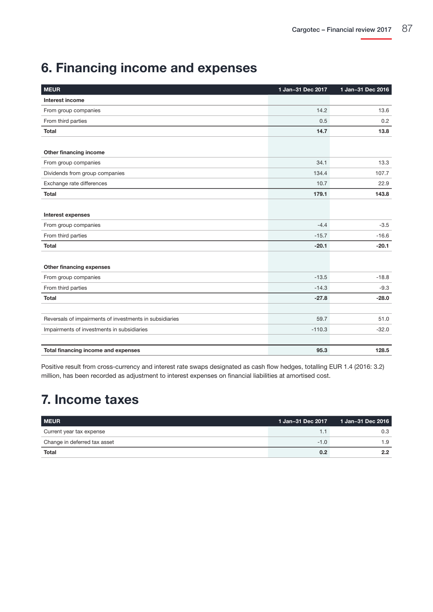## 6. Financing income and expenses

| <b>MEUR</b>                                             | 1 Jan-31 Dec 2017 | 1 Jan-31 Dec 2016 |
|---------------------------------------------------------|-------------------|-------------------|
| Interest income                                         |                   |                   |
| From group companies                                    | 14.2              | 13.6              |
| From third parties                                      | 0.5               | 0.2               |
| <b>Total</b>                                            | 14.7              | 13.8              |
|                                                         |                   |                   |
| Other financing income                                  |                   |                   |
| From group companies                                    | 34.1              | 13.3              |
| Dividends from group companies                          | 134.4             | 107.7             |
| Exchange rate differences                               | 10.7              | 22.9              |
| <b>Total</b>                                            | 179.1             | 143.8             |
|                                                         |                   |                   |
| <b>Interest expenses</b>                                |                   |                   |
| From group companies                                    | $-4.4$            | $-3.5$            |
| From third parties                                      | $-15.7$           | $-16.6$           |
| <b>Total</b>                                            | $-20.1$           | $-20.1$           |
|                                                         |                   |                   |
| Other financing expenses                                |                   |                   |
| From group companies                                    | $-13.5$           | $-18.8$           |
| From third parties                                      | $-14.3$           | $-9.3$            |
| <b>Total</b>                                            | $-27.8$           | $-28.0$           |
|                                                         |                   |                   |
| Reversals of impairments of investments in subsidiaries | 59.7              | 51.0              |
| Impairments of investments in subsidiaries              | $-110.3$          | $-32.0$           |
|                                                         |                   |                   |
| Total financing income and expenses                     | 95.3              | 128.5             |

Positive result from cross-currency and interest rate swaps designated as cash flow hedges, totalling EUR 1.4 (2016: 3.2) million, has been recorded as adjustment to interest expenses on financial liabilities at amortised cost.

# 7. Income taxes

| <b>MEUR</b>                  | l 1 Jan–31 Dec 2017 <b>1</b> | 1 Jan–31 Dec 2016 ∣ |
|------------------------------|------------------------------|---------------------|
| Current year tax expense     | ι.                           | 0.3                 |
| Change in deferred tax asset | $-1.0$                       | 1.9                 |
| <b>Total</b>                 | 0.2                          | $2.2\phantom{0}$    |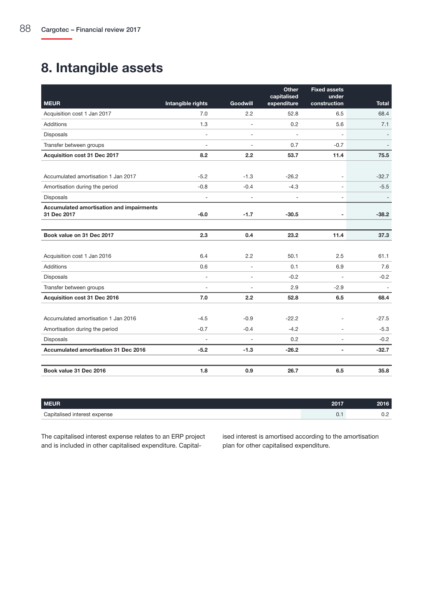# 8. Intangible assets

|                                             |                          |                          | Other<br>capitalised     | <b>Fixed assets</b><br>under |              |
|---------------------------------------------|--------------------------|--------------------------|--------------------------|------------------------------|--------------|
| <b>MEUR</b>                                 | Intangible rights        | <b>Goodwill</b>          | expenditure              | construction                 | <b>Total</b> |
| Acquisition cost 1 Jan 2017                 | 7.0                      | 2.2                      | 52.8                     | 6.5                          | 68.4         |
| Additions                                   | 1.3                      | $\overline{a}$           | 0.2                      | 5.6                          | 7.1          |
| <b>Disposals</b>                            | $\overline{a}$           | $\overline{a}$           | $\overline{a}$           | $\overline{a}$               |              |
| Transfer between groups                     | $\overline{a}$           | $\overline{a}$           | 0.7                      | $-0.7$                       |              |
| Acquisition cost 31 Dec 2017                | 8.2                      | 2.2                      | 53.7                     | 11.4                         | 75.5         |
|                                             |                          |                          |                          |                              |              |
| Accumulated amortisation 1 Jan 2017         | $-5.2$                   | $-1.3$                   | $-26.2$                  | $\overline{\phantom{a}}$     | $-32.7$      |
| Amortisation during the period              | $-0.8$                   | $-0.4$                   | $-4.3$                   | $\qquad \qquad -$            | $-5.5$       |
| <b>Disposals</b>                            | $\overline{\phantom{0}}$ | $\overline{\phantom{0}}$ | $\overline{\phantom{0}}$ | $\overline{\phantom{a}}$     |              |
| Accumulated amortisation and impairments    |                          |                          |                          |                              |              |
| 31 Dec 2017                                 | $-6.0$                   | $-1.7$                   | $-30.5$                  | ٠                            | $-38.2$      |
|                                             |                          |                          |                          |                              |              |
| Book value on 31 Dec 2017                   | 2.3                      | 0.4                      | 23.2                     | 11.4                         | 37.3         |
|                                             |                          |                          |                          |                              |              |
| Acquisition cost 1 Jan 2016                 | 6.4                      | 2.2                      | 50.1                     | 2.5                          | 61.1         |
| <b>Additions</b>                            | 0.6                      | $\frac{1}{2}$            | 0.1                      | 6.9                          | 7.6          |
| <b>Disposals</b>                            | $\overline{\phantom{a}}$ | $\overline{\phantom{a}}$ | $-0.2$                   | $\overline{a}$               | $-0.2$       |
| Transfer between groups                     | $\overline{\phantom{a}}$ | $\overline{\phantom{a}}$ | 2.9                      | $-2.9$                       |              |
| Acquisition cost 31 Dec 2016                | 7.0                      | 2.2                      | 52.8                     | 6.5                          | 68.4         |
|                                             |                          |                          |                          |                              |              |
| Accumulated amortisation 1 Jan 2016         | $-4.5$                   | $-0.9$                   | $-22.2$                  |                              | $-27.5$      |
| Amortisation during the period              | $-0.7$                   | $-0.4$                   | $-4.2$                   | $\overline{\phantom{a}}$     | $-5.3$       |
| <b>Disposals</b>                            | $\overline{a}$           | $\overline{\phantom{a}}$ | 0.2                      | $\overline{a}$               | $-0.2$       |
| <b>Accumulated amortisation 31 Dec 2016</b> | $-5.2$                   | $-1.3$                   | $-26.2$                  | ۰                            | $-32.7$      |
|                                             |                          |                          |                          |                              |              |
| Book value 31 Dec 2016                      | 1.8                      | 0.9                      | 26.7                     | 6.5                          | 35.8         |

| <b>MEUR</b>                  | 2017 | 2016 |
|------------------------------|------|------|
| Capitalised interest expense | υ. ι | v.c  |

The capitalised interest expense relates to an ERP project and is included in other capitalised expenditure. Capitalised interest is amortised according to the amortisation plan for other capitalised expenditure.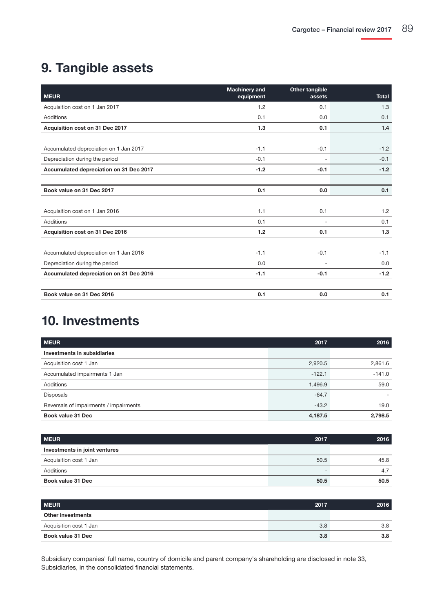# 9. Tangible assets

| <b>MEUR</b>                             | <b>Machinery and</b><br>equipment | Other tangible<br>assets | <b>Total</b> |
|-----------------------------------------|-----------------------------------|--------------------------|--------------|
| Acquisition cost on 1 Jan 2017          | 1.2                               | 0.1                      | 1.3          |
| Additions                               | 0.1                               | 0.0                      | 0.1          |
| Acquisition cost on 31 Dec 2017         | 1.3                               | 0.1                      | 1.4          |
|                                         |                                   |                          |              |
| Accumulated depreciation on 1 Jan 2017  | $-1.1$                            | $-0.1$                   | $-1.2$       |
| Depreciation during the period          | $-0.1$                            |                          | $-0.1$       |
| Accumulated depreciation on 31 Dec 2017 | $-1.2$                            | $-0.1$                   | $-1.2$       |
|                                         |                                   |                          |              |
| Book value on 31 Dec 2017               | 0.1                               | 0.0                      | 0.1          |
|                                         |                                   |                          |              |
| Acquisition cost on 1 Jan 2016          | 1.1                               | 0.1                      | 1.2          |
| Additions                               | 0.1                               | $\overline{\phantom{a}}$ | 0.1          |
| Acquisition cost on 31 Dec 2016         | 1.2                               | 0.1                      | 1.3          |
|                                         |                                   |                          |              |
| Accumulated depreciation on 1 Jan 2016  | $-1.1$                            | $-0.1$                   | $-1.1$       |
| Depreciation during the period          | 0.0                               | $\overline{\phantom{a}}$ | 0.0          |
| Accumulated depreciation on 31 Dec 2016 | $-1.1$                            | $-0.1$                   | $-1.2$       |
|                                         |                                   |                          |              |
| Book value on 31 Dec 2016               | 0.1                               | 0.0                      | 0.1          |

# 10. Investments

| <b>MEUR</b>                            | 2017     | 2016     |
|----------------------------------------|----------|----------|
| Investments in subsidiaries            |          |          |
| Acquisition cost 1 Jan                 | 2,920.5  | 2,861.6  |
| Accumulated impairments 1 Jan          | $-122.1$ | $-141.0$ |
| Additions                              | 1,496.9  | 59.0     |
| <b>Disposals</b>                       | $-64.7$  |          |
| Reversals of impairments / impairments | $-43.2$  | 19.0     |
| Book value 31 Dec                      | 4,187.5  | 2,798.5  |

| <b>MEUR</b>                   | 2017 | 2016 |
|-------------------------------|------|------|
| Investments in joint ventures |      |      |
| Acquisition cost 1 Jan        | 50.5 | 45.8 |
| Additions                     |      | 4.7  |
| Book value 31 Dec             | 50.5 | 50.5 |

| <b>MEUR</b>            | 2017 | 2016 |
|------------------------|------|------|
| Other investments      |      |      |
| Acquisition cost 1 Jan | 3.8  | 3.8  |
| Book value 31 Dec      | 3.8  | 3.8  |

Subsidiary companies' full name, country of domicile and parent company's shareholding are disclosed in note 33, Subsidiaries, in the consolidated financial statements.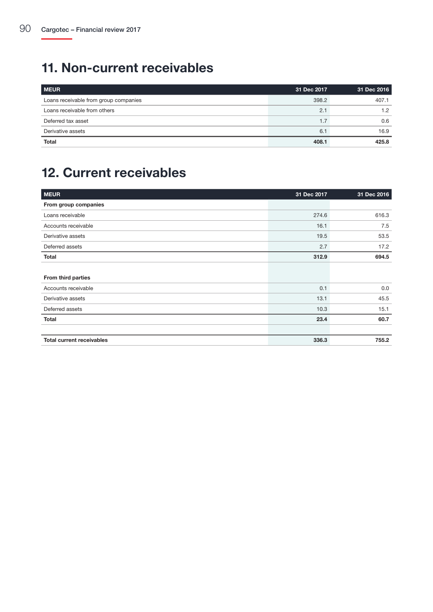# 11. Non-current receivables

| <b>MEUR</b>                           | 31 Dec 2017 | 31 Dec 2016 |
|---------------------------------------|-------------|-------------|
| Loans receivable from group companies | 398.2       | 407.1       |
| Loans receivable from others          | 2.1         | 1.2         |
| Deferred tax asset                    | 1.7         | 0.6         |
| Derivative assets                     | 6.1         | 16.9        |
| <b>Total</b>                          | 408.1       | 425.8       |

# 12. Current receivables

| <b>MEUR</b>                      | 31 Dec 2017 | 31 Dec 2016 |
|----------------------------------|-------------|-------------|
| From group companies             |             |             |
| Loans receivable                 | 274.6       | 616.3       |
| Accounts receivable              | 16.1        | 7.5         |
| Derivative assets                | 19.5        | 53.5        |
| Deferred assets                  | 2.7         | 17.2        |
| <b>Total</b>                     | 312.9       | 694.5       |
|                                  |             |             |
| From third parties               |             |             |
| Accounts receivable              | 0.1         | 0.0         |
| Derivative assets                | 13.1        | 45.5        |
| Deferred assets                  | 10.3        | 15.1        |
| <b>Total</b>                     | 23.4        | 60.7        |
|                                  |             |             |
| <b>Total current receivables</b> | 336.3       | 755.2       |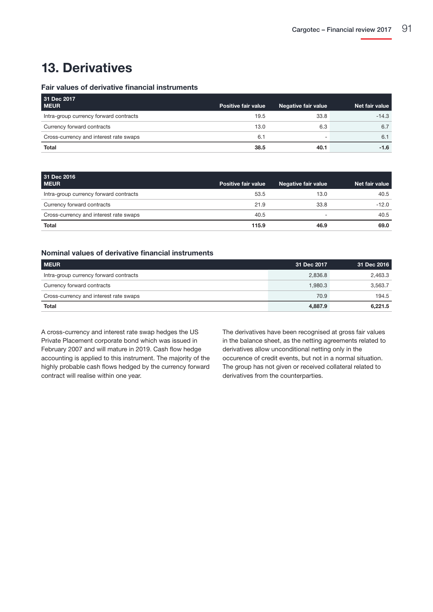### 13. Derivatives

### Fair values of derivative financial instruments

| 31 Dec 2017<br><b>MEUR</b>             | <b>Positive fair value</b> | Negative fair value      | Net fair value |
|----------------------------------------|----------------------------|--------------------------|----------------|
| Intra-group currency forward contracts | 19.5                       | 33.8                     | $-14.3$        |
| Currency forward contracts             | 13.0                       | 6.3                      | 6.7            |
| Cross-currency and interest rate swaps | 6.1                        | $\overline{\phantom{0}}$ | 6.1            |
| <b>Total</b>                           | 38.5                       | 40.1                     | $-1.6$         |

| 31 Dec 2016<br><b>MEUR</b>             | <b>Positive fair value</b> | Negative fair value | Net fair value |
|----------------------------------------|----------------------------|---------------------|----------------|
| Intra-group currency forward contracts | 53.5                       | 13.0                | 40.5           |
| Currency forward contracts             | 21.9                       | 33.8                | $-12.0$        |
| Cross-currency and interest rate swaps | 40.5                       | -                   | 40.5           |
| <b>Total</b>                           | 115.9                      | 46.9                | 69.0           |

### Nominal values of derivative financial instruments

| I MEUR                                 | 31 Dec 2017 | 31 Dec 2016 |
|----------------------------------------|-------------|-------------|
| Intra-group currency forward contracts | 2.836.8     | 2,463.3     |
| Currency forward contracts             | 1.980.3     | 3,563.7     |
| Cross-currency and interest rate swaps | 70.9        | 194.5       |
| <b>Total</b>                           | 4.887.9     | 6,221.5     |

A cross-currency and interest rate swap hedges the US Private Placement corporate bond which was issued in February 2007 and will mature in 2019. Cash flow hedge accounting is applied to this instrument. The majority of the highly probable cash flows hedged by the currency forward contract will realise within one year.

The derivatives have been recognised at gross fair values in the balance sheet, as the netting agreements related to derivatives allow unconditional netting only in the occurence of credit events, but not in a normal situation. The group has not given or received collateral related to derivatives from the counterparties.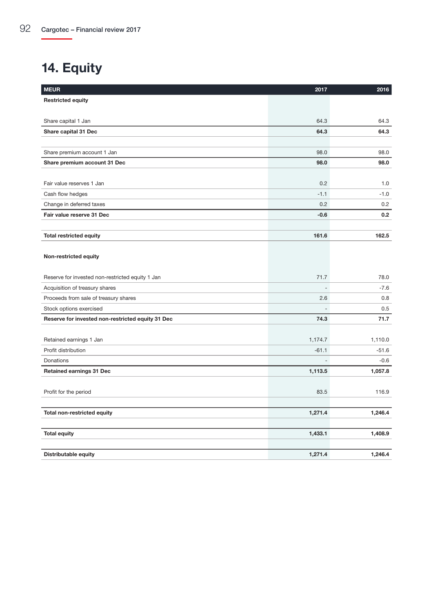# 14. Equity

| <b>MEUR</b>                                       | 2017                     | 2016    |
|---------------------------------------------------|--------------------------|---------|
| <b>Restricted equity</b>                          |                          |         |
|                                                   |                          |         |
| Share capital 1 Jan                               | 64.3                     | 64.3    |
| Share capital 31 Dec                              | 64.3                     | 64.3    |
|                                                   |                          |         |
| Share premium account 1 Jan                       | 98.0                     | 98.0    |
| Share premium account 31 Dec                      | 98.0                     | 98.0    |
|                                                   |                          |         |
| Fair value reserves 1 Jan                         | 0.2                      | 1.0     |
| Cash flow hedges                                  | $-1.1$                   | $-1.0$  |
| Change in deferred taxes                          | 0.2                      | 0.2     |
| Fair value reserve 31 Dec                         | $-0.6$                   | 0.2     |
|                                                   |                          |         |
| <b>Total restricted equity</b>                    | 161.6                    | 162.5   |
|                                                   |                          |         |
| Non-restricted equity                             |                          |         |
|                                                   |                          |         |
| Reserve for invested non-restricted equity 1 Jan  | 71.7                     | 78.0    |
| Acquisition of treasury shares                    | $\overline{\phantom{a}}$ | $-7.6$  |
| Proceeds from sale of treasury shares             | 2.6                      | 0.8     |
| Stock options exercised                           |                          | 0.5     |
| Reserve for invested non-restricted equity 31 Dec | 74.3                     | 71.7    |
|                                                   |                          |         |
| Retained earnings 1 Jan                           | 1,174.7                  | 1,110.0 |
| Profit distribution                               | $-61.1$                  | $-51.6$ |
| Donations                                         |                          | $-0.6$  |
| <b>Retained earnings 31 Dec</b>                   | 1,113.5                  | 1,057.8 |
|                                                   |                          |         |
| Profit for the period                             | 83.5                     | 116.9   |
|                                                   |                          |         |
| <b>Total non-restricted equity</b>                | 1,271.4                  | 1,246.4 |
|                                                   |                          |         |
| <b>Total equity</b>                               | 1,433.1                  | 1,408.9 |
|                                                   |                          |         |
| <b>Distributable equity</b>                       | 1,271.4                  | 1,246.4 |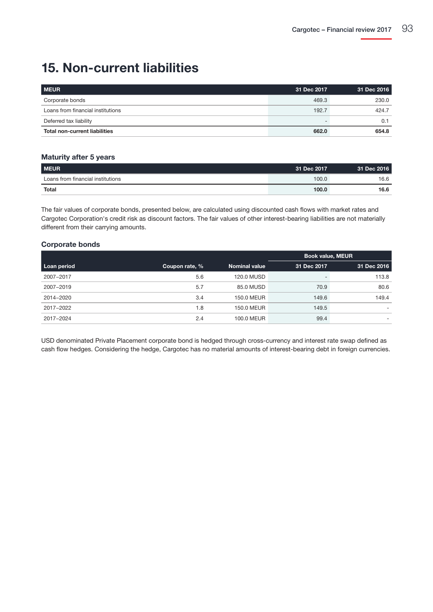# 15. Non-current liabilities

| <b>MEUR</b>                          | 31 Dec 2017 | 31 Dec 2016 |
|--------------------------------------|-------------|-------------|
| Corporate bonds                      | 469.3       | 230.0       |
| Loans from financial institutions    | 192.7       | 424.7       |
| Deferred tax liability               |             |             |
| <b>Total non-current liabilities</b> | 662.0       | 654.8       |

### Maturity after 5 years

| <b>MEUR</b>                       | 31 Dec 2017 | 31 Dec 2016 |
|-----------------------------------|-------------|-------------|
| Loans from financial institutions | 100.0       | 16.6        |
| <b>Total</b>                      | 100.0       | 16.6        |

The fair values of corporate bonds, presented below, are calculated using discounted cash flows with market rates and Cargotec Corporation's credit risk as discount factors. The fair values of other interest-bearing liabilities are not materially different from their carrying amounts.

### Corporate bonds

|             |                |                      | <b>Book value, MEUR</b> |             |  |
|-------------|----------------|----------------------|-------------------------|-------------|--|
| Loan period | Coupon rate, % | <b>Nominal value</b> | 31 Dec 2017             | 31 Dec 2016 |  |
| 2007-2017   | 5.6            | 120.0 MUSD           |                         | 113.8       |  |
| 2007-2019   | 5.7            | 85.0 MUSD            | 70.9                    | 80.6        |  |
| 2014-2020   | 3.4            | 150.0 MEUR           | 149.6                   | 149.4       |  |
| 2017-2022   | 1.8            | 150.0 MEUR           | 149.5                   |             |  |
| 2017-2024   | 2.4            | 100.0 MEUR           | 99.4                    |             |  |

USD denominated Private Placement corporate bond is hedged through cross-currency and interest rate swap defined as cash flow hedges. Considering the hedge, Cargotec has no material amounts of interest-bearing debt in foreign currencies.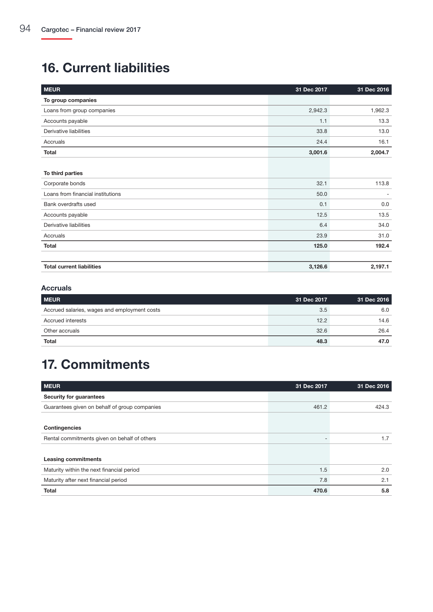# 16. Current liabilities

| <b>MEUR</b>                       | 31 Dec 2017 | 31 Dec 2016              |
|-----------------------------------|-------------|--------------------------|
| To group companies                |             |                          |
| Loans from group companies        | 2,942.3     | 1,962.3                  |
| Accounts payable                  | 1.1         | 13.3                     |
| Derivative liabilities            | 33.8        | 13.0                     |
| Accruals                          | 24.4        | 16.1                     |
| <b>Total</b>                      | 3,001.6     | 2,004.7                  |
|                                   |             |                          |
| To third parties                  |             |                          |
| Corporate bonds                   | 32.1        | 113.8                    |
| Loans from financial institutions | 50.0        | $\overline{\phantom{a}}$ |
| Bank overdrafts used              | 0.1         | 0.0                      |
| Accounts payable                  | 12.5        | 13.5                     |
| Derivative liabilities            | 6.4         | 34.0                     |
| Accruals                          | 23.9        | 31.0                     |
| <b>Total</b>                      | 125.0       | 192.4                    |
|                                   |             |                          |
| <b>Total current liabilities</b>  | 3,126.6     | 2,197.1                  |

### Accruals

| <b>MEUR</b>                                  | 31 Dec 2017 | 31 Dec 2016 |
|----------------------------------------------|-------------|-------------|
| Accrued salaries, wages and employment costs | 3.5         | 6.0         |
| <b>Accrued interests</b>                     | 12.2        | 14.6        |
| Other accruals                               | 32.6        | 26.4        |
| <b>Total</b>                                 | 48.3        | 47.0        |

# 17. Commitments

| <b>MEUR</b>                                   | 31 Dec 2017 | 31 Dec 2016 |
|-----------------------------------------------|-------------|-------------|
| <b>Security for guarantees</b>                |             |             |
| Guarantees given on behalf of group companies | 461.2       | 424.3       |
|                                               |             |             |
| <b>Contingencies</b>                          |             |             |
| Rental commitments given on behalf of others  |             | 1.7         |
|                                               |             |             |
| <b>Leasing commitments</b>                    |             |             |
| Maturity within the next financial period     | 1.5         | 2.0         |
| Maturity after next financial period          | 7.8         | 2.1         |
| <b>Total</b>                                  | 470.6       | 5.8         |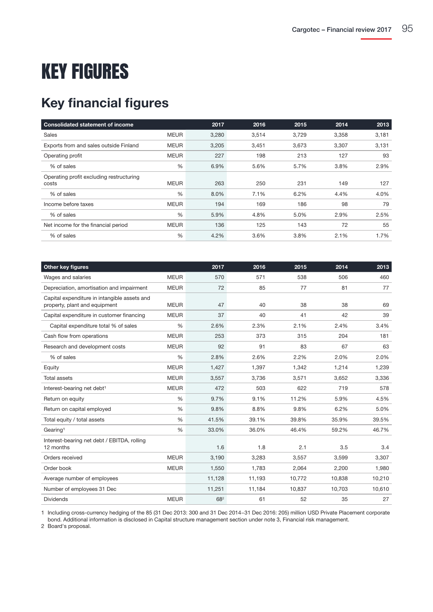# KEY FIGURES

# Key financial figures

| <b>Consolidated statement of income</b>  |               | 2017  | 2016  | 2015  | 2014  | 2013  |
|------------------------------------------|---------------|-------|-------|-------|-------|-------|
| Sales                                    | <b>MEUR</b>   | 3,280 | 3,514 | 3,729 | 3,358 | 3,181 |
| Exports from and sales outside Finland   | <b>MEUR</b>   | 3.205 | 3,451 | 3,673 | 3.307 | 3,131 |
| Operating profit                         | <b>MEUR</b>   | 227   | 198   | 213   | 127   | 93    |
| % of sales                               | %             | 6.9%  | 5.6%  | 5.7%  | 3.8%  | 2.9%  |
| Operating profit excluding restructuring |               |       |       |       |       |       |
| costs                                    | <b>MEUR</b>   | 263   | 250   | 231   | 149   | 127   |
| % of sales                               | %             | 8.0%  | 7.1%  | 6.2%  | 4.4%  | 4.0%  |
| Income before taxes                      | <b>MEUR</b>   | 194   | 169   | 186   | 98    | 79    |
| % of sales                               | %             | 5.9%  | 4.8%  | 5.0%  | 2.9%  | 2.5%  |
| Net income for the financial period      | <b>MEUR</b>   | 136   | 125   | 143   | 72    | 55    |
| % of sales                               | $\frac{0}{0}$ | 4.2%  | 3.6%  | 3.8%  | 2.1%  | 1.7%  |

| Other key figures                                                             |               | 2017            | 2016   | 2015   | 2014   | 2013   |
|-------------------------------------------------------------------------------|---------------|-----------------|--------|--------|--------|--------|
| Wages and salaries                                                            | <b>MEUR</b>   | 570             | 571    | 538    | 506    | 460    |
| Depreciation, amortisation and impairment                                     | <b>MEUR</b>   | 72              | 85     | 77     | 81     | 77     |
| Capital expenditure in intangible assets and<br>property, plant and equipment | <b>MEUR</b>   | 47              | 40     | 38     | 38     | 69     |
| Capital expenditure in customer financing                                     | <b>MEUR</b>   | 37              | 40     | 41     | 42     | 39     |
| Capital expenditure total % of sales                                          | $\frac{0}{0}$ | 2.6%            | 2.3%   | 2.1%   | 2.4%   | 3.4%   |
| Cash flow from operations                                                     | <b>MEUR</b>   | 253             | 373    | 315    | 204    | 181    |
| Research and development costs                                                | <b>MEUR</b>   | 92              | 91     | 83     | 67     | 63     |
| % of sales                                                                    | %             | 2.8%            | 2.6%   | 2.2%   | 2.0%   | 2.0%   |
| Equity                                                                        | <b>MEUR</b>   | 1.427           | 1.397  | 1,342  | 1,214  | 1,239  |
| <b>Total assets</b>                                                           | <b>MEUR</b>   | 3,557           | 3,736  | 3,571  | 3,652  | 3,336  |
| Interest-bearing net debt <sup>1</sup>                                        | <b>MEUR</b>   | 472             | 503    | 622    | 719    | 578    |
| Return on equity                                                              | $\frac{0}{0}$ | 9.7%            | 9.1%   | 11.2%  | 5.9%   | 4.5%   |
| Return on capital employed                                                    | $\frac{0}{0}$ | 9.8%            | 8.8%   | 9.8%   | 6.2%   | 5.0%   |
| Total equity / total assets                                                   | %             | 41.5%           | 39.1%  | 39.8%  | 35.9%  | 39.5%  |
| Gearing <sup>1</sup>                                                          | $\frac{0}{0}$ | 33.0%           | 36.0%  | 46.4%  | 59.2%  | 46.7%  |
| Interest-bearing net debt / EBITDA, rolling<br>12 months                      |               | 1.6             | 1.8    | 2.1    | 3.5    | 3.4    |
| Orders received                                                               | <b>MEUR</b>   | 3,190           | 3,283  | 3,557  | 3,599  | 3,307  |
| Order book                                                                    | <b>MEUR</b>   | 1,550           | 1,783  | 2,064  | 2,200  | 1,980  |
| Average number of employees                                                   |               | 11,128          | 11,193 | 10,772 | 10.838 | 10,210 |
| Number of employees 31 Dec                                                    |               | 11,251          | 11,184 | 10,837 | 10,703 | 10,610 |
| <b>Dividends</b>                                                              | <b>MEUR</b>   | 68 <sup>2</sup> | 61     | 52     | 35     | 27     |

1 Including cross-currency hedging of the 85 (31 Dec 2013: 300 and 31 Dec 2014−31 Dec 2016: 205) million USD Private Placement corporate bond. Additional information is disclosed in Capital structure management section under note 3, Financial risk management.

2 Board's proposal.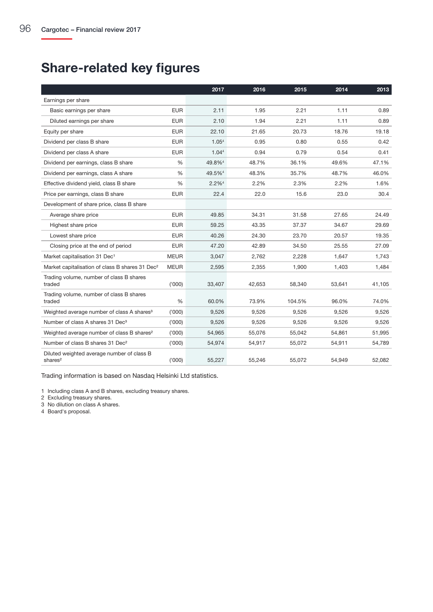### Share-related key figures

|                                                                   |             | 2017                 | 2016   | 2015   | 2014   | 2013   |
|-------------------------------------------------------------------|-------------|----------------------|--------|--------|--------|--------|
| Earnings per share                                                |             |                      |        |        |        |        |
| Basic earnings per share                                          | <b>EUR</b>  | 2.11                 | 1.95   | 2.21   | 1.11   | 0.89   |
| Diluted earnings per share                                        | <b>EUR</b>  | 2.10                 | 1.94   | 2.21   | 1.11   | 0.89   |
| Equity per share                                                  | <b>EUR</b>  | 22.10                | 21.65  | 20.73  | 18.76  | 19.18  |
| Dividend per class B share                                        | <b>EUR</b>  | 1.05 <sup>4</sup>    | 0.95   | 0.80   | 0.55   | 0.42   |
| Dividend per class A share                                        | <b>EUR</b>  | 1.04 <sup>4</sup>    | 0.94   | 0.79   | 0.54   | 0.41   |
| Dividend per earnings, class B share                              | %           | 49.8% <sup>4</sup>   | 48.7%  | 36.1%  | 49.6%  | 47.1%  |
| Dividend per earnings, class A share                              | %           | 49.5% <sup>4</sup>   | 48.3%  | 35.7%  | 48.7%  | 46.0%  |
| Effective dividend yield, class B share                           | %           | $2.2\%$ <sup>4</sup> | 2.2%   | 2.3%   | 2.2%   | 1.6%   |
| Price per earnings, class B share                                 | <b>EUR</b>  | 22.4                 | 22.0   | 15.6   | 23.0   | 30.4   |
| Development of share price, class B share                         |             |                      |        |        |        |        |
| Average share price                                               | <b>EUR</b>  | 49.85                | 34.31  | 31.58  | 27.65  | 24.49  |
| Highest share price                                               | <b>EUR</b>  | 59.25                | 43.35  | 37.37  | 34.67  | 29.69  |
| Lowest share price                                                | <b>EUR</b>  | 40.26                | 24.30  | 23.70  | 20.57  | 19.35  |
| Closing price at the end of period                                | <b>EUR</b>  | 47.20                | 42.89  | 34.50  | 25.55  | 27.09  |
| Market capitalisation 31 Dec <sup>1</sup>                         | <b>MEUR</b> | 3.047                | 2.762  | 2,228  | 1.647  | 1.743  |
| Market capitalisation of class B shares 31 Dec <sup>2</sup>       | <b>MEUR</b> | 2,595                | 2,355  | 1,900  | 1,403  | 1,484  |
| Trading volume, number of class B shares<br>traded                | (000)       | 33,407               | 42,653 | 58,340 | 53,641 | 41,105 |
| Trading volume, number of class B shares<br>traded                | %           | 60.0%                | 73.9%  | 104.5% | 96.0%  | 74.0%  |
| Weighted average number of class A shares <sup>3</sup>            | (1000)      | 9,526                | 9,526  | 9,526  | 9,526  | 9,526  |
| Number of class A shares 31 Dec <sup>3</sup>                      | (000)       | 9,526                | 9,526  | 9,526  | 9,526  | 9,526  |
| Weighted average number of class B shares <sup>2</sup>            | (000)       | 54,965               | 55,076 | 55,042 | 54,861 | 51,995 |
| Number of class B shares 31 Dec <sup>2</sup>                      | (000)       | 54,974               | 54,917 | 55,072 | 54,911 | 54,789 |
| Diluted weighted average number of class B<br>shares <sup>2</sup> | (1000)      | 55,227               | 55,246 | 55,072 | 54,949 | 52,082 |

Trading information is based on Nasdaq Helsinki Ltd statistics.

1 Including class A and B shares, excluding treasury shares.

2 Excluding treasury shares.

3 No dilution on class A shares.

4 Board's proposal.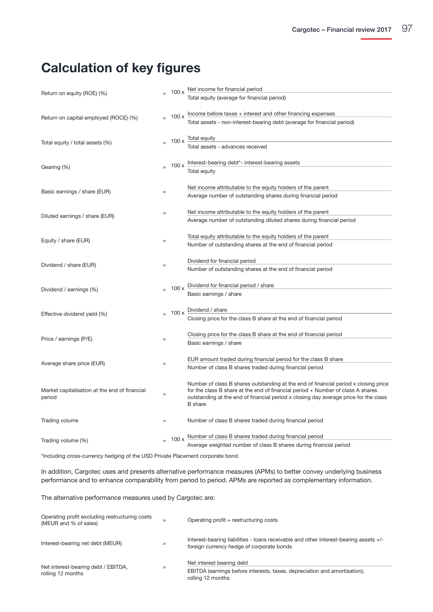# Calculation of key figures

|                                                         |           |      | 100 x Net income for financial period                                                                                                                                                                                                                                            |
|---------------------------------------------------------|-----------|------|----------------------------------------------------------------------------------------------------------------------------------------------------------------------------------------------------------------------------------------------------------------------------------|
| Return on equity (ROE) (%)                              |           |      | Total equity (average for financial period)                                                                                                                                                                                                                                      |
| Return on capital employed (ROCE) (%)                   |           |      | $100 \times$ Income before taxes + interest and other financing expenses<br>Total assets - non-interest-bearing debt (average for financial period)                                                                                                                              |
|                                                         |           |      | 100 x Total equity                                                                                                                                                                                                                                                               |
| Total equity / total assets (%)                         |           |      | Total assets - advances received                                                                                                                                                                                                                                                 |
| Gearing (%)                                             |           | 100x | Interest-bearing debt*- interest-bearing assets<br>Total equity                                                                                                                                                                                                                  |
| Basic earnings / share (EUR)                            | $\quad =$ |      | Net income attributable to the equity holders of the parent<br>Average number of outstanding shares during financial period                                                                                                                                                      |
| Diluted earnings / share (EUR)                          | $=$       |      | Net income attributable to the equity holders of the parent<br>Average number of outstanding diluted shares during financial period                                                                                                                                              |
| Equity / share (EUR)                                    | $=$       |      | Total equity attributable to the equity holders of the parent                                                                                                                                                                                                                    |
|                                                         |           |      | Number of outstanding shares at the end of financial period                                                                                                                                                                                                                      |
| Dividend / share (EUR)                                  | $=$       |      | Dividend for financial period<br>Number of outstanding shares at the end of financial period                                                                                                                                                                                     |
| Dividend / earnings (%)                                 |           | 100x | Dividend for financial period / share<br>Basic earnings / share                                                                                                                                                                                                                  |
| Effective dividend yield (%)                            |           | 100x | Dividend / share<br>Closing price for the class B share at the end of financial period                                                                                                                                                                                           |
| Price / earnings (P/E)                                  | $=$       |      | Closing price for the class B share at the end of financial period<br>Basic earnings / share                                                                                                                                                                                     |
| Average share price (EUR)                               | $=$       |      | EUR amount traded during financial period for the class B share<br>Number of class B shares traded during financial period                                                                                                                                                       |
| Market capitalisation at the end of financial<br>period | $=$       |      | Number of class B shares outstanding at the end of financial period x closing price<br>for the class B share at the end of financial period + Number of class A shares<br>outstanding at the end of financial period x closing day average price for the class<br><b>B</b> share |
| Trading volume                                          | =         |      | Number of class B shares traded during financial period                                                                                                                                                                                                                          |
| Trading volume (%)                                      |           | 100x | Number of class B shares traded during financial period<br>Average weighted number of class B shares during financial period                                                                                                                                                     |

\*Including cross-currency hedging of the USD Private Placement corporate bond.

In addition, Cargotec uses and presents alternative performance measures (APMs) to better convey underlying business performance and to enhance comparability from period to period. APMs are reported as complementary information.

The alternative performance measures used by Cargotec are:

| Operating profit excluding restructuring costs<br>(MEUR and % of sales) | $=$ | Operating profit + restructuring costs                                                                                             |
|-------------------------------------------------------------------------|-----|------------------------------------------------------------------------------------------------------------------------------------|
| Interest-bearing net debt (MEUR)                                        |     | Interest-bearing liabilities - loans receivable and other interest-bearing assets +/-<br>foreign currency hedge of corporate bonds |
| Net interest-bearing debt / EBITDA,<br>rolling 12 months                | $=$ | Net interest bearing debt<br>EBITDA (earnings before interests, taxes, depreciation and amortisation),<br>rolling 12 months        |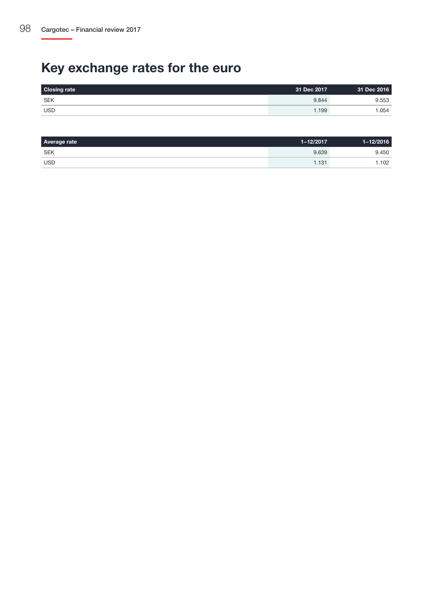# Key exchange rates for the euro

| <b>Closing rate</b> | 31 Dec 2017 | 31 Dec 2016 |
|---------------------|-------------|-------------|
| SEK                 | 9.844       | 9.553       |
| <b>USD</b>          | 1.199       | 1.054       |

| <b>Average rate</b> | $1 - 12/2017$ | $1 - 12/2016$ |
|---------------------|---------------|---------------|
| <b>SEK</b>          | 9.639         | 9.450         |
| <b>USD</b>          | 1.131         | 1.102         |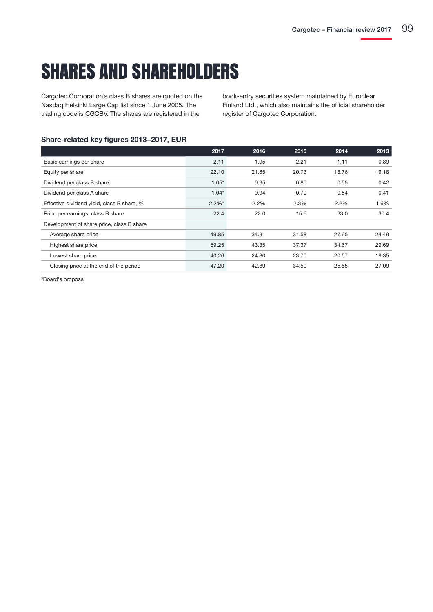# SHARES AND SHAREHOLDERS

Cargotec Corporation's class B shares are quoted on the Nasdaq Helsinki Large Cap list since 1 June 2005. The trading code is CGCBV. The shares are registered in the

book-entry securities system maintained by Euroclear Finland Ltd., which also maintains the official shareholder register of Cargotec Corporation.

### Share-related key figures 2013−2017, EUR

|                                            | 2017      | 2016  | 2015  | 2014  | 2013  |
|--------------------------------------------|-----------|-------|-------|-------|-------|
| Basic earnings per share                   | 2.11      | 1.95  | 2.21  | 1.11  | 0.89  |
| Equity per share                           | 22.10     | 21.65 | 20.73 | 18.76 | 19.18 |
| Dividend per class B share                 | $1.05*$   | 0.95  | 0.80  | 0.55  | 0.42  |
| Dividend per class A share                 | $1.04*$   | 0.94  | 0.79  | 0.54  | 0.41  |
| Effective dividend yield, class B share, % | $2.2\%$ * | 2.2%  | 2.3%  | 2.2%  | 1.6%  |
| Price per earnings, class B share          | 22.4      | 22.0  | 15.6  | 23.0  | 30.4  |
| Development of share price, class B share  |           |       |       |       |       |
| Average share price                        | 49.85     | 34.31 | 31.58 | 27.65 | 24.49 |
| Highest share price                        | 59.25     | 43.35 | 37.37 | 34.67 | 29.69 |
| Lowest share price                         | 40.26     | 24.30 | 23.70 | 20.57 | 19.35 |
| Closing price at the end of the period     | 47.20     | 42.89 | 34.50 | 25.55 | 27.09 |

\*Board's proposal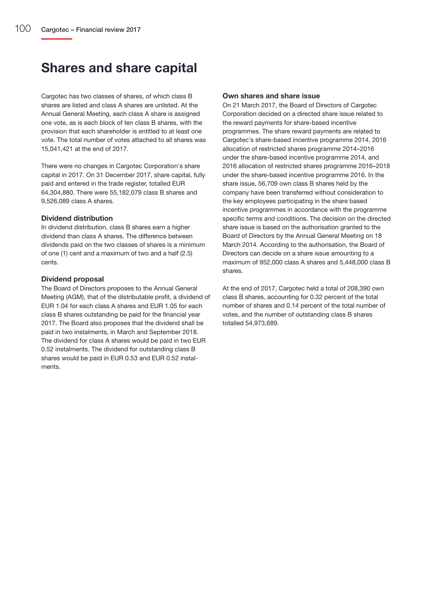### Shares and share capital

Cargotec has two classes of shares, of which class B shares are listed and class A shares are unlisted. At the Annual General Meeting, each class A share is assigned one vote, as is each block of ten class B shares, with the provision that each shareholder is entitled to at least one vote. The total number of votes attached to all shares was 15,041,421 at the end of 2017.

There were no changes in Cargotec Corporation's share capital in 2017. On 31 December 2017, share capital, fully paid and entered in the trade register, totalled EUR 64,304,880. There were 55,182,079 class B shares and 9,526,089 class A shares.

#### Dividend distribution

In dividend distribution, class B shares earn a higher dividend than class A shares. The difference between dividends paid on the two classes of shares is a minimum of one (1) cent and a maximum of two and a half (2.5) cents.

### Dividend proposal

The Board of Directors proposes to the Annual General Meeting (AGM), that of the distributable profit, a dividend of EUR 1.04 for each class A shares and EUR 1.05 for each class B shares outstanding be paid for the financial year 2017. The Board also proposes that the dividend shall be paid in two instalments, in March and September 2018. The dividend for class A shares would be paid in two EUR 0.52 instalments. The dividend for outstanding class B shares would be paid in EUR 0.53 and EUR 0.52 instalments.

#### Own shares and share issue

On 21 March 2017, the Board of Directors of Cargotec Corporation decided on a directed share issue related to the reward payments for share-based incentive programmes. The share reward payments are related to Cargotec's share-based incentive programme 2014, 2016 allocation of restricted shares programme 2014–2016 under the share-based incentive programme 2014, and 2016 allocation of restricted shares programme 2016–2018 under the share-based incentive programme 2016. In the share issue, 56,709 own class B shares held by the company have been transferred without consideration to the key employees participating in the share based incentive programmes in accordance with the programme specific terms and conditions. The decision on the directed share issue is based on the authorisation granted to the Board of Directors by the Annual General Meeting on 18 March 2014. According to the authorisation, the Board of Directors can decide on a share issue amounting to a maximum of 952,000 class A shares and 5,448,000 class B shares.

At the end of 2017, Cargotec held a total of 208,390 own class B shares, accounting for 0.32 percent of the total number of shares and 0.14 percent of the total number of votes, and the number of outstanding class B shares totalled 54,973,689.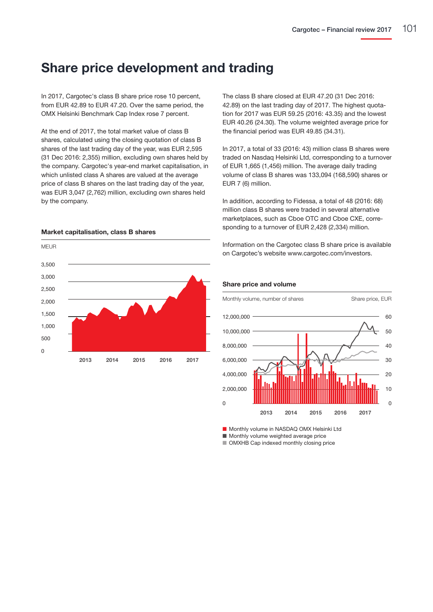### Share price development and trading

In 2017, Cargotec's class B share price rose 10 percent, from EUR 42.89 to EUR 47.20. Over the same period, the OMX Helsinki Benchmark Cap Index rose 7 percent.

At the end of 2017, the total market value of class B shares, calculated using the closing quotation of class B shares of the last trading day of the year, was EUR 2,595 (31 Dec 2016: 2,355) million, excluding own shares held by the company. Cargotec's year-end market capitalisation, in which unlisted class A shares are valued at the average price of class B shares on the last trading day of the year, was EUR 3,047 (2,762) million, excluding own shares held by the company.

#### Market capitalisation, class B shares

MEUR 3,500 3,000 2,500 2,000 1,500 1,000 500 0 2013 2014 2015 2016 2017 The class B share closed at EUR 47.20 (31 Dec 2016: 42.89) on the last trading day of 2017. The highest quotation for 2017 was EUR 59.25 (2016: 43.35) and the lowest EUR 40.26 (24.30). The volume weighted average price for the financial period was EUR 49.85 (34.31).

In 2017, a total of 33 (2016: 43) million class B shares were traded on Nasdaq Helsinki Ltd, corresponding to a turnover of EUR 1,665 (1,456) million. The average daily trading volume of class B shares was 133,094 (168,590) shares or EUR 7 (6) million.

In addition, according to Fidessa, a total of 48 (2016: 68) million class B shares were traded in several alternative marketplaces, such as Cboe OTC and Cboe CXE, corresponding to a turnover of EUR 2,428 (2,334) million.

Information on the Cargotec class B share price is available on Cargotec's website www.cargotec.com/investors.

#### Share price and volume



■ Monthly volume in NASDAQ OMX Helsinki Ltd

■ Monthly volume weighted average price

■ OMXHB Cap indexed monthly closing price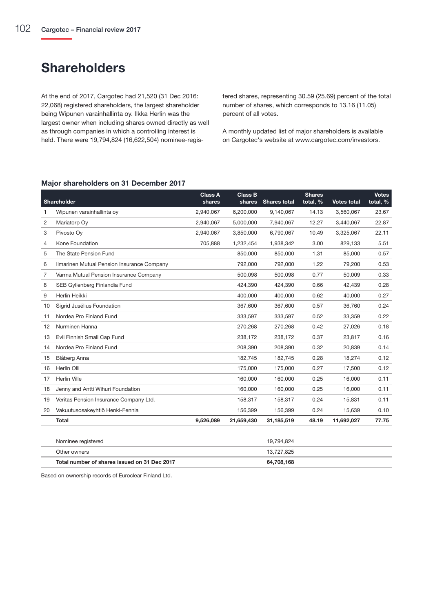## **Shareholders**

At the end of 2017, Cargotec had 21,520 (31 Dec 2016: 22,068) registered shareholders, the largest shareholder being Wipunen varainhallinta oy. Ilkka Herlin was the largest owner when including shares owned directly as well as through companies in which a controlling interest is held. There were 19,794,824 (16,622,504) nominee-registered shares, representing 30.59 (25.69) percent of the total number of shares, which corresponds to 13.16 (11.05) percent of all votes.

A monthly updated list of major shareholders is available on Cargotec's website at www.cargotec.com/investors.

### Major shareholders on 31 December 2017

|    | Shareholder                                  | <b>Class A</b><br>shares | <b>Class B</b><br>shares | <b>Shares total</b> | <b>Shares</b><br>total, % | <b>Votes total</b> | <b>Votes</b><br>total, % |
|----|----------------------------------------------|--------------------------|--------------------------|---------------------|---------------------------|--------------------|--------------------------|
| 1  | Wipunen varainhallinta oy                    | 2,940,067                | 6,200,000                | 9,140,067           | 14.13                     | 3,560,067          | 23.67                    |
| 2  | Mariatorp Oy                                 | 2,940,067                | 5,000,000                | 7,940,067           | 12.27                     | 3,440,067          | 22.87                    |
| 3  | Pivosto Ov                                   | 2,940,067                | 3,850,000                | 6,790,067           | 10.49                     | 3,325,067          | 22.11                    |
| 4  | Kone Foundation                              | 705,888                  | 1,232,454                | 1,938,342           | 3.00                      | 829,133            | 5.51                     |
| 5  | The State Pension Fund                       |                          | 850,000                  | 850,000             | 1.31                      | 85,000             | 0.57                     |
| 6  | Ilmarinen Mutual Pension Insurance Company   |                          | 792,000                  | 792,000             | 1.22                      | 79,200             | 0.53                     |
| 7  | Varma Mutual Pension Insurance Company       |                          | 500,098                  | 500,098             | 0.77                      | 50,009             | 0.33                     |
| 8  | SEB Gyllenberg Finlandia Fund                |                          | 424,390                  | 424,390             | 0.66                      | 42,439             | 0.28                     |
| 9  | Herlin Heikki                                |                          | 400,000                  | 400,000             | 0.62                      | 40,000             | 0.27                     |
| 10 | Sigrid Jusélius Foundation                   |                          | 367,600                  | 367,600             | 0.57                      | 36,760             | 0.24                     |
| 11 | Nordea Pro Finland Fund                      |                          | 333,597                  | 333,597             | 0.52                      | 33,359             | 0.22                     |
| 12 | Nurminen Hanna                               |                          | 270,268                  | 270,268             | 0.42                      | 27,026             | 0.18                     |
| 13 | Evli Finnish Small Cap Fund                  |                          | 238,172                  | 238,172             | 0.37                      | 23,817             | 0.16                     |
| 14 | Nordea Pro Finland Fund                      |                          | 208,390                  | 208,390             | 0.32                      | 20,839             | 0.14                     |
| 15 | Blåberg Anna                                 |                          | 182,745                  | 182,745             | 0.28                      | 18,274             | 0.12                     |
| 16 | Herlin Olli                                  |                          | 175,000                  | 175,000             | 0.27                      | 17,500             | 0.12                     |
| 17 | <b>Herlin Ville</b>                          |                          | 160,000                  | 160,000             | 0.25                      | 16,000             | 0.11                     |
| 18 | Jenny and Antti Wihuri Foundation            |                          | 160,000                  | 160,000             | 0.25                      | 16,000             | 0.11                     |
| 19 | Veritas Pension Insurance Company Ltd.       |                          | 158,317                  | 158,317             | 0.24                      | 15,831             | 0.11                     |
| 20 | Vakuutusosakeyhtiö Henki-Fennia              |                          | 156,399                  | 156,399             | 0.24                      | 15,639             | 0.10                     |
|    | <b>Total</b>                                 | 9,526,089                | 21,659,430               | 31,185,519          | 48.19                     | 11,692,027         | 77.75                    |
|    | Nominee registered                           |                          |                          | 19,794,824          |                           |                    |                          |
|    | Other owners                                 |                          |                          | 13,727,825          |                           |                    |                          |
|    | Total number of shares issued on 31 Dec 2017 |                          |                          | 64.708.168          |                           |                    |                          |

Based on ownership records of Euroclear Finland Ltd.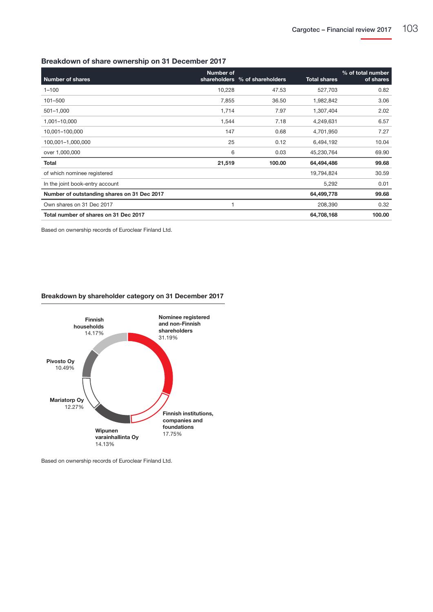### Breakdown of share ownership on 31 December 2017

| <b>Number of shares</b>                     | Number of | shareholders % of shareholders | <b>Total shares</b> | % of total number<br>of shares |
|---------------------------------------------|-----------|--------------------------------|---------------------|--------------------------------|
| $1 - 100$                                   | 10,228    | 47.53                          | 527,703             | 0.82                           |
| 101-500                                     | 7,855     | 36.50                          | 1,982,842           | 3.06                           |
| $501 - 1,000$                               | 1,714     | 7.97                           | 1,307,404           | 2.02                           |
| 1,001-10,000                                | 1,544     | 7.18                           | 4,249,631           | 6.57                           |
| 10,001-100,000                              | 147       | 0.68                           | 4,701,950           | 7.27                           |
| 100,001-1,000,000                           | 25        | 0.12                           | 6,494,192           | 10.04                          |
| over 1,000,000                              | 6         | 0.03                           | 45,230,764          | 69.90                          |
| <b>Total</b>                                | 21,519    | 100.00                         | 64,494,486          | 99.68                          |
| of which nominee registered                 |           |                                | 19,794,824          | 30.59                          |
| In the joint book-entry account             |           |                                | 5,292               | 0.01                           |
| Number of outstanding shares on 31 Dec 2017 |           |                                | 64,499,778          | 99.68                          |
| Own shares on 31 Dec 2017                   |           |                                | 208,390             | 0.32                           |
| Total number of shares on 31 Dec 2017       |           |                                | 64,708,168          | 100.00                         |

Based on ownership records of Euroclear Finland Ltd.

#### Breakdown by shareholder category on 31 December 2017



Based on ownership records of Euroclear Finland Ltd.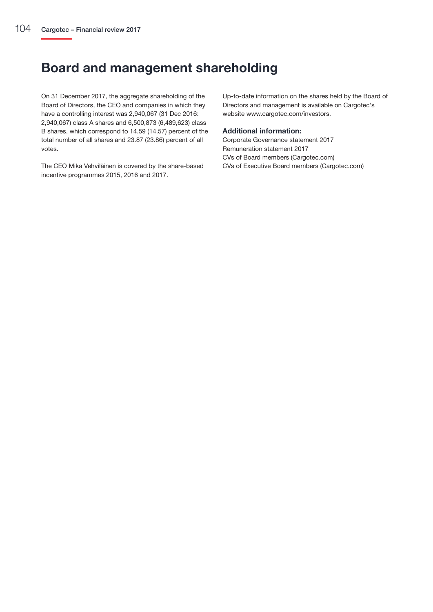### Board and management shareholding

On 31 December 2017, the aggregate shareholding of the Board of Directors, the CEO and companies in which they have a controlling interest was 2,940,067 (31 Dec 2016: 2,940,067) class A shares and 6,500,873 (6,489,623) class B shares, which correspond to 14.59 (14.57) percent of the total number of all shares and 23.87 (23.86) percent of all votes.

The CEO Mika Vehviläinen is covered by the share-based incentive programmes 2015, 2016 and 2017.

Up-to-date information on the shares held by the Board of Directors and management is available on Cargotec's website www.cargotec.com/investors.

### Additional information:

Corporate Governance statement 2017 Remuneration statement 2017 CVs of Board members (Cargotec.com) CVs of Executive Board members (Cargotec.com)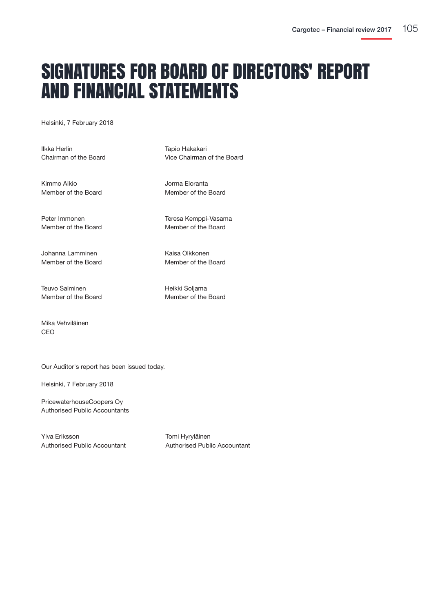# SIGNATURES FOR BOARD OF DIRECTORS' REPORT AND FINANCIAL STATEMENTS

Helsinki, 7 February 2018

Ilkka Herlin Tapio Hakakari

Kimmo Alkio **Alkio** Jorma Eloranta Member of the Board Member of the Board

Johanna Lamminen Kaisa Olkkonen

Teuvo Salminen **Martin Soliama** Heikki Soljama

Mika Vehviläinen CEO

Chairman of the Board Vice Chairman of the Board

Peter Immonen Teresa Kemppi-Vasama Member of the Board Member of the Board

Member of the Board Member of the Board

Member of the Board Member of the Board

Our Auditor's report has been issued today.

Helsinki, 7 February 2018

PricewaterhouseCoopers Oy Authorised Public Accountants

Ylva Eriksson Tomi Hyrvläinen Authorised Public Accountant Authorised Public Accountant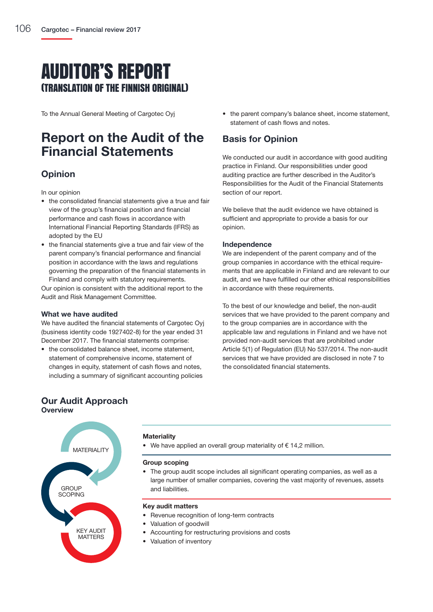# AUDITOR'S REPORT (TRANSLATION OF THE FINNISH ORIGINAL)

To the Annual General Meeting of Cargotec Oyj

### Report on the Audit of the Financial Statements

### Opinion

In our opinion

- the consolidated financial statements give a true and fair view of the group's financial position and financial performance and cash flows in accordance with International Financial Reporting Standards (IFRS) as adopted by the EU
- the financial statements give a true and fair view of the parent company's financial performance and financial position in accordance with the laws and regulations governing the preparation of the financial statements in Finland and comply with statutory requirements.

Our opinion is consistent with the additional report to the Audit and Risk Management Committee.

### What we have audited

We have audited the financial statements of Cargotec Ovi (business identity code 1927402-8) for the year ended 31 December 2017. The financial statements comprise:

• the consolidated balance sheet, income statement, statement of comprehensive income, statement of changes in equity, statement of cash flows and notes, including a summary of significant accounting policies • the parent company's balance sheet, income statement, statement of cash flows and notes.

### Basis for Opinion

We conducted our audit in accordance with good auditing practice in Finland. Our responsibilities under good auditing practice are further described in the Auditor's Responsibilities for the Audit of the Financial Statements section of our report.

We believe that the audit evidence we have obtained is sufficient and appropriate to provide a basis for our opinion.

### Independence

We are independent of the parent company and of the group companies in accordance with the ethical requirements that are applicable in Finland and are relevant to our audit, and we have fulfilled our other ethical responsibilities in accordance with these requirements.

To the best of our knowledge and belief, the non-audit services that we have provided to the parent company and to the group companies are in accordance with the applicable law and regulations in Finland and we have not provided non-audit services that are prohibited under Article 5(1) of Regulation (EU) No 537/2014. The non-audit services that we have provided are disclosed in note 7 to the consolidated financial statements.

### Our Audit Approach **Overview**



### **Materiality**

• We have applied an overall group materiality of  $\epsilon$  14,2 million.

### Group scoping

• The group audit scope includes all significant operating companies, as well as a large number of smaller companies, covering the vast majority of revenues, assets and liabilities.

### Key audit matters

- Revenue recognition of long-term contracts
- Valuation of goodwill
- Accounting for restructuring provisions and costs
- Valuation of inventory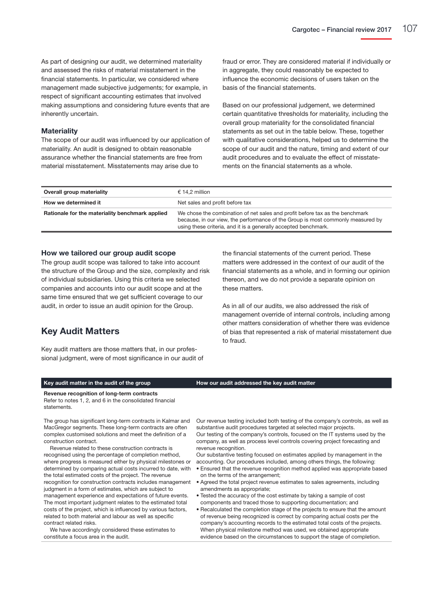As part of designing our audit, we determined materiality and assessed the risks of material misstatement in the financial statements. In particular, we considered where management made subjective judgements; for example, in respect of significant accounting estimates that involved making assumptions and considering future events that are inherently uncertain.

#### **Materiality**

The scope of our audit was influenced by our application of materiality. An audit is designed to obtain reasonable assurance whether the financial statements are free from material misstatement. Misstatements may arise due to

fraud or error. They are considered material if individually or in aggregate, they could reasonably be expected to influence the economic decisions of users taken on the basis of the financial statements.

Based on our professional judgement, we determined certain quantitative thresholds for materiality, including the overall group materiality for the consolidated financial statements as set out in the table below. These, together with qualitative considerations, helped us to determine the scope of our audit and the nature, timing and extent of our audit procedures and to evaluate the effect of misstatements on the financial statements as a whole.

| Overall group materiality                       | € 14.2 million                                                                                                                                                                                                                     |
|-------------------------------------------------|------------------------------------------------------------------------------------------------------------------------------------------------------------------------------------------------------------------------------------|
| How we determined it                            | Net sales and profit before tax                                                                                                                                                                                                    |
| Rationale for the materiality benchmark applied | We chose the combination of net sales and profit before tax as the benchmark<br>because, in our view, the performance of the Group is most commonly measured by<br>using these criteria, and it is a generally accepted benchmark. |

#### How we tailored our group audit scope

The group audit scope was tailored to take into account the structure of the Group and the size, complexity and risk of individual subsidiaries. Using this criteria we selected companies and accounts into our audit scope and at the same time ensured that we get sufficient coverage to our audit, in order to issue an audit opinion for the Group.

### Key Audit Matters

Key audit matters are those matters that, in our professional judgment, were of most significance in our audit of the financial statements of the current period. These matters were addressed in the context of our audit of the financial statements as a whole, and in forming our opinion thereon, and we do not provide a separate opinion on these matters.

As in all of our audits, we also addressed the risk of management override of internal controls, including among other matters consideration of whether there was evidence of bias that represented a risk of material misstatement due to fraud.

#### Key audit matter in the audit of the group How our audit addressed the key audit matter

Revenue recognition of long-term contracts Refer to notes 1, 2, and 6 in the consolidated financial statements.

The group has significant long-term contracts in Kalmar and MacGregor segments. These long-term contracts are often complex customised solutions and meet the definition of a construction contract.

Revenue related to these construction contracts is recognised using the percentage of completion method, where progress is measured either by physical milestones or determined by comparing actual costs incurred to date, with the total estimated costs of the project. The revenue recognition for construction contracts includes management judgment in a form of estimates, which are subject to management experience and expectations of future events. The most important judgment relates to the estimated total costs of the project, which is influenced by various factors, related to both material and labour as well as specific contract related risks.

We have accordingly considered these estimates to constitute a focus area in the audit.

Our revenue testing included both testing of the company's controls, as well as substantive audit procedures targeted at selected major projects.

Our testing of the company's controls, focused on the IT systems used by the company, as well as process level controls covering project forecasting and revenue recognition.

Our substantive testing focused on estimates applied by management in the accounting. Our procedures included, among others things, the following:

• Ensured that the revenue recognition method applied was appropriate based on the terms of the arrangement;

- Agreed the total project revenue estimates to sales agreements, including amendments as appropriate;
- Tested the accuracy of the cost estimate by taking a sample of cost components and traced those to supporting documentation; and
- Recalculated the completion stage of the projects to ensure that the amount of revenue being recognized is correct by comparing actual costs per the company's accounting records to the estimated total costs of the projects. When physical milestone method was used, we obtained appropriate evidence based on the circumstances to support the stage of completion.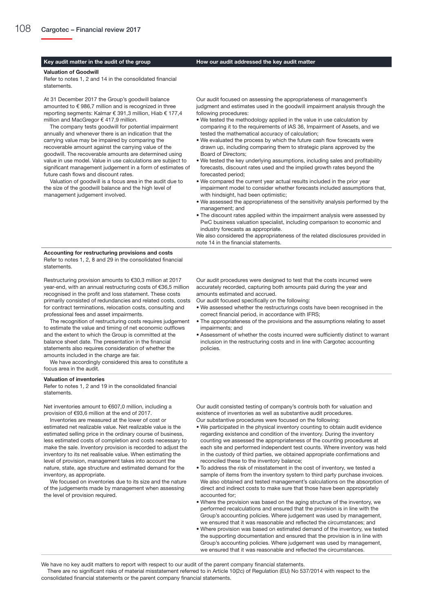#### Key audit matter in the audit of the group How our audit addressed the key audit matter

#### Valuation of Goodwill

Refer to notes 1, 2 and 14 in the consolidated financial statements.

At 31 December 2017 the Group's goodwill balance amounted to € 986,7 million and is recognized in three reporting segments: Kalmar € 391,3 million, Hiab € 177,4 million and MacGregor € 417,9 million.

The company tests goodwill for potential impairment annually and whenever there is an indication that the carrying value may be impaired by comparing the recoverable amount against the carrying value of the goodwill. The recoverable amounts are determined using value in use model. Value in use calculations are subject to significant management judgement in a form of estimates of future cash flows and discount rates.

Valuation of goodwill is a focus area in the audit due to the size of the goodwill balance and the high level of management judgement involved.

#### Our audit focused on assessing the appropriateness of management's judgment and estimates used in the goodwill impairment analysis through the following procedures:

- We tested the methodology applied in the value in use calculation by comparing it to the requirements of IAS 36, Impairment of Assets, and we tested the mathematical accuracy of calculation;
- We evaluated the process by which the future cash flow forecasts were drawn up, including comparing them to strategic plans approved by the Board of Directors;
- We tested the key underlying assumptions, including sales and profitability forecasts, discount rates used and the implied growth rates beyond the forecasted period;
- We compared the current year actual results included in the prior year impairment model to consider whether forecasts included assumptions that, with hindsight, had been optimistic;
- We assessed the appropriateness of the sensitivity analysis performed by the management; and
- The discount rates applied within the impairment analysis were assessed by PwC business valuation specialist, including comparison to economic and industry forecasts as appropriate.

We also considered the appropriateness of the related disclosures provided in note 14 in the financial statements.

#### Accounting for restructuring provisions and costs Refer to notes 1, 2, 8 and 29 in the consolidated financial

statements.

Restructuring provision amounts to €30,3 million at 2017 year-end, with an annual restructuring costs of €36,5 million recognised in the profit and loss statement. These costs primarily consisted of redundancies and related costs, costs for contract terminations, relocation costs, consulting and professional fees and asset impairments.

The recognition of restructuring costs requires judgement to estimate the value and timing of net economic outflows and the extent to which the Group is committed at the balance sheet date. The presentation in the financial statements also requires consideration of whether the amounts included in the charge are fair.

We have accordingly considered this area to constitute a focus area in the audit.

#### Valuation of inventories

Refer to notes 1, 2 and 19 in the consolidated financial statements.

Net inventories amount to €607,0 million, including a provision of €93,6 million at the end of 2017.

Inventories are measured at the lower of cost or estimated net realizable value. Net realizable value is the estimated selling price in the ordinary course of business, less estimated costs of completion and costs necessary to make the sale. Inventory provision is recorded to adjust the inventory to its net realisable value. When estimating the level of provision, management takes into account the nature, state, age structure and estimated demand for the inventory, as appropriate.

We focused on inventories due to its size and the nature of the judgements made by management when assessing the level of provision required.

Our audit procedures were designed to test that the costs incurred were accurately recorded, capturing both amounts paid during the year and amounts estimated and accrued.

Our audit focused specifically on the following:

- We assessed whether the restructurings costs have been recognised in the correct financial period, in accordance with IFRS;
- The appropriateness of the provisions and the assumptions relating to asset impairments; and
- Assessment of whether the costs incurred were sufficiently distinct to warrant inclusion in the restructuring costs and in line with Cargotec accounting policies.

Our audit consisted testing of company's controls both for valuation and existence of inventories as well as substantive audit procedures. Our substantive procedures were focused on the following:

- We participated in the physical inventory counting to obtain audit evidence
- regarding existence and condition of the inventory. During the inventory counting we assessed the appropriateness of the counting procedures at each site and performed independent test counts. Where inventory was held in the custody of third parties, we obtained appropriate confirmations and reconciled these to the inventory balance;
- To address the risk of misstatement in the cost of inventory, we tested a sample of items from the inventory system to third party purchase invoices. We also obtained and tested management's calculations on the absorption of direct and indirect costs to make sure that those have been appropriately accounted for;
- Where the provision was based on the aging structure of the inventory, we performed recalculations and ensured that the provision is in line with the Group's accounting policies. Where judgement was used by management, we ensured that it was reasonable and reflected the circumstances; and
- Where provision was based on estimated demand of the inventory, we tested the supporting documentation and ensured that the provision is in line with Group's accounting policies. Where judgement was used by management, we ensured that it was reasonable and reflected the circumstances.

We have no key audit matters to report with respect to our audit of the parent company financial statements.

There are no significant risks of material misstatement referred to in Article 10(2c) of Regulation (EU) No 537/2014 with respect to the consolidated financial statements or the parent company financial statements.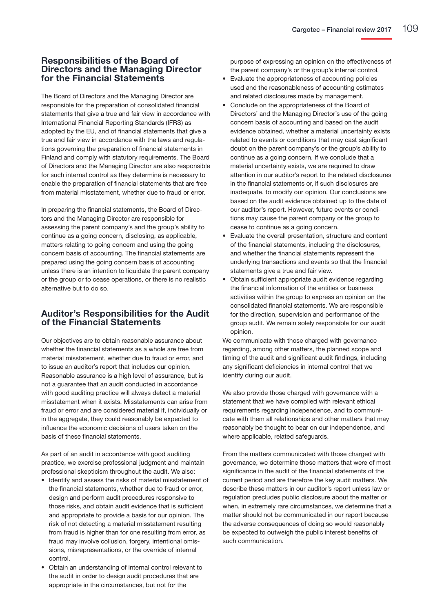### Responsibilities of the Board of Directors and the Managing Director for the Financial Statements

The Board of Directors and the Managing Director are responsible for the preparation of consolidated financial statements that give a true and fair view in accordance with International Financial Reporting Standards (IFRS) as adopted by the EU, and of financial statements that give a true and fair view in accordance with the laws and regulations governing the preparation of financial statements in Finland and comply with statutory requirements. The Board of Directors and the Managing Director are also responsible for such internal control as they determine is necessary to enable the preparation of financial statements that are free from material misstatement, whether due to fraud or error.

In preparing the financial statements, the Board of Directors and the Managing Director are responsible for assessing the parent company's and the group's ability to continue as a going concern, disclosing, as applicable, matters relating to going concern and using the going concern basis of accounting. The financial statements are prepared using the going concern basis of accounting unless there is an intention to liquidate the parent company or the group or to cease operations, or there is no realistic alternative but to do so.

### Auditor's Responsibilities for the Audit of the Financial Statements

Our objectives are to obtain reasonable assurance about whether the financial statements as a whole are free from material misstatement, whether due to fraud or error, and to issue an auditor's report that includes our opinion. Reasonable assurance is a high level of assurance, but is not a guarantee that an audit conducted in accordance with good auditing practice will always detect a material misstatement when it exists. Misstatements can arise from fraud or error and are considered material if, individually or in the aggregate, they could reasonably be expected to influence the economic decisions of users taken on the basis of these financial statements.

As part of an audit in accordance with good auditing practice, we exercise professional judgment and maintain professional skepticism throughout the audit. We also:

- Identify and assess the risks of material misstatement of the financial statements, whether due to fraud or error, design and perform audit procedures responsive to those risks, and obtain audit evidence that is sufficient and appropriate to provide a basis for our opinion. The risk of not detecting a material misstatement resulting from fraud is higher than for one resulting from error, as fraud may involve collusion, forgery, intentional omissions, misrepresentations, or the override of internal control.
- Obtain an understanding of internal control relevant to the audit in order to design audit procedures that are appropriate in the circumstances, but not for the

purpose of expressing an opinion on the effectiveness of the parent company's or the group's internal control.

- Evaluate the appropriateness of accounting policies used and the reasonableness of accounting estimates and related disclosures made by management.
- Conclude on the appropriateness of the Board of Directors' and the Managing Director's use of the going concern basis of accounting and based on the audit evidence obtained, whether a material uncertainty exists related to events or conditions that may cast significant doubt on the parent company's or the group's ability to continue as a going concern. If we conclude that a material uncertainty exists, we are required to draw attention in our auditor's report to the related disclosures in the financial statements or, if such disclosures are inadequate, to modify our opinion. Our conclusions are based on the audit evidence obtained up to the date of our auditor's report. However, future events or conditions may cause the parent company or the group to cease to continue as a going concern.
- Evaluate the overall presentation, structure and content of the financial statements, including the disclosures, and whether the financial statements represent the underlying transactions and events so that the financial statements give a true and fair view.
- Obtain sufficient appropriate audit evidence regarding the financial information of the entities or business activities within the group to express an opinion on the consolidated financial statements. We are responsible for the direction, supervision and performance of the group audit. We remain solely responsible for our audit opinion.

We communicate with those charged with governance regarding, among other matters, the planned scope and timing of the audit and significant audit findings, including any significant deficiencies in internal control that we identify during our audit.

We also provide those charged with governance with a statement that we have complied with relevant ethical requirements regarding independence, and to communicate with them all relationships and other matters that may reasonably be thought to bear on our independence, and where applicable, related safeguards.

From the matters communicated with those charged with governance, we determine those matters that were of most significance in the audit of the financial statements of the current period and are therefore the key audit matters. We describe these matters in our auditor's report unless law or regulation precludes public disclosure about the matter or when, in extremely rare circumstances, we determine that a matter should not be communicated in our report because the adverse consequences of doing so would reasonably be expected to outweigh the public interest benefits of such communication.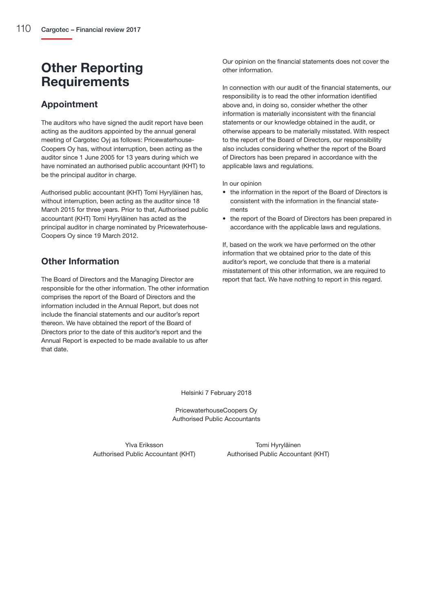## Other Reporting **Requirements**

## Appointment

The auditors who have signed the audit report have been acting as the auditors appointed by the annual general meeting of Cargotec Oyj as follows: Pricewaterhouse-Coopers Oy has, without interruption, been acting as the auditor since 1 June 2005 for 13 years during which we have nominated an authorised public accountant (KHT) to be the principal auditor in charge.

Authorised public accountant (KHT) Tomi Hyryläinen has, without interruption, been acting as the auditor since 18 March 2015 for three years. Prior to that, Authorised public accountant (KHT) Tomi Hyryläinen has acted as the principal auditor in charge nominated by Pricewaterhouse-Coopers Oy since 19 March 2012.

## Other Information

The Board of Directors and the Managing Director are responsible for the other information. The other information comprises the report of the Board of Directors and the information included in the Annual Report, but does not include the financial statements and our auditor's report thereon. We have obtained the report of the Board of Directors prior to the date of this auditor's report and the Annual Report is expected to be made available to us after that date.

Our opinion on the financial statements does not cover the other information.

In connection with our audit of the financial statements, our responsibility is to read the other information identified above and, in doing so, consider whether the other information is materially inconsistent with the financial statements or our knowledge obtained in the audit, or otherwise appears to be materially misstated. With respect to the report of the Board of Directors, our responsibility also includes considering whether the report of the Board of Directors has been prepared in accordance with the applicable laws and regulations.

In our opinion

- the information in the report of the Board of Directors is consistent with the information in the financial statements
- the report of the Board of Directors has been prepared in accordance with the applicable laws and regulations.

If, based on the work we have performed on the other information that we obtained prior to the date of this auditor's report, we conclude that there is a material misstatement of this other information, we are required to report that fact. We have nothing to report in this regard.

Helsinki 7 February 2018

PricewaterhouseCoopers Oy Authorised Public Accountants

Ylva Eriksson Tomi Hyryläinen Authorised Public Accountant (KHT) Authorised Public Accountant (KHT)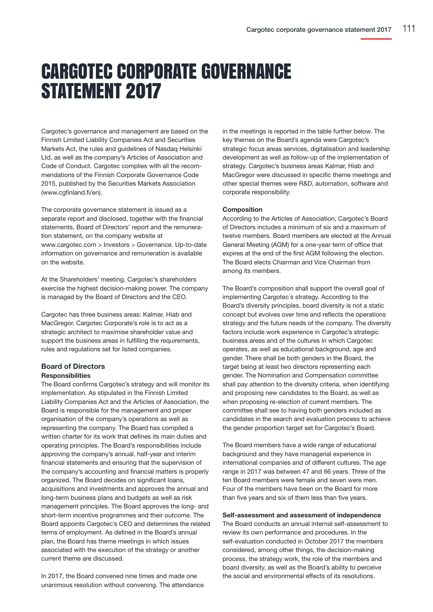## CARGOTEC CORPORATE GOVERNANCE STATEMENT 2017

Cargotec's governance and management are based on the Finnish Limited Liability Companies Act and Securities Markets Act, the rules and guidelines of Nasdaq Helsinki Ltd, as well as the company's Articles of Association and Code of Conduct. Cargotec complies with all the recommendations of the Finnish Corporate Governance Code 2015, published by the Securities Markets Association (www.cgfinland.fi/en).

The corporate governance statement is issued as a separate report and disclosed, together with the financial statements, Board of Directors' report and the remuneration statement, on the company website at www.cargotec.com > Investors > Governance. Up-to-date information on governance and remuneration is available on the website.

At the Shareholders' meeting, Cargotec's shareholders exercise the highest decision-making power. The company is managed by the Board of Directors and the CEO.

Cargotec has three business areas: Kalmar, Hiab and MacGregor. Cargotec Corporate's role is to act as a strategic architect to maximise shareholder value and support the business areas in fulfilling the requirements, rules and regulations set for listed companies.

#### Board of Directors **Responsibilities**

The Board confirms Cargotec's strategy and will monitor its implementation. As stipulated in the Finnish Limited Liability Companies Act and the Articles of Association, the Board is responsible for the management and proper organisation of the company's operations as well as representing the company. The Board has compiled a written charter for its work that defines its main duties and operating principles. The Board's responsibilities include approving the company's annual, half-year and interim financial statements and ensuring that the supervision of the company's accounting and financial matters is properly organized. The Board decides on significant loans, acquisitions and investments and approves the annual and long-term business plans and budgets as well as risk management principles. The Board approves the long- and short-term incentive programmes and their outcome. The Board appoints Cargotec's CEO and determines the related terms of employment. As defined in the Board's annual plan, the Board has theme meetings in which issues associated with the execution of the strategy or another current theme are discussed.

In 2017, the Board convened nine times and made one unanimous resolution without convening. The attendance in the meetings is reported in the table further below. The key themes on the Board's agenda were Cargotec's strategic focus areas services, digitalisation and leadership development as well as follow-up of the implementation of strategy. Cargotec's business areas Kalmar, Hiab and MacGregor were discussed in specific theme meetings and other special themes were R&D, automation, software and corporate responsibility.

#### **Composition**

According to the Articles of Association, Cargotec's Board of Directors includes a minimum of six and a maximum of twelve members. Board members are elected at the Annual General Meeting (AGM) for a one-year term of office that expires at the end of the first AGM following the election. The Board elects Chairman and Vice Chairman from among its members.

The Board's composition shall support the overall goal of implementing Cargotec´s strategy. According to the Board's diversity principles, board diversity is not a static concept but evolves over time and reflects the operations strategy and the future needs of the company. The diversity factors include work experience in Cargotec's strategic business areas and of the cultures in which Cargotec operates, as well as educational background, age and gender. There shall be both genders in the Board, the target being at least two directors representing each gender. The Nomination and Compensation committee shall pay attention to the diversity criteria, when identifying and proposing new candidates to the Board, as well as when proposing re-election of current members. The committee shall see to having both genders included as candidates in the search and evaluation process to achieve the gender proportion target set for Cargotec's Board.

The Board members have a wide range of educational background and they have managerial experience in international companies and of different cultures. The age range in 2017 was between 47 and 66 years. Three of the ten Board members were female and seven were men. Four of the members have been on the Board for more than five years and six of them less than five years.

#### Self-assessment and assessment of independence

The Board conducts an annual internal self-assessment to review its own performance and procedures. In the self-evaluation conducted in October 2017 the members considered, among other things, the decision-making process, the strategy work, the role of the members and board diversity, as well as the Board's ability to perceive the social and environmental effects of its resolutions.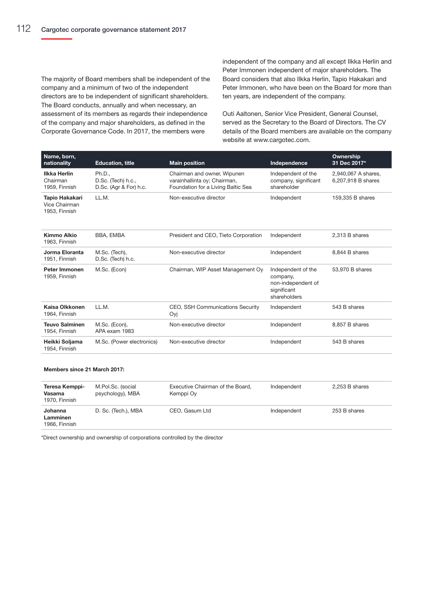The majority of Board members shall be independent of the company and a minimum of two of the independent directors are to be independent of significant shareholders. The Board conducts, annually and when necessary, an assessment of its members as regards their independence of the company and major shareholders, as defined in the Corporate Governance Code. In 2017, the members were

independent of the company and all except Ilkka Herlin and Peter Immonen independent of major shareholders. The Board considers that also Ilkka Herlin, Tapio Hakakari and Peter Immonen, who have been on the Board for more than ten years, are independent of the company.

Outi Aaltonen, Senior Vice President, General Counsel, served as the Secretary to the Board of Directors. The CV details of the Board members are available on the company website at www.cargotec.com.

| Name, born,<br>nationality                              | <b>Education</b> , title                               | <b>Main position</b>                                                                              | Independence                                                                        | Ownership<br>31 Dec 2017*                 |
|---------------------------------------------------------|--------------------------------------------------------|---------------------------------------------------------------------------------------------------|-------------------------------------------------------------------------------------|-------------------------------------------|
| <b>Ilkka Herlin</b><br>Chairman<br>1959, Finnish        | Ph.D.,<br>D.Sc. (Tech) h.c.,<br>D.Sc. (Agr & For) h.c. | Chairman and owner, Wipunen<br>varainhallinta oy; Chairman,<br>Foundation for a Living Baltic Sea | Independent of the<br>company, significant<br>shareholder                           | 2,940,067 A shares,<br>6,207,918 B shares |
| <b>Tapio Hakakari</b><br>Vice Chairman<br>1953, Finnish | LL.M.                                                  | Non-executive director                                                                            | Independent                                                                         | 159,335 B shares                          |
| <b>Kimmo Alkio</b><br>1963, Finnish                     | BBA, EMBA                                              | President and CEO, Tieto Corporation                                                              | Independent                                                                         | 2,313 B shares                            |
| Jorma Eloranta<br>1951, Finnish                         | M.Sc. (Tech),<br>D.Sc. (Tech) h.c.                     | Non-executive director                                                                            | Independent                                                                         | 8.844 B shares                            |
| Peter Immonen<br>1959. Finnish                          | M.Sc. (Econ)                                           | Chairman, WIP Asset Management Oy                                                                 | Independent of the<br>company,<br>non-independent of<br>significant<br>shareholders | 53.970 B shares                           |
| <b>Kaisa Olkkonen</b><br>1964, Finnish                  | LL.M.                                                  | CEO, SSH Communications Security<br>Oyj                                                           | Independent                                                                         | 543 B shares                              |
| <b>Teuvo Salminen</b><br>1954, Finnish                  | M.Sc. (Econ),<br>APA exam 1983                         | Non-executive director                                                                            | Independent                                                                         | 8,857 B shares                            |
| Heikki Soljama<br>1954, Finnish                         | M.Sc. (Power electronics)                              | Non-executive director                                                                            | Independent                                                                         | 543 B shares                              |

#### Members since 21 March 2017:

| Teresa Kemppi-<br>Vasama<br>1970, Finnish | M.Pol.Sc. (social<br>psychology), MBA | Executive Chairman of the Board,<br>Kemppi Oy | Independent | 2.253 B shares |
|-------------------------------------------|---------------------------------------|-----------------------------------------------|-------------|----------------|
| Johanna<br>Lamminen<br>1966, Finnish      | D. Sc. (Tech.), MBA                   | CEO, Gasum Ltd                                | Independent | 253 B shares   |

\*Direct ownership and ownership of corporations controlled by the director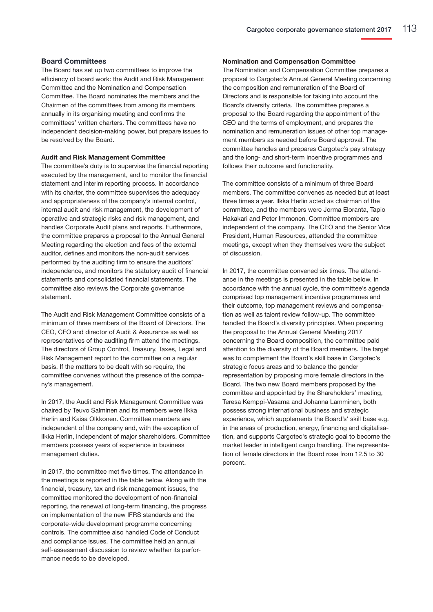#### Board Committees

The Board has set up two committees to improve the efficiency of board work: the Audit and Risk Management Committee and the Nomination and Compensation Committee. The Board nominates the members and the Chairmen of the committees from among its members annually in its organising meeting and confirms the committees' written charters. The committees have no independent decision-making power, but prepare issues to be resolved by the Board.

#### Audit and Risk Management Committee

The committee's duty is to supervise the financial reporting executed by the management, and to monitor the financial statement and interim reporting process. In accordance with its charter, the committee supervises the adequacy and appropriateness of the company's internal control, internal audit and risk management, the development of operative and strategic risks and risk management, and handles Corporate Audit plans and reports. Furthermore, the committee prepares a proposal to the Annual General Meeting regarding the election and fees of the external auditor, defines and monitors the non-audit services performed by the auditing firm to ensure the auditors' independence, and monitors the statutory audit of financial statements and consolidated financial statements. The committee also reviews the Corporate governance statement.

The Audit and Risk Management Committee consists of a minimum of three members of the Board of Directors. The CEO, CFO and director of Audit & Assurance as well as representatives of the auditing firm attend the meetings. The directors of Group Control, Treasury, Taxes, Legal and Risk Management report to the committee on a regular basis. If the matters to be dealt with so require, the committee convenes without the presence of the company's management.

In 2017, the Audit and Risk Management Committee was chaired by Teuvo Salminen and its members were Ilkka Herlin and Kaisa Olkkonen. Committee members are independent of the company and, with the exception of Ilkka Herlin, independent of major shareholders. Committee members possess years of experience in business management duties.

In 2017, the committee met five times. The attendance in the meetings is reported in the table below. Along with the financial, treasury, tax and risk management issues, the committee monitored the development of non-financial reporting, the renewal of long-term financing, the progress on implementation of the new IFRS standards and the corporate-wide development programme concerning controls. The committee also handled Code of Conduct and compliance issues. The committee held an annual self-assessment discussion to review whether its performance needs to be developed.

#### Nomination and Compensation Committee

The Nomination and Compensation Committee prepares a proposal to Cargotec's Annual General Meeting concerning the composition and remuneration of the Board of Directors and is responsible for taking into account the Board's diversity criteria. The committee prepares a proposal to the Board regarding the appointment of the CEO and the terms of employment, and prepares the nomination and remuneration issues of other top management members as needed before Board approval. The committee handles and prepares Cargotec's pay strategy and the long- and short-term incentive programmes and follows their outcome and functionality.

The committee consists of a minimum of three Board members. The committee convenes as needed but at least three times a year. Ilkka Herlin acted as chairman of the committee, and the members were Jorma Eloranta, Tapio Hakakari and Peter Immonen. Committee members are independent of the company. The CEO and the Senior Vice President, Human Resources, attended the committee meetings, except when they themselves were the subject of discussion.

In 2017, the committee convened six times. The attendance in the meetings is presented in the table below. In accordance with the annual cycle, the committee's agenda comprised top management incentive programmes and their outcome, top management reviews and compensation as well as talent review follow-up. The committee handled the Board's diversity principles. When preparing the proposal to the Annual General Meeting 2017 concerning the Board composition, the committee paid attention to the diversity of the Board members. The target was to complement the Board's skill base in Cargotec's strategic focus areas and to balance the gender representation by proposing more female directors in the Board. The two new Board members proposed by the committee and appointed by the Shareholders' meeting, Teresa Kemppi-Vasama and Johanna Lamminen, both possess strong international business and strategic experience, which supplements the Board's' skill base e.g. in the areas of production, energy, financing and digitalisation, and supports Cargotec's strategic goal to become the market leader in intelligent cargo handling. The representation of female directors in the Board rose from 12.5 to 30 percent.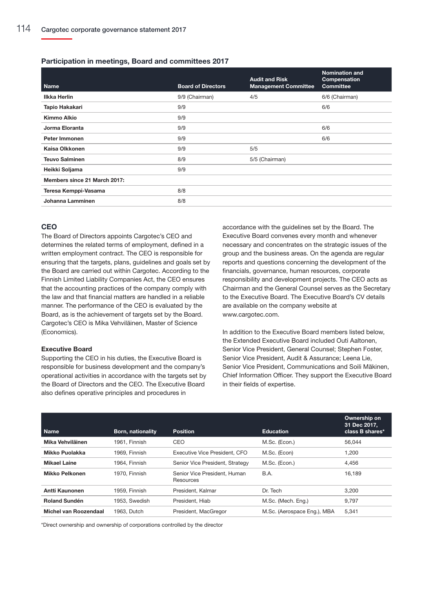#### Participation in meetings, Board and committees 2017

| <b>Name</b>                  | <b>Board of Directors</b> | <b>Audit and Risk</b><br><b>Management Committee</b> | <b>Nomination and</b><br>Compensation<br><b>Committee</b> |
|------------------------------|---------------------------|------------------------------------------------------|-----------------------------------------------------------|
| <b>Ilkka Herlin</b>          | 9/9 (Chairman)            | 4/5                                                  | 6/6 (Chairman)                                            |
| Tapio Hakakari               | 9/9                       |                                                      | 6/6                                                       |
| <b>Kimmo Alkio</b>           | 9/9                       |                                                      |                                                           |
| Jorma Eloranta               | 9/9                       |                                                      | 6/6                                                       |
| <b>Peter Immonen</b>         | 9/9                       |                                                      | 6/6                                                       |
| Kaisa Olkkonen               | 9/9                       | 5/5                                                  |                                                           |
| <b>Teuvo Salminen</b>        | 8/9                       | 5/5 (Chairman)                                       |                                                           |
| Heikki Soljama               | 9/9                       |                                                      |                                                           |
| Members since 21 March 2017: |                           |                                                      |                                                           |
| Teresa Kemppi-Vasama         | 8/8                       |                                                      |                                                           |
| <b>Johanna Lamminen</b>      | 8/8                       |                                                      |                                                           |

#### **CEO**

The Board of Directors appoints Cargotec's CEO and determines the related terms of employment, defined in a written employment contract. The CEO is responsible for ensuring that the targets, plans, guidelines and goals set by the Board are carried out within Cargotec. According to the Finnish Limited Liability Companies Act, the CEO ensures that the accounting practices of the company comply with the law and that financial matters are handled in a reliable manner. The performance of the CEO is evaluated by the Board, as is the achievement of targets set by the Board. Cargotec's CEO is Mika Vehviläinen, Master of Science (Economics).

#### Executive Board

Supporting the CEO in his duties, the Executive Board is responsible for business development and the company's operational activities in accordance with the targets set by the Board of Directors and the CEO. The Executive Board also defines operative principles and procedures in

accordance with the guidelines set by the Board. The Executive Board convenes every month and whenever necessary and concentrates on the strategic issues of the group and the business areas. On the agenda are regular reports and questions concerning the development of the financials, governance, human resources, corporate responsibility and development projects. The CEO acts as Chairman and the General Counsel serves as the Secretary to the Executive Board. The Executive Board's CV details are available on the company website at www.cargotec.com.

In addition to the Executive Board members listed below, the Extended Executive Board included Outi Aaltonen, Senior Vice President, General Counsel; Stephen Foster, Senior Vice President, Audit & Assurance; Leena Lie, Senior Vice President, Communications and Soili Mäkinen, Chief Information Officer. They support the Executive Board in their fields of expertise.

| <b>Name</b>           | <b>Born, nationality</b> | <b>Position</b>                           | <b>Education</b>            | Ownership on<br>31 Dec 2017,<br>class B shares* |
|-----------------------|--------------------------|-------------------------------------------|-----------------------------|-------------------------------------------------|
| Mika Vehviläinen      | 1961. Finnish            | CEO                                       | M.Sc. (Econ.)               | 56.044                                          |
| Mikko Puolakka        | 1969, Finnish            | Executive Vice President, CFO             | M.Sc. (Econ)                | 1,200                                           |
| <b>Mikael Laine</b>   | 1964. Finnish            | Senior Vice President, Strategy           | M.Sc. (Econ.)               | 4,456                                           |
| <b>Mikko Pelkonen</b> | 1970. Finnish            | Senior Vice President, Human<br>Resources | B.A.                        | 16,189                                          |
| Antti Kaunonen        | 1959. Finnish            | President, Kalmar                         | Dr. Tech                    | 3,200                                           |
| <b>Roland Sundén</b>  | 1953. Swedish            | President, Hiab                           | M.Sc. (Mech. Eng.)          | 9.797                                           |
| Michel van Roozendaal | 1963. Dutch              | President, MacGregor                      | M.Sc. (Aerospace Eng.), MBA | 5,341                                           |

\*Direct ownership and ownership of corporations controlled by the director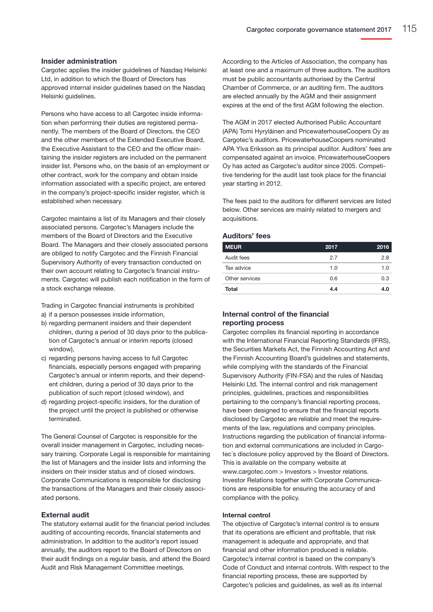#### Insider administration

Cargotec applies the insider guidelines of Nasdaq Helsinki Ltd, in addition to which the Board of Directors has approved internal insider guidelines based on the Nasdaq Helsinki guidelines.

Persons who have access to all Cargotec inside information when performing their duties are registered permanently. The members of the Board of Directors, the CEO and the other members of the Extended Executive Board, the Executive Assistant to the CEO and the officer maintaining the insider registers are included on the permanent insider list. Persons who, on the basis of an employment or other contract, work for the company and obtain inside information associated with a specific project, are entered in the company's project-specific insider register, which is established when necessary.

Cargotec maintains a list of its Managers and their closely associated persons. Cargotec's Managers include the members of the Board of Directors and the Executive Board. The Managers and their closely associated persons are obliged to notify Cargotec and the Finnish Financial Supervisory Authority of every transaction conducted on their own account relating to Cargotec's financial instruments. Cargotec will publish each notification in the form of a stock exchange release.

Trading in Cargotec financial instruments is prohibited a) if a person possesses inside information,

- b) regarding permanent insiders and their dependent children, during a period of 30 days prior to the publication of Cargotec's annual or interim reports (closed window),
- c) regarding persons having access to full Cargotec financials, especially persons engaged with preparing Cargotec's annual or interim reports, and their dependent children, during a period of 30 days prior to the publication of such report (closed window), and
- d) regarding project-specific insiders, for the duration of the project until the project is published or otherwise terminated.

The General Counsel of Cargotec is responsible for the overall insider management in Cargotec, including necessary training. Corporate Legal is responsible for maintaining the list of Managers and the insider lists and informing the insiders on their insider status and of closed windows. Corporate Communications is responsible for disclosing the transactions of the Managers and their closely associated persons.

#### External audit

The statutory external audit for the financial period includes auditing of accounting records, financial statements and administration. In addition to the auditor's report issued annually, the auditors report to the Board of Directors on their audit findings on a regular basis, and attend the Board Audit and Risk Management Committee meetings.

According to the Articles of Association, the company has at least one and a maximum of three auditors. The auditors must be public accountants authorised by the Central Chamber of Commerce, or an auditing firm. The auditors are elected annually by the AGM and their assignment expires at the end of the first AGM following the election.

The AGM in 2017 elected Authorised Public Accountant (APA) Tomi Hyryläinen and PricewaterhouseCoopers Oy as Cargotec's auditors. PricewaterhouseCoopers nominated APA Ylva Eriksson as its principal auditor. Auditors' fees are compensated against an invoice. PricewaterhouseCoopers Oy has acted as Cargotec's auditor since 2005. Competitive tendering for the audit last took place for the financial year starting in 2012.

The fees paid to the auditors for different services are listed below. Other services are mainly related to mergers and acquisitions.

#### Auditors' fees

| <b>MEUR</b>    | 2017 | 2016 |
|----------------|------|------|
| Audit fees     | 2.7  | 2.8  |
| Tax advice     | 1.0  | 1.0  |
| Other services | 0.6  | 0.3  |
| <b>Total</b>   | 4.4  | 4.0  |

#### Internal control of the financial reporting process

Cargotec compiles its financial reporting in accordance with the International Financial Reporting Standards (IFRS). the Securities Markets Act, the Finnish Accounting Act and the Finnish Accounting Board's guidelines and statements, while complying with the standards of the Financial Supervisory Authority (FIN-FSA) and the rules of Nasdaq Helsinki Ltd. The internal control and risk management principles, guidelines, practices and responsibilities pertaining to the company's financial reporting process, have been designed to ensure that the financial reports disclosed by Cargotec are reliable and meet the requirements of the law, regulations and company principles. Instructions regarding the publication of financial information and external communications are included in Cargotec´s disclosure policy approved by the Board of Directors. This is available on the company website at www.cargotec.com > Investors > Investor relations. Investor Relations together with Corporate Communications are responsible for ensuring the accuracy of and compliance with the policy.

#### Internal control

The objective of Cargotec's internal control is to ensure that its operations are efficient and profitable, that risk management is adequate and appropriate, and that financial and other information produced is reliable. Cargotec's internal control is based on the company's Code of Conduct and internal controls. With respect to the financial reporting process, these are supported by Cargotec's policies and guidelines, as well as its internal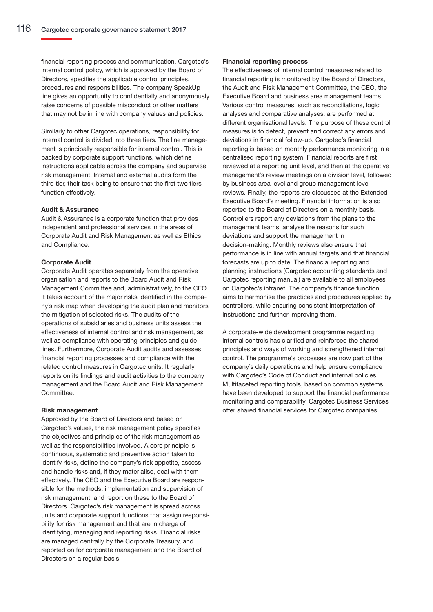financial reporting process and communication. Cargotec's internal control policy, which is approved by the Board of Directors, specifies the applicable control principles, procedures and responsibilities. The company SpeakUp line gives an opportunity to confidentially and anonymously raise concerns of possible misconduct or other matters that may not be in line with company values and policies.

Similarly to other Cargotec operations, responsibility for internal control is divided into three tiers. The line management is principally responsible for internal control. This is backed by corporate support functions, which define instructions applicable across the company and supervise risk management. Internal and external audits form the third tier, their task being to ensure that the first two tiers function effectively.

#### Audit & Assurance

Audit & Assurance is a corporate function that provides independent and professional services in the areas of Corporate Audit and Risk Management as well as Ethics and Compliance.

#### Corporate Audit

Corporate Audit operates separately from the operative organisation and reports to the Board Audit and Risk Management Committee and, administratively, to the CEO. It takes account of the major risks identified in the company's risk map when developing the audit plan and monitors the mitigation of selected risks. The audits of the operations of subsidiaries and business units assess the effectiveness of internal control and risk management, as well as compliance with operating principles and quidelines. Furthermore, Corporate Audit audits and assesses financial reporting processes and compliance with the related control measures in Cargotec units. It regularly reports on its findings and audit activities to the company management and the Board Audit and Risk Management Committee.

#### Risk management

Approved by the Board of Directors and based on Cargotec's values, the risk management policy specifies the objectives and principles of the risk management as well as the responsibilities involved. A core principle is continuous, systematic and preventive action taken to identify risks, define the company's risk appetite, assess and handle risks and, if they materialise, deal with them effectively. The CEO and the Executive Board are responsible for the methods, implementation and supervision of risk management, and report on these to the Board of Directors. Cargotec's risk management is spread across units and corporate support functions that assign responsibility for risk management and that are in charge of identifying, managing and reporting risks. Financial risks are managed centrally by the Corporate Treasury, and reported on for corporate management and the Board of Directors on a regular basis.

#### Financial reporting process

The effectiveness of internal control measures related to financial reporting is monitored by the Board of Directors, the Audit and Risk Management Committee, the CEO, the Executive Board and business area management teams. Various control measures, such as reconciliations, logic analyses and comparative analyses, are performed at different organisational levels. The purpose of these control measures is to detect, prevent and correct any errors and deviations in financial follow-up. Cargotec's financial reporting is based on monthly performance monitoring in a centralised reporting system. Financial reports are first reviewed at a reporting unit level, and then at the operative management's review meetings on a division level, followed by business area level and group management level reviews. Finally, the reports are discussed at the Extended Executive Board's meeting. Financial information is also reported to the Board of Directors on a monthly basis. Controllers report any deviations from the plans to the management teams, analyse the reasons for such deviations and support the management in decision-making. Monthly reviews also ensure that performance is in line with annual targets and that financial forecasts are up to date. The financial reporting and planning instructions (Cargotec accounting standards and Cargotec reporting manual) are available to all employees on Cargotec's intranet. The company's finance function aims to harmonise the practices and procedures applied by controllers, while ensuring consistent interpretation of instructions and further improving them.

A corporate-wide development programme regarding internal controls has clarified and reinforced the shared principles and ways of working and strengthened internal control. The programme's processes are now part of the company's daily operations and help ensure compliance with Cargotec's Code of Conduct and internal policies. Multifaceted reporting tools, based on common systems, have been developed to support the financial performance monitoring and comparability. Cargotec Business Services offer shared financial services for Cargotec companies.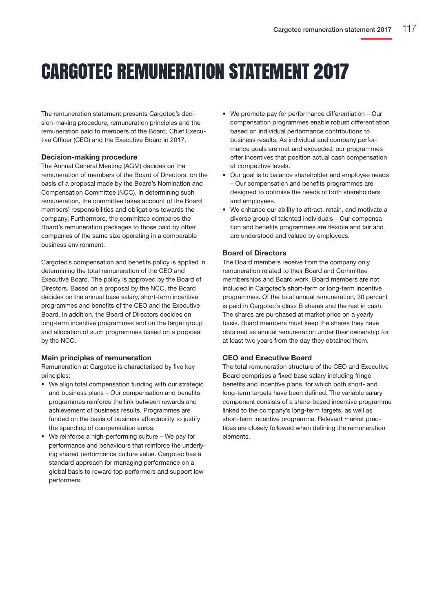# CARGOTEC REMUNERATION STATEMENT 2017

The remuneration statement presents Cargotec's decision-making procedure, remuneration principles and the remuneration paid to members of the Board, Chief Executive Officer (CEO) and the Executive Board in 2017.

#### Decision-making procedure

The Annual General Meeting (AGM) decides on the remuneration of members of the Board of Directors, on the basis of a proposal made by the Board's Nomination and Compensation Committee (NCC). In determining such remuneration, the committee takes account of the Board members' responsibilities and obligations towards the company. Furthermore, the committee compares the Board's remuneration packages to those paid by other companies of the same size operating in a comparable business environment.

Cargotec's compensation and benefits policy is applied in determining the total remuneration of the CEO and Executive Board. The policy is approved by the Board of Directors. Based on a proposal by the NCC, the Board decides on the annual base salary, short-term incentive programmes and benefits of the CEO and the Executive Board. In addition, the Board of Directors decides on long-term incentive programmes and on the target group and allocation of such programmes based on a proposal by the NCC.

#### Main principles of remuneration

Remuneration at Cargotec is characterised by five key principles:

- We align total compensation funding with our strategic and business plans – Our compensation and benefits programmes reinforce the link between rewards and achievement of business results. Programmes are funded on the basis of business affordability to justify the spending of compensation euros.
- We reinforce a high-performing culture We pay for performance and behaviours that reinforce the underlying shared performance culture value. Cargotec has a standard approach for managing performance on a global basis to reward top performers and support low performers.
- We promote pay for performance differentiation Our compensation programmes enable robust differentiation based on individual performance contributions to business results. As individual and company performance goals are met and exceeded, our programmes offer incentives that position actual cash compensation at competitive levels.
- Our goal is to balance shareholder and employee needs – Our compensation and benefits programmes are designed to optimise the needs of both shareholders and employees.
- We enhance our ability to attract, retain, and motivate a diverse group of talented individuals – Our compensation and benefits programmes are flexible and fair and are understood and valued by employees.

#### Board of Directors

The Board members receive from the company only remuneration related to their Board and Committee memberships and Board work. Board members are not included in Cargotec's short-term or long-term incentive programmes. Of the total annual remuneration, 30 percent is paid in Cargotec's class B shares and the rest in cash. The shares are purchased at market price on a yearly basis. Board members must keep the shares they have obtained as annual remuneration under their ownership for at least two years from the day they obtained them.

#### CEO and Executive Board

The total remuneration structure of the CEO and Executive Board comprises a fixed base salary including fringe benefits and incentive plans, for which both short- and long-term targets have been defined. The variable salary component consists of a share-based incentive programme linked to the company's long-term targets, as well as short-term incentive programme. Relevant market practices are closely followed when defining the remuneration elements.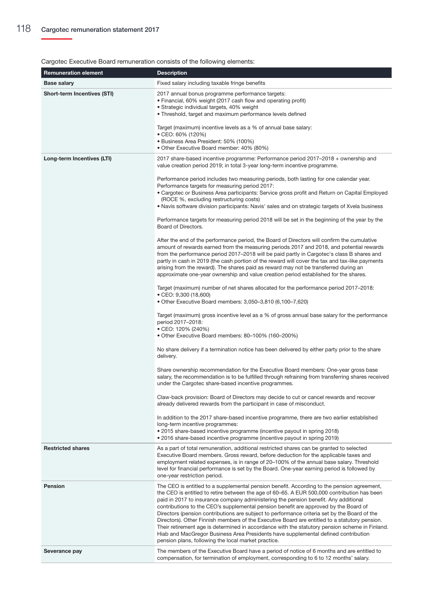Cargotec Executive Board remuneration consists of the following elements:

| <b>Remuneration element</b>        | <b>Description</b>                                                                                                                                                                                                                                                                                                                                                                                                                                                                                                                                                                                                                                                                                                                                                                                                       |
|------------------------------------|--------------------------------------------------------------------------------------------------------------------------------------------------------------------------------------------------------------------------------------------------------------------------------------------------------------------------------------------------------------------------------------------------------------------------------------------------------------------------------------------------------------------------------------------------------------------------------------------------------------------------------------------------------------------------------------------------------------------------------------------------------------------------------------------------------------------------|
| <b>Base salary</b>                 | Fixed salary including taxable fringe benefits                                                                                                                                                                                                                                                                                                                                                                                                                                                                                                                                                                                                                                                                                                                                                                           |
| <b>Short-term Incentives (STI)</b> | 2017 annual bonus programme performance targets:<br>• Financial, 60% weight (2017 cash flow and operating profit)<br>• Strategic individual targets, 40% weight<br>· Threshold, target and maximum performance levels defined                                                                                                                                                                                                                                                                                                                                                                                                                                                                                                                                                                                            |
|                                    | Target (maximum) incentive levels as a % of annual base salary:<br>• CEO: 60% (120%)<br>• Business Area President: 50% (100%)<br>• Other Executive Board member: 40% (80%)                                                                                                                                                                                                                                                                                                                                                                                                                                                                                                                                                                                                                                               |
| Long-term Incentives (LTI)         | 2017 share-based incentive programme: Performance period 2017–2018 + ownership and<br>value creation period 2019; in total 3-year long-term incentive programme.                                                                                                                                                                                                                                                                                                                                                                                                                                                                                                                                                                                                                                                         |
|                                    | Performance period includes two measuring periods, both lasting for one calendar year.<br>Performance targets for measuring period 2017:<br>• Cargotec or Business Area participants: Service gross profit and Return on Capital Employed<br>(ROCE %, excluding restructuring costs)<br>. Navis software division participants: Navis' sales and on strategic targets of Xvela business                                                                                                                                                                                                                                                                                                                                                                                                                                  |
|                                    | Performance targets for measuring period 2018 will be set in the beginning of the year by the<br>Board of Directors.                                                                                                                                                                                                                                                                                                                                                                                                                                                                                                                                                                                                                                                                                                     |
|                                    | After the end of the performance period, the Board of Directors will confirm the cumulative<br>amount of rewards earned from the measuring periods 2017 and 2018, and potential rewards<br>from the performance period 2017-2018 will be paid partly in Cargotec's class B shares and<br>partly in cash in 2019 (the cash portion of the reward will cover the tax and tax-like payments<br>arising from the reward). The shares paid as reward may not be transferred during an<br>approximate one-year ownership and value creation period established for the shares.                                                                                                                                                                                                                                                 |
|                                    | Target (maximum) number of net shares allocated for the performance period 2017–2018:<br>$\bullet$ CEO: 9,300 (18,600)                                                                                                                                                                                                                                                                                                                                                                                                                                                                                                                                                                                                                                                                                                   |
|                                    | • Other Executive Board members: 3,050-3,810 (6,100-7,620)                                                                                                                                                                                                                                                                                                                                                                                                                                                                                                                                                                                                                                                                                                                                                               |
|                                    | Target (maximum) gross incentive level as a % of gross annual base salary for the performance<br>period 2017-2018:<br>• CEO: 120% (240%)<br>• Other Executive Board members: 80–100% (160–200%)                                                                                                                                                                                                                                                                                                                                                                                                                                                                                                                                                                                                                          |
|                                    | No share delivery if a termination notice has been delivered by either party prior to the share<br>delivery.                                                                                                                                                                                                                                                                                                                                                                                                                                                                                                                                                                                                                                                                                                             |
|                                    | Share ownership recommendation for the Executive Board members: One-year gross base<br>salary, the recommendation is to be fulfilled through refraining from transferring shares received<br>under the Cargotec share-based incentive programmes.                                                                                                                                                                                                                                                                                                                                                                                                                                                                                                                                                                        |
|                                    | Claw-back provision: Board of Directors may decide to cut or cancel rewards and recover<br>already delivered rewards from the participant in case of misconduct.                                                                                                                                                                                                                                                                                                                                                                                                                                                                                                                                                                                                                                                         |
|                                    | In addition to the 2017 share-based incentive programme, there are two earlier established<br>long-term incentive programmes:<br>• 2015 share-based incentive programme (incentive payout in spring 2018)<br>• 2016 share-based incentive programme (incentive payout in spring 2019)                                                                                                                                                                                                                                                                                                                                                                                                                                                                                                                                    |
| <b>Restricted shares</b>           | As a part of total remuneration, additional restricted shares can be granted to selected<br>Executive Board members. Gross reward, before deduction for the applicable taxes and<br>employment related expenses, is in range of 20-100% of the annual base salary. Threshold<br>level for financial performance is set by the Board. One-year earning period is followed by<br>one-year restriction period.                                                                                                                                                                                                                                                                                                                                                                                                              |
| <b>Pension</b>                     | The CEO is entitled to a supplemental pension benefit. According to the pension agreement,<br>the CEO is entitled to retire between the age of 60–65. A EUR 500,000 contribution has been<br>paid in 2017 to insurance company administering the pension benefit. Any additional<br>contributions to the CEO's supplemental pension benefit are approved by the Board of<br>Directors (pension contributions are subject to performance criteria set by the Board of the<br>Directors). Other Finnish members of the Executive Board are entitled to a statutory pension.<br>Their retirement age is determined in accordance with the statutory pension scheme in Finland.<br>Hiab and MacGregor Business Area Presidents have supplemental defined contribution<br>pension plans, following the local market practice. |
| Severance pay                      | The members of the Executive Board have a period of notice of 6 months and are entitled to<br>compensation, for termination of employment, corresponding to 6 to 12 months' salary.                                                                                                                                                                                                                                                                                                                                                                                                                                                                                                                                                                                                                                      |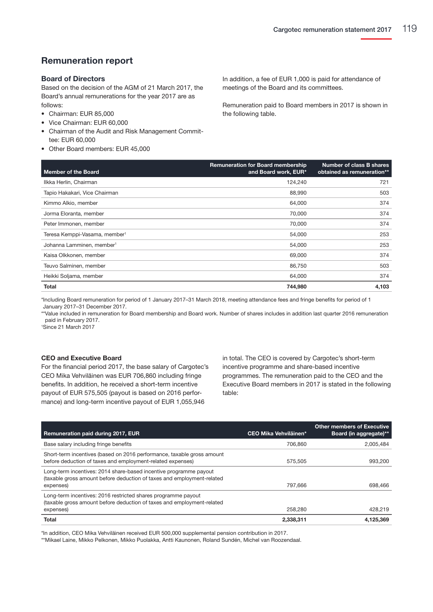## Remuneration report

#### Board of Directors

Based on the decision of the AGM of 21 March 2017, the Board's annual remunerations for the year 2017 are as follows:

- Chairman: EUR 85,000
- Vice Chairman: EUR 60,000
- Chairman of the Audit and Risk Management Committee: EUR 60,000
- Other Board members: EUR 45,000

In addition, a fee of EUR 1,000 is paid for attendance of meetings of the Board and its committees.

Remuneration paid to Board members in 2017 is shown in the following table.

| <b>Member of the Board</b>                | <b>Remuneration for Board membership</b><br>and Board work, EUR* | <b>Number of class B shares</b><br>obtained as remuneration** |
|-------------------------------------------|------------------------------------------------------------------|---------------------------------------------------------------|
| Ilkka Herlin, Chairman                    | 124,240                                                          | 721                                                           |
| Tapio Hakakari, Vice Chairman             | 88,990                                                           | 503                                                           |
| Kimmo Alkio, member                       | 64,000                                                           | 374                                                           |
| Jorma Eloranta, member                    | 70,000                                                           | 374                                                           |
| Peter Immonen, member                     | 70,000                                                           | 374                                                           |
| Teresa Kemppi-Vasama, member <sup>1</sup> | 54,000                                                           | 253                                                           |
| Johanna Lamminen, member <sup>1</sup>     | 54,000                                                           | 253                                                           |
| Kaisa Olkkonen, member                    | 69,000                                                           | 374                                                           |
| Teuvo Salminen, member                    | 86.750                                                           | 503                                                           |
| Heikki Soljama, member                    | 64,000                                                           | 374                                                           |
| <b>Total</b>                              | 744,980                                                          | 4,103                                                         |

\*Including Board remuneration for period of 1 January 2017–31 March 2018, meeting attendance fees and fringe benefits for period of 1 January 2017–31 December 2017.

\*\*Value included in remuneration for Board membership and Board work. Number of shares includes in addition last quarter 2016 remuneration paid in February 2017.

1 Since 21 March 2017

#### CEO and Executive Board

For the financial period 2017, the base salary of Cargotec's CEO Mika Vehviläinen was EUR 706,860 including fringe benefits. In addition, he received a short-term incentive payout of EUR 575,505 (payout is based on 2016 performance) and long-term incentive payout of EUR 1,055,946

in total. The CEO is covered by Cargotec's short-term incentive programme and share-based incentive programmes. The remuneration paid to the CEO and the Executive Board members in 2017 is stated in the following table:

| Remuneration paid during 2017, EUR                                                                                                                       | CEO Mika Vehviläinen* | <b>Other members of Executive</b><br>Board (in aggregate)** |
|----------------------------------------------------------------------------------------------------------------------------------------------------------|-----------------------|-------------------------------------------------------------|
| Base salary including fringe benefits                                                                                                                    | 706.860               | 2,005,484                                                   |
| Short-term incentives (based on 2016 performance, taxable gross amount<br>before deduction of taxes and employment-related expenses)                     | 575.505               | 993,200                                                     |
| Long-term incentives: 2014 share-based incentive programme payout<br>(taxable gross amount before deduction of taxes and employment-related<br>expenses) | 797.666               | 698,466                                                     |
| Long-term incentives: 2016 restricted shares programme payout<br>(taxable gross amount before deduction of taxes and employment-related<br>expenses)     | 258,280               | 428.219                                                     |
| <b>Total</b>                                                                                                                                             | 2.338.311             | 4.125.369                                                   |

\*In addition, CEO Mika Vehviläinen received EUR 500,000 supplemental pension contribution in 2017.

\*\*Mikael Laine, Mikko Pelkonen, Mikko Puolakka, Antti Kaunonen, Roland Sundén, Michel van Roozendaal.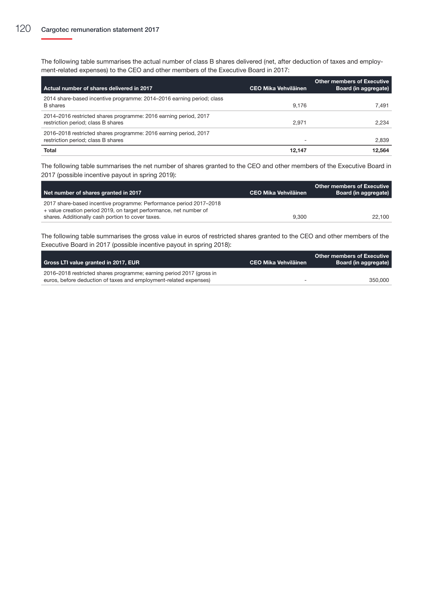The following table summarises the actual number of class B shares delivered (net, after deduction of taxes and employment-related expenses) to the CEO and other members of the Executive Board in 2017:

| Actual number of shares delivered in 2017                                                              | <b>CEO Mika Vehviläinen</b> | <b>Other members of Executive</b><br>Board (in aggregate) |
|--------------------------------------------------------------------------------------------------------|-----------------------------|-----------------------------------------------------------|
| 2014 share-based incentive programme: 2014–2016 earning period; class<br><b>B</b> shares               | 9.176                       | 7.491                                                     |
| 2014–2016 restricted shares programme: 2016 earning period, 2017<br>restriction period; class B shares | 2.971                       | 2.234                                                     |
| 2016–2018 restricted shares programme: 2016 earning period, 2017<br>restriction period; class B shares | $\overline{\phantom{a}}$    | 2.839                                                     |
| <b>Total</b>                                                                                           | 12.147                      | 12.564                                                    |

The following table summarises the net number of shares granted to the CEO and other members of the Executive Board in 2017 (possible incentive payout in spring 2019):

| Net number of shares granted in 2017                                                                                                     | <b>CEO Mika Vehviläinen</b> | <b>Other members of Executive</b><br>Board (in aggregate) |
|------------------------------------------------------------------------------------------------------------------------------------------|-----------------------------|-----------------------------------------------------------|
| 2017 share-based incentive programme: Performance period 2017–2018<br>+ value creation period 2019, on target performance, net number of |                             |                                                           |
| shares. Additionally cash portion to cover taxes.                                                                                        | 9.300                       | 22.100                                                    |

The following table summarises the gross value in euros of restricted shares granted to the CEO and other members of the Executive Board in 2017 (possible incentive payout in spring 2018):

| Gross LTI value granted in 2017, EUR                                                                                                      | CEO Mika Vehviläinen     | Other members of Executive<br>Board (in aggregate) |
|-------------------------------------------------------------------------------------------------------------------------------------------|--------------------------|----------------------------------------------------|
| 2016–2018 restricted shares programme; earning period 2017 (gross in<br>euros, before deduction of taxes and employment-related expenses) | $\overline{\phantom{a}}$ | 350,000                                            |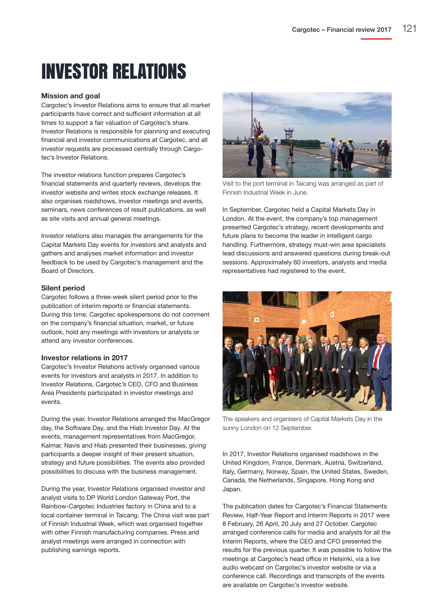# INVESTOR RELATIONS

#### Mission and goal

Cargotec's Investor Relations aims to ensure that all market participants have correct and sufficient information at all times to support a fair valuation of Cargotec's share. Investor Relations is responsible for planning and executing financial and investor communications at Cargotec, and all investor requests are processed centrally through Cargotec's Investor Relations.

The investor relations function prepares Cargotec's financial statements and quarterly reviews, develops the investor website and writes stock exchange releases. It also organises roadshows, investor meetings and events, seminars, news conferences of result publications, as well as site visits and annual general meetings.

Investor relations also manages the arrangements for the Capital Markets Day events for investors and analysts and gathers and analyses market information and investor feedback to be used by Cargotec's management and the Board of Directors.

#### Silent period

Cargotec follows a three-week silent period prior to the publication of interim reports or financial statements. During this time, Cargotec spokespersons do not comment on the company's financial situation, market, or future outlook, hold any meetings with investors or analysts or attend any investor conferences.

#### Investor relations in 2017

Cargotec's Investor Relations actively organised various events for investors and analysts in 2017. In addition to Investor Relations, Cargotec's CEO, CFO and Business Area Presidents participated in investor meetings and events.

During the year, Investor Relations arranged the MacGregor day, the Software Day, and the Hiab Investor Day. At the events, management representatives from MacGregor, Kalmar, Navis and Hiab presented their businesses, giving participants a deeper insight of their present situation, strategy and future possibilities. The events also provided possibilities to discuss with the business management.

During the year, Investor Relations organised investor and analyst visits to DP World London Gateway Port, the Rainbow-Cargotec Industries factory in China and to a local container terminal in Taicang. The China visit was part of Finnish Industrial Week, which was organised together with other Finnish manufacturing companies. Press and analyst meetings were arranged in connection with publishing earnings reports.



Visit to the port terminal in Taicang was arranged as part of Finnish Industrial Week in June.

In September, Cargotec held a Capital Markets Day in London. At the event, the company's top management presented Cargotec's strategy, recent developments and future plans to become the leader in intelligent cargo handling. Furthermore, strategy must-win area specialists lead discussions and answered questions during break-out sessions. Approximately 60 investors, analysts and media representatives had registered to the event.



The speakers and organisers of Capital Markets Day in the sunny London on 12 September.

In 2017, Investor Relations organised roadshows in the United Kingdom, France, Denmark, Austria, Switzerland, Italy, Germany, Norway, Spain, the United States, Sweden, Canada, the Netherlands, Singapore, Hong Kong and Japan.

The publication dates for Cargotec's Financial Statements Review, Half-Year Report and Interim Reports in 2017 were 8 February, 26 April, 20 July and 27 October. Cargotec arranged conference calls for media and analysts for all the Interim Reports, where the CEO and CFO presented the results for the previous quarter. It was possible to follow the meetings at Cargotec's head office in Helsinki, via a live audio webcast on Cargotec's investor website or via a conference call. Recordings and transcripts of the events are available on Cargotec's investor website.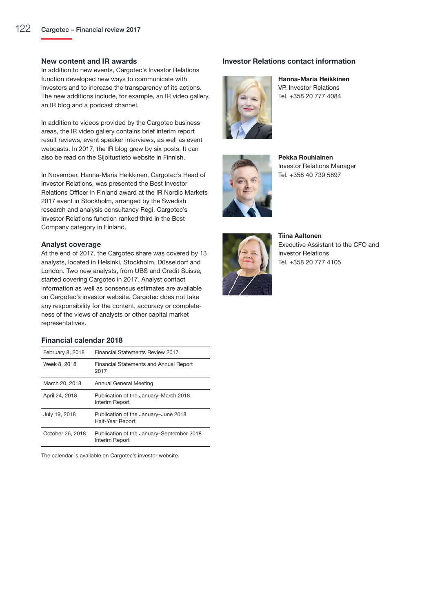#### New content and IR awards

In addition to new events, Cargotec's Investor Relations function developed new ways to communicate with investors and to increase the transparency of its actions. The new additions include, for example, an IR video gallery, an IR blog and a podcast channel.

In addition to videos provided by the Cargotec business areas, the IR video gallery contains brief interim report result reviews, event speaker interviews, as well as event webcasts. In 2017, the IR blog grew by six posts. It can also be read on the Sijoitustieto website in Finnish.

In November, Hanna-Maria Heikkinen, Cargotec's Head of Investor Relations, was presented the Best Investor Relations Officer in Finland award at the IR Nordic Markets 2017 event in Stockholm, arranged by the Swedish research and analysis consultancy Regi. Cargotec's Investor Relations function ranked third in the Best Company category in Finland.

#### Analyst coverage

At the end of 2017, the Cargotec share was covered by 13 analysts, located in Helsinki, Stockholm, Düsseldorf and London. Two new analysts, from UBS and Credit Suisse, started covering Cargotec in 2017. Analyst contact information as well as consensus estimates are available on Cargotec's investor website. Cargotec does not take any responsibility for the content, accuracy or completeness of the views of analysts or other capital market representatives.

#### Financial calendar 2018

| February 8, 2018 | <b>Financial Statements Review 2017</b>                     |
|------------------|-------------------------------------------------------------|
| Week 8, 2018     | Financial Statements and Annual Report<br>2017              |
| March 20, 2018   | <b>Annual General Meeting</b>                               |
| April 24, 2018   | Publication of the January–March 2018<br>Interim Report     |
| July 19, 2018    | Publication of the January-June 2018<br>Half-Year Report    |
| October 26, 2018 | Publication of the January–September 2018<br>Interim Report |

The calendar is available on Cargotec's investor website.

#### Investor Relations contact information



Hanna-Maria Heikkinen VP, Investor Relations Tel. +358 20 777 4084



Pekka Rouhiainen Investor Relations Manager Tel. +358 40 739 5897



Tiina Aaltonen Executive Assistant to the CFO and Investor Relations

Tel. +358 20 777 4105